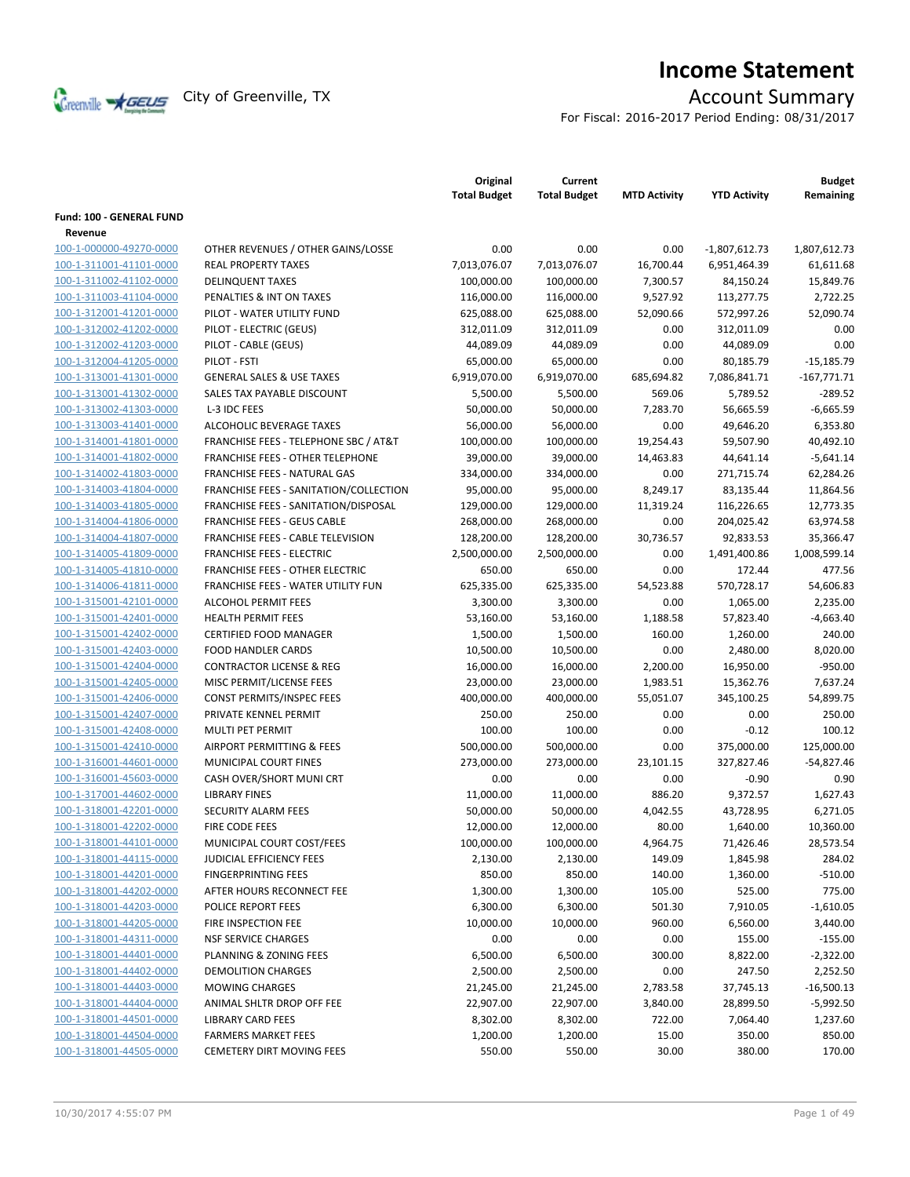

# **Income Statement**

For Fiscal: 2016-2017 Period Ending: 08/31/2017

|                                 |                                                  | Original<br><b>Total Budget</b> | Current<br><b>Total Budget</b> | <b>MTD Activity</b> | <b>YTD Activity</b> | <b>Budget</b><br>Remaining |
|---------------------------------|--------------------------------------------------|---------------------------------|--------------------------------|---------------------|---------------------|----------------------------|
| <b>Fund: 100 - GENERAL FUND</b> |                                                  |                                 |                                |                     |                     |                            |
| Revenue                         |                                                  |                                 |                                |                     |                     |                            |
| 100-1-000000-49270-0000         | OTHER REVENUES / OTHER GAINS/LOSSE               | 0.00                            | 0.00                           | 0.00                | $-1,807,612.73$     | 1,807,612.73               |
| 100-1-311001-41101-0000         | <b>REAL PROPERTY TAXES</b>                       | 7,013,076.07                    | 7,013,076.07                   | 16,700.44           | 6,951,464.39        | 61,611.68                  |
| 100-1-311002-41102-0000         | <b>DELINQUENT TAXES</b>                          | 100,000.00                      | 100,000.00                     | 7,300.57            | 84,150.24           | 15,849.76                  |
| 100-1-311003-41104-0000         | PENALTIES & INT ON TAXES                         | 116,000.00                      | 116,000.00                     | 9,527.92            | 113,277.75          | 2,722.25                   |
| 100-1-312001-41201-0000         | PILOT - WATER UTILITY FUND                       | 625,088.00                      | 625,088.00                     | 52,090.66           | 572,997.26          | 52,090.74                  |
| 100-1-312002-41202-0000         | PILOT - ELECTRIC (GEUS)                          | 312,011.09                      | 312,011.09                     | 0.00                | 312,011.09          | 0.00                       |
| 100-1-312002-41203-0000         | PILOT - CABLE (GEUS)                             | 44,089.09                       | 44,089.09                      | 0.00                | 44,089.09           | 0.00                       |
| 100-1-312004-41205-0000         | PILOT - FSTI                                     | 65,000.00                       | 65,000.00                      | 0.00                | 80,185.79           | $-15,185.79$               |
| 100-1-313001-41301-0000         | <b>GENERAL SALES &amp; USE TAXES</b>             | 6,919,070.00                    | 6,919,070.00                   | 685,694.82          | 7,086,841.71        | $-167,771.71$              |
| 100-1-313001-41302-0000         | SALES TAX PAYABLE DISCOUNT                       | 5,500.00                        | 5,500.00                       | 569.06              | 5,789.52            | -289.52                    |
| 100-1-313002-41303-0000         | L-3 IDC FEES                                     | 50,000.00                       | 50,000.00                      | 7,283.70            | 56,665.59           | $-6,665.59$                |
| 100-1-313003-41401-0000         | ALCOHOLIC BEVERAGE TAXES                         | 56,000.00                       | 56,000.00                      | 0.00                | 49,646.20           | 6,353.80                   |
| 100-1-314001-41801-0000         | <b>FRANCHISE FEES - TELEPHONE SBC / AT&amp;T</b> | 100,000.00                      | 100,000.00                     | 19,254.43           | 59,507.90           | 40,492.10                  |
| 100-1-314001-41802-0000         | <b>FRANCHISE FEES - OTHER TELEPHONE</b>          | 39,000.00                       | 39,000.00                      | 14,463.83           | 44,641.14           | $-5,641.14$                |
| 100-1-314002-41803-0000         | FRANCHISE FEES - NATURAL GAS                     | 334,000.00                      | 334,000.00                     | 0.00                | 271,715.74          | 62,284.26                  |
| 100-1-314003-41804-0000         | FRANCHISE FEES - SANITATION/COLLECTION           | 95,000.00                       | 95,000.00                      | 8,249.17            | 83,135.44           | 11,864.56                  |
| 100-1-314003-41805-0000         | FRANCHISE FEES - SANITATION/DISPOSAL             | 129,000.00                      | 129,000.00                     | 11,319.24           | 116,226.65          | 12,773.35                  |
| 100-1-314004-41806-0000         | <b>FRANCHISE FEES - GEUS CABLE</b>               | 268,000.00                      | 268,000.00                     | 0.00                | 204,025.42          | 63,974.58                  |
| 100-1-314004-41807-0000         | <b>FRANCHISE FEES - CABLE TELEVISION</b>         | 128,200.00                      | 128,200.00                     | 30,736.57           | 92,833.53           | 35,366.47                  |
| 100-1-314005-41809-0000         | <b>FRANCHISE FEES - ELECTRIC</b>                 | 2,500,000.00                    | 2,500,000.00                   | 0.00                | 1,491,400.86        | 1,008,599.14               |
| 100-1-314005-41810-0000         | <b>FRANCHISE FEES - OTHER ELECTRIC</b>           | 650.00                          | 650.00                         | 0.00                | 172.44              | 477.56                     |
| 100-1-314006-41811-0000         | FRANCHISE FEES - WATER UTILITY FUN               | 625,335.00                      | 625,335.00                     | 54,523.88           | 570,728.17          | 54,606.83                  |
| 100-1-315001-42101-0000         | <b>ALCOHOL PERMIT FEES</b>                       | 3,300.00                        | 3,300.00                       | 0.00                | 1,065.00            | 2,235.00                   |
| 100-1-315001-42401-0000         | <b>HEALTH PERMIT FEES</b>                        | 53,160.00                       | 53,160.00                      | 1,188.58            | 57,823.40           | $-4,663.40$                |
| 100-1-315001-42402-0000         | <b>CERTIFIED FOOD MANAGER</b>                    | 1,500.00                        | 1,500.00                       | 160.00              | 1,260.00            | 240.00                     |
| 100-1-315001-42403-0000         | <b>FOOD HANDLER CARDS</b>                        | 10,500.00                       | 10,500.00                      | 0.00                | 2,480.00            | 8,020.00                   |
| 100-1-315001-42404-0000         | <b>CONTRACTOR LICENSE &amp; REG</b>              | 16,000.00                       | 16,000.00                      | 2,200.00            | 16,950.00           | -950.00                    |
| 100-1-315001-42405-0000         | MISC PERMIT/LICENSE FEES                         | 23,000.00                       | 23,000.00                      | 1,983.51            | 15,362.76           | 7,637.24                   |
| 100-1-315001-42406-0000         | CONST PERMITS/INSPEC FEES                        | 400,000.00                      | 400,000.00                     | 55,051.07           | 345,100.25          | 54,899.75                  |
| 100-1-315001-42407-0000         | PRIVATE KENNEL PERMIT                            | 250.00                          | 250.00                         | 0.00                | 0.00                | 250.00                     |
| 100-1-315001-42408-0000         | MULTI PET PERMIT                                 | 100.00                          | 100.00                         | 0.00                | $-0.12$             | 100.12                     |
| 100-1-315001-42410-0000         | AIRPORT PERMITTING & FEES                        | 500,000.00                      | 500,000.00                     | 0.00                | 375,000.00          | 125,000.00                 |
| 100-1-316001-44601-0000         | MUNICIPAL COURT FINES                            | 273,000.00                      | 273,000.00                     | 23,101.15           | 327,827.46          | $-54,827.46$               |
| 100-1-316001-45603-0000         | CASH OVER/SHORT MUNI CRT                         | 0.00                            | 0.00                           | 0.00                | $-0.90$             | 0.90                       |
| 100-1-317001-44602-0000         | <b>LIBRARY FINES</b>                             | 11,000.00                       | 11,000.00                      | 886.20              | 9,372.57            | 1,627.43                   |
| 100-1-318001-42201-0000         | SECURITY ALARM FEES                              | 50,000.00                       | 50,000.00                      | 4,042.55            | 43,728.95           | 6,271.05                   |
| 100-1-318001-42202-0000         | FIRE CODE FEES                                   | 12,000.00                       | 12,000.00                      | 80.00               | 1,640.00            | 10,360.00                  |
| 100-1-318001-44101-0000         | MUNICIPAL COURT COST/FEES                        | 100,000.00                      | 100,000.00                     | 4,964.75            | 71,426.46           | 28,573.54                  |
| 100-1-318001-44115-0000         | JUDICIAL EFFICIENCY FEES                         | 2,130.00                        | 2,130.00                       | 149.09              | 1,845.98            | 284.02                     |
| 100-1-318001-44201-0000         | <b>FINGERPRINTING FEES</b>                       | 850.00                          | 850.00                         | 140.00              | 1,360.00            | $-510.00$                  |
| 100-1-318001-44202-0000         | AFTER HOURS RECONNECT FEE                        | 1,300.00                        | 1,300.00                       | 105.00              | 525.00              | 775.00                     |
| 100-1-318001-44203-0000         | POLICE REPORT FEES                               | 6,300.00                        | 6,300.00                       | 501.30              | 7,910.05            | $-1,610.05$                |
| 100-1-318001-44205-0000         | FIRE INSPECTION FEE                              | 10,000.00                       | 10,000.00                      | 960.00              | 6,560.00            | 3,440.00                   |
| 100-1-318001-44311-0000         | <b>NSF SERVICE CHARGES</b>                       | 0.00                            | 0.00                           | 0.00                | 155.00              | $-155.00$                  |
| 100-1-318001-44401-0000         | PLANNING & ZONING FEES                           | 6,500.00                        | 6,500.00                       | 300.00              | 8,822.00            | $-2,322.00$                |
| 100-1-318001-44402-0000         | <b>DEMOLITION CHARGES</b>                        | 2,500.00                        | 2,500.00                       | 0.00                | 247.50              | 2,252.50                   |
| 100-1-318001-44403-0000         | <b>MOWING CHARGES</b>                            | 21,245.00                       | 21,245.00                      | 2,783.58            | 37,745.13           | $-16,500.13$               |
| 100-1-318001-44404-0000         | ANIMAL SHLTR DROP OFF FEE                        | 22,907.00                       | 22,907.00                      | 3,840.00            | 28,899.50           | $-5,992.50$                |
| 100-1-318001-44501-0000         | <b>LIBRARY CARD FEES</b>                         | 8,302.00                        | 8,302.00                       | 722.00              | 7,064.40            | 1,237.60                   |
| 100-1-318001-44504-0000         | <b>FARMERS MARKET FEES</b>                       | 1,200.00                        | 1,200.00                       | 15.00               | 350.00              | 850.00                     |
| 100-1-318001-44505-0000         | CEMETERY DIRT MOVING FEES                        | 550.00                          | 550.00                         | 30.00               | 380.00              | 170.00                     |
|                                 |                                                  |                                 |                                |                     |                     |                            |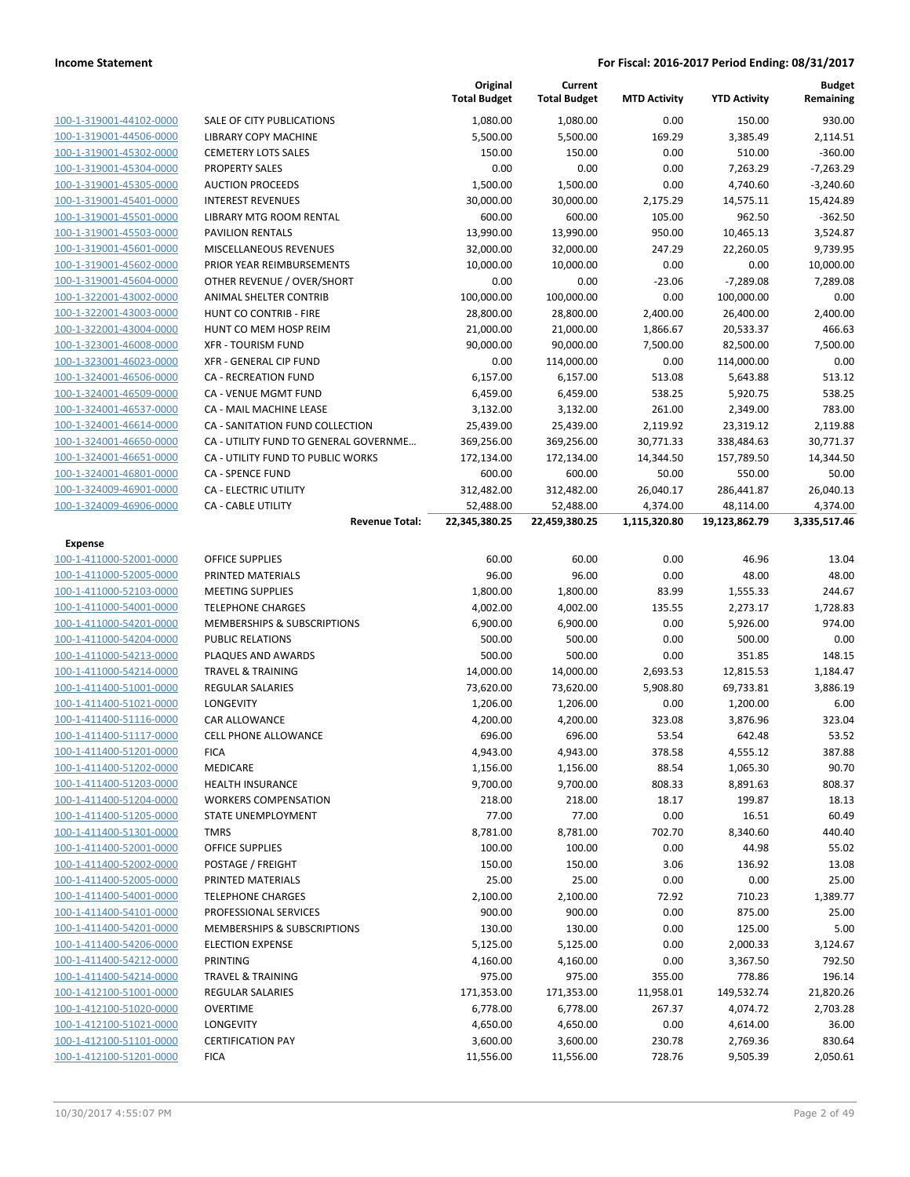|                         |                                       | Original<br><b>Total Budget</b> | Current<br><b>Total Budget</b> | <b>MTD Activity</b> | <b>YTD Activity</b> | <b>Budget</b><br>Remaining |
|-------------------------|---------------------------------------|---------------------------------|--------------------------------|---------------------|---------------------|----------------------------|
| 100-1-319001-44102-0000 | SALE OF CITY PUBLICATIONS             | 1,080.00                        | 1,080.00                       | 0.00                | 150.00              | 930.00                     |
| 100-1-319001-44506-0000 | LIBRARY COPY MACHINE                  | 5,500.00                        | 5,500.00                       | 169.29              | 3,385.49            | 2,114.51                   |
| 100-1-319001-45302-0000 | <b>CEMETERY LOTS SALES</b>            | 150.00                          | 150.00                         | 0.00                | 510.00              | $-360.00$                  |
| 100-1-319001-45304-0000 | <b>PROPERTY SALES</b>                 | 0.00                            | 0.00                           | 0.00                | 7,263.29            | $-7,263.29$                |
| 100-1-319001-45305-0000 | <b>AUCTION PROCEEDS</b>               | 1,500.00                        | 1,500.00                       | 0.00                | 4,740.60            | $-3,240.60$                |
| 100-1-319001-45401-0000 | <b>INTEREST REVENUES</b>              | 30,000.00                       | 30,000.00                      | 2,175.29            | 14,575.11           | 15,424.89                  |
| 100-1-319001-45501-0000 | LIBRARY MTG ROOM RENTAL               | 600.00                          | 600.00                         | 105.00              | 962.50              | $-362.50$                  |
| 100-1-319001-45503-0000 | <b>PAVILION RENTALS</b>               | 13,990.00                       | 13,990.00                      | 950.00              | 10,465.13           | 3,524.87                   |
| 100-1-319001-45601-0000 | MISCELLANEOUS REVENUES                | 32,000.00                       | 32,000.00                      | 247.29              | 22,260.05           | 9,739.95                   |
| 100-1-319001-45602-0000 | PRIOR YEAR REIMBURSEMENTS             | 10,000.00                       | 10,000.00                      | 0.00                | 0.00                | 10,000.00                  |
| 100-1-319001-45604-0000 | OTHER REVENUE / OVER/SHORT            | 0.00                            | 0.00                           | $-23.06$            | $-7,289.08$         | 7,289.08                   |
| 100-1-322001-43002-0000 | ANIMAL SHELTER CONTRIB                | 100,000.00                      | 100,000.00                     | 0.00                | 100,000.00          | 0.00                       |
| 100-1-322001-43003-0000 | HUNT CO CONTRIB - FIRE                | 28,800.00                       | 28,800.00                      | 2,400.00            | 26,400.00           | 2,400.00                   |
| 100-1-322001-43004-0000 | HUNT CO MEM HOSP REIM                 | 21,000.00                       | 21,000.00                      | 1,866.67            | 20,533.37           | 466.63                     |
| 100-1-323001-46008-0000 | <b>XFR - TOURISM FUND</b>             | 90,000.00                       | 90,000.00                      | 7,500.00            | 82,500.00           | 7,500.00                   |
| 100-1-323001-46023-0000 | <b>XFR - GENERAL CIP FUND</b>         | 0.00                            | 114,000.00                     | 0.00                | 114,000.00          | 0.00                       |
| 100-1-324001-46506-0000 | CA - RECREATION FUND                  | 6,157.00                        | 6,157.00                       | 513.08              | 5,643.88            | 513.12                     |
| 100-1-324001-46509-0000 | CA - VENUE MGMT FUND                  | 6,459.00                        | 6,459.00                       | 538.25              | 5,920.75            | 538.25                     |
| 100-1-324001-46537-0000 | CA - MAIL MACHINE LEASE               | 3,132.00                        | 3,132.00                       | 261.00              | 2,349.00            | 783.00                     |
| 100-1-324001-46614-0000 | CA - SANITATION FUND COLLECTION       | 25,439.00                       | 25,439.00                      | 2,119.92            | 23,319.12           | 2,119.88                   |
| 100-1-324001-46650-0000 | CA - UTILITY FUND TO GENERAL GOVERNME | 369,256.00                      | 369,256.00                     | 30,771.33           | 338,484.63          | 30,771.37                  |
| 100-1-324001-46651-0000 | CA - UTILITY FUND TO PUBLIC WORKS     | 172,134.00                      | 172,134.00                     | 14,344.50           | 157,789.50          | 14,344.50                  |
| 100-1-324001-46801-0000 | <b>CA - SPENCE FUND</b>               | 600.00                          | 600.00                         | 50.00               | 550.00              | 50.00                      |
| 100-1-324009-46901-0000 | <b>CA - ELECTRIC UTILITY</b>          | 312,482.00                      | 312,482.00                     | 26,040.17           | 286,441.87          | 26,040.13                  |
| 100-1-324009-46906-0000 | <b>CA - CABLE UTILITY</b>             | 52,488.00                       | 52,488.00                      | 4,374.00            | 48,114.00           | 4,374.00                   |
|                         | <b>Revenue Total:</b>                 | 22,345,380.25                   | 22,459,380.25                  | 1,115,320.80        | 19,123,862.79       | 3,335,517.46               |
| <b>Expense</b>          |                                       |                                 |                                |                     |                     |                            |
| 100-1-411000-52001-0000 | <b>OFFICE SUPPLIES</b>                | 60.00                           | 60.00                          | 0.00                | 46.96               | 13.04                      |
| 100-1-411000-52005-0000 | PRINTED MATERIALS                     | 96.00                           | 96.00                          | 0.00                | 48.00               | 48.00                      |
| 100-1-411000-52103-0000 | <b>MEETING SUPPLIES</b>               | 1,800.00                        | 1,800.00                       | 83.99               | 1,555.33            | 244.67                     |
| 100-1-411000-54001-0000 | <b>TELEPHONE CHARGES</b>              | 4,002.00                        | 4,002.00                       | 135.55              | 2,273.17            | 1,728.83                   |
| 100-1-411000-54201-0000 | MEMBERSHIPS & SUBSCRIPTIONS           | 6,900.00                        | 6,900.00                       | 0.00                | 5,926.00            | 974.00                     |
| 100-1-411000-54204-0000 | <b>PUBLIC RELATIONS</b>               | 500.00                          | 500.00                         | 0.00                | 500.00              | 0.00                       |
| 100-1-411000-54213-0000 | PLAQUES AND AWARDS                    | 500.00                          | 500.00                         | 0.00                | 351.85              | 148.15                     |
| 100-1-411000-54214-0000 | <b>TRAVEL &amp; TRAINING</b>          | 14,000.00                       | 14,000.00                      | 2,693.53            | 12,815.53           | 1,184.47                   |
| 100-1-411400-51001-0000 | REGULAR SALARIES                      | 73,620.00                       | 73,620.00                      | 5,908.80            | 69,733.81           | 3,886.19                   |
| 100-1-411400-51021-0000 | LONGEVITY                             | 1,206.00                        | 1,206.00                       | 0.00                | 1,200.00            | 6.00                       |
| 100-1-411400-51116-0000 | <b>CAR ALLOWANCE</b>                  | 4,200.00                        | 4,200.00                       | 323.08              | 3,876.96            | 323.04                     |
| 100-1-411400-51117-0000 | <b>CELL PHONE ALLOWANCE</b>           | 696.00                          | 696.00                         | 53.54               | 642.48              | 53.52                      |
| 100-1-411400-51201-0000 | <b>FICA</b>                           | 4,943.00                        | 4,943.00                       | 378.58              | 4,555.12            | 387.88                     |
| 100-1-411400-51202-0000 | MEDICARE                              | 1,156.00                        | 1,156.00                       | 88.54               | 1,065.30            | 90.70                      |
| 100-1-411400-51203-0000 | <b>HEALTH INSURANCE</b>               | 9,700.00                        | 9,700.00                       | 808.33              | 8,891.63            | 808.37                     |
| 100-1-411400-51204-0000 | <b>WORKERS COMPENSATION</b>           | 218.00                          | 218.00                         | 18.17               | 199.87              | 18.13                      |
| 100-1-411400-51205-0000 | STATE UNEMPLOYMENT                    | 77.00                           | 77.00                          | 0.00                | 16.51               | 60.49                      |
| 100-1-411400-51301-0000 | <b>TMRS</b>                           | 8,781.00                        | 8,781.00                       | 702.70              | 8,340.60            | 440.40                     |
| 100-1-411400-52001-0000 | OFFICE SUPPLIES                       | 100.00                          | 100.00                         | 0.00                | 44.98               | 55.02                      |
| 100-1-411400-52002-0000 | POSTAGE / FREIGHT                     | 150.00                          | 150.00                         | 3.06                | 136.92              | 13.08                      |
| 100-1-411400-52005-0000 | PRINTED MATERIALS                     | 25.00                           | 25.00                          | 0.00                | 0.00                | 25.00                      |
| 100-1-411400-54001-0000 | <b>TELEPHONE CHARGES</b>              | 2,100.00                        | 2,100.00                       | 72.92               | 710.23              | 1,389.77                   |
| 100-1-411400-54101-0000 | PROFESSIONAL SERVICES                 | 900.00                          | 900.00                         | 0.00                | 875.00              | 25.00                      |
| 100-1-411400-54201-0000 | MEMBERSHIPS & SUBSCRIPTIONS           | 130.00                          | 130.00                         | 0.00                | 125.00              | 5.00                       |
| 100-1-411400-54206-0000 | <b>ELECTION EXPENSE</b>               | 5,125.00                        | 5,125.00                       | 0.00                | 2,000.33            | 3,124.67                   |
| 100-1-411400-54212-0000 | <b>PRINTING</b>                       | 4,160.00                        | 4,160.00                       | 0.00                | 3,367.50            | 792.50                     |
| 100-1-411400-54214-0000 | <b>TRAVEL &amp; TRAINING</b>          | 975.00                          | 975.00                         | 355.00              | 778.86              | 196.14                     |
| 100-1-412100-51001-0000 | REGULAR SALARIES                      | 171,353.00                      | 171,353.00                     | 11,958.01           | 149,532.74          | 21,820.26                  |
| 100-1-412100-51020-0000 | <b>OVERTIME</b>                       | 6,778.00                        | 6,778.00                       | 267.37              | 4,074.72            | 2,703.28                   |
| 100-1-412100-51021-0000 | LONGEVITY                             | 4,650.00                        | 4,650.00                       | 0.00                | 4,614.00            | 36.00                      |
| 100-1-412100-51101-0000 | <b>CERTIFICATION PAY</b>              | 3,600.00                        | 3,600.00                       | 230.78              | 2,769.36            | 830.64                     |
| 100-1-412100-51201-0000 | <b>FICA</b>                           | 11,556.00                       | 11,556.00                      | 728.76              | 9,505.39            | 2,050.61                   |
|                         |                                       |                                 |                                |                     |                     |                            |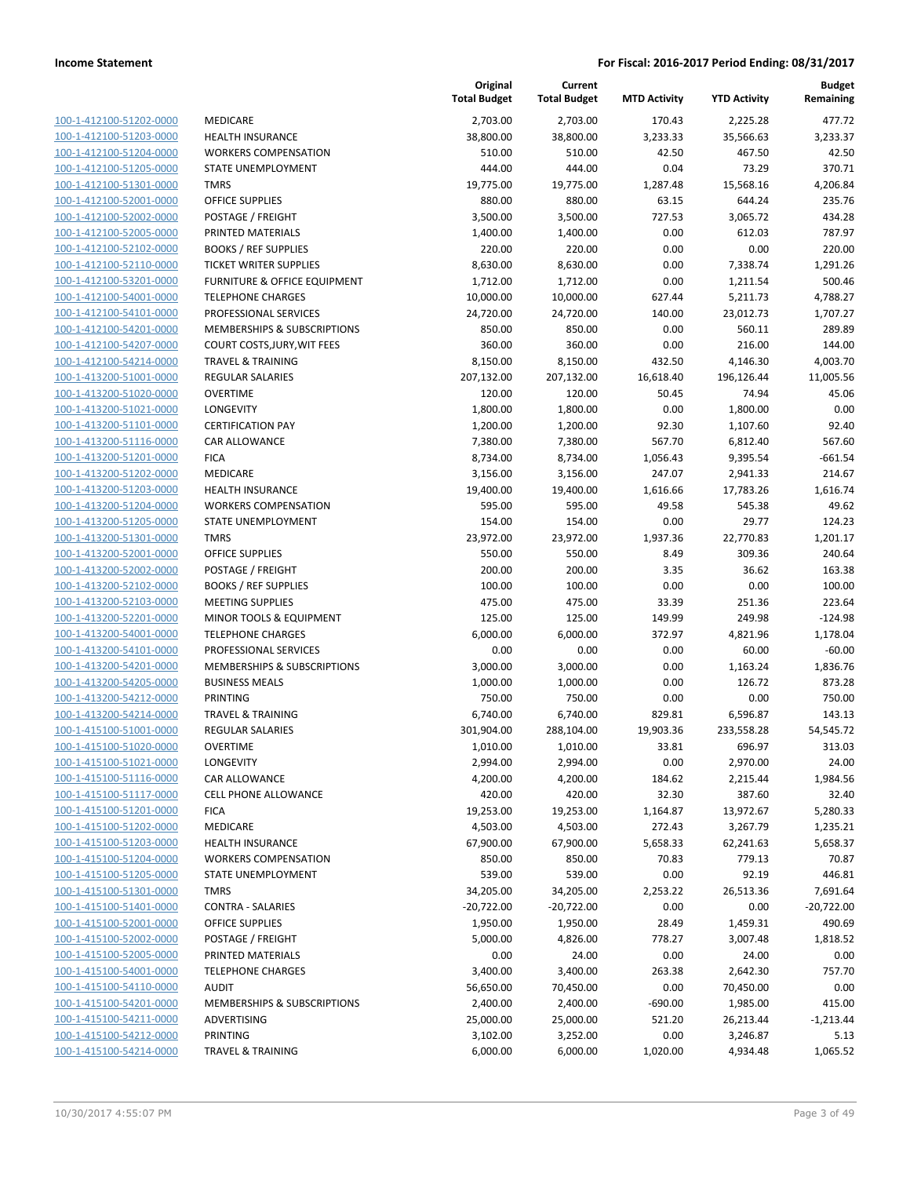| 100-1-412100-51202-0000                            | <b>MEDICAR</b>             |
|----------------------------------------------------|----------------------------|
| 100-1-412100-51203-0000                            | <b>HEALTH I</b>            |
| 100-1-412100-51204-0000                            | <b>WORKER</b>              |
| 100-1-412100-51205-0000                            | <b>STATE UI</b>            |
| 100-1-412100-51301-0000                            | TMRS                       |
| 100-1-412100-52001-0000                            | OFFICE S                   |
| 100-1-412100-52002-0000                            | POSTAGE                    |
| 100-1-412100-52005-0000                            | <b>PRINTED</b>             |
| 100-1-412100-52102-0000                            | BOOKS/                     |
| 100-1-412100-52110-0000                            | <b>TICKET W</b>            |
| 100-1-412100-53201-0000                            | <b>FURNITU</b>             |
| 100-1-412100-54001-0000                            | <b>TELEPHO</b>             |
| 100-1-412100-54101-0000                            | <b>PROFESS</b>             |
| 100-1-412100-54201-0000                            | <b>MEMBEF</b>              |
| 100-1-412100-54207-0000                            | COURT C                    |
| 100-1-412100-54214-0000                            | TRAVEL &                   |
| 100-1-413200-51001-0000                            | <b>REGULAF</b>             |
| 100-1-413200-51020-0000                            | <b>OVERTIN</b>             |
| 100-1-413200-51021-0000                            | LONGEVI                    |
| 100-1-413200-51101-0000                            | <b>CERTIFIC</b>            |
| 100-1-413200-51116-0000                            | <b>CAR ALLO</b>            |
| 100-1-413200-51201-0000                            | <b>FICA</b>                |
| 100-1-413200-51202-0000                            | <b>MEDICAR</b>             |
| 100-1-413200-51203-0000                            | <b>HEALTH I</b>            |
| 100-1-413200-51204-0000                            | <b>WORKER</b>              |
| 100-1-413200-51205-0000                            | <b>STATE UI</b>            |
| 100-1-413200-51301-0000                            | TMRS                       |
| 100-1-413200-52001-0000                            | OFFICE S                   |
| 100-1-413200-52002-0000                            | POSTAGE                    |
| 100-1-413200-52102-0000                            | BOOKS/                     |
| 100-1-413200-52103-0000                            | MEETING                    |
| 100-1-413200-52201-0000                            | MINOR T                    |
| 100-1-413200-54001-0000                            | <b>TELEPHO</b>             |
| 100-1-413200-54101-0000                            | <b>PROFESS</b>             |
| 100-1-413200-54201-0000                            | <b>MEMBEF</b>              |
| 100-1-413200-54205-0000                            | <b>BUSINES:</b>            |
| 100-1-413200-54212-0000                            | PRINTING                   |
| 100-1-413200-54214-0000                            | TRAVEL &                   |
| 100-1-415100-51001-0000                            | <b>REGULAF</b>             |
| 100-1-415100-51020-0000                            | <b>OVERTIN</b>             |
|                                                    | LONGEVI                    |
| 100-1-415100-51021-0000<br>100-1-415100-51116-0000 | CAR ALLO                   |
| 100-1-415100-51117-0000                            | <b>CELL PHC</b>            |
| 100-1-415100-51201-0000                            | <b>FICA</b>                |
| 100-1-415100-51202-0000                            | <b>MEDICAR</b>             |
| 100-1-415100-51203-0000                            | <b>HEALTH</b>              |
| 100-1-415100-51204-0000                            | <b>WORKER</b>              |
| 100-1-415100-51205-0000                            | <b>STATE UI</b>            |
| 100-1-415100-51301-0000                            | <b>TMRS</b>                |
| 100-1-415100-51401-0000                            | CONTRA                     |
| 100-1-415100-52001-0000                            | OFFICE S                   |
| 100-1-415100-52002-0000                            | POSTAGE                    |
|                                                    | PRINTED                    |
| 100-1-415100-52005-0000<br>100-1-415100-54001-0000 | <b>TELEPHO</b>             |
| 100-1-415100-54110-0000                            | <b>AUDIT</b>               |
|                                                    |                            |
| 100-1-415100-54201-0000                            | <b>MEMBEF</b>              |
| 100-1-415100-54211-0000<br>100-1-415100-54212-0000 | <b>ADVERTI</b><br>PRINTING |
|                                                    |                            |
| 100-1-415100-54214-0000                            | TRAVEL &                   |

|                                                    |                                                   | Original<br><b>Total Budget</b> | Current<br><b>Total Budget</b> | <b>MTD Activity</b> | <b>YTD Activity</b> | Budget<br>Remaining  |
|----------------------------------------------------|---------------------------------------------------|---------------------------------|--------------------------------|---------------------|---------------------|----------------------|
| 100-1-412100-51202-0000                            | MEDICARE                                          | 2,703.00                        | 2,703.00                       | 170.43              | 2,225.28            | 477.72               |
| 100-1-412100-51203-0000                            | <b>HEALTH INSURANCE</b>                           | 38,800.00                       | 38,800.00                      | 3,233.33            | 35,566.63           | 3,233.37             |
| 100-1-412100-51204-0000                            | <b>WORKERS COMPENSATION</b>                       | 510.00                          | 510.00                         | 42.50               | 467.50              | 42.50                |
| 100-1-412100-51205-0000                            | STATE UNEMPLOYMENT                                | 444.00                          | 444.00                         | 0.04                | 73.29               | 370.71               |
| 100-1-412100-51301-0000                            | <b>TMRS</b>                                       | 19,775.00                       | 19,775.00                      | 1,287.48            | 15,568.16           | 4,206.84             |
| 100-1-412100-52001-0000                            | <b>OFFICE SUPPLIES</b>                            | 880.00                          | 880.00                         | 63.15               | 644.24              | 235.76               |
| 100-1-412100-52002-0000                            | POSTAGE / FREIGHT                                 | 3,500.00                        | 3,500.00                       | 727.53              | 3,065.72            | 434.28               |
| 100-1-412100-52005-0000                            | PRINTED MATERIALS                                 | 1,400.00                        | 1,400.00                       | 0.00                | 612.03              | 787.97               |
| 100-1-412100-52102-0000                            | <b>BOOKS / REF SUPPLIES</b>                       | 220.00                          | 220.00                         | 0.00                | 0.00                | 220.00               |
| 100-1-412100-52110-0000                            | TICKET WRITER SUPPLIES                            | 8,630.00                        | 8,630.00                       | 0.00                | 7,338.74            | 1,291.26             |
| 100-1-412100-53201-0000                            | <b>FURNITURE &amp; OFFICE EQUIPMENT</b>           | 1,712.00                        | 1,712.00                       | 0.00                | 1,211.54            | 500.46               |
| 100-1-412100-54001-0000                            | <b>TELEPHONE CHARGES</b>                          | 10,000.00                       | 10,000.00                      | 627.44              | 5,211.73            | 4,788.27             |
| 100-1-412100-54101-0000                            | PROFESSIONAL SERVICES                             | 24,720.00                       | 24,720.00                      | 140.00              | 23,012.73           | 1,707.27             |
| 100-1-412100-54201-0000                            | MEMBERSHIPS & SUBSCRIPTIONS                       | 850.00                          | 850.00                         | 0.00                | 560.11              | 289.89               |
| 100-1-412100-54207-0000                            | COURT COSTS, JURY, WIT FEES                       | 360.00                          | 360.00                         | 0.00                | 216.00              | 144.00               |
| 100-1-412100-54214-0000                            | <b>TRAVEL &amp; TRAINING</b>                      | 8,150.00                        | 8,150.00                       | 432.50              | 4,146.30            | 4,003.70             |
| 100-1-413200-51001-0000                            | REGULAR SALARIES                                  | 207,132.00                      | 207,132.00                     | 16,618.40           | 196,126.44          | 11,005.56            |
| 100-1-413200-51020-0000                            | <b>OVERTIME</b>                                   | 120.00                          | 120.00                         | 50.45               | 74.94               | 45.06                |
| 100-1-413200-51021-0000                            | LONGEVITY                                         | 1,800.00                        | 1,800.00                       | 0.00                | 1,800.00            | 0.00                 |
| 100-1-413200-51101-0000                            | <b>CERTIFICATION PAY</b>                          | 1,200.00                        | 1,200.00                       | 92.30               | 1,107.60            | 92.40                |
| 100-1-413200-51116-0000                            | CAR ALLOWANCE                                     | 7,380.00                        | 7,380.00                       | 567.70              | 6,812.40            | 567.60               |
| 100-1-413200-51201-0000                            | <b>FICA</b>                                       | 8,734.00                        | 8,734.00                       | 1,056.43            | 9,395.54            | $-661.54$            |
| 100-1-413200-51202-0000                            | MEDICARE                                          | 3,156.00                        | 3,156.00                       | 247.07              | 2,941.33            | 214.67               |
| 100-1-413200-51203-0000                            | <b>HEALTH INSURANCE</b>                           | 19,400.00                       | 19,400.00                      | 1,616.66            | 17,783.26           | 1,616.74             |
| 100-1-413200-51204-0000                            | <b>WORKERS COMPENSATION</b>                       | 595.00                          | 595.00                         | 49.58               | 545.38              | 49.62                |
| 100-1-413200-51205-0000                            | STATE UNEMPLOYMENT                                | 154.00                          | 154.00                         | 0.00                | 29.77               | 124.23               |
| 100-1-413200-51301-0000                            | <b>TMRS</b>                                       | 23,972.00                       | 23,972.00                      | 1,937.36            | 22,770.83           | 1,201.17             |
| 100-1-413200-52001-0000                            | <b>OFFICE SUPPLIES</b>                            | 550.00                          | 550.00                         | 8.49                | 309.36              | 240.64               |
| 100-1-413200-52002-0000                            | POSTAGE / FREIGHT                                 | 200.00                          | 200.00                         | 3.35                | 36.62               | 163.38               |
| 100-1-413200-52102-0000                            | <b>BOOKS / REF SUPPLIES</b>                       | 100.00                          | 100.00                         | 0.00                | 0.00                | 100.00               |
| 100-1-413200-52103-0000                            | <b>MEETING SUPPLIES</b>                           | 475.00                          | 475.00                         | 33.39               | 251.36              | 223.64               |
| 100-1-413200-52201-0000<br>100-1-413200-54001-0000 | MINOR TOOLS & EQUIPMENT                           | 125.00                          | 125.00                         | 149.99              | 249.98              | $-124.98$            |
| 100-1-413200-54101-0000                            | <b>TELEPHONE CHARGES</b><br>PROFESSIONAL SERVICES | 6,000.00                        | 6,000.00                       | 372.97              | 4,821.96            | 1,178.04             |
| 100-1-413200-54201-0000                            | <b>MEMBERSHIPS &amp; SUBSCRIPTIONS</b>            | 0.00<br>3,000.00                | 0.00<br>3,000.00               | 0.00<br>0.00        | 60.00<br>1,163.24   | $-60.00$<br>1,836.76 |
| 100-1-413200-54205-0000                            | <b>BUSINESS MEALS</b>                             | 1,000.00                        | 1,000.00                       | 0.00                | 126.72              | 873.28               |
| 100-1-413200-54212-0000                            | PRINTING                                          | 750.00                          | 750.00                         | 0.00                | 0.00                | 750.00               |
| 100-1-413200-54214-0000                            | <b>TRAVEL &amp; TRAINING</b>                      | 6,740.00                        | 6,740.00                       | 829.81              | 6,596.87            | 143.13               |
| 100-1-415100-51001-0000                            | <b>REGULAR SALARIES</b>                           | 301,904.00                      | 288,104.00                     | 19,903.36           | 233,558.28          | 54,545.72            |
| 100-1-415100-51020-0000                            | <b>OVERTIME</b>                                   | 1,010.00                        | 1,010.00                       | 33.81               | 696.97              | 313.03               |
| 100-1-415100-51021-0000                            | LONGEVITY                                         | 2,994.00                        | 2,994.00                       | 0.00                | 2,970.00            | 24.00                |
| 100-1-415100-51116-0000                            | CAR ALLOWANCE                                     | 4,200.00                        | 4,200.00                       | 184.62              | 2,215.44            | 1,984.56             |
| 100-1-415100-51117-0000                            | <b>CELL PHONE ALLOWANCE</b>                       | 420.00                          | 420.00                         | 32.30               | 387.60              | 32.40                |
| 100-1-415100-51201-0000                            | <b>FICA</b>                                       | 19,253.00                       | 19,253.00                      | 1,164.87            | 13,972.67           | 5,280.33             |
| 100-1-415100-51202-0000                            | <b>MEDICARE</b>                                   | 4,503.00                        | 4,503.00                       | 272.43              | 3,267.79            | 1,235.21             |
| 100-1-415100-51203-0000                            | <b>HEALTH INSURANCE</b>                           | 67,900.00                       | 67,900.00                      | 5,658.33            | 62,241.63           | 5,658.37             |
| 100-1-415100-51204-0000                            | <b>WORKERS COMPENSATION</b>                       | 850.00                          | 850.00                         | 70.83               | 779.13              | 70.87                |
| 100-1-415100-51205-0000                            | STATE UNEMPLOYMENT                                | 539.00                          | 539.00                         | 0.00                | 92.19               | 446.81               |
| 100-1-415100-51301-0000                            | <b>TMRS</b>                                       | 34,205.00                       | 34,205.00                      | 2,253.22            | 26,513.36           | 7,691.64             |
| 100-1-415100-51401-0000                            | <b>CONTRA - SALARIES</b>                          | $-20,722.00$                    | $-20,722.00$                   | 0.00                | 0.00                | $-20,722.00$         |
| 100-1-415100-52001-0000                            | <b>OFFICE SUPPLIES</b>                            | 1,950.00                        | 1,950.00                       | 28.49               | 1,459.31            | 490.69               |
| 100-1-415100-52002-0000                            | POSTAGE / FREIGHT                                 | 5,000.00                        | 4,826.00                       | 778.27              | 3,007.48            | 1,818.52             |
| 100-1-415100-52005-0000                            | PRINTED MATERIALS                                 | 0.00                            | 24.00                          | 0.00                | 24.00               | 0.00                 |
| 100-1-415100-54001-0000                            | <b>TELEPHONE CHARGES</b>                          | 3,400.00                        | 3,400.00                       | 263.38              | 2,642.30            | 757.70               |
| 100-1-415100-54110-0000                            | <b>AUDIT</b>                                      | 56,650.00                       | 70,450.00                      | 0.00                | 70,450.00           | 0.00                 |
| 100-1-415100-54201-0000                            | MEMBERSHIPS & SUBSCRIPTIONS                       | 2,400.00                        | 2,400.00                       | $-690.00$           | 1,985.00            | 415.00               |
| 100-1-415100-54211-0000                            | ADVERTISING                                       | 25,000.00                       | 25,000.00                      | 521.20              | 26,213.44           | $-1,213.44$          |
| 100-1-415100-54212-0000                            | PRINTING                                          | 3,102.00                        | 3,252.00                       | 0.00                | 3,246.87            | 5.13                 |
| 100-1-415100-54214-0000                            | <b>TRAVEL &amp; TRAINING</b>                      | 6,000.00                        | 6,000.00                       | 1,020.00            | 4,934.48            | 1,065.52             |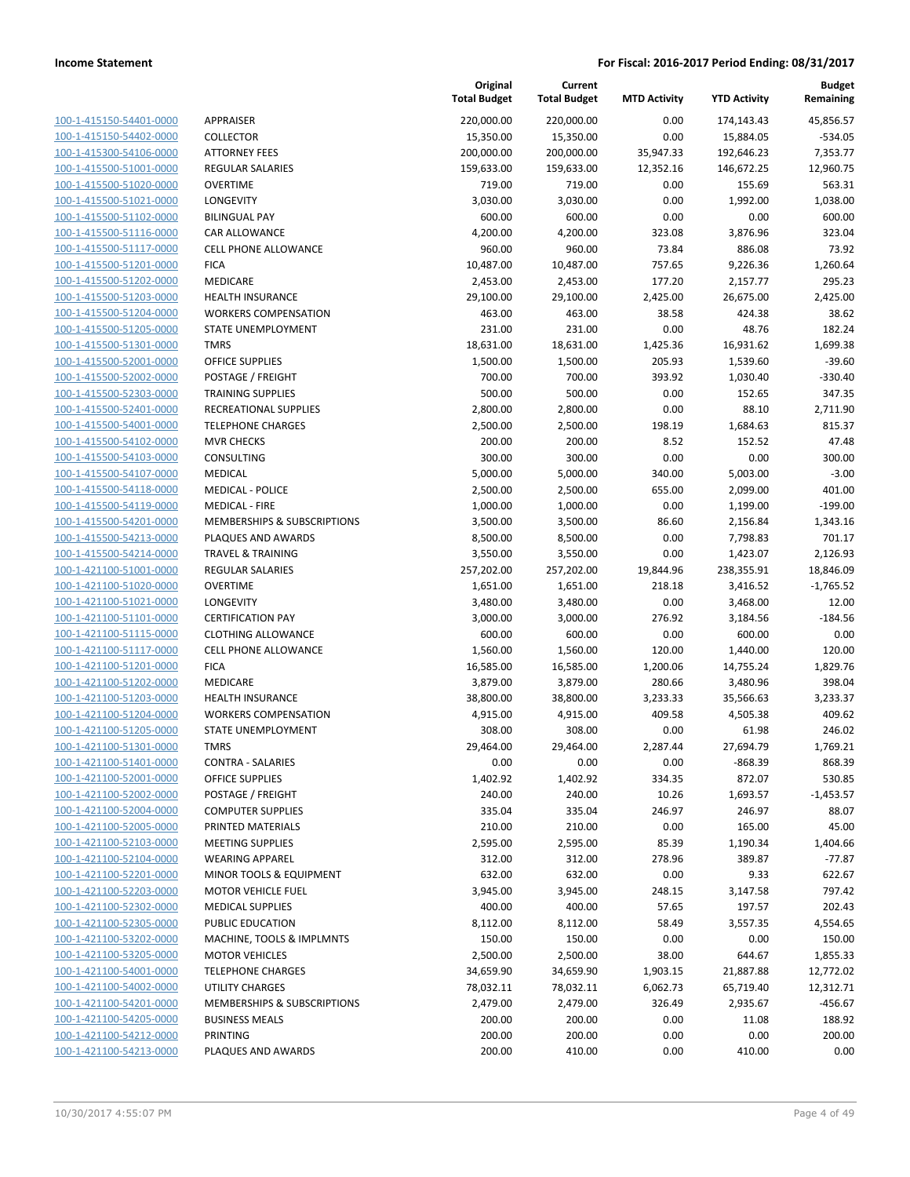| 100-1-415150-54401-0000        |
|--------------------------------|
| 100-1-415150-54402-0000        |
| 100-1-415300-54106-0000        |
| 100-1-415500-51001-0000        |
| 100-1-415500-51020-0000        |
| 100-1-415500-51021-0000        |
| 100-1-415500-51102-0000        |
| 100-1-415500-51116-0000        |
| 100-1-415500-51117-0000        |
| 100-1-415500-51201-0000        |
| 100-1-415500-51202-0000        |
| 100-1-415500-51203-0000        |
| <u>100-1-415500-51204-0000</u> |
| 100-1-415500-51205-0000        |
|                                |
| 100-1-415500-51301-0000        |
| 100-1-415500-52001-0000        |
| 100-1-415500-52002-0000        |
| 100-1-415500-52303-0000        |
| 100-1-415500-52401-0000        |
| 100-1-415500-54001-0000        |
| 100-1-415500-54102-0000        |
| 100-1-415500-54103-0000        |
| 100-1-415500-54107-0000        |
| 100-1-415500-54118-0000        |
| 100-1-415500-54119-0000        |
| 100-1-415500-54201-0000        |
| 100-1-415500-54213-0000        |
| 100-1-415500-54214-0000        |
| 100-1-421100-51001-0000        |
| 100-1-421100-51020-0000        |
| 100-1-421100-51021-0000        |
| 100-1-421100-51101-0000        |
| <u>100-1-421100-51115-0000</u> |
| 100-1-421100-51117-0000        |
| 100-1-421100-51201-0000        |
| 100-1-421100-51202-0000        |
| 100-1-421100-51203-0000        |
| 100-1-421100-51204-0000        |
| 100-1-421100-51205-0000        |
| 100-1-421100-51301-0000        |
|                                |
| 100-1-421100-51401-0000        |
| 100-1-421100-52001-0000        |
|                                |
| <u>100-1-421100-52002-0000</u> |
| 100-1-421100-52004-0000        |
| 100-1-421100-52005-0000        |
| 100-1-421100-52103-0000        |
| 100-1-421100-52104-0000        |
| <u>100-1-421100-52201-0000</u> |
| 100-1-421100-52203-0000        |
| 100-1-421100-52302-0000        |
| 100-1-421100-52305-0000        |
| 100-1-421100-53202-0000        |
| 100-1-421100-53205-0000        |
| 100-1-421100-54001-0000        |
| 100-1-421100-54002-0000        |
| 100-1-421100-54201-0000        |
| 100-1-421100-54205-0000        |
| <u>100-1-421100-54212-0000</u> |
| 100-1-421100-54213-0000        |

|                                                    |                                             | Original<br><b>Total Budget</b> | Current<br><b>Total Budget</b> | <b>MTD Activity</b> | <b>YTD Activity</b> | <b>Budget</b><br>Remaining |
|----------------------------------------------------|---------------------------------------------|---------------------------------|--------------------------------|---------------------|---------------------|----------------------------|
| 100-1-415150-54401-0000                            | APPRAISER                                   | 220,000.00                      | 220,000.00                     | 0.00                | 174,143.43          | 45,856.57                  |
| 100-1-415150-54402-0000                            | <b>COLLECTOR</b>                            | 15,350.00                       | 15,350.00                      | 0.00                | 15,884.05           | $-534.05$                  |
| 100-1-415300-54106-0000                            | <b>ATTORNEY FEES</b>                        | 200,000.00                      | 200,000.00                     | 35,947.33           | 192,646.23          | 7,353.77                   |
| 100-1-415500-51001-0000                            | <b>REGULAR SALARIES</b>                     | 159,633.00                      | 159,633.00                     | 12,352.16           | 146,672.25          | 12,960.75                  |
| 100-1-415500-51020-0000                            | <b>OVERTIME</b>                             | 719.00                          | 719.00                         | 0.00                | 155.69              | 563.31                     |
| 100-1-415500-51021-0000                            | LONGEVITY                                   | 3,030.00                        | 3,030.00                       | 0.00                | 1,992.00            | 1,038.00                   |
| 100-1-415500-51102-0000                            | <b>BILINGUAL PAY</b>                        | 600.00                          | 600.00                         | 0.00                | 0.00                | 600.00                     |
| 100-1-415500-51116-0000                            | CAR ALLOWANCE                               | 4,200.00                        | 4,200.00                       | 323.08              | 3,876.96            | 323.04                     |
| 100-1-415500-51117-0000                            | <b>CELL PHONE ALLOWANCE</b>                 | 960.00                          | 960.00                         | 73.84               | 886.08              | 73.92                      |
| 100-1-415500-51201-0000                            | <b>FICA</b>                                 | 10,487.00                       | 10,487.00                      | 757.65              | 9,226.36            | 1,260.64                   |
| 100-1-415500-51202-0000                            | MEDICARE                                    | 2,453.00                        | 2,453.00                       | 177.20              | 2,157.77            | 295.23                     |
| 100-1-415500-51203-0000                            | <b>HEALTH INSURANCE</b>                     | 29,100.00                       | 29,100.00                      | 2,425.00            | 26,675.00           | 2,425.00                   |
| 100-1-415500-51204-0000                            | <b>WORKERS COMPENSATION</b>                 | 463.00                          | 463.00                         | 38.58               | 424.38              | 38.62                      |
| 100-1-415500-51205-0000                            | STATE UNEMPLOYMENT                          | 231.00                          | 231.00                         | 0.00                | 48.76               | 182.24                     |
| 100-1-415500-51301-0000                            | <b>TMRS</b>                                 | 18,631.00                       | 18,631.00                      | 1,425.36            | 16,931.62           | 1,699.38                   |
| 100-1-415500-52001-0000                            | <b>OFFICE SUPPLIES</b>                      | 1,500.00                        | 1,500.00                       | 205.93              | 1,539.60            | $-39.60$                   |
| 100-1-415500-52002-0000                            | POSTAGE / FREIGHT                           | 700.00                          | 700.00                         | 393.92              | 1,030.40            | $-330.40$                  |
| 100-1-415500-52303-0000                            | <b>TRAINING SUPPLIES</b>                    | 500.00                          | 500.00                         | 0.00                | 152.65              | 347.35                     |
| 100-1-415500-52401-0000                            | <b>RECREATIONAL SUPPLIES</b>                | 2,800.00                        | 2,800.00                       | 0.00                | 88.10               | 2,711.90                   |
| 100-1-415500-54001-0000                            | <b>TELEPHONE CHARGES</b>                    | 2,500.00                        | 2,500.00                       | 198.19              | 1,684.63            | 815.37                     |
| 100-1-415500-54102-0000                            | <b>MVR CHECKS</b>                           | 200.00                          | 200.00                         | 8.52                | 152.52              | 47.48                      |
| 100-1-415500-54103-0000                            | CONSULTING                                  | 300.00                          | 300.00                         | 0.00                | 0.00                | 300.00                     |
| 100-1-415500-54107-0000                            | <b>MEDICAL</b>                              | 5,000.00                        | 5,000.00                       | 340.00              | 5,003.00            | $-3.00$                    |
| 100-1-415500-54118-0000                            | <b>MEDICAL - POLICE</b>                     | 2,500.00                        | 2,500.00                       | 655.00              | 2,099.00            | 401.00                     |
| 100-1-415500-54119-0000                            | <b>MEDICAL - FIRE</b>                       | 1,000.00                        | 1,000.00                       | 0.00                | 1,199.00            | $-199.00$                  |
| 100-1-415500-54201-0000                            | MEMBERSHIPS & SUBSCRIPTIONS                 | 3,500.00                        | 3,500.00                       | 86.60               | 2,156.84            | 1,343.16                   |
| 100-1-415500-54213-0000                            | PLAQUES AND AWARDS                          | 8,500.00                        | 8,500.00                       | 0.00                | 7,798.83            | 701.17                     |
| 100-1-415500-54214-0000                            | <b>TRAVEL &amp; TRAINING</b>                | 3,550.00                        | 3,550.00                       | 0.00                | 1,423.07            | 2,126.93                   |
| 100-1-421100-51001-0000                            | <b>REGULAR SALARIES</b>                     | 257,202.00                      | 257,202.00                     | 19,844.96           | 238,355.91          | 18,846.09                  |
| 100-1-421100-51020-0000                            | <b>OVERTIME</b>                             | 1,651.00                        | 1,651.00                       | 218.18              | 3,416.52            | $-1,765.52$                |
| 100-1-421100-51021-0000                            | LONGEVITY                                   | 3,480.00                        | 3,480.00                       | 0.00                | 3,468.00            | 12.00                      |
| 100-1-421100-51101-0000                            | <b>CERTIFICATION PAY</b>                    | 3,000.00                        | 3,000.00                       | 276.92              | 3,184.56            | $-184.56$                  |
| 100-1-421100-51115-0000                            | <b>CLOTHING ALLOWANCE</b>                   | 600.00                          | 600.00                         | 0.00                | 600.00              | 0.00                       |
| 100-1-421100-51117-0000                            | <b>CELL PHONE ALLOWANCE</b>                 | 1,560.00                        | 1,560.00                       | 120.00              | 1,440.00            | 120.00                     |
| 100-1-421100-51201-0000                            | <b>FICA</b>                                 | 16,585.00                       | 16,585.00                      | 1,200.06            | 14,755.24           | 1,829.76                   |
| 100-1-421100-51202-0000                            | MEDICARE                                    | 3,879.00                        | 3,879.00                       | 280.66              | 3,480.96            | 398.04                     |
| 100-1-421100-51203-0000                            | <b>HEALTH INSURANCE</b>                     | 38,800.00                       | 38,800.00                      | 3,233.33            | 35,566.63           | 3,233.37                   |
| 100-1-421100-51204-0000                            | <b>WORKERS COMPENSATION</b>                 | 4,915.00                        | 4,915.00                       | 409.58              | 4,505.38            | 409.62                     |
| 100-1-421100-51205-0000                            | STATE UNEMPLOYMENT<br>TMRS                  | 308.00                          | 308.00                         | 0.00                | 61.98               | 246.02                     |
| 100-1-421100-51301-0000                            |                                             | 29,464.00                       | 29,464.00                      | 2,287.44            | 27,694.79           | 1,769.21<br>868.39         |
| 100-1-421100-51401-0000<br>100-1-421100-52001-0000 | CONTRA - SALARIES<br><b>OFFICE SUPPLIES</b> | 0.00                            | 0.00<br>1,402.92               | 0.00<br>334.35      | -868.39<br>872.07   | 530.85                     |
| 100-1-421100-52002-0000                            | POSTAGE / FREIGHT                           | 1,402.92<br>240.00              | 240.00                         | 10.26               | 1,693.57            | $-1,453.57$                |
| 100-1-421100-52004-0000                            | <b>COMPUTER SUPPLIES</b>                    | 335.04                          | 335.04                         | 246.97              | 246.97              | 88.07                      |
| 100-1-421100-52005-0000                            | PRINTED MATERIALS                           | 210.00                          | 210.00                         | 0.00                | 165.00              | 45.00                      |
| 100-1-421100-52103-0000                            | <b>MEETING SUPPLIES</b>                     | 2,595.00                        | 2,595.00                       | 85.39               | 1,190.34            | 1,404.66                   |
| 100-1-421100-52104-0000                            | <b>WEARING APPAREL</b>                      | 312.00                          | 312.00                         | 278.96              | 389.87              | $-77.87$                   |
| 100-1-421100-52201-0000                            | MINOR TOOLS & EQUIPMENT                     | 632.00                          | 632.00                         | 0.00                | 9.33                | 622.67                     |
| 100-1-421100-52203-0000                            | <b>MOTOR VEHICLE FUEL</b>                   | 3,945.00                        | 3,945.00                       | 248.15              | 3,147.58            | 797.42                     |
| 100-1-421100-52302-0000                            | <b>MEDICAL SUPPLIES</b>                     | 400.00                          | 400.00                         | 57.65               | 197.57              | 202.43                     |
| 100-1-421100-52305-0000                            | PUBLIC EDUCATION                            | 8,112.00                        | 8,112.00                       | 58.49               | 3,557.35            | 4,554.65                   |
| 100-1-421100-53202-0000                            | MACHINE, TOOLS & IMPLMNTS                   | 150.00                          | 150.00                         | 0.00                | 0.00                | 150.00                     |
| 100-1-421100-53205-0000                            | <b>MOTOR VEHICLES</b>                       | 2,500.00                        | 2,500.00                       | 38.00               | 644.67              | 1,855.33                   |
| 100-1-421100-54001-0000                            | <b>TELEPHONE CHARGES</b>                    | 34,659.90                       | 34,659.90                      | 1,903.15            | 21,887.88           | 12,772.02                  |
| 100-1-421100-54002-0000                            | UTILITY CHARGES                             | 78,032.11                       | 78,032.11                      | 6,062.73            | 65,719.40           | 12,312.71                  |
| 100-1-421100-54201-0000                            | MEMBERSHIPS & SUBSCRIPTIONS                 | 2,479.00                        | 2,479.00                       | 326.49              | 2,935.67            | $-456.67$                  |
| 100-1-421100-54205-0000                            | <b>BUSINESS MEALS</b>                       | 200.00                          | 200.00                         | 0.00                | 11.08               | 188.92                     |
| 100-1-421100-54212-0000                            | PRINTING                                    | 200.00                          | 200.00                         | 0.00                | 0.00                | 200.00                     |
| 100-1-421100-54213-0000                            | PLAQUES AND AWARDS                          | 200.00                          | 410.00                         | 0.00                | 410.00              | 0.00                       |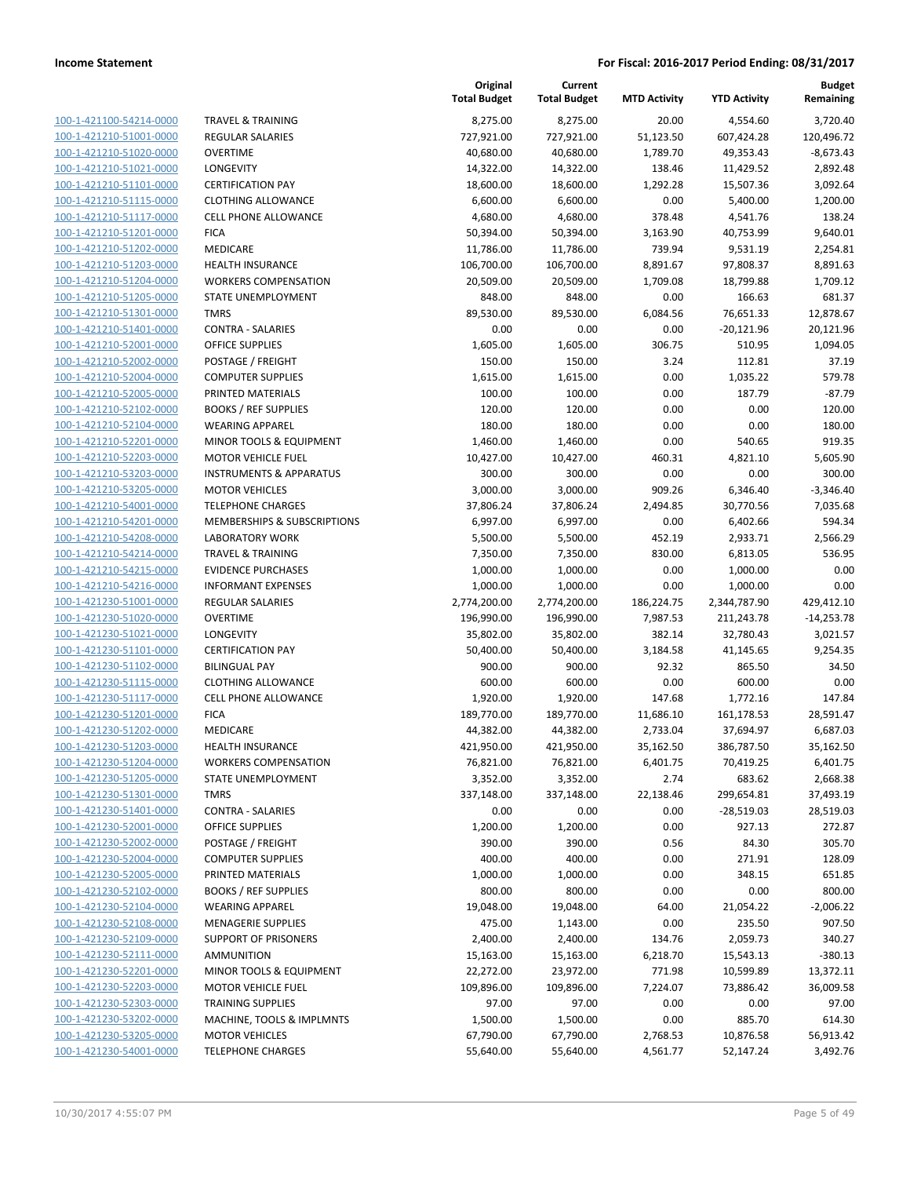| 100-1-421100-54214-0000        |
|--------------------------------|
| 100-1-421210-51001-0000        |
| 100-1-421210-51020-0000        |
| 100-1-421210-51021-0000        |
| 100-1-421210-51101-0000        |
| 100-1-421210-51115-0000        |
|                                |
| 100-1-421210-51117-0000        |
| 100-1-421210-51201-0000        |
| 100-1-421210-51202-0000        |
| 100-1-421210-51203-0000        |
| 100-1-421210-51204-0000        |
| 100-1-421210-51205-0000        |
| 100-1-421210-51301-0000        |
| 100-1-421210-51401-0000        |
| 100-1-421210-52001-0000        |
|                                |
| 100-1-421210-52002-0000        |
| 100-1-421210-52004-0000        |
| 100-1-421210-52005-0000        |
| 100-1-421210-52102-0000        |
| 100-1-421210-52104-0000        |
| 100-1-421210-52201-0000        |
| 100-1-421210-52203-0000        |
| 100-1-421210-53203-0000        |
| 100-1-421210-53205-0000        |
| 100-1-421210-54001-0000        |
|                                |
| 100-1-421210-54201-0000        |
| 100-1-421210-54208-0000        |
| 100-1-421210-54214-0000        |
| 100-1-421210-54215-0000        |
| 100-1-421210-54216-0000        |
| 100-1-421230-51001-0000        |
| 100-1-421230-51020-0000        |
| 100-1-421230-51021-0000        |
| 100-1-421230-51101-0000        |
|                                |
| 100-1-421230-51102-0000        |
| 100-1-421230-51115-0000        |
| 100-1-421230-51117-0000        |
| 100-1-421230-51201-0000        |
| 100-1-421230-51202-0000        |
| 100-1-421230-51203-0000        |
| 100-1-421230-51204-0000        |
| 100-1-421230-51205-0000        |
| 100-1-421230-51301-0000        |
|                                |
| <u>100-1-421230-51401-0000</u> |
| 100-1-421230-52001-0000        |
| 100-1-421230-52002-0000        |
| 100-1-421230-52004-0000        |
| 100-1-421230-52005-0000        |
| 100-1-421230-52102-0000        |
| 100-1-421230-52104-0000        |
| 100-1-421230-52108-0000        |
| 100-1-421230-52109-0000        |
|                                |
| <u>100-1-421230-52111-0000</u> |
| <u>100-1-421230-52201-0000</u> |
| 100-1-421230-52203-0000        |
| 100-1-421230-52303-0000        |
| 100-1-421230-53202-0000        |
| <u>100-1-421230-53205-0000</u> |
| <u>100-1-421230-54001-0000</u> |
|                                |

|                         |                                    | Original<br><b>Total Budget</b> | Current<br><b>Total Budget</b> | <b>MTD Activity</b> | <b>YTD Activity</b> | <b>Budget</b><br>Remaining |
|-------------------------|------------------------------------|---------------------------------|--------------------------------|---------------------|---------------------|----------------------------|
| 100-1-421100-54214-0000 | <b>TRAVEL &amp; TRAINING</b>       | 8,275.00                        | 8,275.00                       | 20.00               | 4,554.60            | 3,720.40                   |
| 100-1-421210-51001-0000 | REGULAR SALARIES                   | 727,921.00                      | 727,921.00                     | 51,123.50           | 607,424.28          | 120,496.72                 |
| 100-1-421210-51020-0000 | <b>OVERTIME</b>                    | 40,680.00                       | 40,680.00                      | 1,789.70            | 49,353.43           | $-8,673.43$                |
| 100-1-421210-51021-0000 | <b>LONGEVITY</b>                   | 14,322.00                       | 14,322.00                      | 138.46              | 11,429.52           | 2,892.48                   |
| 100-1-421210-51101-0000 | <b>CERTIFICATION PAY</b>           | 18,600.00                       | 18,600.00                      | 1,292.28            | 15,507.36           | 3,092.64                   |
| 100-1-421210-51115-0000 | <b>CLOTHING ALLOWANCE</b>          | 6,600.00                        | 6,600.00                       | 0.00                | 5,400.00            | 1,200.00                   |
| 100-1-421210-51117-0000 | CELL PHONE ALLOWANCE               | 4,680.00                        | 4,680.00                       | 378.48              | 4,541.76            | 138.24                     |
| 100-1-421210-51201-0000 | <b>FICA</b>                        | 50,394.00                       | 50,394.00                      | 3,163.90            | 40,753.99           | 9,640.01                   |
| 100-1-421210-51202-0000 | MEDICARE                           | 11,786.00                       | 11,786.00                      | 739.94              | 9,531.19            | 2,254.81                   |
| 100-1-421210-51203-0000 | <b>HEALTH INSURANCE</b>            | 106,700.00                      | 106,700.00                     | 8,891.67            | 97,808.37           | 8,891.63                   |
| 100-1-421210-51204-0000 | <b>WORKERS COMPENSATION</b>        | 20,509.00                       | 20,509.00                      | 1,709.08            | 18,799.88           | 1,709.12                   |
| 100-1-421210-51205-0000 | STATE UNEMPLOYMENT                 | 848.00                          | 848.00                         | 0.00                | 166.63              | 681.37                     |
| 100-1-421210-51301-0000 | <b>TMRS</b>                        | 89,530.00                       | 89,530.00                      | 6,084.56            | 76,651.33           | 12,878.67                  |
| 100-1-421210-51401-0000 | <b>CONTRA - SALARIES</b>           | 0.00                            | 0.00                           | 0.00                | $-20,121.96$        | 20,121.96                  |
| 100-1-421210-52001-0000 | <b>OFFICE SUPPLIES</b>             | 1,605.00                        | 1,605.00                       | 306.75              | 510.95              | 1,094.05                   |
| 100-1-421210-52002-0000 | POSTAGE / FREIGHT                  | 150.00                          | 150.00                         | 3.24                | 112.81              | 37.19                      |
| 100-1-421210-52004-0000 | <b>COMPUTER SUPPLIES</b>           | 1,615.00                        | 1,615.00                       | 0.00                | 1,035.22            | 579.78                     |
| 100-1-421210-52005-0000 | PRINTED MATERIALS                  | 100.00                          | 100.00                         | 0.00                | 187.79              | $-87.79$                   |
| 100-1-421210-52102-0000 | <b>BOOKS / REF SUPPLIES</b>        | 120.00                          | 120.00                         | 0.00                | 0.00                | 120.00                     |
| 100-1-421210-52104-0000 | <b>WEARING APPAREL</b>             | 180.00                          | 180.00                         | 0.00                | 0.00                | 180.00                     |
| 100-1-421210-52201-0000 | MINOR TOOLS & EQUIPMENT            | 1,460.00                        | 1,460.00                       | 0.00                | 540.65              | 919.35                     |
| 100-1-421210-52203-0000 | <b>MOTOR VEHICLE FUEL</b>          | 10,427.00                       | 10,427.00                      | 460.31              | 4,821.10            | 5,605.90                   |
| 100-1-421210-53203-0000 | <b>INSTRUMENTS &amp; APPARATUS</b> | 300.00                          | 300.00                         | 0.00                | 0.00                | 300.00                     |
| 100-1-421210-53205-0000 | <b>MOTOR VEHICLES</b>              | 3,000.00                        | 3,000.00                       | 909.26              | 6,346.40            | $-3,346.40$                |
| 100-1-421210-54001-0000 | <b>TELEPHONE CHARGES</b>           | 37,806.24                       | 37,806.24                      | 2,494.85            | 30,770.56           | 7,035.68                   |
| 100-1-421210-54201-0000 | MEMBERSHIPS & SUBSCRIPTIONS        | 6,997.00                        | 6,997.00                       | 0.00                | 6,402.66            | 594.34                     |
| 100-1-421210-54208-0000 | <b>LABORATORY WORK</b>             | 5,500.00                        | 5,500.00                       | 452.19              | 2,933.71            | 2,566.29                   |
| 100-1-421210-54214-0000 | <b>TRAVEL &amp; TRAINING</b>       | 7,350.00                        | 7,350.00                       | 830.00              | 6,813.05            | 536.95                     |
| 100-1-421210-54215-0000 | <b>EVIDENCE PURCHASES</b>          | 1,000.00                        | 1,000.00                       | 0.00                | 1,000.00            | 0.00                       |
| 100-1-421210-54216-0000 | <b>INFORMANT EXPENSES</b>          | 1,000.00                        | 1,000.00                       | 0.00                | 1,000.00            | 0.00                       |
| 100-1-421230-51001-0000 | <b>REGULAR SALARIES</b>            | 2,774,200.00                    | 2,774,200.00                   | 186,224.75          | 2,344,787.90        | 429,412.10                 |
| 100-1-421230-51020-0000 | <b>OVERTIME</b>                    | 196,990.00                      | 196,990.00                     | 7,987.53            | 211,243.78          | $-14,253.78$               |
| 100-1-421230-51021-0000 | LONGEVITY                          | 35,802.00                       | 35,802.00                      | 382.14              | 32,780.43           | 3,021.57                   |
| 100-1-421230-51101-0000 | <b>CERTIFICATION PAY</b>           | 50,400.00                       | 50,400.00                      | 3,184.58            | 41,145.65           | 9,254.35                   |
| 100-1-421230-51102-0000 | <b>BILINGUAL PAY</b>               | 900.00                          | 900.00                         | 92.32               | 865.50              | 34.50                      |
| 100-1-421230-51115-0000 | <b>CLOTHING ALLOWANCE</b>          | 600.00                          | 600.00                         | 0.00                | 600.00              | 0.00                       |
| 100-1-421230-51117-0000 | <b>CELL PHONE ALLOWANCE</b>        | 1,920.00                        | 1,920.00                       | 147.68              | 1,772.16            | 147.84                     |
| 100-1-421230-51201-0000 | <b>FICA</b>                        | 189,770.00                      | 189,770.00                     | 11,686.10           | 161,178.53          | 28,591.47                  |
| 100-1-421230-51202-0000 | MEDICARE                           | 44,382.00                       | 44,382.00                      | 2,733.04            | 37,694.97           | 6,687.03                   |
| 100-1-421230-51203-0000 | <b>HEALTH INSURANCE</b>            | 421,950.00                      | 421,950.00                     | 35,162.50           | 386,787.50          | 35,162.50                  |
| 100-1-421230-51204-0000 | <b>WORKERS COMPENSATION</b>        | 76,821.00                       | 76,821.00                      | 6,401.75            | 70,419.25           | 6,401.75                   |
| 100-1-421230-51205-0000 | STATE UNEMPLOYMENT                 | 3,352.00                        | 3,352.00                       | 2.74                | 683.62              | 2,668.38                   |
| 100-1-421230-51301-0000 | <b>TMRS</b>                        | 337,148.00                      | 337,148.00                     | 22,138.46           | 299,654.81          | 37,493.19                  |
| 100-1-421230-51401-0000 | <b>CONTRA - SALARIES</b>           | 0.00                            | 0.00                           | 0.00                | $-28,519.03$        | 28,519.03                  |
| 100-1-421230-52001-0000 | OFFICE SUPPLIES                    | 1,200.00                        | 1,200.00                       | 0.00                | 927.13              | 272.87                     |
| 100-1-421230-52002-0000 | POSTAGE / FREIGHT                  | 390.00                          | 390.00                         | 0.56                | 84.30               | 305.70                     |
| 100-1-421230-52004-0000 | <b>COMPUTER SUPPLIES</b>           | 400.00                          | 400.00                         | 0.00                | 271.91              | 128.09                     |
| 100-1-421230-52005-0000 | PRINTED MATERIALS                  | 1,000.00                        | 1,000.00                       | 0.00                | 348.15              | 651.85                     |
| 100-1-421230-52102-0000 | <b>BOOKS / REF SUPPLIES</b>        | 800.00                          | 800.00                         | 0.00                | 0.00                | 800.00                     |
| 100-1-421230-52104-0000 | <b>WEARING APPAREL</b>             | 19,048.00                       | 19,048.00                      | 64.00               | 21,054.22           | $-2,006.22$                |
| 100-1-421230-52108-0000 | <b>MENAGERIE SUPPLIES</b>          | 475.00                          | 1,143.00                       | 0.00                | 235.50              | 907.50                     |
| 100-1-421230-52109-0000 | <b>SUPPORT OF PRISONERS</b>        | 2,400.00                        | 2,400.00                       | 134.76              | 2,059.73            | 340.27                     |
| 100-1-421230-52111-0000 | <b>AMMUNITION</b>                  | 15,163.00                       | 15,163.00                      | 6,218.70            | 15,543.13           | $-380.13$                  |
| 100-1-421230-52201-0000 | MINOR TOOLS & EQUIPMENT            | 22,272.00                       | 23,972.00                      | 771.98              | 10,599.89           | 13,372.11                  |
| 100-1-421230-52203-0000 | <b>MOTOR VEHICLE FUEL</b>          | 109,896.00                      | 109,896.00                     | 7,224.07            | 73,886.42           | 36,009.58                  |
| 100-1-421230-52303-0000 | <b>TRAINING SUPPLIES</b>           | 97.00                           | 97.00                          | 0.00                | 0.00                | 97.00                      |
| 100-1-421230-53202-0000 | MACHINE, TOOLS & IMPLMNTS          | 1,500.00                        | 1,500.00                       | 0.00                | 885.70              | 614.30                     |
| 100-1-421230-53205-0000 | <b>MOTOR VEHICLES</b>              | 67,790.00                       | 67,790.00                      | 2,768.53            | 10,876.58           | 56,913.42                  |
| 100-1-421230-54001-0000 | <b>TELEPHONE CHARGES</b>           | 55,640.00                       | 55,640.00                      | 4,561.77            | 52,147.24           | 3,492.76                   |
|                         |                                    |                                 |                                |                     |                     |                            |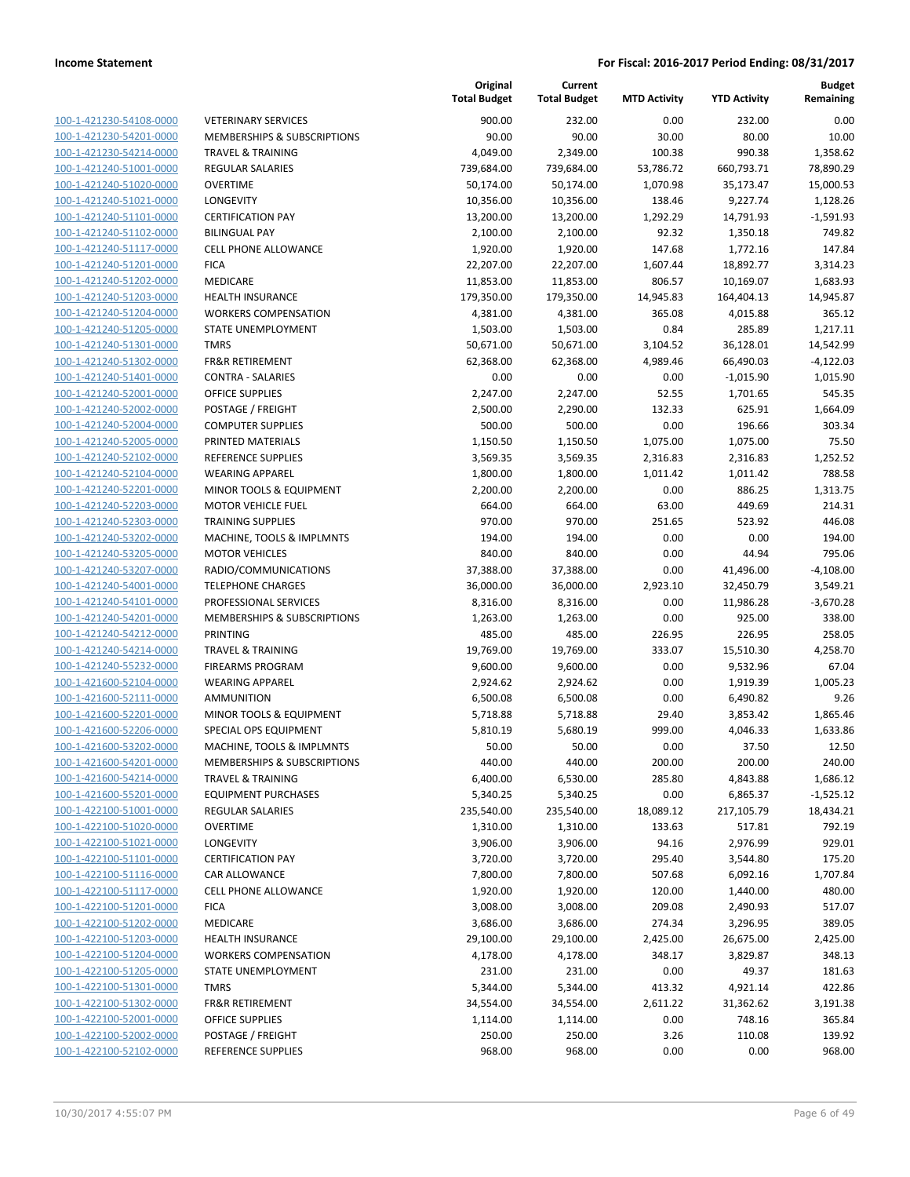| 100-1-421230-54108-0000        |
|--------------------------------|
| 100-1-421230-54201-0000        |
| 100-1-421230-54214-0000        |
| <u>100-1-421240-51001-0000</u> |
| 100-1-421240-51020-0000        |
| 100-1-421240-51021-0000        |
| 100-1-421240-51101-0000        |
| 100-1-421240-51102-0000        |
| 100-1-421240-51117-0000        |
| 100-1-421240-51201-0000        |
|                                |
| 100-1-421240-51202-0000        |
| 100-1-421240-51203-0000        |
| 100-1-421240-51204-0000        |
| 100-1-421240-51205-0000        |
| 100-1-421240-51301-0000        |
| 100-1-421240-51302-0000        |
| 100-1-421240-51401-0000        |
| 100-1-421240-52001-0000        |
| 100-1-421240-52002-0000        |
| 100-1-421240-52004-0000        |
| 100-1-421240-52005-0000        |
| 100-1-421240-52102-0000        |
|                                |
| 100-1-421240-52104-0000        |
| 100-1-421240-52201-0000        |
| 100-1-421240-52203-0000        |
| 100-1-421240-52303-0000        |
| 100-1-421240-53202-0000        |
| 100-1-421240-53205-0000        |
| 100-1-421240-53207-0000        |
| 100-1-421240-54001-0000        |
| 100-1-421240-54101-0000        |
| 100-1-421240-54201-0000        |
| 100-1-421240-54212-0000        |
| 100-1-421240-54214-0000        |
| 100-1-421240-55232-0000        |
| 100-1-421600-52104-0000        |
| 100-1-421600-52111-0000        |
| 100-1-421600-52201-0000        |
| 100-1-421600-52206-0000        |
|                                |
| 100-1-421600-53202-0000        |
| 100-1-421600-54201-0000        |
| 100-1-421600-54214-0000        |
| <u>100-1-421600-55201-0000</u> |
| <u>100-1-422100-51001-0000</u> |
| 100-1-422100-51020-0000        |
| 100-1-422100-51021-0000        |
| 100-1-422100-51101-0000        |
| 100-1-422100-51116-0000        |
| <u>100-1-422100-51117-0000</u> |
| <u>100-1-422100-51201-0000</u> |
| 100-1-422100-51202-0000        |
| 100-1-422100-51203-0000        |
| 100-1-422100-51204-0000        |
|                                |
| 100-1-422100-51205-0000        |
| <u>100-1-422100-51301-0000</u> |
| <u>100-1-422100-51302-0000</u> |
| 100-1-422100-52001-0000        |
| <u>100-1-422100-52002-0000</u> |
| <u>100-1-422100-52102-0000</u> |
|                                |

|                                                    |                                                      | Original<br><b>Total Budget</b> | Current<br><b>Total Budget</b> | <b>MTD Activity</b> | <b>YTD Activity</b>  | <b>Budget</b><br>Remaining |
|----------------------------------------------------|------------------------------------------------------|---------------------------------|--------------------------------|---------------------|----------------------|----------------------------|
| 100-1-421230-54108-0000                            | <b>VETERINARY SERVICES</b>                           | 900.00                          | 232.00                         | 0.00                | 232.00               | 0.00                       |
| 100-1-421230-54201-0000                            | MEMBERSHIPS & SUBSCRIPTIONS                          | 90.00                           | 90.00                          | 30.00               | 80.00                | 10.00                      |
| 100-1-421230-54214-0000                            | <b>TRAVEL &amp; TRAINING</b>                         | 4,049.00                        | 2,349.00                       | 100.38              | 990.38               | 1,358.62                   |
| 100-1-421240-51001-0000                            | <b>REGULAR SALARIES</b>                              | 739,684.00                      | 739,684.00                     | 53,786.72           | 660,793.71           | 78,890.29                  |
| 100-1-421240-51020-0000                            | <b>OVERTIME</b>                                      | 50,174.00                       | 50,174.00                      | 1,070.98            | 35,173.47            | 15,000.53                  |
| 100-1-421240-51021-0000                            | LONGEVITY                                            | 10,356.00                       | 10,356.00                      | 138.46              | 9,227.74             | 1,128.26                   |
| 100-1-421240-51101-0000                            | <b>CERTIFICATION PAY</b>                             | 13,200.00                       | 13,200.00                      | 1,292.29            | 14,791.93            | $-1,591.93$                |
| 100-1-421240-51102-0000                            | <b>BILINGUAL PAY</b>                                 | 2,100.00                        | 2,100.00                       | 92.32               | 1,350.18             | 749.82                     |
| 100-1-421240-51117-0000                            | <b>CELL PHONE ALLOWANCE</b>                          | 1,920.00                        | 1,920.00                       | 147.68              | 1,772.16             | 147.84                     |
| 100-1-421240-51201-0000                            | <b>FICA</b>                                          | 22,207.00                       | 22,207.00                      | 1,607.44            | 18,892.77            | 3,314.23                   |
| 100-1-421240-51202-0000                            | <b>MEDICARE</b>                                      | 11,853.00                       | 11,853.00                      | 806.57              | 10,169.07            | 1,683.93                   |
| 100-1-421240-51203-0000                            | <b>HEALTH INSURANCE</b>                              | 179,350.00                      | 179,350.00                     | 14,945.83           | 164,404.13           | 14,945.87                  |
| 100-1-421240-51204-0000                            | <b>WORKERS COMPENSATION</b>                          | 4,381.00                        | 4,381.00                       | 365.08              | 4,015.88             | 365.12                     |
| 100-1-421240-51205-0000                            | STATE UNEMPLOYMENT                                   | 1,503.00                        | 1,503.00                       | 0.84                | 285.89               | 1,217.11                   |
| 100-1-421240-51301-0000                            | <b>TMRS</b>                                          | 50,671.00                       | 50,671.00                      | 3,104.52            | 36,128.01            | 14,542.99                  |
| 100-1-421240-51302-0000                            | <b>FR&amp;R RETIREMENT</b>                           | 62,368.00                       | 62,368.00                      | 4,989.46            | 66,490.03            | $-4,122.03$                |
| 100-1-421240-51401-0000                            | <b>CONTRA - SALARIES</b>                             | 0.00                            | 0.00                           | 0.00                | $-1,015.90$          | 1,015.90                   |
| 100-1-421240-52001-0000                            | <b>OFFICE SUPPLIES</b>                               | 2,247.00                        | 2,247.00                       | 52.55               | 1,701.65             | 545.35                     |
| 100-1-421240-52002-0000                            | POSTAGE / FREIGHT                                    | 2,500.00                        | 2,290.00                       | 132.33              | 625.91               | 1,664.09                   |
| 100-1-421240-52004-0000                            | <b>COMPUTER SUPPLIES</b>                             | 500.00                          | 500.00                         | 0.00                | 196.66               | 303.34                     |
| 100-1-421240-52005-0000                            | PRINTED MATERIALS                                    | 1,150.50                        | 1,150.50                       | 1,075.00            | 1,075.00             | 75.50                      |
| 100-1-421240-52102-0000                            | <b>REFERENCE SUPPLIES</b>                            | 3,569.35                        | 3,569.35                       | 2,316.83            | 2,316.83<br>1,011.42 | 1,252.52<br>788.58         |
| 100-1-421240-52104-0000<br>100-1-421240-52201-0000 | <b>WEARING APPAREL</b>                               | 1,800.00                        | 1,800.00                       | 1,011.42            |                      |                            |
| 100-1-421240-52203-0000                            | MINOR TOOLS & EQUIPMENT<br><b>MOTOR VEHICLE FUEL</b> | 2,200.00<br>664.00              | 2,200.00<br>664.00             | 0.00<br>63.00       | 886.25<br>449.69     | 1,313.75<br>214.31         |
| 100-1-421240-52303-0000                            | <b>TRAINING SUPPLIES</b>                             | 970.00                          | 970.00                         | 251.65              | 523.92               | 446.08                     |
| 100-1-421240-53202-0000                            | MACHINE, TOOLS & IMPLMNTS                            | 194.00                          | 194.00                         | 0.00                | 0.00                 | 194.00                     |
| 100-1-421240-53205-0000                            | <b>MOTOR VEHICLES</b>                                | 840.00                          | 840.00                         | 0.00                | 44.94                | 795.06                     |
| 100-1-421240-53207-0000                            | RADIO/COMMUNICATIONS                                 | 37,388.00                       | 37,388.00                      | 0.00                | 41,496.00            | $-4,108.00$                |
| 100-1-421240-54001-0000                            | <b>TELEPHONE CHARGES</b>                             | 36,000.00                       | 36,000.00                      | 2,923.10            | 32,450.79            | 3,549.21                   |
| 100-1-421240-54101-0000                            | PROFESSIONAL SERVICES                                | 8,316.00                        | 8,316.00                       | 0.00                | 11,986.28            | $-3,670.28$                |
| 100-1-421240-54201-0000                            | MEMBERSHIPS & SUBSCRIPTIONS                          | 1,263.00                        | 1,263.00                       | 0.00                | 925.00               | 338.00                     |
| 100-1-421240-54212-0000                            | <b>PRINTING</b>                                      | 485.00                          | 485.00                         | 226.95              | 226.95               | 258.05                     |
| 100-1-421240-54214-0000                            | <b>TRAVEL &amp; TRAINING</b>                         | 19,769.00                       | 19,769.00                      | 333.07              | 15,510.30            | 4,258.70                   |
| 100-1-421240-55232-0000                            | <b>FIREARMS PROGRAM</b>                              | 9,600.00                        | 9,600.00                       | 0.00                | 9,532.96             | 67.04                      |
| 100-1-421600-52104-0000                            | <b>WEARING APPAREL</b>                               | 2,924.62                        | 2,924.62                       | 0.00                | 1,919.39             | 1,005.23                   |
| 100-1-421600-52111-0000                            | <b>AMMUNITION</b>                                    | 6,500.08                        | 6,500.08                       | 0.00                | 6,490.82             | 9.26                       |
| 100-1-421600-52201-0000                            | MINOR TOOLS & EQUIPMENT                              | 5,718.88                        | 5,718.88                       | 29.40               | 3,853.42             | 1,865.46                   |
| 100-1-421600-52206-0000                            | SPECIAL OPS EQUIPMENT                                | 5,810.19                        | 5,680.19                       | 999.00              | 4,046.33             | 1,633.86                   |
| 100-1-421600-53202-0000                            | MACHINE, TOOLS & IMPLMNTS                            | 50.00                           | 50.00                          | 0.00                | 37.50                | 12.50                      |
| 100-1-421600-54201-0000                            | MEMBERSHIPS & SUBSCRIPTIONS                          | 440.00                          | 440.00                         | 200.00              | 200.00               | 240.00                     |
| 100-1-421600-54214-0000                            | <b>TRAVEL &amp; TRAINING</b>                         | 6,400.00                        | 6,530.00                       | 285.80              | 4,843.88             | 1,686.12                   |
| 100-1-421600-55201-0000                            | <b>EQUIPMENT PURCHASES</b>                           | 5,340.25                        | 5,340.25                       | 0.00                | 6,865.37             | $-1,525.12$                |
| 100-1-422100-51001-0000                            | <b>REGULAR SALARIES</b>                              | 235,540.00                      | 235,540.00                     | 18,089.12           | 217,105.79           | 18,434.21                  |
| 100-1-422100-51020-0000                            | <b>OVERTIME</b>                                      | 1,310.00                        | 1,310.00                       | 133.63              | 517.81               | 792.19                     |
| 100-1-422100-51021-0000                            | LONGEVITY                                            | 3,906.00                        | 3,906.00                       | 94.16               | 2,976.99             | 929.01                     |
| 100-1-422100-51101-0000                            | <b>CERTIFICATION PAY</b>                             | 3,720.00                        | 3,720.00                       | 295.40              | 3,544.80             | 175.20                     |
| 100-1-422100-51116-0000                            | CAR ALLOWANCE                                        | 7,800.00                        | 7,800.00                       | 507.68              | 6,092.16             | 1,707.84                   |
| 100-1-422100-51117-0000                            | <b>CELL PHONE ALLOWANCE</b>                          | 1,920.00                        | 1,920.00                       | 120.00              | 1,440.00             | 480.00                     |
| 100-1-422100-51201-0000                            | <b>FICA</b>                                          | 3,008.00                        | 3,008.00                       | 209.08              | 2,490.93             | 517.07                     |
| 100-1-422100-51202-0000                            | MEDICARE                                             | 3,686.00                        | 3,686.00                       | 274.34              | 3,296.95             | 389.05                     |
| 100-1-422100-51203-0000                            | <b>HEALTH INSURANCE</b>                              | 29,100.00                       | 29,100.00                      | 2,425.00            | 26,675.00            | 2,425.00                   |
| 100-1-422100-51204-0000                            | <b>WORKERS COMPENSATION</b>                          | 4,178.00                        | 4,178.00                       | 348.17              | 3,829.87             | 348.13                     |
| 100-1-422100-51205-0000                            | STATE UNEMPLOYMENT                                   | 231.00                          | 231.00                         | 0.00                | 49.37                | 181.63                     |
| 100-1-422100-51301-0000                            | <b>TMRS</b>                                          | 5,344.00                        | 5,344.00                       | 413.32              | 4,921.14             | 422.86                     |
| 100-1-422100-51302-0000                            | <b>FR&amp;R RETIREMENT</b>                           | 34,554.00                       | 34,554.00                      | 2,611.22            | 31,362.62            | 3,191.38                   |
| 100-1-422100-52001-0000                            | OFFICE SUPPLIES                                      | 1,114.00                        | 1,114.00                       | 0.00                | 748.16               | 365.84                     |
| 100-1-422100-52002-0000                            | POSTAGE / FREIGHT                                    | 250.00                          | 250.00                         | 3.26                | 110.08               | 139.92                     |
| 100-1-422100-52102-0000                            | REFERENCE SUPPLIES                                   | 968.00                          | 968.00                         | 0.00                | 0.00                 | 968.00                     |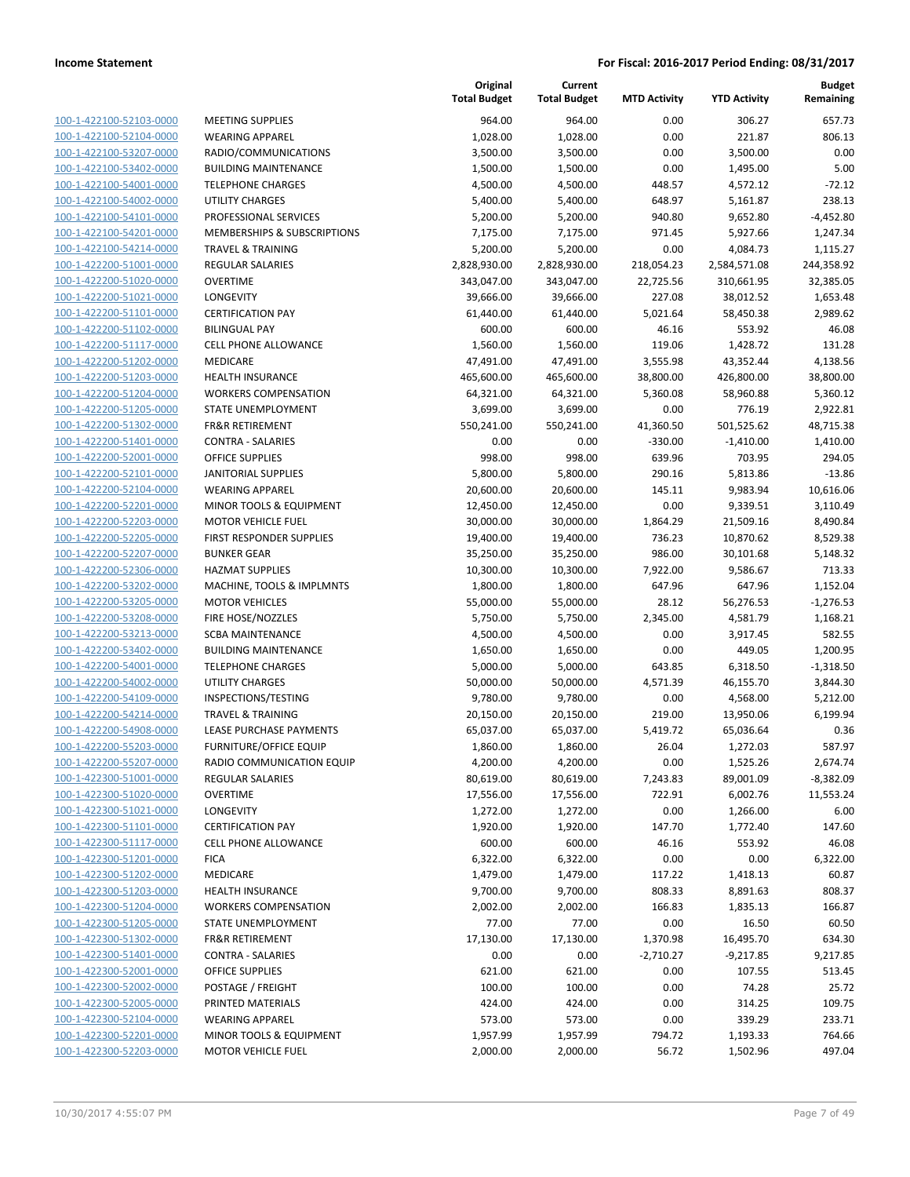| 100-1-422100-52103-0000        |
|--------------------------------|
| 100-1-422100-52104-0000        |
| 100-1-422100-53207-0000        |
| 100-1-422100-53402-0000        |
| <u>100-1-422100-54001-0000</u> |
| 100-1-422100-54002-0000        |
| 100-1-422100-54101-0000        |
| 100-1-422100-54201-0000        |
| <u>100-1-422100-54214-0000</u> |
| 100-1-422200-51001-0000        |
| 100-1-422200-51020-0000        |
| 100-1-422200-51021-0000        |
| 100-1-422200-51101-0000        |
| 100-1-422200-51102-0000        |
| 100-1-422200-51117-0000        |
| 100-1-422200-51202-0000        |
| 100-1-422200-51203-0000        |
| 100-1-422200-51204-0000        |
| 100-1-422200-51205-0000        |
| 100-1-422200-51302-0000        |
| 100-1-422200-51401-0000        |
| 100-1-422200-52001-0000        |
| 100-1-422200-52101-0000        |
| 100-1-422200-52104-0000        |
| 100-1-422200-52201-0000        |
| <u>100-1-422200-52203-0000</u> |
| 100-1-422200-52205-0000        |
| 100-1-422200-52207-0000        |
| <u>100-1-422200-52306-0000</u> |
| 100-1-422200-53202-0000        |
| 100-1-422200-53205-0000        |
| 100-1-422200-53208-0000        |
| 100-1-422200-53213-0000        |
| <u>100-1-422200-53402-0000</u> |
| 100-1-422200-54001-0000        |
| 100-1-422200-54002-0000        |
| 100-1-422200-54109-0000        |
| 100-1-422200-54214-0000        |
| 100-1-422200-54908-0000        |
| 100-1-422200-55203-0000        |
| 100-1-422200-55207-0000        |
| 100-1-422300-51001-0000        |
| 100-1-422300-51020-0000        |
| 100-1-422300-51021-0000        |
| <u>100-1-422300-51101-0000</u> |
| <u>100-1-422300-51117-0000</u> |
| <u>100-1-422300-51201-0000</u> |
| 100-1-422300-51202-0000        |
| <u>100-1-422300-51203-0000</u> |
| 100-1-422300-51204-0000        |
| <u>100-1-422300-51205-0000</u> |
| 100-1-422300-51302-0000        |
| 100-1-422300-51401-0000        |
| 100-1-422300-52001-0000        |
| <u>100-1-422300-52002-0000</u> |
| <u>100-1-422300-52005-0000</u> |
| <u>100-1-422300-52104-0000</u> |
| 100-1-422300-52201-0000        |
| <u>100-1-422300-52203-0000</u> |

|                         |                              | Original<br><b>Total Budget</b> | Current<br><b>Total Budget</b> | <b>MTD Activity</b> | <b>YTD Activity</b> | <b>Budget</b><br>Remaining |
|-------------------------|------------------------------|---------------------------------|--------------------------------|---------------------|---------------------|----------------------------|
| 100-1-422100-52103-0000 | <b>MEETING SUPPLIES</b>      | 964.00                          | 964.00                         | 0.00                | 306.27              | 657.73                     |
| 100-1-422100-52104-0000 | <b>WEARING APPAREL</b>       | 1,028.00                        | 1,028.00                       | 0.00                | 221.87              | 806.13                     |
| 100-1-422100-53207-0000 | RADIO/COMMUNICATIONS         | 3,500.00                        | 3,500.00                       | 0.00                | 3,500.00            | 0.00                       |
| 100-1-422100-53402-0000 | <b>BUILDING MAINTENANCE</b>  | 1,500.00                        | 1,500.00                       | 0.00                | 1,495.00            | 5.00                       |
| 100-1-422100-54001-0000 | <b>TELEPHONE CHARGES</b>     | 4,500.00                        | 4,500.00                       | 448.57              | 4,572.12            | $-72.12$                   |
| 100-1-422100-54002-0000 | <b>UTILITY CHARGES</b>       | 5,400.00                        | 5,400.00                       | 648.97              | 5,161.87            | 238.13                     |
| 100-1-422100-54101-0000 | PROFESSIONAL SERVICES        | 5,200.00                        | 5,200.00                       | 940.80              | 9,652.80            | $-4,452.80$                |
| 100-1-422100-54201-0000 | MEMBERSHIPS & SUBSCRIPTIONS  | 7,175.00                        | 7,175.00                       | 971.45              | 5,927.66            | 1,247.34                   |
| 100-1-422100-54214-0000 | <b>TRAVEL &amp; TRAINING</b> | 5,200.00                        | 5,200.00                       | 0.00                | 4,084.73            | 1,115.27                   |
| 100-1-422200-51001-0000 | <b>REGULAR SALARIES</b>      | 2,828,930.00                    | 2,828,930.00                   | 218,054.23          | 2,584,571.08        | 244,358.92                 |
| 100-1-422200-51020-0000 | <b>OVERTIME</b>              | 343,047.00                      | 343,047.00                     | 22,725.56           | 310,661.95          | 32,385.05                  |
| 100-1-422200-51021-0000 | LONGEVITY                    | 39,666.00                       | 39,666.00                      | 227.08              | 38,012.52           | 1,653.48                   |
| 100-1-422200-51101-0000 | <b>CERTIFICATION PAY</b>     | 61,440.00                       | 61,440.00                      | 5,021.64            | 58,450.38           | 2,989.62                   |
| 100-1-422200-51102-0000 | <b>BILINGUAL PAY</b>         | 600.00                          | 600.00                         | 46.16               | 553.92              | 46.08                      |
| 100-1-422200-51117-0000 | <b>CELL PHONE ALLOWANCE</b>  | 1,560.00                        | 1,560.00                       | 119.06              | 1,428.72            | 131.28                     |
| 100-1-422200-51202-0000 | MEDICARE                     | 47,491.00                       | 47,491.00                      | 3,555.98            | 43,352.44           | 4,138.56                   |
| 100-1-422200-51203-0000 | <b>HEALTH INSURANCE</b>      | 465,600.00                      | 465,600.00                     | 38,800.00           | 426,800.00          | 38,800.00                  |
| 100-1-422200-51204-0000 | <b>WORKERS COMPENSATION</b>  | 64,321.00                       | 64,321.00                      | 5,360.08            | 58,960.88           | 5,360.12                   |
| 100-1-422200-51205-0000 | STATE UNEMPLOYMENT           | 3,699.00                        | 3,699.00                       | 0.00                | 776.19              | 2,922.81                   |
| 100-1-422200-51302-0000 | <b>FR&amp;R RETIREMENT</b>   | 550,241.00                      | 550,241.00                     | 41,360.50           | 501,525.62          | 48,715.38                  |
| 100-1-422200-51401-0000 | <b>CONTRA - SALARIES</b>     | 0.00                            | 0.00                           | $-330.00$           | $-1,410.00$         | 1,410.00                   |
| 100-1-422200-52001-0000 | OFFICE SUPPLIES              | 998.00                          | 998.00                         | 639.96              | 703.95              | 294.05                     |
| 100-1-422200-52101-0000 | <b>JANITORIAL SUPPLIES</b>   | 5,800.00                        | 5,800.00                       | 290.16              | 5,813.86            | $-13.86$                   |
| 100-1-422200-52104-0000 | <b>WEARING APPAREL</b>       | 20,600.00                       | 20,600.00                      | 145.11              | 9,983.94            | 10,616.06                  |
| 100-1-422200-52201-0000 | MINOR TOOLS & EQUIPMENT      | 12,450.00                       | 12,450.00                      | 0.00                | 9,339.51            | 3,110.49                   |
| 100-1-422200-52203-0000 | <b>MOTOR VEHICLE FUEL</b>    | 30,000.00                       | 30,000.00                      | 1,864.29            | 21,509.16           | 8,490.84                   |
| 100-1-422200-52205-0000 | FIRST RESPONDER SUPPLIES     | 19,400.00                       | 19,400.00                      | 736.23              | 10,870.62           | 8,529.38                   |
| 100-1-422200-52207-0000 | <b>BUNKER GEAR</b>           | 35,250.00                       | 35,250.00                      | 986.00              | 30,101.68           | 5,148.32                   |
| 100-1-422200-52306-0000 | <b>HAZMAT SUPPLIES</b>       | 10,300.00                       | 10,300.00                      | 7,922.00            | 9,586.67            | 713.33                     |
| 100-1-422200-53202-0000 | MACHINE, TOOLS & IMPLMNTS    | 1,800.00                        | 1,800.00                       | 647.96              | 647.96              | 1,152.04                   |
| 100-1-422200-53205-0000 | <b>MOTOR VEHICLES</b>        | 55,000.00                       | 55,000.00                      | 28.12               | 56,276.53           | $-1,276.53$                |
| 100-1-422200-53208-0000 | FIRE HOSE/NOZZLES            | 5,750.00                        | 5,750.00                       | 2,345.00            | 4,581.79            | 1,168.21                   |
| 100-1-422200-53213-0000 | <b>SCBA MAINTENANCE</b>      | 4,500.00                        | 4,500.00                       | 0.00                | 3,917.45            | 582.55                     |
| 100-1-422200-53402-0000 | <b>BUILDING MAINTENANCE</b>  | 1,650.00                        | 1,650.00                       | 0.00                | 449.05              | 1,200.95                   |
| 100-1-422200-54001-0000 | <b>TELEPHONE CHARGES</b>     | 5,000.00                        | 5,000.00                       | 643.85              | 6,318.50            | $-1,318.50$                |
| 100-1-422200-54002-0000 | UTILITY CHARGES              | 50,000.00                       | 50,000.00                      | 4,571.39            | 46,155.70           | 3,844.30                   |
| 100-1-422200-54109-0000 | INSPECTIONS/TESTING          | 9,780.00                        | 9,780.00                       | 0.00                | 4,568.00            | 5,212.00                   |
| 100-1-422200-54214-0000 | <b>TRAVEL &amp; TRAINING</b> | 20,150.00                       | 20,150.00                      | 219.00              | 13,950.06           | 6,199.94                   |
| 100-1-422200-54908-0000 | LEASE PURCHASE PAYMENTS      | 65,037.00                       | 65,037.00                      | 5,419.72            | 65,036.64           | 0.36                       |
| 100-1-422200-55203-0000 | FURNITURE/OFFICE EQUIP       | 1,860.00                        | 1,860.00                       | 26.04               | 1,272.03            | 587.97                     |
| 100-1-422200-55207-0000 | RADIO COMMUNICATION EQUIP    | 4,200.00                        | 4,200.00                       | 0.00                | 1,525.26            | 2,674.74                   |
| 100-1-422300-51001-0000 | <b>REGULAR SALARIES</b>      | 80,619.00                       | 80,619.00                      | 7,243.83            | 89,001.09           | $-8,382.09$                |
| 100-1-422300-51020-0000 | <b>OVERTIME</b>              | 17,556.00                       | 17,556.00                      | 722.91              | 6,002.76            | 11,553.24                  |
| 100-1-422300-51021-0000 | <b>LONGEVITY</b>             | 1,272.00                        | 1,272.00                       | 0.00                | 1,266.00            | 6.00                       |
| 100-1-422300-51101-0000 | <b>CERTIFICATION PAY</b>     | 1,920.00                        | 1,920.00                       | 147.70              | 1,772.40            | 147.60                     |
| 100-1-422300-51117-0000 | <b>CELL PHONE ALLOWANCE</b>  | 600.00                          | 600.00                         | 46.16               | 553.92              | 46.08                      |
| 100-1-422300-51201-0000 | <b>FICA</b>                  | 6,322.00                        | 6,322.00                       | 0.00                | 0.00                | 6,322.00                   |
| 100-1-422300-51202-0000 | MEDICARE                     | 1,479.00                        | 1,479.00                       | 117.22              | 1,418.13            | 60.87                      |
| 100-1-422300-51203-0000 | <b>HEALTH INSURANCE</b>      | 9,700.00                        | 9,700.00                       | 808.33              | 8,891.63            | 808.37                     |
| 100-1-422300-51204-0000 | <b>WORKERS COMPENSATION</b>  | 2,002.00                        | 2,002.00                       | 166.83              | 1,835.13            | 166.87                     |
| 100-1-422300-51205-0000 | STATE UNEMPLOYMENT           | 77.00                           | 77.00                          | 0.00                | 16.50               | 60.50                      |
| 100-1-422300-51302-0000 | <b>FR&amp;R RETIREMENT</b>   | 17,130.00                       | 17,130.00                      | 1,370.98            | 16,495.70           | 634.30                     |
| 100-1-422300-51401-0000 | <b>CONTRA - SALARIES</b>     | 0.00                            | 0.00                           | $-2,710.27$         | $-9,217.85$         | 9,217.85                   |
| 100-1-422300-52001-0000 | OFFICE SUPPLIES              | 621.00                          | 621.00                         | 0.00                | 107.55              | 513.45                     |
| 100-1-422300-52002-0000 | POSTAGE / FREIGHT            | 100.00                          | 100.00                         | 0.00                | 74.28               | 25.72                      |
| 100-1-422300-52005-0000 | PRINTED MATERIALS            | 424.00                          | 424.00                         | 0.00                | 314.25              | 109.75                     |
| 100-1-422300-52104-0000 | <b>WEARING APPAREL</b>       | 573.00                          | 573.00                         | 0.00                | 339.29              | 233.71                     |
| 100-1-422300-52201-0000 | MINOR TOOLS & EQUIPMENT      | 1,957.99                        | 1,957.99                       | 794.72              | 1,193.33            | 764.66                     |
| 100-1-422300-52203-0000 | <b>MOTOR VEHICLE FUEL</b>    | 2,000.00                        | 2,000.00                       | 56.72               | 1,502.96            | 497.04                     |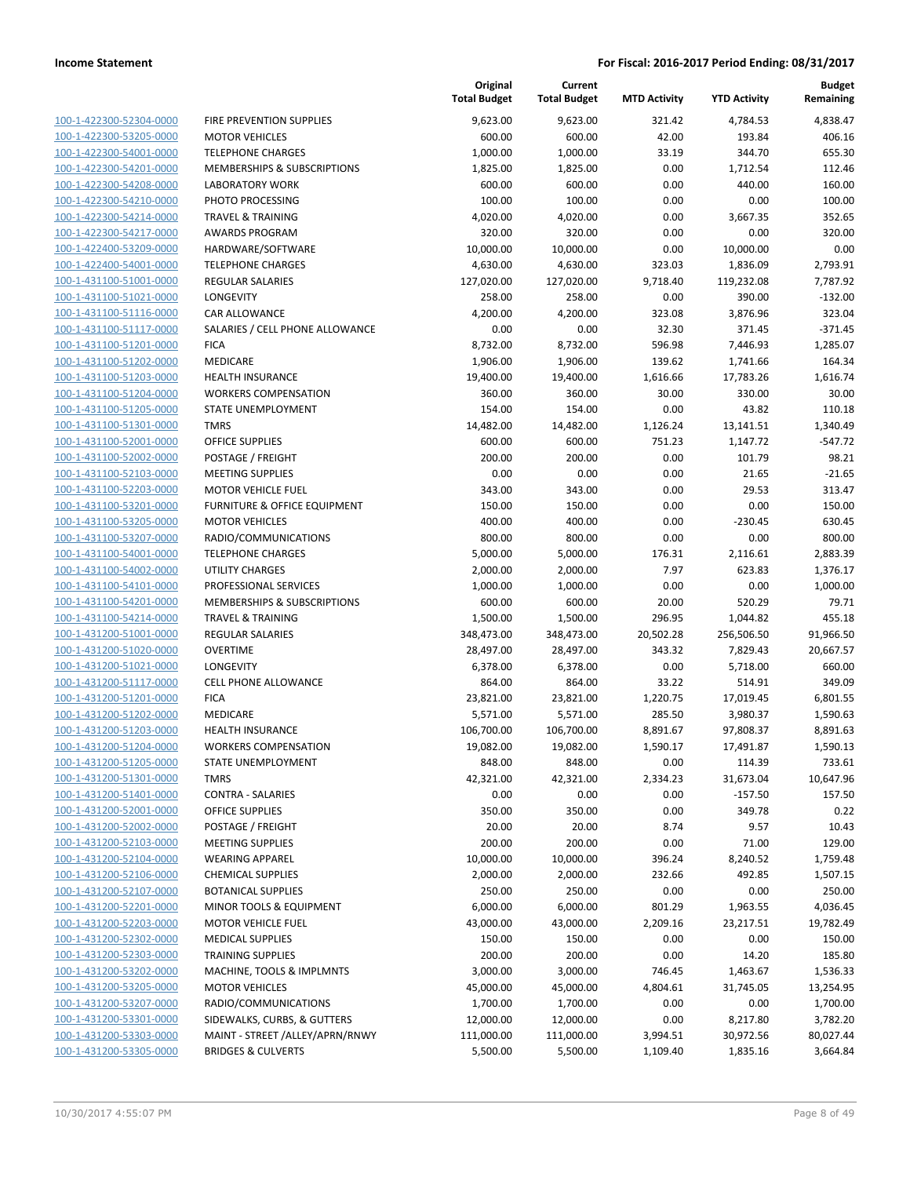| 100-1-422300-52304-0000        |
|--------------------------------|
| 100-1-422300-53205-0000        |
| 100-1-422300-54001-0000        |
| 100-1-422300-54201-0000        |
| 100-1-422300-54208-0000        |
| 100-1-422300-54210-0000        |
| 100-1-422300-54214-0000        |
| 100-1-422300-54217-0000        |
| <u>100-1-422400-53209-0000</u> |
| 100-1-422400-54001-0000        |
| 100-1-431100-51001-0000        |
| 100-1-431100-51021-0000        |
|                                |
| 100-1-431100-51116-0000        |
| <u>100-1-431100-51117-0000</u> |
| 100-1-431100-51201-0000        |
| 100-1-431100-51202-0000        |
| 100-1-431100-51203-0000        |
| 100-1-431100-51204-0000        |
| 100-1-431100-51205-0000        |
| 100-1-431100-51301-0000        |
| 100-1-431100-52001-0000        |
| 100-1-431100-52002-0000        |
| 100-1-431100-52103-0000        |
| 100-1-431100-52203-0000        |
| 100-1-431100-53201-0000        |
| 100-1-431100-53205-0000        |
| 100-1-431100-53207-0000        |
| 100-1-431100-54001-0000        |
| 100-1-431100-54002-0000        |
| 100-1-431100-54101-0000        |
|                                |
| 100-1-431100-54201-0000        |
| 100-1-431100-54214-0000        |
| <u>100-1-431200-51001-0000</u> |
| <u>100-1-431200-51020-0000</u> |
| 100-1-431200-51021-0000        |
| 100-1-431200-51117-0000        |
| 100-1-431200-51201-0000        |
| 100-1-431200-51202-0000        |
| 100-1-431200-51203-0000        |
| 100-1-431200-51204-0000        |
| 100-1-431200-51205-0000        |
| <u>100-1-431200-51301-0000</u> |
| 100-1-431200-51401-0000        |
| <u>100-1-431200-52001-0000</u> |
| 100-1-431200-52002-0000        |
| <u>100-1-431200-52103-0000</u> |
| 100-1-431200-52104-0000        |
| 100-1-431200-52106-0000        |
|                                |
| <u>100-1-431200-52107-0000</u> |
| <u>100-1-431200-52201-0000</u> |
| <u>100-1-431200-52203-0000</u> |
| 100-1-431200-52302-0000        |
| 100-1-431200-52303-0000        |
| <u>100-1-431200-53202-0000</u> |
| <u>100-1-431200-53205-0000</u> |
| <u>100-1-431200-53207-0000</u> |
| <u>100-1-431200-53301-0000</u> |
| <u>100-1-431200-53303-0000</u> |
| <u>100-1-431200-53305-0000</u> |
|                                |

|                         |                                 | Original<br><b>Total Budget</b> | Current<br><b>Total Budget</b> | <b>MTD Activity</b> | <b>YTD Activity</b> | <b>Budget</b><br>Remaining |
|-------------------------|---------------------------------|---------------------------------|--------------------------------|---------------------|---------------------|----------------------------|
| 100-1-422300-52304-0000 | FIRE PREVENTION SUPPLIES        | 9,623.00                        | 9,623.00                       | 321.42              | 4,784.53            | 4,838.47                   |
| 100-1-422300-53205-0000 | <b>MOTOR VEHICLES</b>           | 600.00                          | 600.00                         | 42.00               | 193.84              | 406.16                     |
| 100-1-422300-54001-0000 | <b>TELEPHONE CHARGES</b>        | 1,000.00                        | 1,000.00                       | 33.19               | 344.70              | 655.30                     |
| 100-1-422300-54201-0000 | MEMBERSHIPS & SUBSCRIPTIONS     | 1,825.00                        | 1,825.00                       | 0.00                | 1,712.54            | 112.46                     |
| 100-1-422300-54208-0000 | <b>LABORATORY WORK</b>          | 600.00                          | 600.00                         | 0.00                | 440.00              | 160.00                     |
| 100-1-422300-54210-0000 | PHOTO PROCESSING                | 100.00                          | 100.00                         | 0.00                | 0.00                | 100.00                     |
| 100-1-422300-54214-0000 | <b>TRAVEL &amp; TRAINING</b>    | 4,020.00                        | 4,020.00                       | 0.00                | 3,667.35            | 352.65                     |
| 100-1-422300-54217-0000 | <b>AWARDS PROGRAM</b>           | 320.00                          | 320.00                         | 0.00                | 0.00                | 320.00                     |
| 100-1-422400-53209-0000 | HARDWARE/SOFTWARE               | 10,000.00                       | 10,000.00                      | 0.00                | 10,000.00           | 0.00                       |
| 100-1-422400-54001-0000 | <b>TELEPHONE CHARGES</b>        | 4,630.00                        | 4,630.00                       | 323.03              | 1,836.09            | 2,793.91                   |
| 100-1-431100-51001-0000 | REGULAR SALARIES                | 127,020.00                      | 127,020.00                     | 9,718.40            | 119,232.08          | 7,787.92                   |
| 100-1-431100-51021-0000 | LONGEVITY                       | 258.00                          | 258.00                         | 0.00                | 390.00              | $-132.00$                  |
| 100-1-431100-51116-0000 | <b>CAR ALLOWANCE</b>            | 4,200.00                        | 4,200.00                       | 323.08              | 3,876.96            | 323.04                     |
| 100-1-431100-51117-0000 | SALARIES / CELL PHONE ALLOWANCE | 0.00                            | 0.00                           | 32.30               | 371.45              | $-371.45$                  |
| 100-1-431100-51201-0000 | <b>FICA</b>                     | 8,732.00                        | 8,732.00                       | 596.98              | 7,446.93            | 1,285.07                   |
| 100-1-431100-51202-0000 | MEDICARE                        | 1,906.00                        | 1,906.00                       | 139.62              | 1,741.66            | 164.34                     |
| 100-1-431100-51203-0000 | <b>HEALTH INSURANCE</b>         | 19,400.00                       | 19,400.00                      | 1,616.66            | 17,783.26           | 1,616.74                   |
| 100-1-431100-51204-0000 | <b>WORKERS COMPENSATION</b>     | 360.00                          | 360.00                         | 30.00               | 330.00              | 30.00                      |
| 100-1-431100-51205-0000 | STATE UNEMPLOYMENT              | 154.00                          | 154.00                         | 0.00                | 43.82               | 110.18                     |
| 100-1-431100-51301-0000 | <b>TMRS</b>                     | 14,482.00                       | 14,482.00                      | 1,126.24            | 13,141.51           | 1,340.49                   |
| 100-1-431100-52001-0000 | <b>OFFICE SUPPLIES</b>          | 600.00                          | 600.00                         | 751.23              | 1,147.72            | $-547.72$                  |
| 100-1-431100-52002-0000 | POSTAGE / FREIGHT               | 200.00                          | 200.00                         | 0.00                | 101.79              | 98.21                      |
| 100-1-431100-52103-0000 | <b>MEETING SUPPLIES</b>         | 0.00                            | 0.00                           | 0.00                | 21.65               | $-21.65$                   |
| 100-1-431100-52203-0000 | <b>MOTOR VEHICLE FUEL</b>       | 343.00                          | 343.00                         | 0.00                | 29.53               | 313.47                     |
| 100-1-431100-53201-0000 | FURNITURE & OFFICE EQUIPMENT    | 150.00                          | 150.00                         | 0.00                | 0.00                | 150.00                     |
| 100-1-431100-53205-0000 | <b>MOTOR VEHICLES</b>           | 400.00                          | 400.00                         | 0.00                | $-230.45$           | 630.45                     |
| 100-1-431100-53207-0000 | RADIO/COMMUNICATIONS            | 800.00                          | 800.00                         | 0.00                | 0.00                | 800.00                     |
| 100-1-431100-54001-0000 | <b>TELEPHONE CHARGES</b>        | 5,000.00                        | 5,000.00                       | 176.31              | 2,116.61            | 2,883.39                   |
| 100-1-431100-54002-0000 | UTILITY CHARGES                 | 2,000.00                        | 2,000.00                       | 7.97                | 623.83              | 1,376.17                   |
| 100-1-431100-54101-0000 | PROFESSIONAL SERVICES           | 1,000.00                        | 1,000.00                       | 0.00                | 0.00                | 1,000.00                   |
| 100-1-431100-54201-0000 | MEMBERSHIPS & SUBSCRIPTIONS     | 600.00                          | 600.00                         | 20.00               | 520.29              | 79.71                      |
| 100-1-431100-54214-0000 | <b>TRAVEL &amp; TRAINING</b>    | 1,500.00                        | 1,500.00                       | 296.95              | 1,044.82            | 455.18                     |
| 100-1-431200-51001-0000 | <b>REGULAR SALARIES</b>         | 348,473.00                      | 348,473.00                     | 20,502.28           | 256,506.50          | 91,966.50                  |
| 100-1-431200-51020-0000 | <b>OVERTIME</b>                 | 28,497.00                       | 28,497.00                      | 343.32              | 7,829.43            | 20,667.57                  |
| 100-1-431200-51021-0000 | LONGEVITY                       | 6,378.00                        | 6,378.00                       | 0.00                | 5,718.00            | 660.00                     |
| 100-1-431200-51117-0000 | <b>CELL PHONE ALLOWANCE</b>     | 864.00                          | 864.00                         | 33.22               | 514.91              | 349.09                     |
| 100-1-431200-51201-0000 | <b>FICA</b>                     | 23,821.00                       | 23,821.00                      | 1,220.75            | 17,019.45           | 6,801.55                   |
| 100-1-431200-51202-0000 | MEDICARE                        | 5,571.00                        | 5,571.00                       | 285.50              | 3,980.37            | 1,590.63                   |
| 100-1-431200-51203-0000 | <b>HEALTH INSURANCE</b>         | 106,700.00                      | 106,700.00                     | 8,891.67            | 97,808.37           | 8,891.63                   |
| 100-1-431200-51204-0000 | <b>WORKERS COMPENSATION</b>     | 19,082.00                       | 19,082.00                      | 1,590.17            | 17,491.87           | 1,590.13                   |
| 100-1-431200-51205-0000 | STATE UNEMPLOYMENT              | 848.00                          | 848.00                         | 0.00                | 114.39              | 733.61                     |
| 100-1-431200-51301-0000 | <b>TMRS</b>                     | 42,321.00                       | 42,321.00                      | 2,334.23            | 31,673.04           | 10,647.96                  |
| 100-1-431200-51401-0000 | <b>CONTRA - SALARIES</b>        | 0.00                            | 0.00                           | 0.00                | $-157.50$           | 157.50                     |
| 100-1-431200-52001-0000 | <b>OFFICE SUPPLIES</b>          | 350.00                          | 350.00                         | 0.00                | 349.78              | 0.22                       |
| 100-1-431200-52002-0000 | POSTAGE / FREIGHT               | 20.00                           | 20.00                          | 8.74                | 9.57                | 10.43                      |
| 100-1-431200-52103-0000 | <b>MEETING SUPPLIES</b>         | 200.00                          | 200.00                         | 0.00                | 71.00               | 129.00                     |
| 100-1-431200-52104-0000 | <b>WEARING APPAREL</b>          | 10,000.00                       | 10,000.00                      | 396.24              | 8,240.52            | 1,759.48                   |
| 100-1-431200-52106-0000 | <b>CHEMICAL SUPPLIES</b>        | 2,000.00                        | 2,000.00                       | 232.66              | 492.85              | 1,507.15                   |
| 100-1-431200-52107-0000 | <b>BOTANICAL SUPPLIES</b>       | 250.00                          | 250.00                         | 0.00                | 0.00                | 250.00                     |
| 100-1-431200-52201-0000 | MINOR TOOLS & EQUIPMENT         | 6,000.00                        | 6,000.00                       | 801.29              | 1,963.55            | 4,036.45                   |
| 100-1-431200-52203-0000 | <b>MOTOR VEHICLE FUEL</b>       | 43,000.00                       | 43,000.00                      | 2,209.16            | 23,217.51           | 19,782.49                  |
| 100-1-431200-52302-0000 | <b>MEDICAL SUPPLIES</b>         | 150.00                          | 150.00                         | 0.00                | 0.00                | 150.00                     |
| 100-1-431200-52303-0000 | <b>TRAINING SUPPLIES</b>        | 200.00                          | 200.00                         | 0.00                | 14.20               | 185.80                     |
| 100-1-431200-53202-0000 | MACHINE, TOOLS & IMPLMNTS       | 3,000.00                        | 3,000.00                       | 746.45              | 1,463.67            | 1,536.33                   |
| 100-1-431200-53205-0000 | <b>MOTOR VEHICLES</b>           | 45,000.00                       | 45,000.00                      | 4,804.61            | 31,745.05           | 13,254.95                  |
| 100-1-431200-53207-0000 | RADIO/COMMUNICATIONS            | 1,700.00                        | 1,700.00                       | 0.00                | 0.00                | 1,700.00                   |
| 100-1-431200-53301-0000 | SIDEWALKS, CURBS, & GUTTERS     | 12,000.00                       | 12,000.00                      | 0.00                | 8,217.80            | 3,782.20                   |
| 100-1-431200-53303-0000 | MAINT - STREET /ALLEY/APRN/RNWY | 111,000.00                      | 111,000.00                     | 3,994.51            | 30,972.56           | 80,027.44                  |
| 100-1-431200-53305-0000 | <b>BRIDGES &amp; CULVERTS</b>   | 5,500.00                        | 5,500.00                       | 1,109.40            | 1,835.16            | 3,664.84                   |
|                         |                                 |                                 |                                |                     |                     |                            |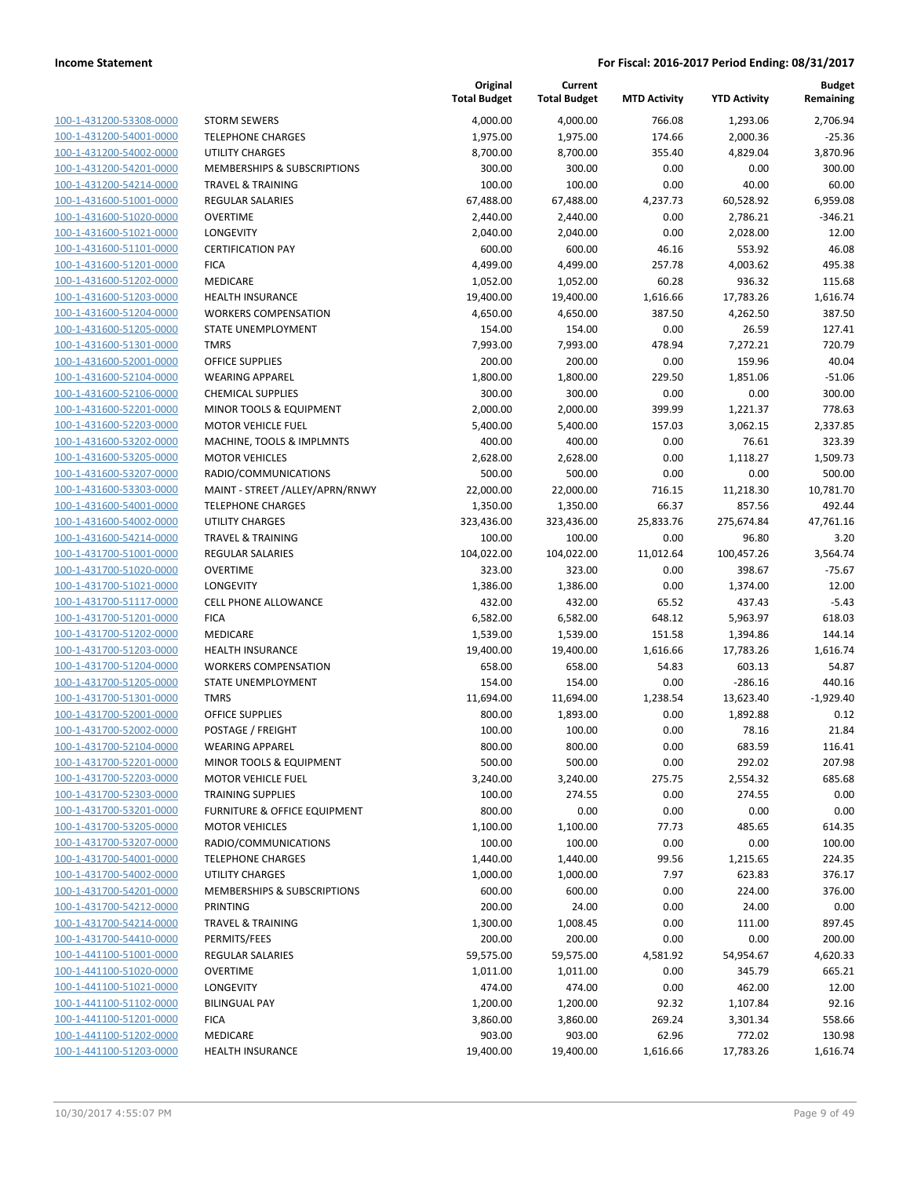| 100-1-431200-53308-0000        |
|--------------------------------|
| 100-1-431200-54001-0000        |
| 100-1-431200-54002-0000        |
| 100-1-431200-54201-0000        |
| 100-1-431200-54214-0000        |
| 100-1-431600-51001-0000        |
| 100-1-431600-51020-0000        |
| 100-1-431600-51021-0000        |
| 100-1-431600-51101-0000        |
| 100-1-431600-51201-0000        |
| 100-1-431600-51202-0000        |
| 100-1-431600-51203-0000        |
| 100-1-431600-51204-0000        |
| 100-1-431600-51205-0000        |
| 100-1-431600-51301-0000        |
|                                |
| 100-1-431600-52001-0000        |
| 100-1-431600-52104-0000        |
| 100-1-431600-52106-0000        |
| 100-1-431600-52201-0000        |
| 100-1-431600-52203-0000        |
| 100-1-431600-53202-0000        |
| 100-1-431600-53205-0000        |
| 100-1-431600-53207-0000        |
| 100-1-431600-53303-0000        |
| 100-1-431600-54001-0000        |
| 100-1-431600-54002-0000        |
| 100-1-431600-54214-0000        |
| 100-1-431700-51001-0000        |
| 100-1-431700-51020-0000        |
| 100-1-431700-51021-0000        |
| 100-1-431700-51117-0000        |
| 100-1-431700-51201-0000        |
| 100-1-431700-51202-0000        |
|                                |
| 100-1-431700-51203-0000        |
| 100-1-431700-51204-0000        |
| 100-1-431700-51205-0000        |
| 100-1-431700-51301-0000        |
| 100-1-431700-52001-0000        |
| 100-1-431700-52002-0000        |
| 100-1-431700-52104-0000        |
| 100-1-431700-52201-0000        |
| 100-1-431700-52203-0000        |
| 100-1-431700-52303-0000        |
| <u>100-1-431700-53201-0000</u> |
| 100-1-431700-53205-0000        |
| 100-1-431700-53207-0000        |
| 100-1-431700-54001-0000        |
| 100-1-431700-54002-0000        |
| 100-1-431700-54201-0000        |
|                                |
| <u>100-1-431700-54212-0000</u> |
| 100-1-431700-54214-0000        |
| 100-1-431700-54410-0000        |
| 100-1-441100-51001-0000        |
| <u>100-1-441100-51020-0000</u> |
| 100-1-441100-51021-0000        |
| 100-1-441100-51102-0000        |
| 100-1-441100-51201-0000        |
| 100-1-441100-51202-0000        |
| 100-1-441100-51203-0000        |
|                                |

|                         |                                         | Original<br><b>Total Budget</b> | Current<br><b>Total Budget</b> | <b>MTD Activity</b> | <b>YTD Activity</b> | <b>Budget</b><br>Remaining |
|-------------------------|-----------------------------------------|---------------------------------|--------------------------------|---------------------|---------------------|----------------------------|
| 100-1-431200-53308-0000 | <b>STORM SEWERS</b>                     | 4,000.00                        | 4,000.00                       | 766.08              | 1,293.06            | 2,706.94                   |
| 100-1-431200-54001-0000 | <b>TELEPHONE CHARGES</b>                | 1,975.00                        | 1,975.00                       | 174.66              | 2,000.36            | -25.36                     |
| 100-1-431200-54002-0000 | <b>UTILITY CHARGES</b>                  | 8,700.00                        | 8,700.00                       | 355.40              | 4,829.04            | 3,870.96                   |
| 100-1-431200-54201-0000 | <b>MEMBERSHIPS &amp; SUBSCRIPTIONS</b>  | 300.00                          | 300.00                         | 0.00                | 0.00                | 300.00                     |
| 100-1-431200-54214-0000 | <b>TRAVEL &amp; TRAINING</b>            | 100.00                          | 100.00                         | 0.00                | 40.00               | 60.00                      |
| 100-1-431600-51001-0000 | <b>REGULAR SALARIES</b>                 | 67,488.00                       | 67,488.00                      | 4,237.73            | 60,528.92           | 6,959.08                   |
| 100-1-431600-51020-0000 | <b>OVERTIME</b>                         | 2,440.00                        | 2,440.00                       | 0.00                | 2,786.21            | $-346.21$                  |
| 100-1-431600-51021-0000 | LONGEVITY                               | 2,040.00                        | 2,040.00                       | 0.00                | 2,028.00            | 12.00                      |
| 100-1-431600-51101-0000 | <b>CERTIFICATION PAY</b>                | 600.00                          | 600.00                         | 46.16               | 553.92              | 46.08                      |
| 100-1-431600-51201-0000 | <b>FICA</b>                             | 4,499.00                        | 4,499.00                       | 257.78              | 4,003.62            | 495.38                     |
| 100-1-431600-51202-0000 | <b>MEDICARE</b>                         | 1,052.00                        | 1,052.00                       | 60.28               | 936.32              | 115.68                     |
| 100-1-431600-51203-0000 | <b>HEALTH INSURANCE</b>                 | 19,400.00                       | 19,400.00                      | 1,616.66            | 17,783.26           | 1,616.74                   |
| 100-1-431600-51204-0000 | <b>WORKERS COMPENSATION</b>             | 4,650.00                        | 4,650.00                       | 387.50              | 4,262.50            | 387.50                     |
| 100-1-431600-51205-0000 | STATE UNEMPLOYMENT                      | 154.00                          | 154.00                         | 0.00                | 26.59               | 127.41                     |
| 100-1-431600-51301-0000 | <b>TMRS</b>                             | 7,993.00                        | 7,993.00                       | 478.94              | 7,272.21            | 720.79                     |
| 100-1-431600-52001-0000 | <b>OFFICE SUPPLIES</b>                  | 200.00                          | 200.00                         | 0.00                | 159.96              | 40.04                      |
| 100-1-431600-52104-0000 | <b>WEARING APPAREL</b>                  | 1,800.00                        | 1,800.00                       | 229.50              | 1,851.06            | $-51.06$                   |
| 100-1-431600-52106-0000 | <b>CHEMICAL SUPPLIES</b>                | 300.00                          | 300.00                         | 0.00                | 0.00                | 300.00                     |
| 100-1-431600-52201-0000 | MINOR TOOLS & EQUIPMENT                 | 2,000.00                        | 2,000.00                       | 399.99              | 1,221.37            | 778.63                     |
| 100-1-431600-52203-0000 | <b>MOTOR VEHICLE FUEL</b>               | 5,400.00                        | 5,400.00                       | 157.03              | 3,062.15            | 2,337.85                   |
| 100-1-431600-53202-0000 | MACHINE, TOOLS & IMPLMNTS               | 400.00                          | 400.00                         | 0.00                | 76.61               | 323.39                     |
| 100-1-431600-53205-0000 | <b>MOTOR VEHICLES</b>                   | 2,628.00                        | 2,628.00                       | 0.00                | 1,118.27            | 1,509.73                   |
| 100-1-431600-53207-0000 | RADIO/COMMUNICATIONS                    | 500.00                          | 500.00                         | 0.00                | 0.00                | 500.00                     |
| 100-1-431600-53303-0000 | MAINT - STREET /ALLEY/APRN/RNWY         | 22,000.00                       | 22,000.00                      | 716.15              | 11,218.30           | 10,781.70                  |
| 100-1-431600-54001-0000 | <b>TELEPHONE CHARGES</b>                | 1,350.00                        | 1,350.00                       | 66.37               | 857.56              | 492.44                     |
| 100-1-431600-54002-0000 | <b>UTILITY CHARGES</b>                  | 323,436.00                      | 323,436.00                     | 25,833.76           | 275,674.84          | 47,761.16                  |
| 100-1-431600-54214-0000 | <b>TRAVEL &amp; TRAINING</b>            | 100.00                          | 100.00                         | 0.00                | 96.80               | 3.20                       |
| 100-1-431700-51001-0000 | <b>REGULAR SALARIES</b>                 | 104,022.00                      | 104,022.00                     | 11,012.64           | 100,457.26          | 3,564.74                   |
| 100-1-431700-51020-0000 | <b>OVERTIME</b>                         | 323.00                          | 323.00                         | 0.00                | 398.67              | -75.67                     |
| 100-1-431700-51021-0000 | LONGEVITY                               | 1,386.00                        | 1,386.00                       | 0.00                | 1,374.00            | 12.00                      |
| 100-1-431700-51117-0000 | <b>CELL PHONE ALLOWANCE</b>             | 432.00                          | 432.00                         | 65.52               | 437.43              | $-5.43$                    |
| 100-1-431700-51201-0000 | <b>FICA</b>                             | 6,582.00                        | 6,582.00                       | 648.12              | 5,963.97            | 618.03                     |
| 100-1-431700-51202-0000 | MEDICARE                                | 1,539.00                        | 1,539.00                       | 151.58              | 1,394.86            | 144.14                     |
| 100-1-431700-51203-0000 | <b>HEALTH INSURANCE</b>                 | 19,400.00                       | 19,400.00                      | 1,616.66            | 17,783.26           | 1,616.74                   |
| 100-1-431700-51204-0000 | <b>WORKERS COMPENSATION</b>             | 658.00                          | 658.00                         | 54.83               | 603.13              | 54.87                      |
| 100-1-431700-51205-0000 | STATE UNEMPLOYMENT                      | 154.00                          | 154.00                         | 0.00                | $-286.16$           | 440.16                     |
| 100-1-431700-51301-0000 | <b>TMRS</b>                             | 11,694.00                       | 11,694.00                      | 1,238.54            | 13,623.40           | $-1,929.40$                |
| 100-1-431700-52001-0000 | <b>OFFICE SUPPLIES</b>                  | 800.00                          | 1,893.00                       | 0.00                | 1,892.88            | 0.12                       |
| 100-1-431700-52002-0000 | POSTAGE / FREIGHT                       | 100.00                          | 100.00                         | 0.00                | 78.16               | 21.84                      |
| 100-1-431700-52104-0000 | <b>WEARING APPAREL</b>                  | 800.00                          | 800.00                         | 0.00                | 683.59              | 116.41                     |
| 100-1-431700-52201-0000 | MINOR TOOLS & EQUIPMENT                 | 500.00                          | 500.00                         | 0.00                | 292.02              | 207.98                     |
| 100-1-431700-52203-0000 | MOTOR VEHICLE FUEL                      | 3,240.00                        | 3,240.00                       | 275.75              | 2,554.32            | 685.68                     |
| 100-1-431700-52303-0000 | <b>TRAINING SUPPLIES</b>                | 100.00                          | 274.55                         | 0.00                | 274.55              | 0.00                       |
| 100-1-431700-53201-0000 | <b>FURNITURE &amp; OFFICE EQUIPMENT</b> | 800.00                          | 0.00                           | 0.00                | 0.00                | 0.00                       |
| 100-1-431700-53205-0000 | <b>MOTOR VEHICLES</b>                   | 1,100.00                        | 1,100.00                       | 77.73               | 485.65              | 614.35                     |
| 100-1-431700-53207-0000 | RADIO/COMMUNICATIONS                    | 100.00                          | 100.00                         | 0.00                | 0.00                | 100.00                     |
| 100-1-431700-54001-0000 | <b>TELEPHONE CHARGES</b>                | 1,440.00                        | 1,440.00                       | 99.56               | 1,215.65            | 224.35                     |
| 100-1-431700-54002-0000 | <b>UTILITY CHARGES</b>                  | 1,000.00                        | 1,000.00                       | 7.97                | 623.83              | 376.17                     |
| 100-1-431700-54201-0000 | <b>MEMBERSHIPS &amp; SUBSCRIPTIONS</b>  | 600.00                          | 600.00                         | 0.00                | 224.00              | 376.00                     |
| 100-1-431700-54212-0000 | PRINTING                                | 200.00                          | 24.00                          | 0.00                | 24.00               | 0.00                       |
| 100-1-431700-54214-0000 | <b>TRAVEL &amp; TRAINING</b>            | 1,300.00                        | 1,008.45                       | 0.00                | 111.00              | 897.45                     |
| 100-1-431700-54410-0000 | PERMITS/FEES                            | 200.00                          | 200.00                         | 0.00                | 0.00                | 200.00                     |
| 100-1-441100-51001-0000 | <b>REGULAR SALARIES</b>                 | 59,575.00                       | 59,575.00                      | 4,581.92            | 54,954.67           | 4,620.33                   |
| 100-1-441100-51020-0000 | <b>OVERTIME</b>                         | 1,011.00                        | 1,011.00                       | 0.00                | 345.79              | 665.21                     |
| 100-1-441100-51021-0000 | LONGEVITY                               | 474.00                          | 474.00                         | 0.00                | 462.00              | 12.00                      |
| 100-1-441100-51102-0000 | <b>BILINGUAL PAY</b>                    | 1,200.00                        | 1,200.00                       | 92.32               | 1,107.84            | 92.16                      |
| 100-1-441100-51201-0000 | <b>FICA</b>                             | 3,860.00                        | 3,860.00                       | 269.24              | 3,301.34            | 558.66                     |
| 100-1-441100-51202-0000 | MEDICARE                                | 903.00                          | 903.00                         | 62.96               | 772.02              | 130.98                     |
| 100-1-441100-51203-0000 | <b>HEALTH INSURANCE</b>                 | 19,400.00                       | 19,400.00                      | 1,616.66            | 17,783.26           | 1,616.74                   |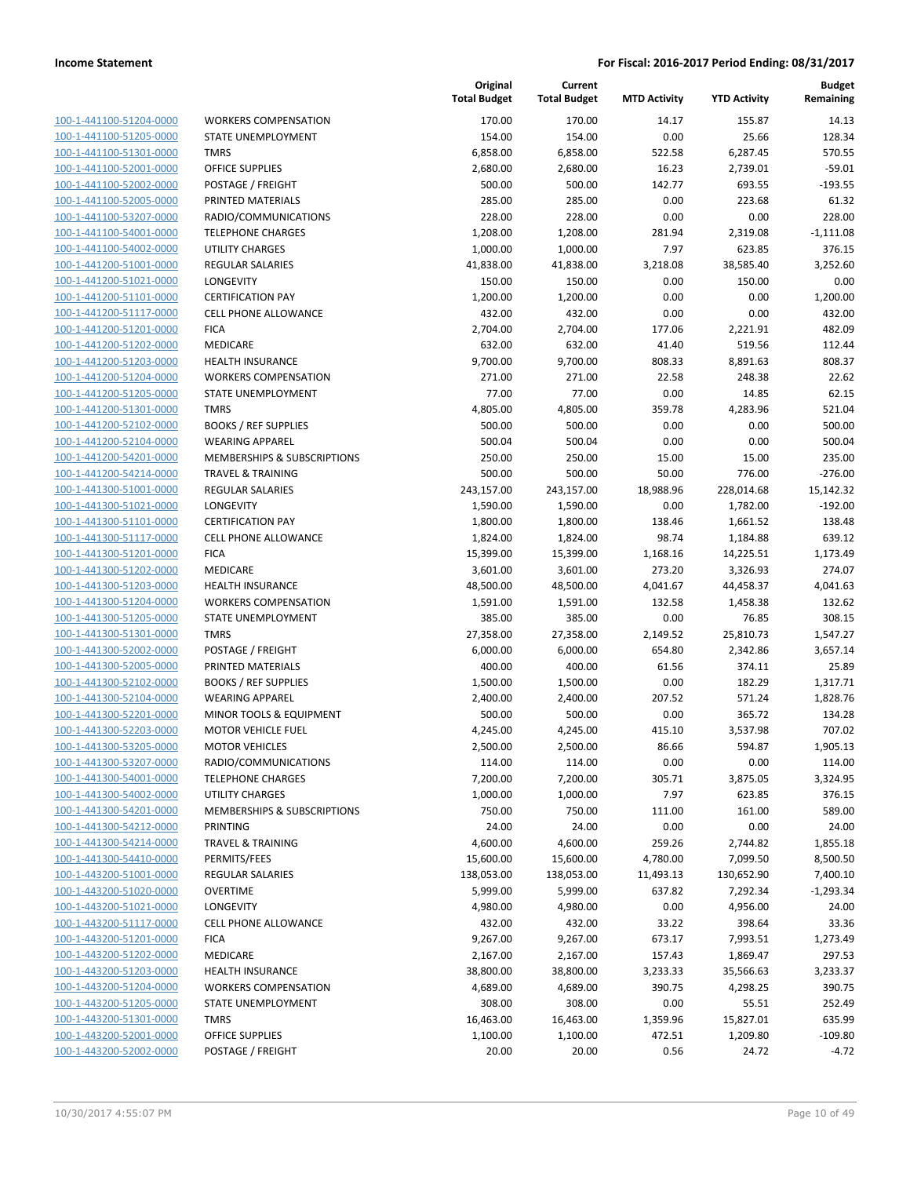100-1-441100-51204-0000 100-1-441100-51205-0000 100-1-441100-51301-0000 100-1-441100-52001-0000 100-1-441100-52002-0000 100-1-441100-52005-0000 PRINTED MATERIALS 285.00 285.00 0.00 223.68 61.32 100-1-441100-53207-0000 100-1-441100-54001-0000 100-1-441100-54002-0000 100-1-441200-51001-0000 100-1-441200-51021-0000 100-1-441200-51101-0000 100-1-441200-51117-0000 100-1-441200-51201-0000 100-1-441200-51202-0000 100-1-441200-51203-0000 100-1-441200-51204-0000 100-1-441200-51205-0000 100-1-441200-51301-0000 100-1-441200-52102-0000 100-1-441200-52104-0000 100-1-441200-54201-0000 100-1-441200-54214-0000 100-1-441300-51001-0000 100-1-441300-51021-0000 100-1-441300-51101-0000 100-1-441300-51117-0000 100-1-441300-51201-0000 100-1-441300-51202-0000 100-1-441300-51203-0000 100-1-441300-51204-0000 100-1-441300-51205-0000 100-1-441300-51301-0000 100-1-441300-52002-0000 100-1-441300-52005-0000 100-1-441300-52102-0000 100-1-441300-52104-0000 100-1-441300-52201-0000 100-1-441300-52203-0000 100-1-441300-53205-0000 100-1-441300-53207-0000 100-1-441300-54001-0000 100-1-441300-54002-0000 100-1-441300-54201-0000 100-1-441300-54212-0000 100-1-441300-54214-0000 100-1-441300-54410-0000 100-1-443200-51001-0000 100-1-443200-51020-0000 100-1-443200-51021-0000 100-1-443200-51117-0000 100-1-443200-51201-0000 100-1-443200-51202-0000 100-1-443200-51203-0000 100-1-443200-51204-0000 100-1-443200-51205-0000 100-1-443200-51301-0000 100-1-443200-52001-0000 100-1-443200-52002-0000

|                              | Original<br><b>Total Budget</b> | Current<br><b>Total Budget</b> | <b>MTD Activity</b> | <b>YTD Activity</b> | <b>Budget</b><br>Remaining |
|------------------------------|---------------------------------|--------------------------------|---------------------|---------------------|----------------------------|
| <b>WORKERS COMPENSATION</b>  | 170.00                          | 170.00                         | 14.17               | 155.87              | 14.13                      |
| STATE UNEMPLOYMENT           | 154.00                          | 154.00                         | 0.00                | 25.66               | 128.34                     |
| <b>TMRS</b>                  | 6,858.00                        | 6,858.00                       | 522.58              | 6,287.45            | 570.55                     |
| <b>OFFICE SUPPLIES</b>       | 2,680.00                        | 2,680.00                       | 16.23               | 2,739.01            | $-59.01$                   |
| POSTAGE / FREIGHT            | 500.00                          | 500.00                         | 142.77              | 693.55              | $-193.55$                  |
| PRINTED MATERIALS            | 285.00                          | 285.00                         | 0.00                | 223.68              | 61.32                      |
| RADIO/COMMUNICATIONS         | 228.00                          | 228.00                         | 0.00                | 0.00                | 228.00                     |
| <b>TELEPHONE CHARGES</b>     | 1,208.00                        | 1,208.00                       | 281.94              | 2,319.08            | $-1,111.08$                |
| <b>UTILITY CHARGES</b>       | 1,000.00                        | 1,000.00                       | 7.97                | 623.85              | 376.15                     |
| <b>REGULAR SALARIES</b>      | 41,838.00                       | 41,838.00                      | 3,218.08            | 38,585.40           | 3,252.60                   |
| LONGEVITY                    | 150.00                          | 150.00                         | 0.00                | 150.00              | 0.00                       |
| <b>CERTIFICATION PAY</b>     | 1,200.00                        | 1,200.00                       | 0.00                | 0.00                | 1,200.00                   |
| <b>CELL PHONE ALLOWANCE</b>  | 432.00                          | 432.00                         | 0.00                | 0.00                | 432.00                     |
| <b>FICA</b>                  | 2,704.00                        | 2,704.00                       | 177.06              | 2,221.91            | 482.09                     |
| MEDICARE                     | 632.00                          | 632.00                         | 41.40               | 519.56              | 112.44                     |
| <b>HEALTH INSURANCE</b>      | 9,700.00                        | 9,700.00                       | 808.33              | 8,891.63            | 808.37                     |
| <b>WORKERS COMPENSATION</b>  | 271.00                          | 271.00                         | 22.58               | 248.38              | 22.62                      |
| <b>STATE UNEMPLOYMENT</b>    | 77.00                           | 77.00                          | 0.00                | 14.85               | 62.15                      |
| <b>TMRS</b>                  | 4,805.00                        | 4,805.00                       | 359.78              | 4,283.96            | 521.04                     |
| <b>BOOKS / REF SUPPLIES</b>  | 500.00                          | 500.00                         | 0.00                | 0.00                | 500.00                     |
| <b>WEARING APPAREL</b>       | 500.04                          | 500.04                         | 0.00                | 0.00                | 500.04                     |
| MEMBERSHIPS & SUBSCRIPTIONS  | 250.00                          | 250.00                         | 15.00               | 15.00               | 235.00                     |
| <b>TRAVEL &amp; TRAINING</b> | 500.00                          | 500.00                         | 50.00               | 776.00              | $-276.00$                  |
| <b>REGULAR SALARIES</b>      | 243,157.00                      | 243,157.00                     | 18,988.96           | 228,014.68          | 15,142.32                  |
| LONGEVITY                    | 1,590.00                        | 1,590.00                       | 0.00                | 1,782.00            | $-192.00$                  |
| <b>CERTIFICATION PAY</b>     | 1,800.00                        | 1,800.00                       | 138.46              | 1,661.52            | 138.48                     |
| <b>CELL PHONE ALLOWANCE</b>  | 1,824.00                        | 1,824.00                       | 98.74               | 1,184.88            | 639.12                     |
| <b>FICA</b>                  | 15,399.00                       | 15,399.00                      | 1,168.16            | 14,225.51           | 1,173.49                   |
| <b>MEDICARE</b>              | 3,601.00                        | 3,601.00                       | 273.20              | 3,326.93            | 274.07                     |
| <b>HEALTH INSURANCE</b>      | 48,500.00                       | 48,500.00                      | 4,041.67            | 44,458.37           | 4,041.63                   |
| <b>WORKERS COMPENSATION</b>  | 1,591.00                        | 1,591.00                       | 132.58              | 1,458.38            | 132.62                     |
| STATE UNEMPLOYMENT           | 385.00                          | 385.00                         | 0.00                | 76.85               | 308.15                     |
| <b>TMRS</b>                  | 27,358.00                       | 27,358.00                      | 2,149.52            | 25,810.73           | 1,547.27                   |
| POSTAGE / FREIGHT            | 6,000.00                        | 6,000.00                       | 654.80              | 2,342.86            | 3,657.14                   |
| PRINTED MATERIALS            | 400.00                          | 400.00                         | 61.56               | 374.11              | 25.89                      |
| <b>BOOKS / REF SUPPLIES</b>  | 1,500.00                        | 1,500.00                       | 0.00                | 182.29              | 1,317.71                   |
| <b>WEARING APPAREL</b>       | 2,400.00                        | 2,400.00                       | 207.52              | 571.24              | 1,828.76                   |
| MINOR TOOLS & EQUIPMENT      | 500.00                          | 500.00                         | 0.00                | 365.72              | 134.28                     |
| <b>MOTOR VEHICLE FUEL</b>    | 4,245.00                        | 4,245.00                       | 415.10              | 3,537.98            | 707.02                     |
| <b>MOTOR VEHICLES</b>        | 2,500.00                        | 2,500.00                       | 86.66               | 594.87              | 1,905.13                   |
| RADIO/COMMUNICATIONS         | 114.00                          | 114.00                         | 0.00                | 0.00                | 114.00                     |
| <b>TELEPHONE CHARGES</b>     | 7,200.00                        | 7,200.00                       | 305.71              | 3,875.05            | 3,324.95                   |
| UTILITY CHARGES              | 1,000.00                        | 1,000.00                       | 7.97                | 623.85              | 376.15                     |
| MEMBERSHIPS & SUBSCRIPTIONS  | 750.00                          | 750.00                         | 111.00              | 161.00              | 589.00                     |
| PRINTING                     | 24.00                           | 24.00                          | 0.00                | 0.00                | 24.00                      |
| <b>TRAVEL &amp; TRAINING</b> | 4,600.00                        | 4,600.00                       | 259.26              | 2,744.82            | 1,855.18                   |
| PERMITS/FEES                 | 15,600.00                       | 15,600.00                      | 4,780.00            | 7,099.50            | 8,500.50                   |
| REGULAR SALARIES             | 138,053.00                      | 138,053.00                     | 11,493.13           | 130,652.90          | 7,400.10                   |
| <b>OVERTIME</b>              | 5,999.00                        | 5,999.00                       | 637.82              | 7,292.34            | $-1,293.34$                |
| <b>LONGEVITY</b>             | 4,980.00                        | 4,980.00                       | 0.00                | 4,956.00            | 24.00                      |
| <b>CELL PHONE ALLOWANCE</b>  | 432.00                          | 432.00                         | 33.22               | 398.64              | 33.36                      |
| <b>FICA</b>                  | 9,267.00                        | 9,267.00                       | 673.17              | 7,993.51            | 1,273.49                   |
| MEDICARE                     | 2,167.00                        | 2,167.00                       | 157.43              | 1,869.47            | 297.53                     |
| HEALTH INSURANCE             | 38,800.00                       | 38,800.00                      | 3,233.33            | 35,566.63           | 3,233.37                   |
| <b>WORKERS COMPENSATION</b>  | 4,689.00                        | 4,689.00                       | 390.75              | 4,298.25            | 390.75                     |
| STATE UNEMPLOYMENT           | 308.00                          | 308.00                         | 0.00                | 55.51               | 252.49                     |
| <b>TMRS</b>                  | 16,463.00                       | 16,463.00                      | 1,359.96            | 15,827.01           | 635.99                     |
| OFFICE SUPPLIES              | 1,100.00                        | 1,100.00                       | 472.51              | 1,209.80            | $-109.80$                  |
| POSTAGE / FREIGHT            | 20.00                           | 20.00                          | 0.56                | 24.72               | $-4.72$                    |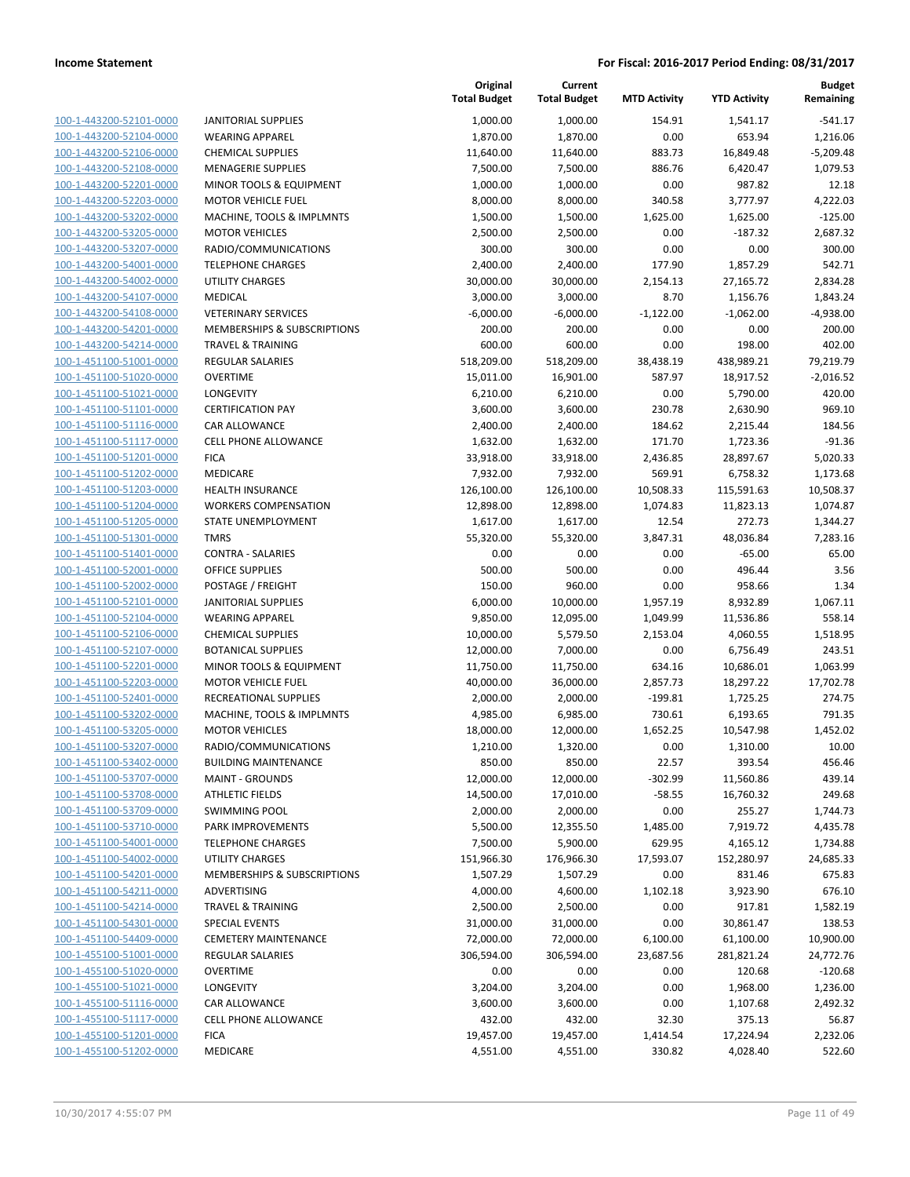**Current**

**Original**

**Budget Remaining**

| 100-1-443200-52101-0000        |
|--------------------------------|
| 100-1-443200-52104-0000        |
| 100-1-443200-52106-0000        |
| 100-1-443200-52108-0000        |
| 100-1-443200-52201-0000        |
| 100-1-443200-52203-0000        |
|                                |
| 100-1-443200-53202-0000        |
| 100-1-443200-53205-0000        |
| 100-1-443200-53207-0000        |
| 100-1-443200-54001-0000        |
| 100-1-443200-54002-0000        |
| 100-1-443200-54107-0000        |
| 100-1-443200-54108-0000        |
| 100-1-443200-54201-0000        |
|                                |
| 100-1-443200-54214-0000        |
| 100-1-451100-51001-0000        |
| 100-1-451100-51020-0000        |
| 100-1-451100-51021-0000        |
| 100-1-451100-51101-0000        |
| 100-1-451100-51116-0000        |
| 100-1-451100-51117-0000        |
| 100-1-451100-51201-0000        |
|                                |
| 100-1-451100-51202-0000        |
| 100-1-451100-51203-0000        |
| 100-1-451100-51204-0000        |
| 100-1-451100-51205-0000        |
| 100-1-451100-51301-0000        |
| 100-1-451100-51401-0000        |
| 100-1-451100-52001-0000        |
| 100-1-451100-52002-0000        |
|                                |
| 100-1-451100-52101-0000        |
| 100-1-451100-52104-0000        |
| 100-1-451100-52106-0000        |
| 100-1-451100-52107-0000        |
| 100-1-451100-52201-0000        |
| 100-1-451100-52203-0000        |
| 100-1-451100-52401-0000        |
| 100-1-451100-53202-0000        |
| 100-1-451100-53205-0000        |
|                                |
| 100-1-451100-53207-0000        |
| 100-1-451100-53402-0000        |
| 100-1-451100-53707-0000        |
| 100-1-451100-53708-0000        |
| 100-1-451100-53709-0000        |
| 100-1-451100-53710-0000        |
| <u>100-1-451100-54001-0000</u> |
| 100-1-451100-54002-0000        |
|                                |
| <u>100-1-451100-54201-0000</u> |
| 100-1-451100-54211-0000        |
| 100-1-451100-54214-0000        |
| 100-1-451100-54301-0000        |
| 100-1-451100-54409-0000        |
| 100-1-455100-51001-0000        |
| <u>100-1-455100-51020-0000</u> |
| 100-1-455100-51021-0000        |
| 100-1-455100-51116-0000        |
|                                |
| <u>100-1-455100-51117-0000</u> |
| <u>100-1-455100-51201-0000</u> |
| 100-1-455100-51202-0000        |
|                                |

|                         |                              | <b>Total Budget</b> | <b>Total Budget</b> | <b>MTD Activity</b> | <b>YTD Activity</b> | Remaining   |
|-------------------------|------------------------------|---------------------|---------------------|---------------------|---------------------|-------------|
| 100-1-443200-52101-0000 | <b>JANITORIAL SUPPLIES</b>   | 1,000.00            | 1,000.00            | 154.91              | 1,541.17            | $-541.17$   |
| 100-1-443200-52104-0000 | <b>WEARING APPAREL</b>       | 1,870.00            | 1,870.00            | 0.00                | 653.94              | 1,216.06    |
| 100-1-443200-52106-0000 | <b>CHEMICAL SUPPLIES</b>     | 11,640.00           | 11,640.00           | 883.73              | 16,849.48           | $-5,209.48$ |
| 100-1-443200-52108-0000 | <b>MENAGERIE SUPPLIES</b>    | 7,500.00            | 7,500.00            | 886.76              | 6,420.47            | 1,079.53    |
| 100-1-443200-52201-0000 | MINOR TOOLS & EQUIPMENT      | 1,000.00            | 1,000.00            | 0.00                | 987.82              | 12.18       |
| 100-1-443200-52203-0000 | <b>MOTOR VEHICLE FUEL</b>    | 8,000.00            | 8,000.00            | 340.58              | 3,777.97            | 4,222.03    |
| 100-1-443200-53202-0000 | MACHINE, TOOLS & IMPLMNTS    | 1,500.00            | 1,500.00            | 1,625.00            | 1,625.00            | $-125.00$   |
| 100-1-443200-53205-0000 | <b>MOTOR VEHICLES</b>        | 2,500.00            | 2,500.00            | 0.00                | $-187.32$           | 2,687.32    |
| 100-1-443200-53207-0000 | RADIO/COMMUNICATIONS         | 300.00              | 300.00              | 0.00                | 0.00                | 300.00      |
| 100-1-443200-54001-0000 | <b>TELEPHONE CHARGES</b>     | 2,400.00            | 2,400.00            | 177.90              | 1,857.29            | 542.71      |
| 100-1-443200-54002-0000 | UTILITY CHARGES              | 30,000.00           | 30,000.00           | 2,154.13            | 27,165.72           | 2,834.28    |
| 100-1-443200-54107-0000 | <b>MEDICAL</b>               | 3,000.00            | 3,000.00            | 8.70                | 1,156.76            | 1,843.24    |
| 100-1-443200-54108-0000 | <b>VETERINARY SERVICES</b>   | $-6,000.00$         | $-6,000.00$         | $-1,122.00$         | $-1,062.00$         | $-4,938.00$ |
| 100-1-443200-54201-0000 | MEMBERSHIPS & SUBSCRIPTIONS  | 200.00              | 200.00              | 0.00                | 0.00                | 200.00      |
| 100-1-443200-54214-0000 | <b>TRAVEL &amp; TRAINING</b> | 600.00              | 600.00              | 0.00                | 198.00              | 402.00      |
| 100-1-451100-51001-0000 | <b>REGULAR SALARIES</b>      | 518,209.00          | 518,209.00          | 38,438.19           | 438,989.21          | 79,219.79   |
| 100-1-451100-51020-0000 | <b>OVERTIME</b>              | 15,011.00           | 16,901.00           | 587.97              | 18,917.52           | $-2,016.52$ |
| 100-1-451100-51021-0000 | LONGEVITY                    | 6,210.00            | 6,210.00            | 0.00                | 5,790.00            | 420.00      |
| 100-1-451100-51101-0000 | <b>CERTIFICATION PAY</b>     | 3,600.00            | 3,600.00            | 230.78              | 2,630.90            | 969.10      |
| 100-1-451100-51116-0000 | CAR ALLOWANCE                | 2,400.00            | 2,400.00            | 184.62              | 2,215.44            | 184.56      |
| 100-1-451100-51117-0000 | CELL PHONE ALLOWANCE         | 1,632.00            | 1,632.00            | 171.70              | 1,723.36            | $-91.36$    |
| 100-1-451100-51201-0000 | <b>FICA</b>                  | 33,918.00           | 33,918.00           | 2,436.85            | 28,897.67           | 5,020.33    |
| 100-1-451100-51202-0000 | MEDICARE                     | 7,932.00            | 7,932.00            | 569.91              | 6,758.32            | 1,173.68    |
| 100-1-451100-51203-0000 | <b>HEALTH INSURANCE</b>      | 126,100.00          | 126,100.00          | 10,508.33           | 115,591.63          | 10,508.37   |
| 100-1-451100-51204-0000 | <b>WORKERS COMPENSATION</b>  | 12,898.00           | 12,898.00           | 1,074.83            | 11,823.13           | 1,074.87    |
| 100-1-451100-51205-0000 | STATE UNEMPLOYMENT           | 1,617.00            | 1,617.00            | 12.54               | 272.73              | 1,344.27    |
| 100-1-451100-51301-0000 | <b>TMRS</b>                  | 55,320.00           | 55,320.00           | 3,847.31            | 48,036.84           | 7,283.16    |
| 100-1-451100-51401-0000 | <b>CONTRA - SALARIES</b>     | 0.00                | 0.00                | 0.00                | $-65.00$            | 65.00       |
| 100-1-451100-52001-0000 | <b>OFFICE SUPPLIES</b>       | 500.00              | 500.00              | 0.00                | 496.44              | 3.56        |
| 100-1-451100-52002-0000 | POSTAGE / FREIGHT            | 150.00              | 960.00              | 0.00                | 958.66              | 1.34        |
| 100-1-451100-52101-0000 | <b>JANITORIAL SUPPLIES</b>   | 6,000.00            | 10,000.00           | 1,957.19            | 8,932.89            | 1,067.11    |
| 100-1-451100-52104-0000 | <b>WEARING APPAREL</b>       | 9,850.00            | 12,095.00           | 1,049.99            | 11,536.86           | 558.14      |
| 100-1-451100-52106-0000 | <b>CHEMICAL SUPPLIES</b>     | 10,000.00           | 5,579.50            | 2,153.04            | 4,060.55            | 1,518.95    |
| 100-1-451100-52107-0000 | <b>BOTANICAL SUPPLIES</b>    | 12,000.00           | 7,000.00            | 0.00                | 6,756.49            | 243.51      |
| 100-1-451100-52201-0000 | MINOR TOOLS & EQUIPMENT      | 11,750.00           | 11,750.00           | 634.16              | 10,686.01           | 1,063.99    |
| 100-1-451100-52203-0000 | <b>MOTOR VEHICLE FUEL</b>    | 40,000.00           | 36,000.00           | 2,857.73            | 18,297.22           | 17,702.78   |
| 100-1-451100-52401-0000 | RECREATIONAL SUPPLIES        | 2,000.00            | 2,000.00            | $-199.81$           | 1,725.25            | 274.75      |
| 100-1-451100-53202-0000 | MACHINE, TOOLS & IMPLMNTS    | 4,985.00            | 6,985.00            | 730.61              | 6,193.65            | 791.35      |
| 100-1-451100-53205-0000 | <b>MOTOR VEHICLES</b>        | 18,000.00           | 12,000.00           | 1,652.25            | 10,547.98           | 1,452.02    |
| 100-1-451100-53207-0000 | RADIO/COMMUNICATIONS         | 1,210.00            | 1,320.00            | 0.00                | 1,310.00            | 10.00       |
| 100-1-451100-53402-0000 | <b>BUILDING MAINTENANCE</b>  | 850.00              | 850.00              | 22.57               | 393.54              | 456.46      |
| 100-1-451100-53707-0000 | <b>MAINT - GROUNDS</b>       | 12,000.00           | 12,000.00           | $-302.99$           | 11,560.86           | 439.14      |
| 100-1-451100-53708-0000 | <b>ATHLETIC FIELDS</b>       | 14,500.00           | 17,010.00           | $-58.55$            | 16,760.32           | 249.68      |
| 100-1-451100-53709-0000 | <b>SWIMMING POOL</b>         | 2,000.00            | 2,000.00            | 0.00                | 255.27              | 1,744.73    |
| 100-1-451100-53710-0000 | PARK IMPROVEMENTS            | 5,500.00            | 12,355.50           | 1,485.00            | 7,919.72            | 4,435.78    |
| 100-1-451100-54001-0000 | <b>TELEPHONE CHARGES</b>     | 7,500.00            | 5,900.00            | 629.95              | 4,165.12            | 1,734.88    |
| 100-1-451100-54002-0000 | UTILITY CHARGES              | 151,966.30          | 176,966.30          | 17,593.07           | 152,280.97          | 24,685.33   |
| 100-1-451100-54201-0000 | MEMBERSHIPS & SUBSCRIPTIONS  | 1,507.29            | 1,507.29            | 0.00                | 831.46              | 675.83      |
| 100-1-451100-54211-0000 | ADVERTISING                  | 4,000.00            | 4,600.00            | 1,102.18            | 3,923.90            | 676.10      |
| 100-1-451100-54214-0000 | TRAVEL & TRAINING            | 2,500.00            | 2,500.00            | 0.00                | 917.81              | 1,582.19    |
| 100-1-451100-54301-0000 | SPECIAL EVENTS               | 31,000.00           | 31,000.00           | 0.00                | 30,861.47           | 138.53      |
| 100-1-451100-54409-0000 | <b>CEMETERY MAINTENANCE</b>  | 72,000.00           | 72,000.00           | 6,100.00            | 61,100.00           | 10,900.00   |
| 100-1-455100-51001-0000 | <b>REGULAR SALARIES</b>      | 306,594.00          | 306,594.00          | 23,687.56           | 281,821.24          | 24,772.76   |
| 100-1-455100-51020-0000 | <b>OVERTIME</b>              | 0.00                | 0.00                | 0.00                | 120.68              | $-120.68$   |
| 100-1-455100-51021-0000 | LONGEVITY                    | 3,204.00            | 3,204.00            | 0.00                | 1,968.00            | 1,236.00    |
| 100-1-455100-51116-0000 | CAR ALLOWANCE                | 3,600.00            | 3,600.00            | 0.00                | 1,107.68            | 2,492.32    |
| 100-1-455100-51117-0000 | <b>CELL PHONE ALLOWANCE</b>  | 432.00              | 432.00              | 32.30               | 375.13              | 56.87       |
| 100-1-455100-51201-0000 | <b>FICA</b>                  | 19,457.00           | 19,457.00           | 1,414.54            | 17,224.94           | 2,232.06    |
| 100-1-455100-51202-0000 | MEDICARE                     | 4,551.00            | 4,551.00            | 330.82              | 4,028.40            | 522.60      |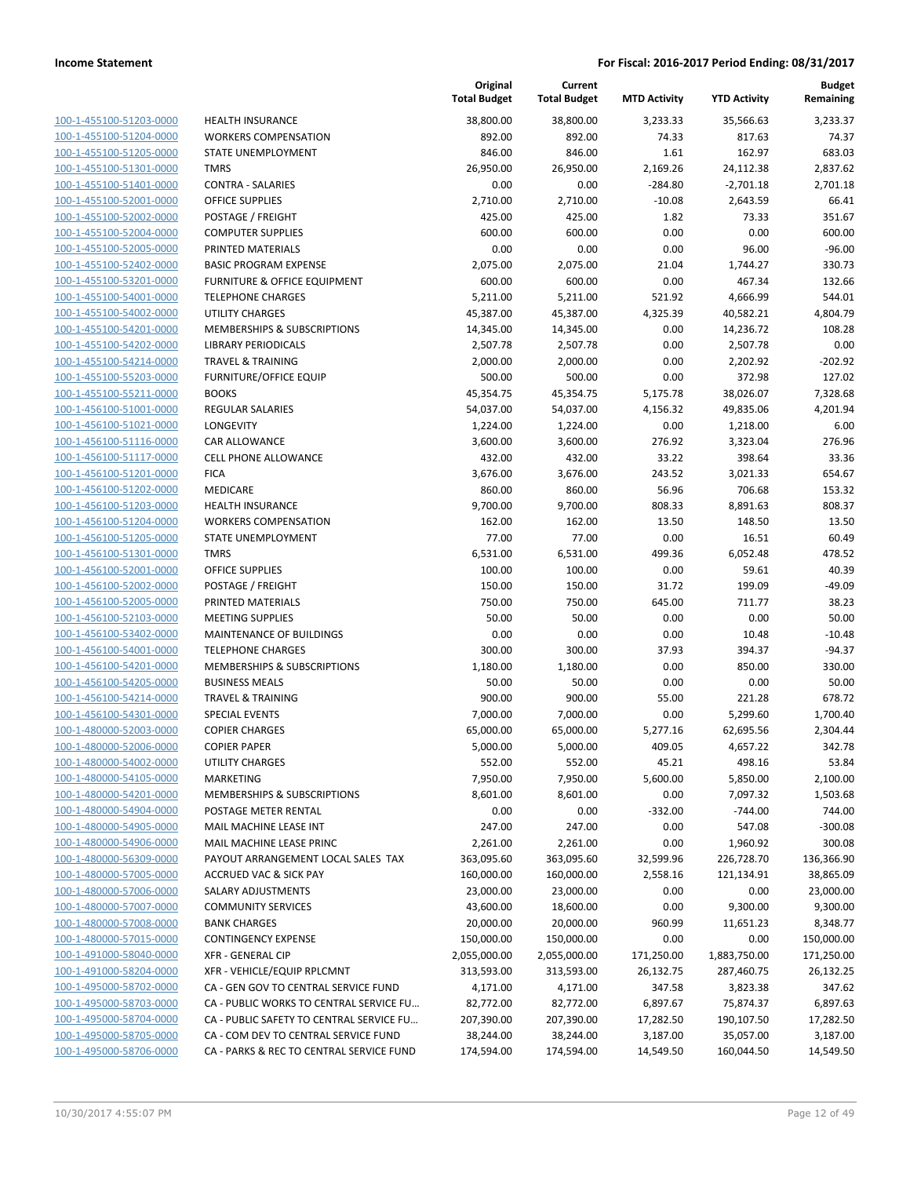| 100-1-455100-51203-0000                            |
|----------------------------------------------------|
| 100-1-455100-51204-0000                            |
| 100-1-455100-51205-0000                            |
| 100-1-455100-51301-0000                            |
| 100-1-455100-51401-0000                            |
| 100-1-455100-52001-0000                            |
| 100-1-455100-52002-0000                            |
| 100-1-455100-52004-0000                            |
| 100-1-455100-52005-0000                            |
| 100-1-455100-52402-0000                            |
| 100-1-455100-53201-0000<br>100-1-455100-54001-0000 |
|                                                    |
| 100-1-455100-54002-0000                            |
| 100-1-455100-54201-0000                            |
| 100-1-455100-54202-0000                            |
| 100-1-455100-54214-0000                            |
| 100-1-455100-55203-0000                            |
| 100-1-455100-55211-0000                            |
| 100-1-456100-51001-0000<br>100-1-456100-51021-0000 |
|                                                    |
| 100-1-456100-51116-0000                            |
| 100-1-456100-51117-0000                            |
| 100-1-456100-51201-0000                            |
| 100-1-456100-51202-0000                            |
| 100-1-456100-51203-0000                            |
| 100-1-456100-51204-0000                            |
| 100-1-456100-51205-0000                            |
| 100-1-456100-51301-0000                            |
| 100-1-456100-52001-0000                            |
| 100-1-456100-52002-0000                            |
| 100-1-456100-52005-0000                            |
| 100-1-456100-52103-0000                            |
| 100-1-456100-53402-0000                            |
| 100-1-456100-54001-0000                            |
| 100-1-456100-54201-0000                            |
| 100-1-456100-54205-0000                            |
| 100-1-456100-54214-0000                            |
| 100-1-456100-54301-0000                            |
| 100-1-480000-52003-0000                            |
| 100-1-480000-52006-0000                            |
| 100-1-480000-54002-0000                            |
| <u>100-1-480000-54105-0000</u>                     |
| 100-1-480000-54201-0000                            |
| <u>100-1-480000-54904-0000</u>                     |
| <u>100-1-480000-54905-0000</u>                     |
| <u>100-1-480000-54906-0000</u>                     |
| 100-1-480000-56309-0000                            |
| 100-1-480000-57005-0000                            |
| <u>100-1-480000-57006-0000</u>                     |
| <u>100-1-480000-57007-0000</u>                     |
| 100-1-480000-57008-0000                            |
| 100-1-480000-57015-0000                            |
| 100-1-491000-58040-0000                            |
| <u>100-1-491000-58204-0000</u>                     |
| 100-1-495000-58702-0000                            |
| <u>100-1-495000-58703-0000</u>                     |
| 100-1-495000-58704-0000                            |
| 100-1-495000-58705-0000                            |
| <u>100-1-495000-58706-0000</u>                     |

|                         |                                          | Original<br><b>Total Budget</b> | Current<br><b>Total Budget</b> | <b>MTD Activity</b> | <b>YTD Activity</b> | <b>Budget</b><br>Remaining |
|-------------------------|------------------------------------------|---------------------------------|--------------------------------|---------------------|---------------------|----------------------------|
| 100-1-455100-51203-0000 | <b>HEALTH INSURANCE</b>                  | 38,800.00                       | 38,800.00                      | 3,233.33            | 35,566.63           | 3,233.37                   |
| 100-1-455100-51204-0000 | <b>WORKERS COMPENSATION</b>              | 892.00                          | 892.00                         | 74.33               | 817.63              | 74.37                      |
| 100-1-455100-51205-0000 | STATE UNEMPLOYMENT                       | 846.00                          | 846.00                         | 1.61                | 162.97              | 683.03                     |
| 100-1-455100-51301-0000 | <b>TMRS</b>                              | 26,950.00                       | 26,950.00                      | 2,169.26            | 24,112.38           | 2,837.62                   |
| 100-1-455100-51401-0000 | <b>CONTRA - SALARIES</b>                 | 0.00                            | 0.00                           | $-284.80$           | $-2,701.18$         | 2,701.18                   |
| 100-1-455100-52001-0000 | <b>OFFICE SUPPLIES</b>                   | 2,710.00                        | 2,710.00                       | $-10.08$            | 2,643.59            | 66.41                      |
| 100-1-455100-52002-0000 | POSTAGE / FREIGHT                        | 425.00                          | 425.00                         | 1.82                | 73.33               | 351.67                     |
| 100-1-455100-52004-0000 | <b>COMPUTER SUPPLIES</b>                 | 600.00                          | 600.00                         | 0.00                | 0.00                | 600.00                     |
| 100-1-455100-52005-0000 | PRINTED MATERIALS                        | 0.00                            | 0.00                           | 0.00                | 96.00               | $-96.00$                   |
| 100-1-455100-52402-0000 | <b>BASIC PROGRAM EXPENSE</b>             | 2,075.00                        | 2,075.00                       | 21.04               | 1,744.27            | 330.73                     |
| 100-1-455100-53201-0000 | FURNITURE & OFFICE EQUIPMENT             | 600.00                          | 600.00                         | 0.00                | 467.34              | 132.66                     |
| 100-1-455100-54001-0000 | <b>TELEPHONE CHARGES</b>                 | 5,211.00                        | 5,211.00                       | 521.92              | 4,666.99            | 544.01                     |
| 100-1-455100-54002-0000 | <b>UTILITY CHARGES</b>                   | 45,387.00                       | 45,387.00                      | 4,325.39            | 40,582.21           | 4,804.79                   |
| 100-1-455100-54201-0000 | MEMBERSHIPS & SUBSCRIPTIONS              | 14,345.00                       | 14,345.00                      | 0.00                | 14,236.72           | 108.28                     |
| 100-1-455100-54202-0000 | <b>LIBRARY PERIODICALS</b>               | 2,507.78                        | 2,507.78                       | 0.00                | 2,507.78            | 0.00                       |
| 100-1-455100-54214-0000 | <b>TRAVEL &amp; TRAINING</b>             | 2,000.00                        | 2,000.00                       | 0.00                | 2,202.92            | $-202.92$                  |
| 100-1-455100-55203-0000 | <b>FURNITURE/OFFICE EQUIP</b>            | 500.00                          | 500.00                         | 0.00                | 372.98              | 127.02                     |
| 100-1-455100-55211-0000 | <b>BOOKS</b>                             | 45,354.75                       | 45,354.75                      | 5,175.78            | 38,026.07           | 7,328.68                   |
| 100-1-456100-51001-0000 | <b>REGULAR SALARIES</b>                  | 54,037.00                       | 54,037.00                      | 4,156.32            | 49,835.06           | 4,201.94                   |
| 100-1-456100-51021-0000 | LONGEVITY                                | 1,224.00                        | 1,224.00                       | 0.00                | 1,218.00            | 6.00                       |
| 100-1-456100-51116-0000 | <b>CAR ALLOWANCE</b>                     | 3,600.00                        | 3,600.00                       | 276.92              | 3,323.04            | 276.96                     |
| 100-1-456100-51117-0000 | CELL PHONE ALLOWANCE                     | 432.00                          | 432.00                         | 33.22               | 398.64              | 33.36                      |
| 100-1-456100-51201-0000 | <b>FICA</b>                              | 3,676.00                        | 3,676.00                       | 243.52              | 3,021.33            | 654.67                     |
| 100-1-456100-51202-0000 | MEDICARE                                 | 860.00                          | 860.00                         | 56.96               | 706.68              | 153.32                     |
| 100-1-456100-51203-0000 | <b>HEALTH INSURANCE</b>                  | 9,700.00                        | 9,700.00                       | 808.33              | 8,891.63            | 808.37                     |
| 100-1-456100-51204-0000 | <b>WORKERS COMPENSATION</b>              | 162.00                          | 162.00                         | 13.50               | 148.50              | 13.50                      |
| 100-1-456100-51205-0000 | STATE UNEMPLOYMENT                       | 77.00                           | 77.00                          | 0.00                | 16.51               | 60.49                      |
| 100-1-456100-51301-0000 | <b>TMRS</b>                              | 6,531.00                        | 6,531.00                       | 499.36              | 6,052.48            | 478.52                     |
| 100-1-456100-52001-0000 | <b>OFFICE SUPPLIES</b>                   | 100.00                          | 100.00                         | 0.00                | 59.61               | 40.39                      |
| 100-1-456100-52002-0000 | POSTAGE / FREIGHT                        | 150.00                          | 150.00                         | 31.72               | 199.09              | $-49.09$                   |
| 100-1-456100-52005-0000 | PRINTED MATERIALS                        | 750.00                          | 750.00                         | 645.00              | 711.77              | 38.23                      |
| 100-1-456100-52103-0000 | <b>MEETING SUPPLIES</b>                  | 50.00                           | 50.00                          | 0.00                | 0.00                | 50.00                      |
| 100-1-456100-53402-0000 | MAINTENANCE OF BUILDINGS                 | 0.00                            | 0.00                           | 0.00                | 10.48               | $-10.48$                   |
| 100-1-456100-54001-0000 | <b>TELEPHONE CHARGES</b>                 | 300.00                          | 300.00                         | 37.93               | 394.37              | $-94.37$                   |
| 100-1-456100-54201-0000 | MEMBERSHIPS & SUBSCRIPTIONS              | 1,180.00                        | 1,180.00                       | 0.00                | 850.00              | 330.00                     |
| 100-1-456100-54205-0000 | <b>BUSINESS MEALS</b>                    | 50.00                           | 50.00                          | 0.00                | 0.00                | 50.00                      |
| 100-1-456100-54214-0000 | <b>TRAVEL &amp; TRAINING</b>             | 900.00                          | 900.00                         | 55.00               | 221.28              | 678.72                     |
| 100-1-456100-54301-0000 | <b>SPECIAL EVENTS</b>                    | 7,000.00                        | 7,000.00                       | 0.00                | 5,299.60            | 1,700.40                   |
| 100-1-480000-52003-0000 | <b>COPIER CHARGES</b>                    | 65,000.00                       | 65,000.00                      | 5,277.16            | 62,695.56           | 2,304.44                   |
| 100-1-480000-52006-0000 | <b>COPIER PAPER</b>                      | 5,000.00                        | 5,000.00                       | 409.05              | 4,657.22            | 342.78                     |
| 100-1-480000-54002-0000 | UTILITY CHARGES                          | 552.00                          | 552.00                         | 45.21               | 498.16              | 53.84                      |
| 100-1-480000-54105-0000 | <b>MARKETING</b>                         | 7,950.00                        | 7,950.00                       | 5,600.00            | 5,850.00            | 2,100.00                   |
| 100-1-480000-54201-0000 | MEMBERSHIPS & SUBSCRIPTIONS              | 8,601.00                        | 8,601.00                       | 0.00                | 7,097.32            | 1,503.68                   |
| 100-1-480000-54904-0000 | POSTAGE METER RENTAL                     | 0.00                            | 0.00                           | $-332.00$           | $-744.00$           | 744.00                     |
| 100-1-480000-54905-0000 | MAIL MACHINE LEASE INT                   | 247.00                          | 247.00                         | 0.00                | 547.08              | $-300.08$                  |
| 100-1-480000-54906-0000 | MAIL MACHINE LEASE PRINC                 | 2,261.00                        | 2,261.00                       | 0.00                | 1,960.92            | 300.08                     |
| 100-1-480000-56309-0000 | PAYOUT ARRANGEMENT LOCAL SALES TAX       | 363,095.60                      | 363,095.60                     | 32,599.96           | 226,728.70          | 136,366.90                 |
| 100-1-480000-57005-0000 | <b>ACCRUED VAC &amp; SICK PAY</b>        | 160,000.00                      | 160,000.00                     | 2,558.16            | 121,134.91          | 38,865.09                  |
| 100-1-480000-57006-0000 | SALARY ADJUSTMENTS                       | 23,000.00                       | 23,000.00                      | 0.00                | 0.00                | 23,000.00                  |
| 100-1-480000-57007-0000 | <b>COMMUNITY SERVICES</b>                | 43,600.00                       | 18,600.00                      | 0.00                | 9,300.00            | 9,300.00                   |
| 100-1-480000-57008-0000 | <b>BANK CHARGES</b>                      | 20,000.00                       | 20,000.00                      | 960.99              | 11,651.23           | 8,348.77                   |
| 100-1-480000-57015-0000 | <b>CONTINGENCY EXPENSE</b>               | 150,000.00                      | 150,000.00                     | 0.00                | 0.00                | 150,000.00                 |
| 100-1-491000-58040-0000 | <b>XFR - GENERAL CIP</b>                 | 2,055,000.00                    | 2,055,000.00                   | 171,250.00          | 1,883,750.00        | 171,250.00                 |
| 100-1-491000-58204-0000 | XFR - VEHICLE/EQUIP RPLCMNT              | 313,593.00                      | 313,593.00                     | 26,132.75           | 287,460.75          | 26,132.25                  |
| 100-1-495000-58702-0000 | CA - GEN GOV TO CENTRAL SERVICE FUND     | 4,171.00                        | 4,171.00                       | 347.58              | 3,823.38            | 347.62                     |
| 100-1-495000-58703-0000 | CA - PUBLIC WORKS TO CENTRAL SERVICE FU  | 82,772.00                       | 82,772.00                      | 6,897.67            | 75,874.37           | 6,897.63                   |
| 100-1-495000-58704-0000 | CA - PUBLIC SAFETY TO CENTRAL SERVICE FU | 207,390.00                      | 207,390.00                     | 17,282.50           | 190,107.50          | 17,282.50                  |
| 100-1-495000-58705-0000 | CA - COM DEV TO CENTRAL SERVICE FUND     | 38,244.00                       | 38,244.00                      | 3,187.00            | 35,057.00           | 3,187.00                   |
| 100-1-495000-58706-0000 | CA - PARKS & REC TO CENTRAL SERVICE FUND | 174,594.00                      | 174,594.00                     | 14,549.50           | 160,044.50          | 14,549.50                  |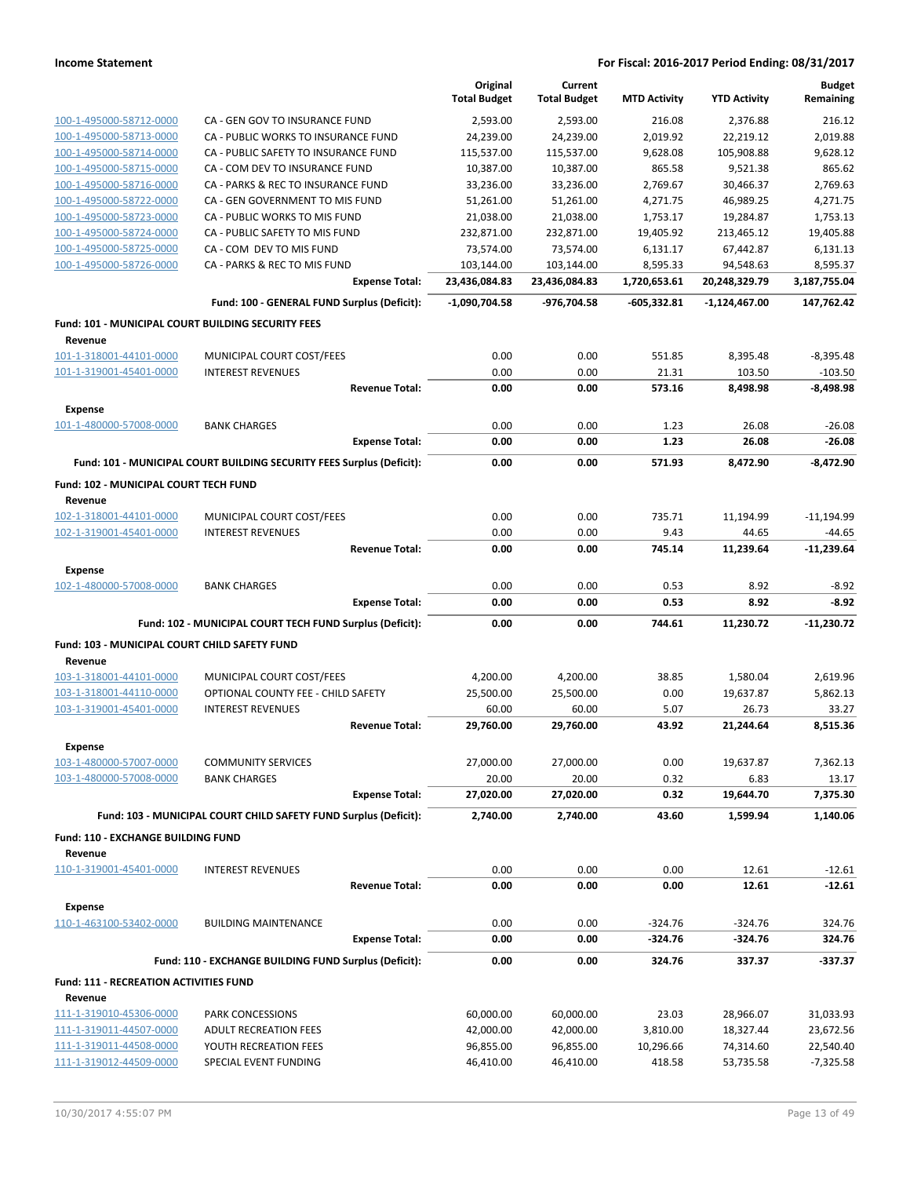|                                                          |                                                                       | Original<br><b>Total Budget</b> | Current<br><b>Total Budget</b> | <b>MTD Activity</b> | <b>YTD Activity</b> | <b>Budget</b><br>Remaining |
|----------------------------------------------------------|-----------------------------------------------------------------------|---------------------------------|--------------------------------|---------------------|---------------------|----------------------------|
| 100-1-495000-58712-0000                                  | CA - GEN GOV TO INSURANCE FUND                                        | 2,593.00                        | 2.593.00                       | 216.08              | 2,376.88            | 216.12                     |
| 100-1-495000-58713-0000                                  | CA - PUBLIC WORKS TO INSURANCE FUND                                   | 24,239.00                       | 24,239.00                      | 2,019.92            | 22,219.12           | 2,019.88                   |
| 100-1-495000-58714-0000                                  | CA - PUBLIC SAFETY TO INSURANCE FUND                                  | 115,537.00                      | 115,537.00                     | 9,628.08            | 105,908.88          | 9,628.12                   |
| 100-1-495000-58715-0000                                  | CA - COM DEV TO INSURANCE FUND                                        | 10,387.00                       | 10,387.00                      | 865.58              | 9,521.38            | 865.62                     |
| 100-1-495000-58716-0000                                  | CA - PARKS & REC TO INSURANCE FUND                                    | 33,236.00                       | 33,236.00                      | 2,769.67            | 30,466.37           | 2,769.63                   |
| 100-1-495000-58722-0000                                  | CA - GEN GOVERNMENT TO MIS FUND                                       | 51,261.00                       | 51,261.00                      | 4,271.75            | 46,989.25           | 4,271.75                   |
| 100-1-495000-58723-0000                                  | CA - PUBLIC WORKS TO MIS FUND                                         | 21,038.00                       | 21,038.00                      | 1,753.17            | 19,284.87           | 1,753.13                   |
| 100-1-495000-58724-0000                                  | CA - PUBLIC SAFETY TO MIS FUND                                        | 232,871.00                      | 232,871.00                     | 19,405.92           | 213,465.12          | 19,405.88                  |
| 100-1-495000-58725-0000                                  | CA - COM DEV TO MIS FUND                                              | 73,574.00                       | 73,574.00                      | 6,131.17            | 67,442.87           | 6,131.13                   |
| 100-1-495000-58726-0000                                  | CA - PARKS & REC TO MIS FUND                                          | 103,144.00                      | 103,144.00                     | 8,595.33            | 94,548.63           | 8,595.37                   |
|                                                          | <b>Expense Total:</b>                                                 | 23,436,084.83                   | 23,436,084.83                  | 1,720,653.61        | 20,248,329.79       | 3,187,755.04               |
|                                                          | Fund: 100 - GENERAL FUND Surplus (Deficit):                           | $-1,090,704.58$                 | -976,704.58                    | $-605,332.81$       | -1,124,467.00       | 147,762.42                 |
| Fund: 101 - MUNICIPAL COURT BUILDING SECURITY FEES       |                                                                       |                                 |                                |                     |                     |                            |
| Revenue                                                  |                                                                       |                                 |                                |                     |                     |                            |
| 101-1-318001-44101-0000                                  | MUNICIPAL COURT COST/FEES                                             | 0.00                            | 0.00                           | 551.85              | 8,395.48            | $-8,395.48$                |
| 101-1-319001-45401-0000                                  | <b>INTEREST REVENUES</b>                                              | 0.00                            | 0.00                           | 21.31               | 103.50              | $-103.50$                  |
|                                                          | <b>Revenue Total:</b>                                                 | 0.00                            | 0.00                           | 573.16              | 8,498.98            | $-8,498.98$                |
| <b>Expense</b><br>101-1-480000-57008-0000                | <b>BANK CHARGES</b>                                                   | 0.00                            | 0.00                           | 1.23                | 26.08               | $-26.08$                   |
|                                                          | <b>Expense Total:</b>                                                 | 0.00                            | 0.00                           | 1.23                | 26.08               | $-26.08$                   |
|                                                          | Fund: 101 - MUNICIPAL COURT BUILDING SECURITY FEES Surplus (Deficit): | 0.00                            | 0.00                           | 571.93              | 8,472.90            | $-8,472.90$                |
| Fund: 102 - MUNICIPAL COURT TECH FUND                    |                                                                       |                                 |                                |                     |                     |                            |
| Revenue                                                  |                                                                       |                                 |                                |                     |                     |                            |
| 102-1-318001-44101-0000                                  | MUNICIPAL COURT COST/FEES                                             | 0.00                            | 0.00                           | 735.71              | 11,194.99           | $-11,194.99$               |
| 102-1-319001-45401-0000                                  | <b>INTEREST REVENUES</b>                                              | 0.00                            | 0.00                           | 9.43                | 44.65               | $-44.65$                   |
|                                                          | <b>Revenue Total:</b>                                                 | 0.00                            | 0.00                           | 745.14              | 11,239.64           | $-11,239.64$               |
| <b>Expense</b>                                           |                                                                       |                                 |                                |                     |                     |                            |
|                                                          |                                                                       |                                 |                                |                     | 8.92                |                            |
| 102-1-480000-57008-0000                                  | <b>BANK CHARGES</b>                                                   | 0.00                            | 0.00                           | 0.53                |                     | $-8.92$                    |
|                                                          | <b>Expense Total:</b>                                                 | 0.00                            | 0.00                           | 0.53                | 8.92                | $-8.92$                    |
|                                                          | Fund: 102 - MUNICIPAL COURT TECH FUND Surplus (Deficit):              | 0.00                            | 0.00                           | 744.61              | 11,230.72           | $-11,230.72$               |
| Fund: 103 - MUNICIPAL COURT CHILD SAFETY FUND            |                                                                       |                                 |                                |                     |                     |                            |
| Revenue                                                  |                                                                       |                                 |                                |                     |                     |                            |
| 103-1-318001-44101-0000                                  | MUNICIPAL COURT COST/FEES                                             | 4,200.00                        | 4,200.00                       | 38.85               | 1,580.04            | 2,619.96                   |
| 103-1-318001-44110-0000                                  | OPTIONAL COUNTY FEE - CHILD SAFETY                                    | 25,500.00                       | 25,500.00                      | 0.00                | 19,637.87           | 5,862.13                   |
| 103-1-319001-45401-0000                                  | <b>INTEREST REVENUES</b>                                              | 60.00                           | 60.00                          | 5.07                | 26.73               | 33.27                      |
|                                                          | <b>Revenue Total:</b>                                                 | 29,760.00                       | 29,760.00                      | 43.92               | 21,244.64           | 8,515.36                   |
| <b>Expense</b>                                           |                                                                       |                                 |                                |                     |                     |                            |
| 103-1-480000-57007-0000                                  | <b>COMMUNITY SERVICES</b>                                             | 27,000.00                       | 27,000.00                      | 0.00                | 19,637.87           | 7,362.13                   |
| 103-1-480000-57008-0000                                  | <b>BANK CHARGES</b>                                                   | 20.00                           | 20.00                          | 0.32                | 6.83                | 13.17                      |
|                                                          | <b>Expense Total:</b>                                                 | 27,020.00                       | 27,020.00                      | 0.32                | 19,644.70           | 7,375.30                   |
|                                                          | Fund: 103 - MUNICIPAL COURT CHILD SAFETY FUND Surplus (Deficit):      | 2,740.00                        | 2,740.00                       | 43.60               | 1.599.94            | 1,140.06                   |
| Fund: 110 - EXCHANGE BUILDING FUND                       |                                                                       |                                 |                                |                     |                     |                            |
| Revenue                                                  |                                                                       |                                 |                                |                     |                     |                            |
| 110-1-319001-45401-0000                                  | <b>INTEREST REVENUES</b><br><b>Revenue Total:</b>                     | 0.00<br>0.00                    | 0.00<br>0.00                   | 0.00<br>0.00        | 12.61<br>12.61      | $-12.61$<br>$-12.61$       |
| <b>Expense</b>                                           |                                                                       |                                 |                                |                     |                     |                            |
| 110-1-463100-53402-0000                                  | <b>BUILDING MAINTENANCE</b>                                           | 0.00                            | 0.00                           | $-324.76$           | $-324.76$           | 324.76                     |
|                                                          | <b>Expense Total:</b>                                                 | 0.00                            | 0.00                           | $-324.76$           | $-324.76$           | 324.76                     |
|                                                          | Fund: 110 - EXCHANGE BUILDING FUND Surplus (Deficit):                 | 0.00                            | 0.00                           | 324.76              | 337.37              | -337.37                    |
|                                                          |                                                                       |                                 |                                |                     |                     |                            |
| <b>Fund: 111 - RECREATION ACTIVITIES FUND</b><br>Revenue |                                                                       |                                 |                                |                     |                     |                            |
| 111-1-319010-45306-0000                                  | PARK CONCESSIONS                                                      | 60,000.00                       | 60,000.00                      | 23.03               | 28,966.07           | 31,033.93                  |
| 111-1-319011-44507-0000                                  | <b>ADULT RECREATION FEES</b>                                          | 42,000.00                       | 42,000.00                      | 3,810.00            | 18,327.44           | 23,672.56                  |
| 111-1-319011-44508-0000                                  | YOUTH RECREATION FEES                                                 | 96,855.00                       | 96,855.00                      | 10,296.66           | 74,314.60           | 22,540.40                  |
| 111-1-319012-44509-0000                                  | SPECIAL EVENT FUNDING                                                 | 46,410.00                       | 46,410.00                      | 418.58              | 53,735.58           | $-7,325.58$                |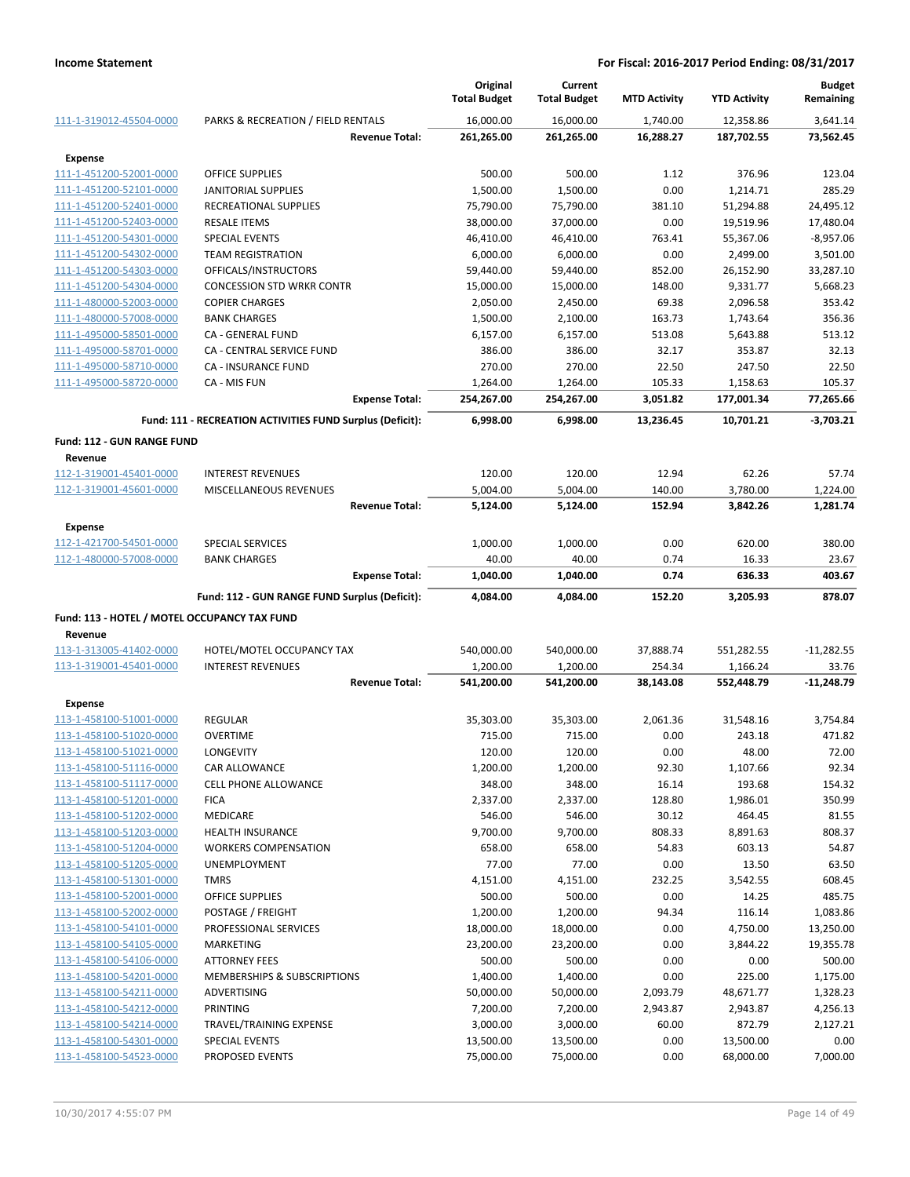|                                                         |                                                           | Original              | Current               |                      |                       | <b>Budget</b>           |
|---------------------------------------------------------|-----------------------------------------------------------|-----------------------|-----------------------|----------------------|-----------------------|-------------------------|
|                                                         |                                                           | <b>Total Budget</b>   | <b>Total Budget</b>   | <b>MTD Activity</b>  | <b>YTD Activity</b>   | Remaining               |
| 111-1-319012-45504-0000                                 | PARKS & RECREATION / FIELD RENTALS                        | 16,000.00             | 16,000.00             | 1,740.00             | 12,358.86             | 3,641.14                |
|                                                         | <b>Revenue Total:</b>                                     | 261,265.00            | 261,265.00            | 16,288.27            | 187,702.55            | 73,562.45               |
| <b>Expense</b>                                          |                                                           |                       |                       |                      |                       |                         |
| 111-1-451200-52001-0000                                 | <b>OFFICE SUPPLIES</b>                                    | 500.00                | 500.00                | 1.12                 | 376.96                | 123.04                  |
| 111-1-451200-52101-0000                                 | <b>JANITORIAL SUPPLIES</b>                                | 1,500.00              | 1,500.00              | 0.00                 | 1,214.71              | 285.29                  |
| 111-1-451200-52401-0000                                 | RECREATIONAL SUPPLIES                                     | 75,790.00             | 75,790.00             | 381.10               | 51,294.88             | 24,495.12               |
| 111-1-451200-52403-0000                                 | <b>RESALE ITEMS</b>                                       | 38,000.00             | 37,000.00             | 0.00                 | 19,519.96             | 17,480.04               |
| 111-1-451200-54301-0000<br>111-1-451200-54302-0000      | <b>SPECIAL EVENTS</b>                                     | 46,410.00<br>6,000.00 | 46,410.00<br>6,000.00 | 763.41<br>0.00       | 55,367.06<br>2,499.00 | $-8,957.06$<br>3,501.00 |
| 111-1-451200-54303-0000                                 | <b>TEAM REGISTRATION</b><br>OFFICALS/INSTRUCTORS          | 59,440.00             | 59,440.00             | 852.00               | 26,152.90             | 33,287.10               |
| 111-1-451200-54304-0000                                 | <b>CONCESSION STD WRKR CONTR</b>                          | 15,000.00             | 15,000.00             | 148.00               | 9,331.77              | 5,668.23                |
| 111-1-480000-52003-0000                                 | <b>COPIER CHARGES</b>                                     | 2,050.00              | 2,450.00              | 69.38                | 2,096.58              | 353.42                  |
| 111-1-480000-57008-0000                                 | <b>BANK CHARGES</b>                                       | 1,500.00              | 2,100.00              | 163.73               | 1,743.64              | 356.36                  |
| 111-1-495000-58501-0000                                 | CA - GENERAL FUND                                         | 6,157.00              | 6,157.00              | 513.08               | 5,643.88              | 513.12                  |
| 111-1-495000-58701-0000                                 | CA - CENTRAL SERVICE FUND                                 | 386.00                | 386.00                | 32.17                | 353.87                | 32.13                   |
| 111-1-495000-58710-0000                                 | CA - INSURANCE FUND                                       | 270.00                | 270.00                | 22.50                | 247.50                | 22.50                   |
| 111-1-495000-58720-0000                                 | CA - MIS FUN                                              | 1,264.00              | 1,264.00              | 105.33               | 1,158.63              | 105.37                  |
|                                                         | <b>Expense Total:</b>                                     | 254,267.00            | 254,267.00            | 3,051.82             | 177,001.34            | 77,265.66               |
|                                                         | Fund: 111 - RECREATION ACTIVITIES FUND Surplus (Deficit): | 6,998.00              | 6,998.00              | 13,236.45            | 10,701.21             | $-3,703.21$             |
| <b>Fund: 112 - GUN RANGE FUND</b>                       |                                                           |                       |                       |                      |                       |                         |
| Revenue                                                 |                                                           |                       |                       |                      |                       |                         |
| 112-1-319001-45401-0000                                 | <b>INTEREST REVENUES</b>                                  | 120.00                | 120.00                | 12.94                | 62.26                 | 57.74                   |
| 112-1-319001-45601-0000                                 | MISCELLANEOUS REVENUES                                    | 5,004.00              | 5,004.00              | 140.00               | 3,780.00              | 1,224.00                |
|                                                         | <b>Revenue Total:</b>                                     | 5,124.00              | 5,124.00              | 152.94               | 3,842.26              | 1,281.74                |
| <b>Expense</b>                                          |                                                           |                       |                       |                      |                       |                         |
| 112-1-421700-54501-0000                                 | <b>SPECIAL SERVICES</b>                                   | 1,000.00              | 1,000.00              | 0.00                 | 620.00                | 380.00                  |
| 112-1-480000-57008-0000                                 | <b>BANK CHARGES</b>                                       | 40.00                 | 40.00                 | 0.74                 | 16.33                 | 23.67                   |
|                                                         | <b>Expense Total:</b>                                     | 1,040.00              | 1,040.00              | 0.74                 | 636.33                | 403.67                  |
|                                                         | Fund: 112 - GUN RANGE FUND Surplus (Deficit):             | 4,084.00              | 4,084.00              | 152.20               | 3,205.93              | 878.07                  |
|                                                         |                                                           |                       |                       |                      |                       |                         |
| Fund: 113 - HOTEL / MOTEL OCCUPANCY TAX FUND<br>Revenue |                                                           |                       |                       |                      |                       |                         |
| 113-1-313005-41402-0000                                 | HOTEL/MOTEL OCCUPANCY TAX                                 | 540,000.00            | 540,000.00            | 37,888.74            | 551,282.55            | $-11,282.55$            |
| 113-1-319001-45401-0000                                 | <b>INTEREST REVENUES</b>                                  | 1,200.00              | 1,200.00              | 254.34               | 1,166.24              | 33.76                   |
|                                                         | <b>Revenue Total:</b>                                     | 541,200.00            | 541,200.00            | 38,143.08            | 552,448.79            | $-11,248.79$            |
| <b>Expense</b>                                          |                                                           |                       |                       |                      |                       |                         |
| 113-1-458100-51001-0000                                 | <b>REGULAR</b>                                            | 35,303.00             | 35,303.00             | 2,061.36             | 31,548.16             | 3,754.84                |
| 113-1-458100-51020-0000                                 | <b>OVERTIME</b>                                           | 715.00                | 715.00                | 0.00                 | 243.18                | 471.82                  |
| 113-1-458100-51021-0000                                 | LONGEVITY                                                 | 120.00                | 120.00                | 0.00                 | 48.00                 | 72.00                   |
| 113-1-458100-51116-0000                                 | <b>CAR ALLOWANCE</b>                                      | 1,200.00              | 1,200.00              | 92.30                | 1,107.66              | 92.34                   |
| 113-1-458100-51117-0000                                 | <b>CELL PHONE ALLOWANCE</b>                               | 348.00                | 348.00                | 16.14                | 193.68                | 154.32                  |
| 113-1-458100-51201-0000                                 | <b>FICA</b>                                               | 2,337.00              | 2,337.00              | 128.80               | 1,986.01              | 350.99                  |
| 113-1-458100-51202-0000                                 | MEDICARE                                                  | 546.00                | 546.00                | 30.12                | 464.45                | 81.55                   |
| 113-1-458100-51203-0000                                 | <b>HEALTH INSURANCE</b>                                   | 9,700.00              | 9,700.00              | 808.33               | 8,891.63              | 808.37                  |
| 113-1-458100-51204-0000                                 | <b>WORKERS COMPENSATION</b>                               | 658.00                | 658.00                | 54.83                | 603.13                | 54.87                   |
| 113-1-458100-51205-0000                                 | <b>UNEMPLOYMENT</b>                                       | 77.00                 | 77.00                 | 0.00                 | 13.50                 | 63.50                   |
| 113-1-458100-51301-0000                                 | <b>TMRS</b>                                               | 4,151.00              | 4,151.00              | 232.25               | 3,542.55              | 608.45                  |
| 113-1-458100-52001-0000                                 | OFFICE SUPPLIES                                           | 500.00                | 500.00                | 0.00                 | 14.25                 | 485.75                  |
| 113-1-458100-52002-0000                                 | POSTAGE / FREIGHT                                         | 1,200.00              | 1,200.00              | 94.34                | 116.14                | 1,083.86                |
| 113-1-458100-54101-0000                                 | PROFESSIONAL SERVICES                                     | 18,000.00             | 18,000.00             | 0.00                 | 4,750.00              | 13,250.00               |
| 113-1-458100-54105-0000                                 | <b>MARKETING</b>                                          | 23,200.00             | 23,200.00             | 0.00                 | 3,844.22              | 19,355.78               |
| 113-1-458100-54106-0000                                 | ATTORNEY FEES                                             | 500.00                | 500.00                | 0.00                 | 0.00                  | 500.00                  |
| 113-1-458100-54201-0000                                 | MEMBERSHIPS & SUBSCRIPTIONS                               | 1,400.00              | 1,400.00              | 0.00                 | 225.00                | 1,175.00                |
| 113-1-458100-54211-0000<br>113-1-458100-54212-0000      | ADVERTISING<br><b>PRINTING</b>                            | 50,000.00<br>7,200.00 | 50,000.00<br>7,200.00 | 2,093.79<br>2,943.87 | 48,671.77<br>2,943.87 | 1,328.23<br>4,256.13    |
| 113-1-458100-54214-0000                                 | TRAVEL/TRAINING EXPENSE                                   | 3,000.00              | 3,000.00              | 60.00                | 872.79                | 2,127.21                |
| 113-1-458100-54301-0000                                 | <b>SPECIAL EVENTS</b>                                     | 13,500.00             | 13,500.00             | 0.00                 | 13,500.00             | 0.00                    |
| 113-1-458100-54523-0000                                 | PROPOSED EVENTS                                           | 75,000.00             | 75,000.00             | 0.00                 | 68,000.00             | 7,000.00                |
|                                                         |                                                           |                       |                       |                      |                       |                         |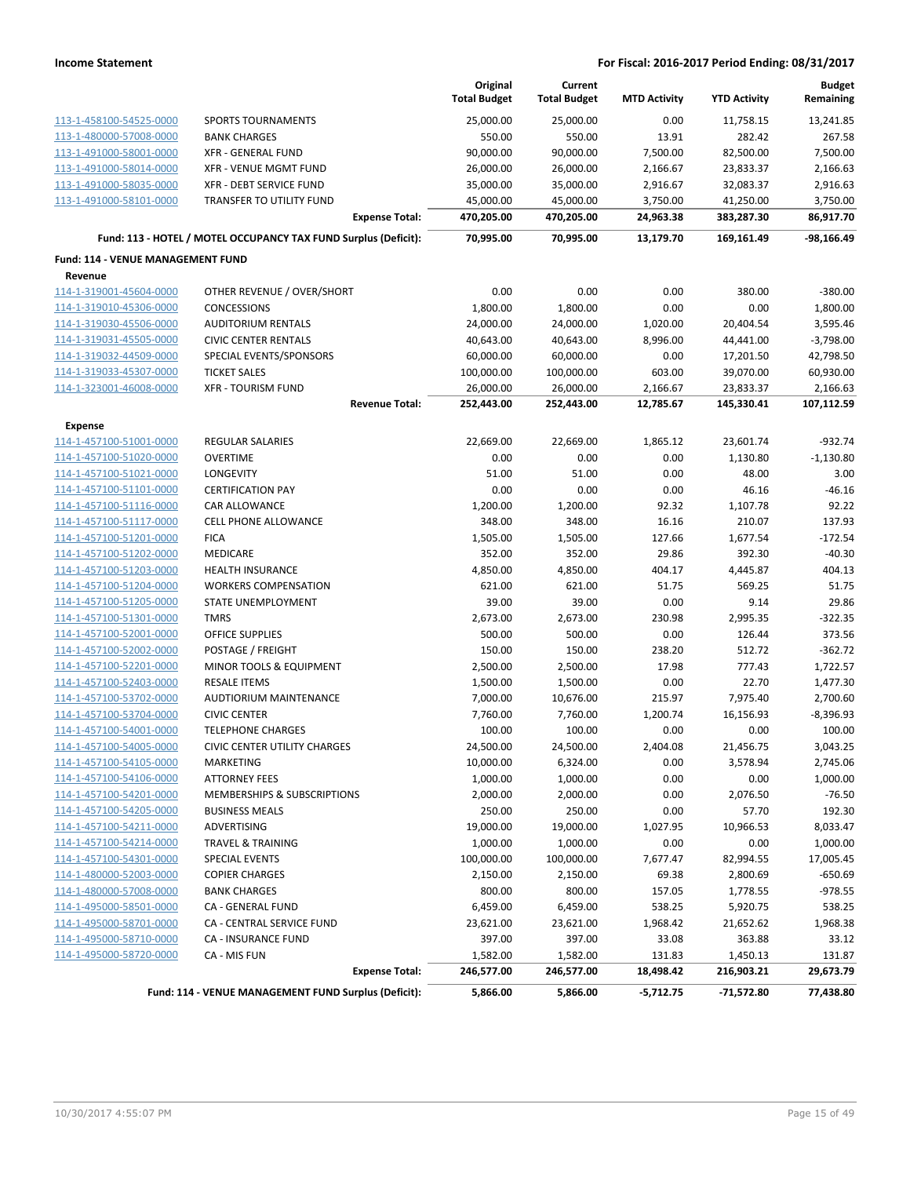|                                          |                                                                 | Original<br><b>Total Budget</b> | Current<br><b>Total Budget</b> | <b>MTD Activity</b> | <b>YTD Activity</b> | <b>Budget</b><br>Remaining |
|------------------------------------------|-----------------------------------------------------------------|---------------------------------|--------------------------------|---------------------|---------------------|----------------------------|
| 113-1-458100-54525-0000                  | <b>SPORTS TOURNAMENTS</b>                                       | 25,000.00                       | 25,000.00                      | 0.00                | 11,758.15           | 13,241.85                  |
| 113-1-480000-57008-0000                  | <b>BANK CHARGES</b>                                             | 550.00                          | 550.00                         | 13.91               | 282.42              | 267.58                     |
| 113-1-491000-58001-0000                  | <b>XFR - GENERAL FUND</b>                                       | 90,000.00                       | 90,000.00                      | 7,500.00            | 82,500.00           | 7,500.00                   |
| 113-1-491000-58014-0000                  | <b>XFR - VENUE MGMT FUND</b>                                    | 26,000.00                       | 26,000.00                      | 2,166.67            | 23,833.37           | 2,166.63                   |
| 113-1-491000-58035-0000                  | XFR - DEBT SERVICE FUND                                         | 35,000.00                       | 35,000.00                      | 2,916.67            | 32,083.37           | 2,916.63                   |
| 113-1-491000-58101-0000                  | TRANSFER TO UTILITY FUND                                        | 45,000.00                       | 45,000.00                      | 3,750.00            | 41,250.00           | 3,750.00                   |
|                                          | <b>Expense Total:</b>                                           | 470,205.00                      | 470,205.00                     | 24,963.38           | 383,287.30          | 86,917.70                  |
|                                          | Fund: 113 - HOTEL / MOTEL OCCUPANCY TAX FUND Surplus (Deficit): | 70,995.00                       | 70,995.00                      | 13,179.70           | 169,161.49          | -98,166.49                 |
| <b>Fund: 114 - VENUE MANAGEMENT FUND</b> |                                                                 |                                 |                                |                     |                     |                            |
| Revenue                                  |                                                                 |                                 |                                |                     |                     |                            |
| 114-1-319001-45604-0000                  | OTHER REVENUE / OVER/SHORT                                      | 0.00                            | 0.00                           | 0.00                | 380.00              | $-380.00$                  |
| 114-1-319010-45306-0000                  | <b>CONCESSIONS</b>                                              | 1,800.00                        | 1,800.00                       | 0.00                | 0.00                | 1,800.00                   |
| 114-1-319030-45506-0000                  | <b>AUDITORIUM RENTALS</b>                                       | 24,000.00                       | 24,000.00                      | 1,020.00            | 20,404.54           | 3,595.46                   |
| 114-1-319031-45505-0000                  | <b>CIVIC CENTER RENTALS</b>                                     | 40,643.00                       | 40,643.00                      | 8,996.00            | 44,441.00           | $-3,798.00$                |
| 114-1-319032-44509-0000                  | SPECIAL EVENTS/SPONSORS                                         | 60,000.00                       | 60,000.00                      | 0.00                | 17,201.50           | 42,798.50                  |
| 114-1-319033-45307-0000                  | <b>TICKET SALES</b>                                             | 100,000.00                      | 100,000.00                     | 603.00              | 39,070.00           | 60,930.00                  |
| 114-1-323001-46008-0000                  | <b>XFR - TOURISM FUND</b>                                       | 26,000.00                       | 26,000.00                      | 2,166.67            | 23,833.37           | 2,166.63                   |
|                                          | <b>Revenue Total:</b>                                           | 252,443.00                      | 252,443.00                     | 12,785.67           | 145,330.41          | 107,112.59                 |
| <b>Expense</b>                           |                                                                 |                                 |                                |                     |                     |                            |
| 114-1-457100-51001-0000                  | <b>REGULAR SALARIES</b>                                         | 22,669.00                       | 22,669.00                      | 1,865.12            | 23,601.74           | $-932.74$                  |
| 114-1-457100-51020-0000                  | <b>OVERTIME</b>                                                 | 0.00                            | 0.00                           | 0.00                | 1,130.80            | $-1,130.80$                |
| 114-1-457100-51021-0000                  | LONGEVITY                                                       | 51.00                           | 51.00                          | 0.00                | 48.00               | 3.00                       |
| 114-1-457100-51101-0000                  | <b>CERTIFICATION PAY</b>                                        | 0.00                            | 0.00                           | 0.00                | 46.16               | $-46.16$                   |
| 114-1-457100-51116-0000                  | CAR ALLOWANCE                                                   | 1,200.00                        | 1,200.00                       | 92.32               | 1,107.78            | 92.22                      |
| 114-1-457100-51117-0000                  | <b>CELL PHONE ALLOWANCE</b>                                     | 348.00                          | 348.00                         | 16.16               | 210.07              | 137.93                     |
| 114-1-457100-51201-0000                  | <b>FICA</b>                                                     | 1,505.00                        | 1,505.00                       | 127.66              | 1,677.54            | $-172.54$                  |
| 114-1-457100-51202-0000                  | MEDICARE                                                        | 352.00                          | 352.00                         | 29.86               | 392.30              | $-40.30$                   |
| 114-1-457100-51203-0000                  | <b>HEALTH INSURANCE</b>                                         | 4,850.00                        | 4,850.00                       | 404.17              | 4,445.87            | 404.13                     |
| 114-1-457100-51204-0000                  | <b>WORKERS COMPENSATION</b>                                     | 621.00                          | 621.00                         | 51.75               | 569.25              | 51.75                      |
| 114-1-457100-51205-0000                  | STATE UNEMPLOYMENT                                              | 39.00                           | 39.00                          | 0.00                | 9.14                | 29.86                      |
| 114-1-457100-51301-0000                  | <b>TMRS</b>                                                     | 2,673.00                        | 2,673.00                       | 230.98              | 2,995.35            | $-322.35$                  |
| 114-1-457100-52001-0000                  | <b>OFFICE SUPPLIES</b>                                          | 500.00                          | 500.00                         | 0.00                | 126.44              | 373.56                     |
| 114-1-457100-52002-0000                  | POSTAGE / FREIGHT                                               | 150.00                          | 150.00                         | 238.20              | 512.72              | $-362.72$                  |
| 114-1-457100-52201-0000                  | MINOR TOOLS & EQUIPMENT                                         | 2,500.00                        | 2,500.00                       | 17.98               | 777.43              | 1,722.57                   |
| 114-1-457100-52403-0000                  | <b>RESALE ITEMS</b>                                             | 1,500.00                        | 1,500.00                       | 0.00                | 22.70               | 1,477.30                   |
| 114-1-457100-53702-0000                  | <b>AUDTIORIUM MAINTENANCE</b>                                   | 7,000.00                        | 10,676.00                      | 215.97              | 7,975.40            | 2,700.60                   |
| 114-1-457100-53704-0000                  | <b>CIVIC CENTER</b>                                             | 7,760.00                        | 7,760.00                       | 1,200.74            | 16,156.93           | $-8,396.93$                |
| 114-1-457100-54001-0000                  | <b>TELEPHONE CHARGES</b>                                        | 100.00                          | 100.00                         | 0.00                | 0.00                | 100.00                     |
| 114-1-457100-54005-0000                  | CIVIC CENTER UTILITY CHARGES                                    | 24,500.00                       | 24,500.00                      | 2,404.08            | 21,456.75           | 3,043.25                   |
| 114-1-457100-54105-0000                  | MARKETING                                                       | 10,000.00                       | 6,324.00                       | 0.00                | 3,578.94            | 2,745.06                   |
| 114-1-457100-54106-0000                  | <b>ATTORNEY FEES</b>                                            | 1,000.00                        | 1,000.00                       | 0.00                | 0.00                | 1,000.00                   |
| 114-1-457100-54201-0000                  | MEMBERSHIPS & SUBSCRIPTIONS                                     | 2,000.00                        | 2,000.00                       | 0.00                | 2,076.50            | $-76.50$                   |
| 114-1-457100-54205-0000                  | <b>BUSINESS MEALS</b>                                           | 250.00                          | 250.00                         | 0.00                | 57.70               | 192.30                     |
| 114-1-457100-54211-0000                  | ADVERTISING                                                     | 19,000.00                       | 19,000.00                      | 1,027.95            | 10,966.53           | 8,033.47                   |
| 114-1-457100-54214-0000                  | <b>TRAVEL &amp; TRAINING</b>                                    | 1,000.00                        | 1,000.00                       | 0.00                | 0.00                | 1,000.00                   |
| 114-1-457100-54301-0000                  | <b>SPECIAL EVENTS</b>                                           | 100,000.00                      | 100,000.00                     | 7,677.47            | 82,994.55           | 17,005.45                  |
| 114-1-480000-52003-0000                  | <b>COPIER CHARGES</b>                                           | 2,150.00                        | 2,150.00                       | 69.38               | 2,800.69            | $-650.69$                  |
| 114-1-480000-57008-0000                  | <b>BANK CHARGES</b>                                             | 800.00                          | 800.00                         | 157.05              | 1,778.55            | $-978.55$                  |
| 114-1-495000-58501-0000                  | CA - GENERAL FUND                                               | 6,459.00                        | 6,459.00                       | 538.25              | 5,920.75            | 538.25                     |
| 114-1-495000-58701-0000                  | CA - CENTRAL SERVICE FUND                                       | 23,621.00                       | 23,621.00                      | 1,968.42            | 21,652.62           | 1,968.38                   |
| 114-1-495000-58710-0000                  | CA - INSURANCE FUND                                             | 397.00                          | 397.00                         | 33.08               | 363.88              | 33.12                      |
| 114-1-495000-58720-0000                  | CA - MIS FUN                                                    | 1,582.00                        | 1,582.00                       | 131.83              | 1,450.13            | 131.87                     |
|                                          | <b>Expense Total:</b>                                           | 246,577.00                      | 246,577.00                     | 18,498.42           | 216,903.21          | 29,673.79                  |
|                                          | Fund: 114 - VENUE MANAGEMENT FUND Surplus (Deficit):            | 5,866.00                        | 5,866.00                       | $-5,712.75$         | $-71,572.80$        | 77,438.80                  |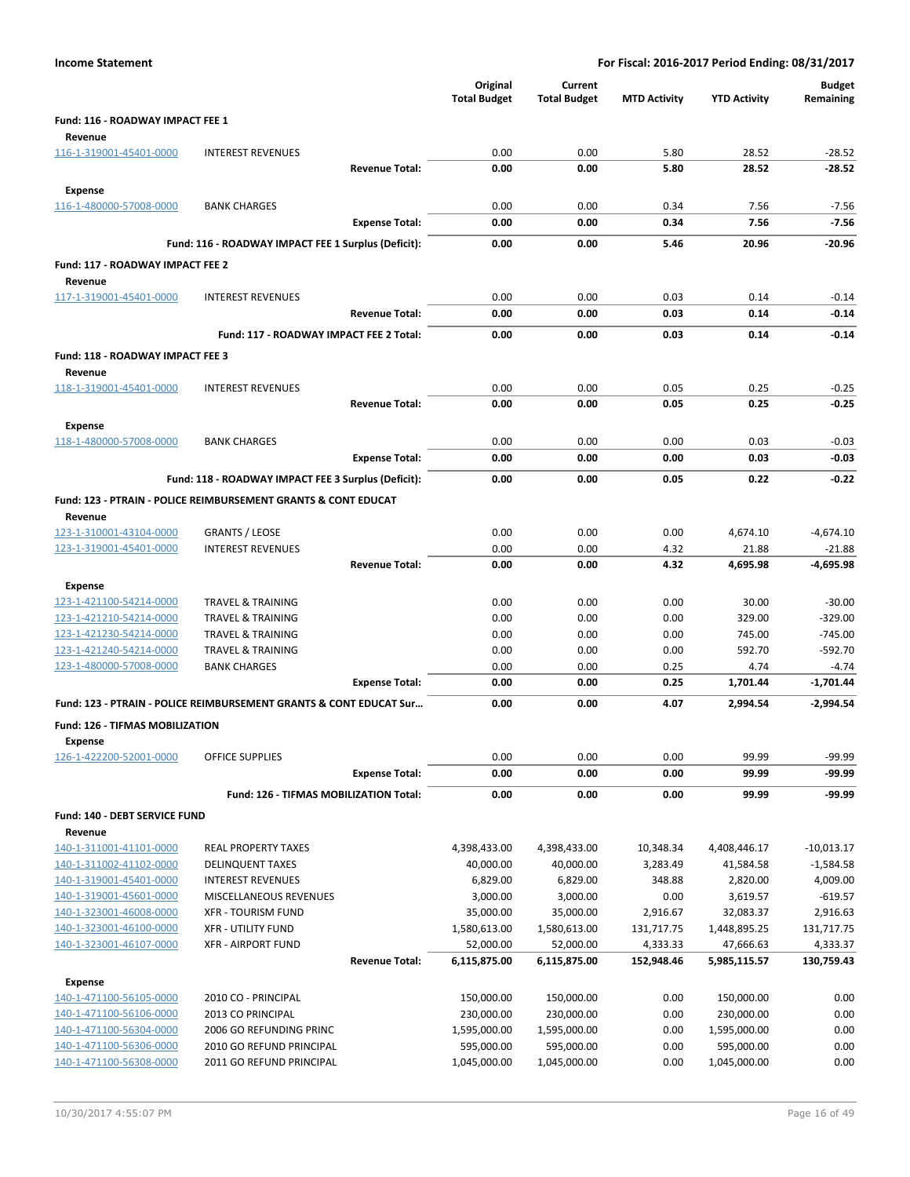| <b>Income Statement</b>                            |                                                                           |                       | For Fiscal: 2016-2017 Period Ending: 08/31/2017 |                                |                     |                      |                            |  |
|----------------------------------------------------|---------------------------------------------------------------------------|-----------------------|-------------------------------------------------|--------------------------------|---------------------|----------------------|----------------------------|--|
|                                                    |                                                                           |                       | Original<br><b>Total Budget</b>                 | Current<br><b>Total Budget</b> | <b>MTD Activity</b> | <b>YTD Activity</b>  | <b>Budget</b><br>Remaining |  |
| Fund: 116 - ROADWAY IMPACT FEE 1<br>Revenue        |                                                                           |                       |                                                 |                                |                     |                      |                            |  |
| 116-1-319001-45401-0000                            | <b>INTEREST REVENUES</b>                                                  |                       | 0.00                                            | 0.00                           | 5.80                | 28.52                | $-28.52$                   |  |
|                                                    |                                                                           | <b>Revenue Total:</b> | 0.00                                            | 0.00                           | 5.80                | 28.52                | -28.52                     |  |
| <b>Expense</b>                                     |                                                                           |                       |                                                 |                                |                     |                      |                            |  |
| 116-1-480000-57008-0000                            | <b>BANK CHARGES</b>                                                       |                       | 0.00                                            | 0.00                           | 0.34                | 7.56                 | $-7.56$                    |  |
|                                                    |                                                                           | <b>Expense Total:</b> | 0.00                                            | 0.00                           | 0.34                | 7.56                 | $-7.56$                    |  |
|                                                    | Fund: 116 - ROADWAY IMPACT FEE 1 Surplus (Deficit):                       |                       | 0.00                                            | 0.00                           | 5.46                | 20.96                | $-20.96$                   |  |
| Fund: 117 - ROADWAY IMPACT FEE 2<br>Revenue        |                                                                           |                       |                                                 |                                |                     |                      |                            |  |
| 117-1-319001-45401-0000                            | <b>INTEREST REVENUES</b>                                                  |                       | 0.00                                            | 0.00                           | 0.03                | 0.14                 | $-0.14$                    |  |
|                                                    |                                                                           | <b>Revenue Total:</b> | 0.00                                            | 0.00                           | 0.03                | 0.14                 | $-0.14$                    |  |
|                                                    | Fund: 117 - ROADWAY IMPACT FEE 2 Total:                                   |                       | 0.00                                            | 0.00                           | 0.03                | 0.14                 | $-0.14$                    |  |
| Fund: 118 - ROADWAY IMPACT FEE 3<br>Revenue        |                                                                           |                       |                                                 |                                |                     |                      |                            |  |
| 118-1-319001-45401-0000                            | <b>INTEREST REVENUES</b>                                                  |                       | 0.00                                            | 0.00                           | 0.05                | 0.25                 | $-0.25$                    |  |
|                                                    |                                                                           | <b>Revenue Total:</b> | 0.00                                            | 0.00                           | 0.05                | 0.25                 | $-0.25$                    |  |
| <b>Expense</b>                                     |                                                                           |                       |                                                 |                                |                     |                      |                            |  |
| 118-1-480000-57008-0000                            | <b>BANK CHARGES</b>                                                       |                       | 0.00                                            | 0.00                           | 0.00                | 0.03                 | $-0.03$                    |  |
|                                                    |                                                                           | <b>Expense Total:</b> | 0.00                                            | 0.00                           | 0.00                | 0.03                 | $-0.03$                    |  |
|                                                    | Fund: 118 - ROADWAY IMPACT FEE 3 Surplus (Deficit):                       |                       | 0.00                                            | 0.00                           | 0.05                | 0.22                 | $-0.22$                    |  |
|                                                    | <b>Fund: 123 - PTRAIN - POLICE REIMBURSEMENT GRANTS &amp; CONT EDUCAT</b> |                       |                                                 |                                |                     |                      |                            |  |
| Revenue                                            |                                                                           |                       |                                                 |                                |                     |                      |                            |  |
| 123-1-310001-43104-0000                            | <b>GRANTS / LEOSE</b>                                                     |                       | 0.00                                            | 0.00                           | 0.00                | 4,674.10             | $-4,674.10$                |  |
| 123-1-319001-45401-0000                            | <b>INTEREST REVENUES</b>                                                  |                       | 0.00                                            | 0.00                           | 4.32                | 21.88                | $-21.88$                   |  |
|                                                    |                                                                           | <b>Revenue Total:</b> | 0.00                                            | 0.00                           | 4.32                | 4,695.98             | -4,695.98                  |  |
| <b>Expense</b>                                     |                                                                           |                       |                                                 |                                |                     |                      |                            |  |
| 123-1-421100-54214-0000<br>123-1-421210-54214-0000 | <b>TRAVEL &amp; TRAINING</b><br><b>TRAVEL &amp; TRAINING</b>              |                       | 0.00<br>0.00                                    | 0.00<br>0.00                   | 0.00<br>0.00        | 30.00<br>329.00      | $-30.00$<br>$-329.00$      |  |
| 123-1-421230-54214-0000                            | TRAVEL & TRAINING                                                         |                       | 0.00                                            | 0.00                           | 0.00                | 745.00               | $-745.00$                  |  |
| 123-1-421240-54214-0000                            | <b>TRAVEL &amp; TRAINING</b>                                              |                       | 0.00                                            | 0.00                           | 0.00                | 592.70               | $-592.70$                  |  |
| 123-1-480000-57008-0000                            | <b>BANK CHARGES</b>                                                       |                       | 0.00                                            | 0.00                           | 0.25                | 4.74                 | $-4.74$                    |  |
|                                                    |                                                                           | <b>Expense Total:</b> | 0.00                                            | 0.00                           | 0.25                | 1,701.44             | $-1,701.44$                |  |
|                                                    | Fund: 123 - PTRAIN - POLICE REIMBURSEMENT GRANTS & CONT EDUCAT Sur        |                       | 0.00                                            | 0.00                           | 4.07                | 2,994.54             | $-2,994.54$                |  |
| Fund: 126 - TIFMAS MOBILIZATION<br><b>Expense</b>  |                                                                           |                       |                                                 |                                |                     |                      |                            |  |
| 126-1-422200-52001-0000                            | <b>OFFICE SUPPLIES</b>                                                    |                       | 0.00                                            | 0.00                           | 0.00                | 99.99                | $-99.99$                   |  |
|                                                    |                                                                           | <b>Expense Total:</b> | 0.00                                            | 0.00                           | 0.00                | 99.99                | -99.99                     |  |
|                                                    | Fund: 126 - TIFMAS MOBILIZATION Total:                                    |                       | 0.00                                            | 0.00                           | 0.00                | 99.99                | -99.99                     |  |
| Fund: 140 - DEBT SERVICE FUND                      |                                                                           |                       |                                                 |                                |                     |                      |                            |  |
| Revenue                                            |                                                                           |                       |                                                 |                                |                     |                      |                            |  |
| 140-1-311001-41101-0000                            | <b>REAL PROPERTY TAXES</b>                                                |                       | 4,398,433.00                                    | 4,398,433.00                   | 10,348.34           | 4,408,446.17         | $-10,013.17$               |  |
| 140-1-311002-41102-0000                            | <b>DELINQUENT TAXES</b>                                                   |                       | 40,000.00                                       | 40,000.00                      | 3,283.49            | 41,584.58            | $-1,584.58$                |  |
| 140-1-319001-45401-0000<br>140-1-319001-45601-0000 | <b>INTEREST REVENUES</b><br>MISCELLANEOUS REVENUES                        |                       | 6,829.00<br>3,000.00                            | 6,829.00<br>3,000.00           | 348.88<br>0.00      | 2,820.00<br>3,619.57 | 4,009.00<br>$-619.57$      |  |
| 140-1-323001-46008-0000                            | <b>XFR - TOURISM FUND</b>                                                 |                       | 35,000.00                                       | 35,000.00                      | 2,916.67            | 32,083.37            | 2,916.63                   |  |
| 140-1-323001-46100-0000                            | <b>XFR - UTILITY FUND</b>                                                 |                       | 1,580,613.00                                    | 1,580,613.00                   | 131,717.75          | 1,448,895.25         | 131,717.75                 |  |
| 140-1-323001-46107-0000                            | <b>XFR - AIRPORT FUND</b>                                                 |                       | 52,000.00                                       | 52,000.00                      | 4,333.33            | 47,666.63            | 4,333.37                   |  |
|                                                    |                                                                           | <b>Revenue Total:</b> | 6,115,875.00                                    | 6,115,875.00                   | 152,948.46          | 5,985,115.57         | 130,759.43                 |  |
| <b>Expense</b>                                     |                                                                           |                       |                                                 |                                |                     |                      |                            |  |
| 140-1-471100-56105-0000                            | 2010 CO - PRINCIPAL                                                       |                       | 150,000.00                                      | 150,000.00                     | 0.00                | 150,000.00           | 0.00                       |  |
| 140-1-471100-56106-0000                            | 2013 CO PRINCIPAL                                                         |                       | 230,000.00                                      | 230,000.00                     | 0.00                | 230,000.00           | 0.00                       |  |
| 140-1-471100-56304-0000                            | 2006 GO REFUNDING PRINC                                                   |                       | 1,595,000.00                                    | 1,595,000.00                   | 0.00                | 1,595,000.00         | 0.00                       |  |
| 140-1-471100-56306-0000                            | 2010 GO REFUND PRINCIPAL                                                  |                       | 595,000.00                                      | 595,000.00                     | 0.00                | 595,000.00           | 0.00<br>0.00               |  |
| 140-1-471100-56308-0000                            | 2011 GO REFUND PRINCIPAL                                                  |                       | 1,045,000.00                                    | 1,045,000.00                   | 0.00                | 1,045,000.00         |                            |  |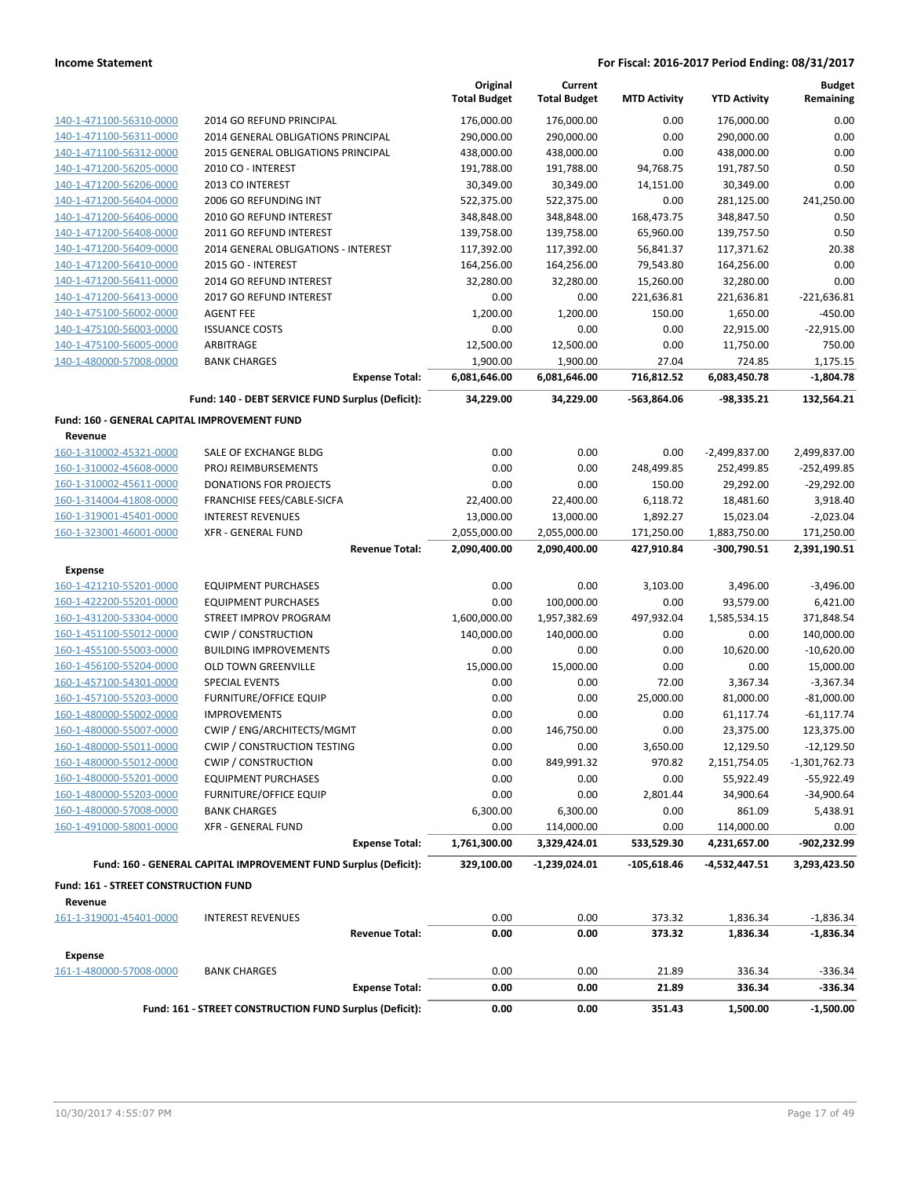|                                                 |                                                                 | Original<br><b>Total Budget</b> | Current<br><b>Total Budget</b> | <b>MTD Activity</b> | <b>YTD Activity</b> | <b>Budget</b><br>Remaining |
|-------------------------------------------------|-----------------------------------------------------------------|---------------------------------|--------------------------------|---------------------|---------------------|----------------------------|
| 140-1-471100-56310-0000                         | 2014 GO REFUND PRINCIPAL                                        | 176,000.00                      | 176,000.00                     | 0.00                | 176,000.00          | 0.00                       |
| 140-1-471100-56311-0000                         | 2014 GENERAL OBLIGATIONS PRINCIPAL                              | 290,000.00                      | 290,000.00                     | 0.00                | 290,000.00          | 0.00                       |
| 140-1-471100-56312-0000                         | 2015 GENERAL OBLIGATIONS PRINCIPAL                              | 438,000.00                      | 438,000.00                     | 0.00                | 438,000.00          | 0.00                       |
| 140-1-471200-56205-0000                         | 2010 CO - INTEREST                                              | 191,788.00                      | 191,788.00                     | 94,768.75           | 191,787.50          | 0.50                       |
| 140-1-471200-56206-0000                         | 2013 CO INTEREST                                                | 30,349.00                       | 30,349.00                      | 14,151.00           | 30,349.00           | 0.00                       |
| 140-1-471200-56404-0000                         | 2006 GO REFUNDING INT                                           | 522,375.00                      | 522,375.00                     | 0.00                | 281,125.00          | 241,250.00                 |
| 140-1-471200-56406-0000                         | 2010 GO REFUND INTEREST                                         | 348,848.00                      | 348,848.00                     | 168,473.75          | 348,847.50          | 0.50                       |
| 140-1-471200-56408-0000                         | 2011 GO REFUND INTEREST                                         | 139,758.00                      | 139,758.00                     | 65,960.00           | 139,757.50          | 0.50                       |
| 140-1-471200-56409-0000                         | 2014 GENERAL OBLIGATIONS - INTEREST                             | 117,392.00                      | 117,392.00                     | 56,841.37           | 117,371.62          | 20.38                      |
| 140-1-471200-56410-0000                         | 2015 GO - INTEREST                                              | 164,256.00                      | 164,256.00                     | 79,543.80           | 164,256.00          | 0.00                       |
| 140-1-471200-56411-0000                         | 2014 GO REFUND INTEREST                                         | 32,280.00                       | 32,280.00                      | 15,260.00           | 32,280.00           | 0.00                       |
| 140-1-471200-56413-0000                         | 2017 GO REFUND INTEREST                                         | 0.00                            | 0.00                           | 221,636.81          | 221,636.81          | $-221,636.81$              |
| 140-1-475100-56002-0000                         | <b>AGENT FEE</b>                                                | 1,200.00                        | 1,200.00                       | 150.00              | 1,650.00            | $-450.00$                  |
| 140-1-475100-56003-0000                         | <b>ISSUANCE COSTS</b>                                           | 0.00                            | 0.00                           | 0.00                | 22,915.00           | $-22,915.00$               |
| 140-1-475100-56005-0000                         | ARBITRAGE                                                       | 12,500.00                       | 12,500.00                      | 0.00                | 11,750.00           | 750.00                     |
| 140-1-480000-57008-0000                         | <b>BANK CHARGES</b>                                             | 1,900.00                        | 1,900.00                       | 27.04               | 724.85              | 1,175.15                   |
|                                                 | <b>Expense Total:</b>                                           | 6,081,646.00                    | 6,081,646.00                   | 716,812.52          | 6,083,450.78        | $-1,804.78$                |
|                                                 | Fund: 140 - DEBT SERVICE FUND Surplus (Deficit):                | 34,229.00                       | 34,229.00                      | -563,864.06         | -98,335.21          | 132,564.21                 |
| Fund: 160 - GENERAL CAPITAL IMPROVEMENT FUND    |                                                                 |                                 |                                |                     |                     |                            |
| Revenue                                         |                                                                 |                                 |                                |                     |                     |                            |
| 160-1-310002-45321-0000                         | SALE OF EXCHANGE BLDG                                           | 0.00                            | 0.00                           | 0.00                | $-2,499,837.00$     | 2,499,837.00               |
| 160-1-310002-45608-0000                         | PROJ REIMBURSEMENTS                                             | 0.00                            | 0.00                           | 248,499.85          | 252,499.85          | $-252,499.85$              |
| 160-1-310002-45611-0000                         | <b>DONATIONS FOR PROJECTS</b>                                   | 0.00                            | 0.00                           | 150.00              | 29,292.00           | $-29,292.00$               |
| 160-1-314004-41808-0000                         | FRANCHISE FEES/CABLE-SICFA                                      | 22,400.00                       | 22,400.00                      | 6,118.72            | 18,481.60           | 3,918.40                   |
| 160-1-319001-45401-0000                         | <b>INTEREST REVENUES</b>                                        | 13,000.00                       | 13,000.00                      | 1,892.27            | 15,023.04           | $-2,023.04$                |
| 160-1-323001-46001-0000                         | <b>XFR - GENERAL FUND</b>                                       | 2,055,000.00                    | 2,055,000.00                   | 171,250.00          | 1,883,750.00        | 171,250.00                 |
|                                                 | <b>Revenue Total:</b>                                           | 2,090,400.00                    | 2,090,400.00                   | 427,910.84          | $-300,790.51$       | 2,391,190.51               |
| <b>Expense</b>                                  |                                                                 |                                 |                                |                     |                     |                            |
| 160-1-421210-55201-0000                         | <b>EQUIPMENT PURCHASES</b>                                      | 0.00                            | 0.00                           | 3,103.00            | 3,496.00            | $-3,496.00$                |
| 160-1-422200-55201-0000                         | <b>EQUIPMENT PURCHASES</b>                                      | 0.00                            | 100,000.00                     | 0.00                | 93,579.00           | 6,421.00                   |
| 160-1-431200-53304-0000                         | STREET IMPROV PROGRAM                                           | 1,600,000.00                    | 1,957,382.69                   | 497,932.04          | 1,585,534.15        | 371,848.54                 |
| 160-1-451100-55012-0000                         | <b>CWIP / CONSTRUCTION</b>                                      | 140,000.00                      | 140,000.00                     | 0.00                | 0.00                | 140,000.00                 |
| 160-1-455100-55003-0000                         | <b>BUILDING IMPROVEMENTS</b>                                    | 0.00                            | 0.00                           | 0.00                | 10,620.00           | $-10,620.00$               |
| 160-1-456100-55204-0000                         | OLD TOWN GREENVILLE                                             | 15,000.00                       | 15,000.00                      | 0.00                | 0.00                | 15,000.00                  |
| 160-1-457100-54301-0000                         | <b>SPECIAL EVENTS</b>                                           | 0.00                            | 0.00                           | 72.00               | 3,367.34            | $-3,367.34$                |
| 160-1-457100-55203-0000                         | <b>FURNITURE/OFFICE EQUIP</b>                                   | 0.00                            | 0.00                           | 25,000.00           | 81,000.00           | $-81,000.00$               |
| 160-1-480000-55002-0000                         | <b>IMPROVEMENTS</b>                                             | 0.00                            | 0.00                           | 0.00                | 61,117.74           | $-61, 117.74$              |
| 160-1-480000-55007-0000                         | CWIP / ENG/ARCHITECTS/MGMT                                      | 0.00                            | 146,750.00                     | 0.00                | 23,375.00           | 123,375.00                 |
| 160-1-480000-55011-0000                         | <b>CWIP / CONSTRUCTION TESTING</b>                              | 0.00                            | 0.00                           | 3,650.00            | 12,129.50           | $-12,129.50$               |
| 160-1-480000-55012-0000                         | <b>CWIP / CONSTRUCTION</b>                                      | 0.00                            | 849,991.32                     | 970.82              | 2,151,754.05        | $-1,301,762.73$            |
| 160-1-480000-55201-0000                         | <b>EQUIPMENT PURCHASES</b>                                      | 0.00                            | 0.00                           | 0.00                | 55,922.49           | $-55,922.49$               |
| 160-1-480000-55203-0000                         | <b>FURNITURE/OFFICE EQUIP</b>                                   | 0.00                            | 0.00                           | 2,801.44            | 34,900.64           | $-34,900.64$               |
| 160-1-480000-57008-0000                         | <b>BANK CHARGES</b>                                             | 6,300.00                        | 6,300.00                       | 0.00                | 861.09              | 5,438.91                   |
| 160-1-491000-58001-0000                         | <b>XFR - GENERAL FUND</b>                                       | 0.00                            | 114,000.00                     | 0.00                | 114,000.00          | 0.00                       |
|                                                 | <b>Expense Total:</b>                                           | 1,761,300.00                    | 3,329,424.01                   | 533,529.30          | 4,231,657.00        | -902,232.99                |
|                                                 | Fund: 160 - GENERAL CAPITAL IMPROVEMENT FUND Surplus (Deficit): | 329,100.00                      | -1,239,024.01                  | $-105,618.46$       | -4,532,447.51       | 3,293,423.50               |
| Fund: 161 - STREET CONSTRUCTION FUND<br>Revenue |                                                                 |                                 |                                |                     |                     |                            |
| 161-1-319001-45401-0000                         | <b>INTEREST REVENUES</b>                                        | 0.00                            | 0.00                           | 373.32              | 1,836.34            | $-1,836.34$                |
|                                                 | <b>Revenue Total:</b>                                           | 0.00                            | 0.00                           | 373.32              | 1,836.34            | $-1,836.34$                |
| <b>Expense</b>                                  |                                                                 |                                 |                                |                     |                     |                            |
| 161-1-480000-57008-0000                         | <b>BANK CHARGES</b>                                             | 0.00                            | 0.00                           | 21.89               | 336.34              | $-336.34$                  |
|                                                 | <b>Expense Total:</b>                                           | 0.00                            | 0.00                           | 21.89               | 336.34              | $-336.34$                  |
|                                                 | Fund: 161 - STREET CONSTRUCTION FUND Surplus (Deficit):         | 0.00                            | 0.00                           | 351.43              | 1,500.00            | $-1,500.00$                |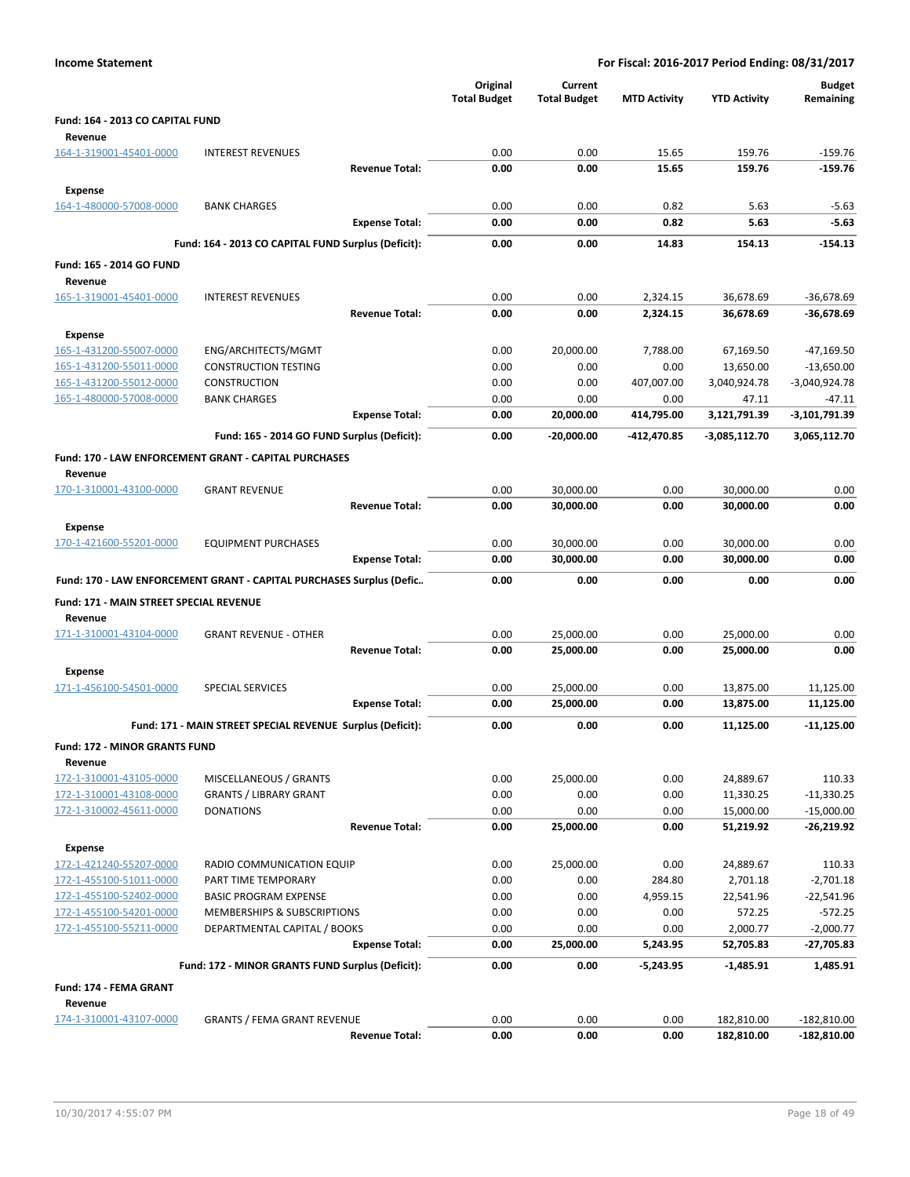| <b>Income Statement</b>                            | For Fiscal: 2016-2017 Period Ending: 08/31/2017                      |                                 |                                |                     |                       |                             |
|----------------------------------------------------|----------------------------------------------------------------------|---------------------------------|--------------------------------|---------------------|-----------------------|-----------------------------|
|                                                    |                                                                      | Original<br><b>Total Budget</b> | Current<br><b>Total Budget</b> | <b>MTD Activity</b> | <b>YTD Activity</b>   | <b>Budget</b><br>Remaining  |
| Fund: 164 - 2013 CO CAPITAL FUND                   |                                                                      |                                 |                                |                     |                       |                             |
| Revenue                                            |                                                                      |                                 |                                |                     |                       |                             |
| 164-1-319001-45401-0000                            | <b>INTEREST REVENUES</b>                                             | 0.00                            | 0.00                           | 15.65               | 159.76                | $-159.76$                   |
|                                                    | <b>Revenue Total:</b>                                                | 0.00                            | 0.00                           | 15.65               | 159.76                | $-159.76$                   |
| <b>Expense</b>                                     |                                                                      |                                 |                                |                     |                       |                             |
| 164-1-480000-57008-0000                            | <b>BANK CHARGES</b>                                                  | 0.00                            | 0.00                           | 0.82                | 5.63                  | $-5.63$                     |
|                                                    | <b>Expense Total:</b>                                                | 0.00                            | 0.00                           | 0.82                | 5.63                  | $-5.63$                     |
|                                                    | Fund: 164 - 2013 CO CAPITAL FUND Surplus (Deficit):                  | 0.00                            | 0.00                           | 14.83               | 154.13                | $-154.13$                   |
| Fund: 165 - 2014 GO FUND                           |                                                                      |                                 |                                |                     |                       |                             |
| Revenue                                            |                                                                      |                                 |                                |                     |                       |                             |
| 165-1-319001-45401-0000                            | <b>INTEREST REVENUES</b>                                             | 0.00                            | 0.00                           | 2,324.15            | 36,678.69             | $-36,678.69$                |
|                                                    | <b>Revenue Total:</b>                                                | 0.00                            | 0.00                           | 2,324.15            | 36,678.69             | -36,678.69                  |
| <b>Expense</b>                                     |                                                                      |                                 |                                |                     |                       |                             |
| 165-1-431200-55007-0000                            | ENG/ARCHITECTS/MGMT                                                  | 0.00                            | 20,000.00                      | 7,788.00            | 67,169.50             | $-47,169.50$                |
| 165-1-431200-55011-0000                            | <b>CONSTRUCTION TESTING</b>                                          | 0.00                            | 0.00                           | 0.00                | 13,650.00             | $-13,650.00$                |
| 165-1-431200-55012-0000<br>165-1-480000-57008-0000 | <b>CONSTRUCTION</b><br><b>BANK CHARGES</b>                           | 0.00<br>0.00                    | 0.00<br>0.00                   | 407,007.00<br>0.00  | 3,040,924.78<br>47.11 | $-3,040,924.78$<br>$-47.11$ |
|                                                    | <b>Expense Total:</b>                                                | 0.00                            | 20,000.00                      | 414,795.00          | 3,121,791.39          | -3,101,791.39               |
|                                                    | Fund: 165 - 2014 GO FUND Surplus (Deficit):                          | 0.00                            |                                |                     |                       | 3,065,112.70                |
|                                                    |                                                                      |                                 | $-20,000.00$                   | -412,470.85         | $-3,085,112.70$       |                             |
| Revenue                                            | Fund: 170 - LAW ENFORCEMENT GRANT - CAPITAL PURCHASES                |                                 |                                |                     |                       |                             |
| 170-1-310001-43100-0000                            | <b>GRANT REVENUE</b>                                                 | 0.00                            | 30,000.00                      | 0.00                | 30,000.00             | 0.00                        |
|                                                    | <b>Revenue Total:</b>                                                | 0.00                            | 30,000.00                      | 0.00                | 30,000.00             | 0.00                        |
| <b>Expense</b>                                     |                                                                      |                                 |                                |                     |                       |                             |
| 170-1-421600-55201-0000                            | <b>EQUIPMENT PURCHASES</b>                                           | 0.00                            | 30,000.00                      | 0.00                | 30,000.00             | 0.00                        |
|                                                    | <b>Expense Total:</b>                                                | 0.00                            | 30,000.00                      | 0.00                | 30,000.00             | 0.00                        |
|                                                    | Fund: 170 - LAW ENFORCEMENT GRANT - CAPITAL PURCHASES Surplus (Defic | 0.00                            | 0.00                           | 0.00                | 0.00                  | 0.00                        |
| Fund: 171 - MAIN STREET SPECIAL REVENUE            |                                                                      |                                 |                                |                     |                       |                             |
| Revenue                                            |                                                                      |                                 |                                |                     |                       |                             |
| 171-1-310001-43104-0000                            | <b>GRANT REVENUE - OTHER</b>                                         | 0.00                            | 25,000.00                      | 0.00                | 25,000.00             | 0.00                        |
|                                                    | <b>Revenue Total:</b>                                                | 0.00                            | 25,000.00                      | 0.00                | 25,000.00             | 0.00                        |
| Expense                                            |                                                                      |                                 |                                |                     |                       |                             |
| 171-1-456100-54501-0000                            | <b>SPECIAL SERVICES</b>                                              | 0.00                            | 25,000.00                      | 0.00                | 13,875.00             | 11,125.00                   |
|                                                    | <b>Expense Total:</b>                                                | 0.00                            | 25,000.00                      | 0.00                | 13,875.00             | 11,125.00                   |
|                                                    | Fund: 171 - MAIN STREET SPECIAL REVENUE Surplus (Deficit):           | 0.00                            | 0.00                           | 0.00                | 11,125.00             | -11,125.00                  |
| <b>Fund: 172 - MINOR GRANTS FUND</b><br>Revenue    |                                                                      |                                 |                                |                     |                       |                             |
| 172-1-310001-43105-0000                            | MISCELLANEOUS / GRANTS                                               | 0.00                            | 25,000.00                      | 0.00                | 24,889.67             | 110.33                      |
| 172-1-310001-43108-0000                            | <b>GRANTS / LIBRARY GRANT</b>                                        | 0.00                            | 0.00                           | 0.00                | 11,330.25             | $-11,330.25$                |
| 172-1-310002-45611-0000                            | <b>DONATIONS</b>                                                     | 0.00                            | 0.00                           | 0.00                | 15,000.00             | $-15,000.00$                |
|                                                    | <b>Revenue Total:</b>                                                | 0.00                            | 25,000.00                      | 0.00                | 51,219.92             | $-26,219.92$                |
| <b>Expense</b>                                     |                                                                      |                                 |                                |                     |                       |                             |
| 172-1-421240-55207-0000                            | RADIO COMMUNICATION EQUIP                                            | 0.00                            | 25,000.00                      | 0.00                | 24,889.67             | 110.33                      |
| 172-1-455100-51011-0000                            | PART TIME TEMPORARY<br><b>BASIC PROGRAM EXPENSE</b>                  | 0.00<br>0.00                    | 0.00<br>0.00                   | 284.80              | 2,701.18              | $-2,701.18$                 |
| 172-1-455100-52402-0000<br>172-1-455100-54201-0000 | MEMBERSHIPS & SUBSCRIPTIONS                                          | 0.00                            | 0.00                           | 4,959.15<br>0.00    | 22,541.96<br>572.25   | -22,541.96<br>$-572.25$     |
| 172-1-455100-55211-0000                            | DEPARTMENTAL CAPITAL / BOOKS                                         | 0.00                            | 0.00                           | 0.00                | 2,000.77              | $-2,000.77$                 |
|                                                    | <b>Expense Total:</b>                                                | 0.00                            | 25,000.00                      | 5,243.95            | 52,705.83             | -27,705.83                  |
|                                                    | Fund: 172 - MINOR GRANTS FUND Surplus (Deficit):                     | 0.00                            | 0.00                           | $-5,243.95$         | $-1,485.91$           | 1,485.91                    |
| Fund: 174 - FEMA GRANT<br>Revenue                  |                                                                      |                                 |                                |                     |                       |                             |
| 174-1-310001-43107-0000                            | <b>GRANTS / FEMA GRANT REVENUE</b>                                   | 0.00                            | 0.00                           | 0.00                | 182,810.00            | $-182,810.00$               |
|                                                    | <b>Revenue Total:</b>                                                | 0.00                            | 0.00                           | 0.00                | 182,810.00            | $-182,810.00$               |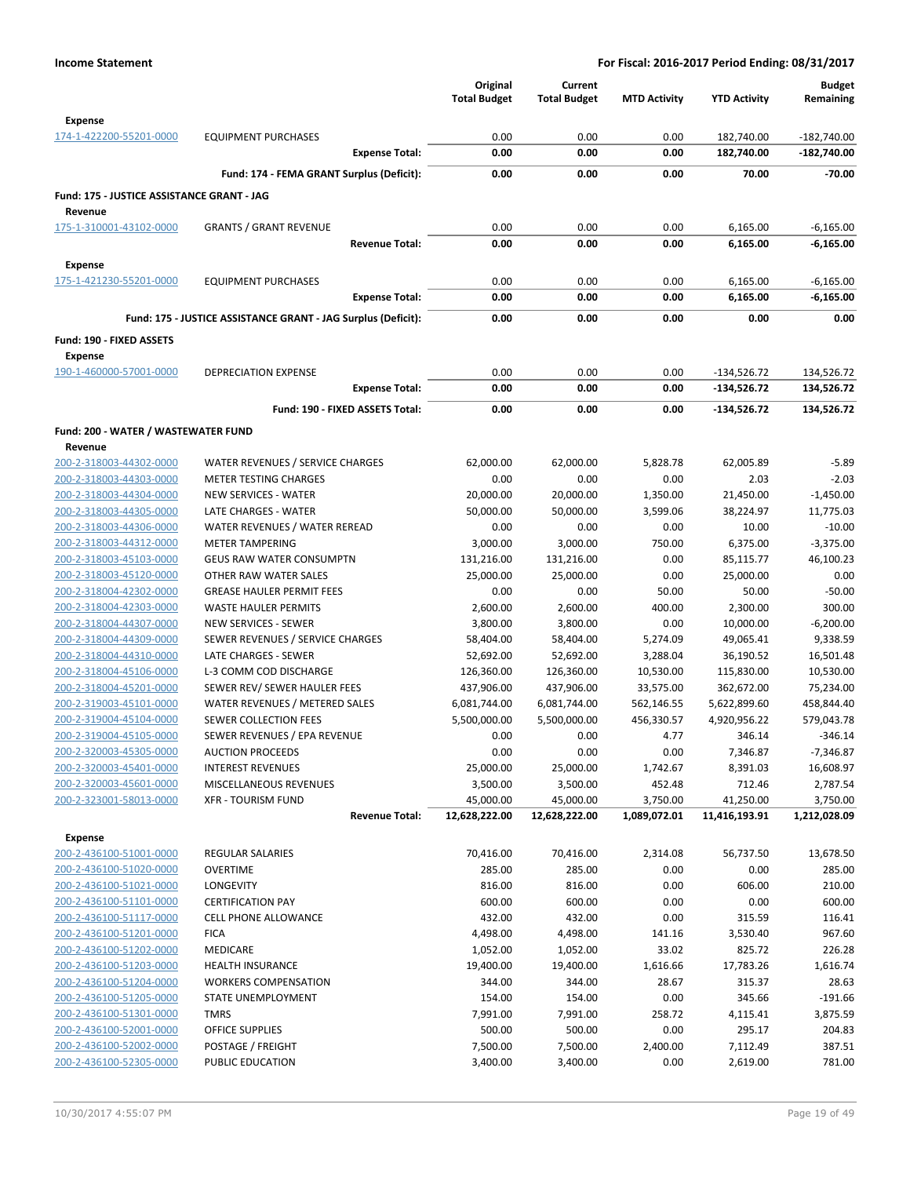|                                                       |                                                                 | Original<br><b>Total Budget</b> | Current<br><b>Total Budget</b> | <b>MTD Activity</b> | <b>YTD Activity</b>          | <b>Budget</b><br>Remaining |
|-------------------------------------------------------|-----------------------------------------------------------------|---------------------------------|--------------------------------|---------------------|------------------------------|----------------------------|
| <b>Expense</b>                                        |                                                                 |                                 |                                |                     |                              |                            |
| 174-1-422200-55201-0000                               | <b>EQUIPMENT PURCHASES</b>                                      | 0.00                            | 0.00                           | 0.00                | 182,740.00                   | $-182,740.00$              |
|                                                       | <b>Expense Total:</b>                                           | 0.00                            | 0.00                           | 0.00                | 182,740.00                   | $-182,740.00$              |
|                                                       | Fund: 174 - FEMA GRANT Surplus (Deficit):                       | 0.00                            | 0.00                           | 0.00                | 70.00                        | $-70.00$                   |
| Fund: 175 - JUSTICE ASSISTANCE GRANT - JAG<br>Revenue |                                                                 |                                 |                                |                     |                              |                            |
| 175-1-310001-43102-0000                               | <b>GRANTS / GRANT REVENUE</b>                                   | 0.00                            | 0.00                           | 0.00                | 6,165.00                     | $-6,165.00$                |
|                                                       | <b>Revenue Total:</b>                                           | 0.00                            | 0.00                           | 0.00                | 6,165.00                     | $-6,165.00$                |
| <b>Expense</b>                                        |                                                                 |                                 |                                |                     |                              |                            |
| 175-1-421230-55201-0000                               | <b>EQUIPMENT PURCHASES</b>                                      | 0.00                            | 0.00                           | 0.00                | 6,165.00                     | $-6,165.00$                |
|                                                       | <b>Expense Total:</b>                                           | 0.00                            | 0.00                           | 0.00                | 6,165.00                     | $-6,165.00$                |
|                                                       | Fund: 175 - JUSTICE ASSISTANCE GRANT - JAG Surplus (Deficit):   | 0.00                            | 0.00                           | 0.00                | 0.00                         | 0.00                       |
|                                                       |                                                                 |                                 |                                |                     |                              |                            |
| Fund: 190 - FIXED ASSETS                              |                                                                 |                                 |                                |                     |                              |                            |
| <b>Expense</b>                                        | <b>DEPRECIATION EXPENSE</b>                                     |                                 |                                |                     |                              |                            |
| 190-1-460000-57001-0000                               | <b>Expense Total:</b>                                           | 0.00<br>0.00                    | 0.00<br>0.00                   | 0.00<br>0.00        | $-134,526.72$<br>-134,526.72 | 134,526.72<br>134,526.72   |
|                                                       |                                                                 |                                 |                                |                     |                              |                            |
|                                                       | Fund: 190 - FIXED ASSETS Total:                                 | 0.00                            | 0.00                           | 0.00                | -134,526.72                  | 134,526.72                 |
| Fund: 200 - WATER / WASTEWATER FUND                   |                                                                 |                                 |                                |                     |                              |                            |
| Revenue                                               |                                                                 |                                 |                                |                     |                              |                            |
| 200-2-318003-44302-0000                               | WATER REVENUES / SERVICE CHARGES                                | 62,000.00                       | 62,000.00                      | 5,828.78            | 62,005.89                    | $-5.89$                    |
| 200-2-318003-44303-0000                               | <b>METER TESTING CHARGES</b>                                    | 0.00                            | 0.00                           | 0.00                | 2.03                         | $-2.03$                    |
| 200-2-318003-44304-0000                               | NEW SERVICES - WATER                                            | 20,000.00                       | 20,000.00                      | 1,350.00            | 21,450.00                    | $-1,450.00$                |
| 200-2-318003-44305-0000                               | LATE CHARGES - WATER                                            | 50,000.00                       | 50,000.00                      | 3,599.06            | 38,224.97                    | 11,775.03                  |
| 200-2-318003-44306-0000                               | WATER REVENUES / WATER REREAD                                   | 0.00                            | 0.00                           | 0.00                | 10.00                        | $-10.00$                   |
| 200-2-318003-44312-0000                               | <b>METER TAMPERING</b>                                          | 3,000.00                        | 3,000.00                       | 750.00              | 6,375.00                     | $-3,375.00$                |
| 200-2-318003-45103-0000                               | <b>GEUS RAW WATER CONSUMPTN</b>                                 | 131,216.00                      | 131,216.00                     | 0.00                | 85,115.77                    | 46,100.23                  |
| 200-2-318003-45120-0000                               | OTHER RAW WATER SALES                                           | 25,000.00                       | 25,000.00                      | 0.00                | 25,000.00                    | 0.00                       |
| 200-2-318004-42302-0000                               | <b>GREASE HAULER PERMIT FEES</b><br><b>WASTE HAULER PERMITS</b> | 0.00                            | 0.00                           | 50.00<br>400.00     | 50.00                        | $-50.00$<br>300.00         |
| 200-2-318004-42303-0000<br>200-2-318004-44307-0000    | <b>NEW SERVICES - SEWER</b>                                     | 2,600.00<br>3,800.00            | 2,600.00<br>3,800.00           | 0.00                | 2,300.00<br>10,000.00        | $-6,200.00$                |
| 200-2-318004-44309-0000                               | SEWER REVENUES / SERVICE CHARGES                                | 58,404.00                       | 58,404.00                      | 5,274.09            | 49,065.41                    | 9,338.59                   |
| 200-2-318004-44310-0000                               | LATE CHARGES - SEWER                                            | 52,692.00                       | 52,692.00                      | 3,288.04            | 36,190.52                    | 16,501.48                  |
| 200-2-318004-45106-0000                               | L-3 COMM COD DISCHARGE                                          | 126,360.00                      | 126,360.00                     | 10,530.00           | 115,830.00                   | 10,530.00                  |
| 200-2-318004-45201-0000                               | SEWER REV/ SEWER HAULER FEES                                    | 437,906.00                      | 437,906.00                     | 33,575.00           | 362,672.00                   | 75,234.00                  |
| 200-2-319003-45101-0000                               | WATER REVENUES / METERED SALES                                  | 6,081,744.00                    | 6,081,744.00                   | 562,146.55          | 5,622,899.60                 | 458,844.40                 |
| 200-2-319004-45104-0000                               | SEWER COLLECTION FEES                                           | 5,500,000.00                    | 5,500,000.00                   | 456,330.57          | 4,920,956.22                 | 579,043.78                 |
| 200-2-319004-45105-0000                               | SEWER REVENUES / EPA REVENUE                                    | 0.00                            | 0.00                           | 4.77                | 346.14                       | $-346.14$                  |
| 200-2-320003-45305-0000                               | <b>AUCTION PROCEEDS</b>                                         | 0.00                            | 0.00                           | 0.00                | 7,346.87                     | $-7,346.87$                |
| 200-2-320003-45401-0000                               | <b>INTEREST REVENUES</b>                                        | 25,000.00                       | 25,000.00                      | 1,742.67            | 8,391.03                     | 16,608.97                  |
| 200-2-320003-45601-0000                               | MISCELLANEOUS REVENUES                                          | 3,500.00                        | 3,500.00                       | 452.48              | 712.46                       | 2,787.54                   |
| 200-2-323001-58013-0000                               | <b>XFR - TOURISM FUND</b>                                       | 45,000.00                       | 45,000.00                      | 3,750.00            | 41,250.00                    | 3,750.00                   |
|                                                       | <b>Revenue Total:</b>                                           | 12,628,222.00                   | 12,628,222.00                  | 1,089,072.01        | 11,416,193.91                | 1,212,028.09               |
| <b>Expense</b>                                        |                                                                 |                                 |                                |                     |                              |                            |
| 200-2-436100-51001-0000                               | <b>REGULAR SALARIES</b>                                         | 70,416.00                       | 70,416.00                      | 2,314.08            | 56,737.50                    | 13,678.50                  |
| 200-2-436100-51020-0000                               | <b>OVERTIME</b>                                                 | 285.00                          | 285.00                         | 0.00                | 0.00                         | 285.00                     |
| 200-2-436100-51021-0000                               | LONGEVITY                                                       | 816.00                          | 816.00                         | 0.00                | 606.00                       | 210.00                     |
| 200-2-436100-51101-0000                               | <b>CERTIFICATION PAY</b>                                        | 600.00                          | 600.00                         | 0.00                | 0.00                         | 600.00                     |
| 200-2-436100-51117-0000                               | <b>CELL PHONE ALLOWANCE</b>                                     | 432.00                          | 432.00                         | 0.00                | 315.59                       | 116.41                     |
| 200-2-436100-51201-0000                               | <b>FICA</b>                                                     | 4,498.00                        | 4,498.00                       | 141.16              | 3,530.40                     | 967.60                     |
| 200-2-436100-51202-0000                               | MEDICARE                                                        | 1,052.00                        | 1,052.00                       | 33.02               | 825.72                       | 226.28                     |
| 200-2-436100-51203-0000                               | <b>HEALTH INSURANCE</b>                                         | 19,400.00                       | 19,400.00                      | 1,616.66            | 17,783.26                    | 1,616.74                   |
| 200-2-436100-51204-0000                               | <b>WORKERS COMPENSATION</b>                                     | 344.00                          | 344.00                         | 28.67               | 315.37                       | 28.63                      |
| 200-2-436100-51205-0000                               | STATE UNEMPLOYMENT                                              | 154.00                          | 154.00                         | 0.00                | 345.66                       | $-191.66$                  |
| 200-2-436100-51301-0000                               | <b>TMRS</b>                                                     | 7,991.00                        | 7,991.00                       | 258.72              | 4,115.41                     | 3,875.59                   |
| 200-2-436100-52001-0000                               | <b>OFFICE SUPPLIES</b>                                          | 500.00                          | 500.00                         | 0.00                | 295.17                       | 204.83                     |
| 200-2-436100-52002-0000<br>200-2-436100-52305-0000    | POSTAGE / FREIGHT<br>PUBLIC EDUCATION                           | 7,500.00                        | 7,500.00                       | 2,400.00<br>0.00    | 7,112.49                     | 387.51<br>781.00           |
|                                                       |                                                                 | 3,400.00                        | 3,400.00                       |                     | 2,619.00                     |                            |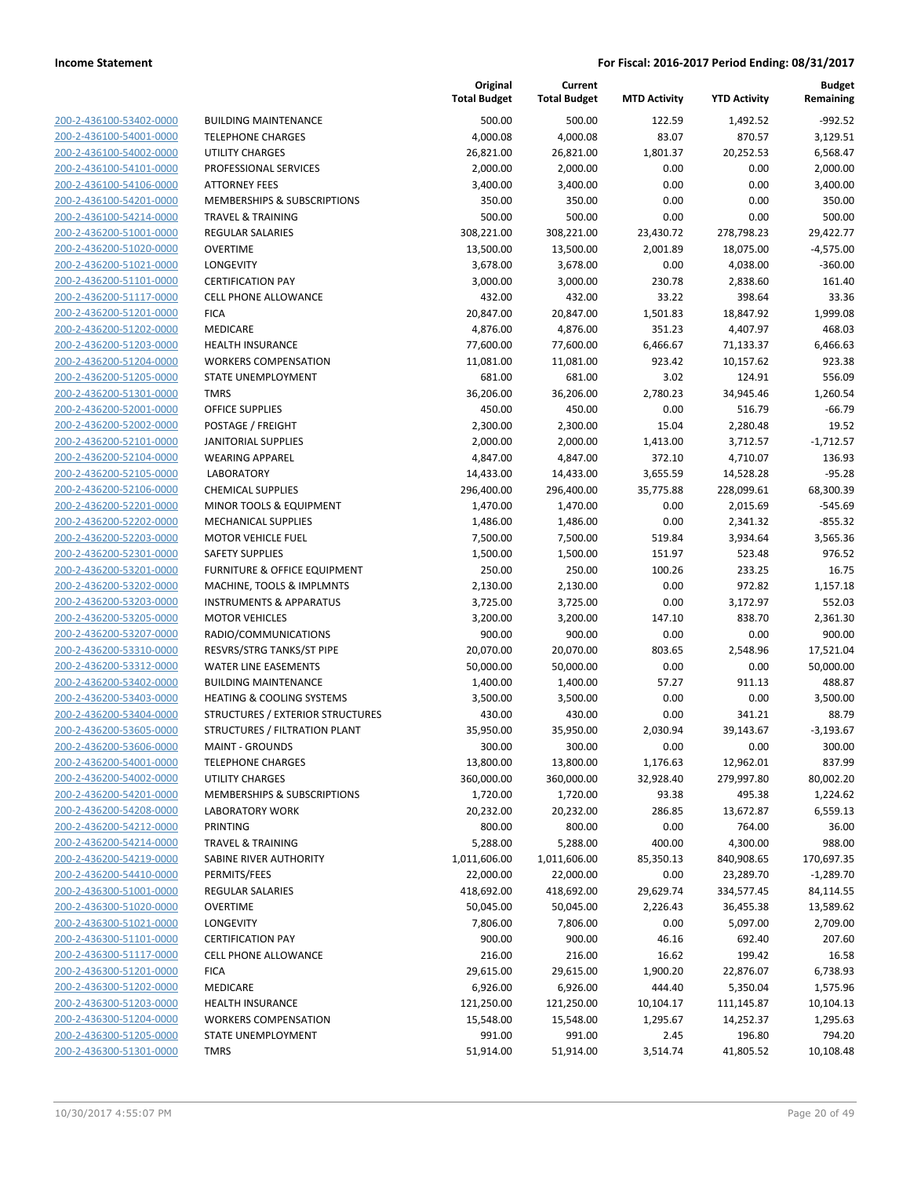| 200-2-436100-53402-0000        |
|--------------------------------|
| 200-2-436100-54001-0000        |
| 200-2-436100-54002-0000        |
| 200-2-436100-54101-0000        |
| 200-2-436100-54106-0000        |
| 200-2-436100-54201-0000        |
| 200-2-436100-54214-0000        |
| 200-2-436200-51001-0000        |
|                                |
| 200-2-436200-51020-0000        |
| 200-2-436200-51021-0000        |
| 200-2-436200-51101-0000        |
| 200-2-436200-51117-0000        |
| <u>200-2-436200-51201-0000</u> |
| 200-2-436200-51202-0000        |
| 200-2-436200-51203-0000        |
| 200-2-436200-51204-0000        |
| 200-2-436200-51205-0000        |
| 200-2-436200-51301-0000        |
| 200-2-436200-52001-0000        |
| 200-2-436200-52002-0000        |
|                                |
| 200-2-436200-52101-0000        |
| 200-2-436200-52104-0000        |
| 200-2-436200-52105-0000        |
| 200-2-436200-52106-0000        |
| 200-2-436200-52201-0000        |
| 200-2-436200-52202-0000        |
| 200-2-436200-52203-0000        |
| <u>200-2-436200-52301-0000</u> |
| 200-2-436200-53201-0000        |
| 200-2-436200-53202-0000        |
| 200-2-436200-53203-0000        |
| 200-2-436200-53205-0000        |
| 200-2-436200-53207-0000        |
|                                |
| 200-2-436200-53310-0000        |
| 200-2-436200-53312-0000        |
| 200-2-436200-53402-0000        |
| 200-2-436200-53403-0000        |
| 200-2-436200-53404-0000        |
| 200-2-436200-53605-0000        |
| 200-2-436200-53606-0000        |
| 200-2-436200-54001-0000        |
| <u>200-2-436200-54002-0000</u> |
| <u>200-2-436200-54201-0000</u> |
| <u>200-2-436200-54208-0000</u> |
| 200-2-436200-54212-0000        |
| 200-2-436200-54214-0000        |
|                                |
| 200-2-436200-54219-0000        |
| 200-2-436200-54410-0000        |
| <u>200-2-436300-51001-0000</u> |
| 200-2-436300-51020-0000        |
| 200-2-436300-51021-0000        |
| 200-2-436300-51101-0000        |
| 200-2-436300-51117-0000        |
| <u>200-2-436300-51201-0000</u> |
| <u>200-2-436300-51202-0000</u> |
| 200-2-436300-51203-0000        |
| 200-2-436300-51204-0000        |
| <u>200-2-436300-51205-0000</u> |
| <u>200-2-436300-51301-0000</u> |
|                                |

|                         |                                    | Original<br><b>Total Budget</b> | Current<br><b>Total Budget</b> | <b>MTD Activity</b> | <b>YTD Activity</b> | Budget<br>Remaining |
|-------------------------|------------------------------------|---------------------------------|--------------------------------|---------------------|---------------------|---------------------|
| 200-2-436100-53402-0000 | <b>BUILDING MAINTENANCE</b>        | 500.00                          | 500.00                         | 122.59              | 1,492.52            | $-992.52$           |
| 200-2-436100-54001-0000 | <b>TELEPHONE CHARGES</b>           | 4,000.08                        | 4,000.08                       | 83.07               | 870.57              | 3,129.51            |
| 200-2-436100-54002-0000 | <b>UTILITY CHARGES</b>             | 26,821.00                       | 26,821.00                      | 1,801.37            | 20,252.53           | 6,568.47            |
| 200-2-436100-54101-0000 | PROFESSIONAL SERVICES              | 2,000.00                        | 2,000.00                       | 0.00                | 0.00                | 2,000.00            |
| 200-2-436100-54106-0000 | <b>ATTORNEY FEES</b>               | 3,400.00                        | 3,400.00                       | 0.00                | 0.00                | 3,400.00            |
| 200-2-436100-54201-0000 | MEMBERSHIPS & SUBSCRIPTIONS        | 350.00                          | 350.00                         | 0.00                | 0.00                | 350.00              |
| 200-2-436100-54214-0000 | <b>TRAVEL &amp; TRAINING</b>       | 500.00                          | 500.00                         | 0.00                | 0.00                | 500.00              |
| 200-2-436200-51001-0000 | <b>REGULAR SALARIES</b>            | 308,221.00                      | 308,221.00                     | 23,430.72           | 278,798.23          | 29,422.77           |
| 200-2-436200-51020-0000 | <b>OVERTIME</b>                    | 13,500.00                       | 13,500.00                      | 2,001.89            | 18,075.00           | $-4,575.00$         |
| 200-2-436200-51021-0000 | LONGEVITY                          | 3,678.00                        | 3,678.00                       | 0.00                | 4,038.00            | $-360.00$           |
| 200-2-436200-51101-0000 | <b>CERTIFICATION PAY</b>           | 3,000.00                        | 3,000.00                       | 230.78              | 2,838.60            | 161.40              |
| 200-2-436200-51117-0000 | <b>CELL PHONE ALLOWANCE</b>        | 432.00                          | 432.00                         | 33.22               | 398.64              | 33.36               |
| 200-2-436200-51201-0000 | <b>FICA</b>                        | 20,847.00                       | 20,847.00                      | 1,501.83            | 18,847.92           | 1,999.08            |
| 200-2-436200-51202-0000 | MEDICARE                           | 4,876.00                        | 4,876.00                       | 351.23              | 4,407.97            | 468.03              |
| 200-2-436200-51203-0000 | <b>HEALTH INSURANCE</b>            | 77,600.00                       | 77,600.00                      | 6,466.67            | 71,133.37           | 6,466.63            |
| 200-2-436200-51204-0000 | <b>WORKERS COMPENSATION</b>        | 11,081.00                       | 11,081.00                      | 923.42              | 10,157.62           | 923.38              |
| 200-2-436200-51205-0000 | <b>STATE UNEMPLOYMENT</b>          | 681.00                          | 681.00                         | 3.02                | 124.91              | 556.09              |
| 200-2-436200-51301-0000 | <b>TMRS</b>                        | 36,206.00                       | 36,206.00                      | 2,780.23            | 34,945.46           | 1,260.54            |
| 200-2-436200-52001-0000 | OFFICE SUPPLIES                    | 450.00                          | 450.00                         | 0.00                | 516.79              | $-66.79$            |
| 200-2-436200-52002-0000 | POSTAGE / FREIGHT                  | 2,300.00                        | 2,300.00                       | 15.04               | 2,280.48            | 19.52               |
| 200-2-436200-52101-0000 | <b>JANITORIAL SUPPLIES</b>         | 2,000.00                        | 2,000.00                       | 1,413.00            | 3,712.57            | $-1,712.57$         |
| 200-2-436200-52104-0000 | <b>WEARING APPAREL</b>             | 4,847.00                        | 4,847.00                       | 372.10              | 4,710.07            | 136.93              |
| 200-2-436200-52105-0000 | <b>LABORATORY</b>                  | 14,433.00                       | 14,433.00                      | 3,655.59            | 14,528.28           | $-95.28$            |
| 200-2-436200-52106-0000 | <b>CHEMICAL SUPPLIES</b>           | 296,400.00                      | 296,400.00                     | 35,775.88           | 228,099.61          | 68,300.39           |
| 200-2-436200-52201-0000 | MINOR TOOLS & EQUIPMENT            | 1,470.00                        | 1,470.00                       | 0.00                | 2,015.69            | $-545.69$           |
| 200-2-436200-52202-0000 | <b>MECHANICAL SUPPLIES</b>         | 1,486.00                        | 1,486.00                       | 0.00                | 2,341.32            | $-855.32$           |
| 200-2-436200-52203-0000 | <b>MOTOR VEHICLE FUEL</b>          | 7,500.00                        | 7,500.00                       | 519.84              | 3,934.64            | 3,565.36            |
| 200-2-436200-52301-0000 | <b>SAFETY SUPPLIES</b>             | 1,500.00                        | 1,500.00                       | 151.97              | 523.48              | 976.52              |
| 200-2-436200-53201-0000 | FURNITURE & OFFICE EQUIPMENT       | 250.00                          | 250.00                         | 100.26              | 233.25              | 16.75               |
| 200-2-436200-53202-0000 | MACHINE, TOOLS & IMPLMNTS          | 2,130.00                        | 2,130.00                       | 0.00                | 972.82              | 1,157.18            |
| 200-2-436200-53203-0000 | <b>INSTRUMENTS &amp; APPARATUS</b> | 3,725.00                        | 3,725.00                       | 0.00                | 3,172.97            | 552.03              |
| 200-2-436200-53205-0000 | <b>MOTOR VEHICLES</b>              | 3,200.00                        | 3,200.00                       | 147.10              | 838.70              | 2,361.30            |
| 200-2-436200-53207-0000 | RADIO/COMMUNICATIONS               | 900.00                          | 900.00                         | 0.00                | 0.00                | 900.00              |
| 200-2-436200-53310-0000 | RESVRS/STRG TANKS/ST PIPE          | 20,070.00                       | 20,070.00                      | 803.65              | 2,548.96            | 17,521.04           |
| 200-2-436200-53312-0000 | WATER LINE EASEMENTS               | 50,000.00                       | 50,000.00                      | 0.00                | 0.00                | 50,000.00           |
| 200-2-436200-53402-0000 | <b>BUILDING MAINTENANCE</b>        | 1,400.00                        | 1,400.00                       | 57.27               | 911.13              | 488.87              |
| 200-2-436200-53403-0000 | HEATING & COOLING SYSTEMS          | 3,500.00                        | 3,500.00                       | 0.00                | 0.00                | 3,500.00            |
| 200-2-436200-53404-0000 | STRUCTURES / EXTERIOR STRUCTURES   | 430.00                          | 430.00                         | 0.00                | 341.21              | 88.79               |
| 200-2-436200-53605-0000 | STRUCTURES / FILTRATION PLANT      | 35,950.00                       | 35,950.00                      | 2,030.94            | 39,143.67           | $-3,193.67$         |
| 200-2-436200-53606-0000 | <b>MAINT - GROUNDS</b>             | 300.00                          | 300.00                         | 0.00                | 0.00                | 300.00              |
| 200-2-436200-54001-0000 | <b>TELEPHONE CHARGES</b>           | 13,800.00                       | 13,800.00                      | 1,176.63            | 12,962.01           | 837.99              |
| 200-2-436200-54002-0000 | <b>UTILITY CHARGES</b>             | 360,000.00                      | 360,000.00                     | 32,928.40           | 279,997.80          | 80,002.20           |
| 200-2-436200-54201-0000 | MEMBERSHIPS & SUBSCRIPTIONS        | 1,720.00                        | 1,720.00                       | 93.38               | 495.38              | 1,224.62            |
| 200-2-436200-54208-0000 | <b>LABORATORY WORK</b>             | 20,232.00                       | 20,232.00                      | 286.85              | 13,672.87           | 6,559.13            |
| 200-2-436200-54212-0000 | <b>PRINTING</b>                    | 800.00                          | 800.00                         | 0.00                | 764.00              | 36.00               |
| 200-2-436200-54214-0000 | <b>TRAVEL &amp; TRAINING</b>       | 5,288.00                        | 5,288.00                       | 400.00              | 4,300.00            | 988.00              |
| 200-2-436200-54219-0000 | <b>SABINE RIVER AUTHORITY</b>      | 1,011,606.00                    | 1,011,606.00                   | 85,350.13           | 840,908.65          | 170,697.35          |
| 200-2-436200-54410-0000 | PERMITS/FEES                       | 22,000.00                       | 22,000.00                      | 0.00                | 23,289.70           | $-1,289.70$         |
| 200-2-436300-51001-0000 | <b>REGULAR SALARIES</b>            | 418,692.00                      | 418,692.00                     | 29,629.74           | 334,577.45          | 84,114.55           |
| 200-2-436300-51020-0000 | <b>OVERTIME</b>                    | 50,045.00                       | 50,045.00                      | 2,226.43            | 36,455.38           | 13,589.62           |
| 200-2-436300-51021-0000 | LONGEVITY                          | 7,806.00                        | 7,806.00                       | 0.00                | 5,097.00            | 2,709.00            |
| 200-2-436300-51101-0000 | <b>CERTIFICATION PAY</b>           | 900.00                          | 900.00                         | 46.16               | 692.40              | 207.60              |
| 200-2-436300-51117-0000 | <b>CELL PHONE ALLOWANCE</b>        | 216.00                          | 216.00                         | 16.62               | 199.42              | 16.58               |
| 200-2-436300-51201-0000 | <b>FICA</b>                        | 29,615.00                       | 29,615.00                      | 1,900.20            | 22,876.07           | 6,738.93            |
| 200-2-436300-51202-0000 | MEDICARE                           | 6,926.00                        | 6,926.00                       | 444.40              | 5,350.04            | 1,575.96            |
| 200-2-436300-51203-0000 | <b>HEALTH INSURANCE</b>            | 121,250.00                      | 121,250.00                     | 10,104.17           | 111,145.87          | 10,104.13           |
| 200-2-436300-51204-0000 | <b>WORKERS COMPENSATION</b>        | 15,548.00                       | 15,548.00                      | 1,295.67            | 14,252.37           | 1,295.63            |
| 200-2-436300-51205-0000 | STATE UNEMPLOYMENT                 | 991.00                          | 991.00                         | 2.45                | 196.80              | 794.20              |
| 200-2-436300-51301-0000 | <b>TMRS</b>                        | 51,914.00                       | 51,914.00                      | 3,514.74            | 41,805.52           | 10,108.48           |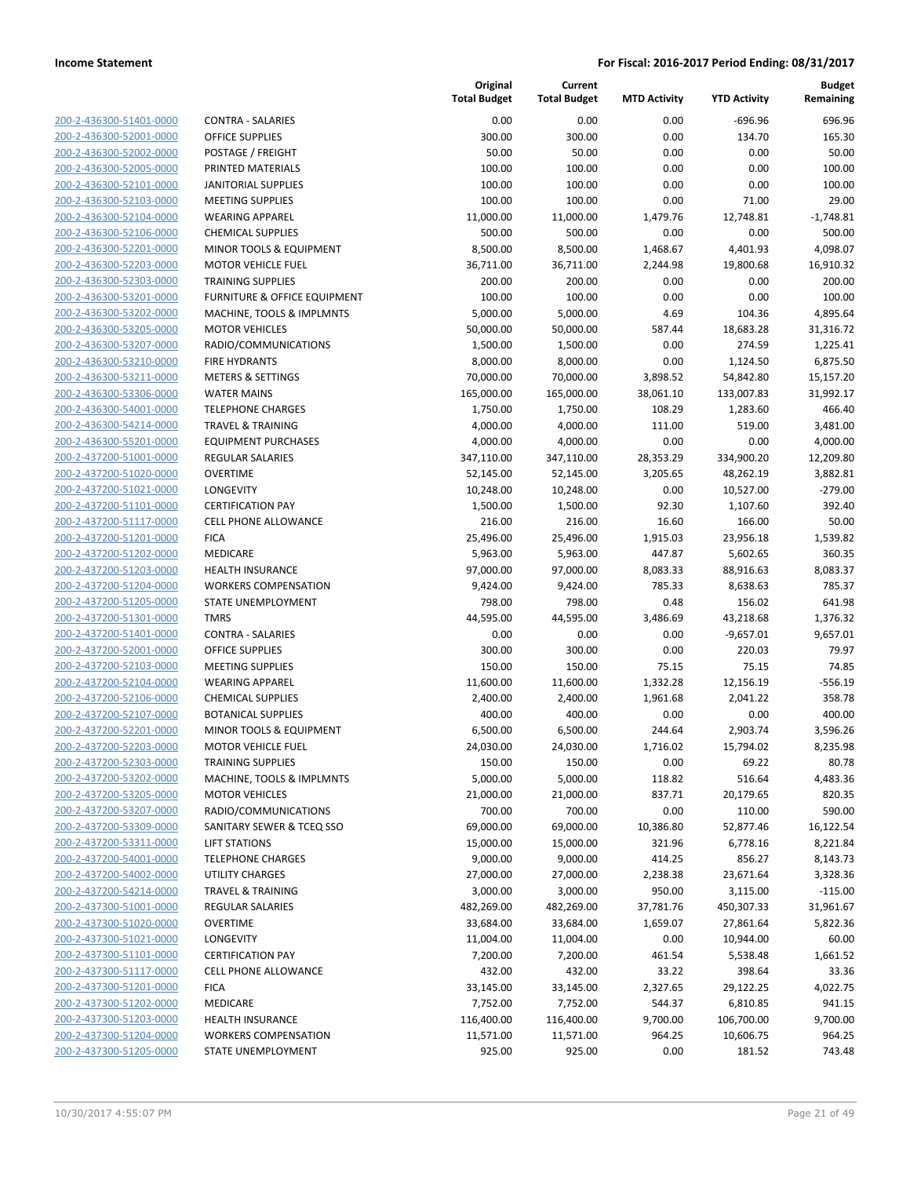| 200-2-436300-51401-0000        |
|--------------------------------|
| 200-2-436300-52001-0000        |
| 200-2-436300-52002-0000        |
| 200-2-436300-52005-0000        |
| 200-2-436300-52101-0000        |
| 200-2-436300-52103-0000        |
| 200-2-436300-52104-0000        |
| 200-2-436300-52106-0000        |
| 200-2-436300-52201-0000        |
| 200-2-436300-52203-0000        |
|                                |
| 200-2-436300-52303-0000        |
| 200-2-436300-53201-0000        |
| 200-2-436300-53202-0000        |
| 200-2-436300-53205-0000        |
| 200-2-436300-53207-0000        |
| 200-2-436300-53210-0000        |
| 200-2-436300-53211-0000        |
| 200-2-436300-53306-0000        |
| 200-2-436300-54001-0000        |
| 200-2-436300-54214-0000        |
| 200-2-436300-55201-0000        |
| 200-2-437200-51001-0000        |
| 200-2-437200-51020-0000        |
| 200-2-437200-51021-0000        |
| 200-2-437200-51101-0000        |
| 200-2-437200-51117-0000        |
| 200-2-437200-51201-0000        |
| 200-2-437200-51202-0000        |
| 200-2-437200-51203-0000        |
|                                |
| 200-2-437200-51204-0000        |
| 200-2-437200-51205-0000        |
| 200-2-437200-51301-0000        |
| 200-2-437200-51401-0000        |
| 200-2-437200-52001-0000        |
| 200-2-437200-52103-0000        |
| 200-2-437200-52104-0000        |
| 200-2-437200-52106-0000        |
| 200-2-437200-52107-0000        |
| 200-2-437200-52201-0000        |
| 200-2-437200-52203-0000        |
| 200-2-437200-52303-0000        |
| 200-2-437200-53202-0000        |
| 200-2-437200-53205-0000        |
| 200-2-437200-53207-0000        |
| 200-2-437200-53309-0000        |
| 200-2-437200-53311-0000        |
| <u>200-2-437200-54001-0000</u> |
|                                |
| <u>200-2-437200-54002-0000</u> |
| 200-2-437200-54214-0000        |
| 200-2-437300-51001-0000        |
| 200-2-437300-51020-0000        |
| 200-2-437300-51021-0000        |
| 200-2-437300-51101-0000        |
| 200-2-437300-51117-0000        |
| 200-2-437300-51201-0000        |
| 200-2-437300-51202-0000        |
| <u>200-2-437300-51203-0000</u> |
| 200-2-437300-51204-0000        |
| 200-2-437300-51205-0000        |
|                                |

|                                                    |                                         | Original<br><b>Total Budget</b> | Current<br><b>Total Budget</b> | <b>MTD Activity</b> | <b>YTD Activity</b>   | <b>Budget</b><br>Remaining |
|----------------------------------------------------|-----------------------------------------|---------------------------------|--------------------------------|---------------------|-----------------------|----------------------------|
| 200-2-436300-51401-0000                            | <b>CONTRA - SALARIES</b>                | 0.00                            | 0.00                           | 0.00                | $-696.96$             | 696.96                     |
| 200-2-436300-52001-0000                            | <b>OFFICE SUPPLIES</b>                  | 300.00                          | 300.00                         | 0.00                | 134.70                | 165.30                     |
| 200-2-436300-52002-0000                            | POSTAGE / FREIGHT                       | 50.00                           | 50.00                          | 0.00                | 0.00                  | 50.00                      |
| 200-2-436300-52005-0000                            | PRINTED MATERIALS                       | 100.00                          | 100.00                         | 0.00                | 0.00                  | 100.00                     |
| 200-2-436300-52101-0000                            | <b>JANITORIAL SUPPLIES</b>              | 100.00                          | 100.00                         | 0.00                | 0.00                  | 100.00                     |
| 200-2-436300-52103-0000                            | <b>MEETING SUPPLIES</b>                 | 100.00                          | 100.00                         | 0.00                | 71.00                 | 29.00                      |
| 200-2-436300-52104-0000                            | <b>WEARING APPAREL</b>                  | 11,000.00                       | 11,000.00                      | 1,479.76            | 12,748.81             | $-1,748.81$                |
| 200-2-436300-52106-0000                            | <b>CHEMICAL SUPPLIES</b>                | 500.00                          | 500.00                         | 0.00                | 0.00                  | 500.00                     |
| 200-2-436300-52201-0000                            | <b>MINOR TOOLS &amp; EQUIPMENT</b>      | 8,500.00                        | 8,500.00                       | 1,468.67            | 4,401.93              | 4,098.07                   |
| 200-2-436300-52203-0000                            | <b>MOTOR VEHICLE FUEL</b>               | 36,711.00                       | 36,711.00                      | 2,244.98            | 19,800.68             | 16,910.32                  |
| 200-2-436300-52303-0000                            | <b>TRAINING SUPPLIES</b>                | 200.00                          | 200.00                         | 0.00                | 0.00                  | 200.00                     |
| 200-2-436300-53201-0000                            | <b>FURNITURE &amp; OFFICE EQUIPMENT</b> | 100.00                          | 100.00                         | 0.00                | 0.00                  | 100.00                     |
| 200-2-436300-53202-0000                            | MACHINE, TOOLS & IMPLMNTS               | 5,000.00                        | 5,000.00                       | 4.69                | 104.36                | 4,895.64                   |
| 200-2-436300-53205-0000                            | <b>MOTOR VEHICLES</b>                   | 50,000.00                       | 50,000.00                      | 587.44              | 18,683.28             | 31,316.72                  |
| 200-2-436300-53207-0000                            | RADIO/COMMUNICATIONS                    | 1,500.00                        | 1,500.00                       | 0.00                | 274.59                | 1,225.41                   |
| 200-2-436300-53210-0000                            | <b>FIRE HYDRANTS</b>                    | 8,000.00                        | 8,000.00                       | 0.00                | 1,124.50              | 6,875.50                   |
| 200-2-436300-53211-0000                            | <b>METERS &amp; SETTINGS</b>            | 70,000.00                       | 70,000.00                      | 3,898.52            | 54,842.80             | 15,157.20                  |
| 200-2-436300-53306-0000                            | <b>WATER MAINS</b>                      | 165,000.00                      | 165,000.00                     | 38,061.10           | 133,007.83            | 31,992.17                  |
| 200-2-436300-54001-0000                            | <b>TELEPHONE CHARGES</b>                | 1,750.00                        | 1,750.00                       | 108.29              | 1,283.60              | 466.40                     |
| 200-2-436300-54214-0000                            | <b>TRAVEL &amp; TRAINING</b>            | 4,000.00                        | 4,000.00                       | 111.00              | 519.00                | 3,481.00                   |
| 200-2-436300-55201-0000                            | <b>EQUIPMENT PURCHASES</b>              | 4,000.00                        | 4,000.00                       | 0.00                | 0.00                  | 4,000.00                   |
| 200-2-437200-51001-0000                            | <b>REGULAR SALARIES</b>                 | 347,110.00                      | 347,110.00                     | 28,353.29           | 334,900.20            | 12,209.80                  |
| 200-2-437200-51020-0000                            | <b>OVERTIME</b>                         | 52,145.00                       | 52,145.00                      | 3,205.65            | 48,262.19             | 3,882.81                   |
| 200-2-437200-51021-0000                            | LONGEVITY                               | 10,248.00                       | 10,248.00                      | 0.00                | 10,527.00             | $-279.00$                  |
| 200-2-437200-51101-0000                            | <b>CERTIFICATION PAY</b>                | 1,500.00                        | 1,500.00                       | 92.30               | 1,107.60              | 392.40                     |
| 200-2-437200-51117-0000                            | <b>CELL PHONE ALLOWANCE</b>             | 216.00                          | 216.00                         | 16.60               | 166.00                | 50.00                      |
| 200-2-437200-51201-0000                            | <b>FICA</b>                             | 25,496.00                       | 25,496.00                      | 1,915.03            | 23,956.18             | 1,539.82                   |
| 200-2-437200-51202-0000<br>200-2-437200-51203-0000 | MEDICARE<br><b>HEALTH INSURANCE</b>     | 5,963.00<br>97,000.00           | 5,963.00<br>97,000.00          | 447.87<br>8,083.33  | 5,602.65<br>88,916.63 | 360.35<br>8,083.37         |
| 200-2-437200-51204-0000                            | <b>WORKERS COMPENSATION</b>             | 9,424.00                        | 9,424.00                       | 785.33              | 8,638.63              | 785.37                     |
| 200-2-437200-51205-0000                            | STATE UNEMPLOYMENT                      | 798.00                          | 798.00                         | 0.48                | 156.02                | 641.98                     |
| 200-2-437200-51301-0000                            | <b>TMRS</b>                             | 44,595.00                       | 44,595.00                      | 3,486.69            | 43,218.68             | 1,376.32                   |
| 200-2-437200-51401-0000                            | <b>CONTRA - SALARIES</b>                | 0.00                            | 0.00                           | 0.00                | $-9,657.01$           | 9,657.01                   |
| 200-2-437200-52001-0000                            | <b>OFFICE SUPPLIES</b>                  | 300.00                          | 300.00                         | 0.00                | 220.03                | 79.97                      |
| 200-2-437200-52103-0000                            | <b>MEETING SUPPLIES</b>                 | 150.00                          | 150.00                         | 75.15               | 75.15                 | 74.85                      |
| 200-2-437200-52104-0000                            | <b>WEARING APPAREL</b>                  | 11,600.00                       | 11,600.00                      | 1,332.28            | 12,156.19             | $-556.19$                  |
| 200-2-437200-52106-0000                            | <b>CHEMICAL SUPPLIES</b>                | 2,400.00                        | 2,400.00                       | 1,961.68            | 2,041.22              | 358.78                     |
| 200-2-437200-52107-0000                            | <b>BOTANICAL SUPPLIES</b>               | 400.00                          | 400.00                         | 0.00                | 0.00                  | 400.00                     |
| 200-2-437200-52201-0000                            | MINOR TOOLS & EQUIPMENT                 | 6,500.00                        | 6,500.00                       | 244.64              | 2,903.74              | 3,596.26                   |
| 200-2-437200-52203-0000                            | <b>MOTOR VEHICLE FUEL</b>               | 24,030.00                       | 24,030.00                      | 1,716.02            | 15,794.02             | 8,235.98                   |
| 200-2-437200-52303-0000                            | <b>TRAINING SUPPLIES</b>                | 150.00                          | 150.00                         | 0.00                | 69.22                 | 80.78                      |
| 200-2-437200-53202-0000                            | MACHINE, TOOLS & IMPLMNTS               | 5,000.00                        | 5,000.00                       | 118.82              | 516.64                | 4,483.36                   |
| 200-2-437200-53205-0000                            | <b>MOTOR VEHICLES</b>                   | 21,000.00                       | 21,000.00                      | 837.71              | 20,179.65             | 820.35                     |
| 200-2-437200-53207-0000                            | RADIO/COMMUNICATIONS                    | 700.00                          | 700.00                         | 0.00                | 110.00                | 590.00                     |
| 200-2-437200-53309-0000                            | SANITARY SEWER & TCEQ SSO               | 69,000.00                       | 69,000.00                      | 10,386.80           | 52,877.46             | 16,122.54                  |
| 200-2-437200-53311-0000                            | <b>LIFT STATIONS</b>                    | 15,000.00                       | 15,000.00                      | 321.96              | 6,778.16              | 8,221.84                   |
| 200-2-437200-54001-0000                            | <b>TELEPHONE CHARGES</b>                | 9,000.00                        | 9,000.00                       | 414.25              | 856.27                | 8,143.73                   |
| 200-2-437200-54002-0000                            | UTILITY CHARGES                         | 27,000.00                       | 27,000.00                      | 2,238.38            | 23,671.64             | 3,328.36                   |
| 200-2-437200-54214-0000                            | <b>TRAVEL &amp; TRAINING</b>            | 3,000.00                        | 3,000.00                       | 950.00              | 3,115.00              | $-115.00$                  |
| 200-2-437300-51001-0000                            | REGULAR SALARIES                        | 482,269.00                      | 482,269.00                     | 37,781.76           | 450,307.33            | 31,961.67                  |
| 200-2-437300-51020-0000                            | <b>OVERTIME</b>                         | 33,684.00                       | 33,684.00                      | 1,659.07            | 27,861.64             | 5,822.36                   |
| 200-2-437300-51021-0000                            | LONGEVITY                               | 11,004.00                       | 11,004.00                      | 0.00                | 10,944.00             | 60.00                      |
| 200-2-437300-51101-0000                            | <b>CERTIFICATION PAY</b>                | 7,200.00                        | 7,200.00                       | 461.54              | 5,538.48              | 1,661.52                   |
| 200-2-437300-51117-0000                            | CELL PHONE ALLOWANCE                    | 432.00                          | 432.00                         | 33.22               | 398.64                | 33.36                      |
| 200-2-437300-51201-0000                            | <b>FICA</b>                             | 33,145.00                       | 33,145.00                      | 2,327.65            | 29,122.25             | 4,022.75                   |
| 200-2-437300-51202-0000                            | MEDICARE                                | 7,752.00                        | 7,752.00                       | 544.37              | 6,810.85              | 941.15                     |
| 200-2-437300-51203-0000                            | <b>HEALTH INSURANCE</b>                 | 116,400.00                      | 116,400.00                     | 9,700.00            | 106,700.00            | 9,700.00                   |
| 200-2-437300-51204-0000                            | <b>WORKERS COMPENSATION</b>             | 11,571.00                       | 11,571.00                      | 964.25              | 10,606.75             | 964.25                     |
| 200-2-437300-51205-0000                            | STATE UNEMPLOYMENT                      | 925.00                          | 925.00                         | 0.00                | 181.52                | 743.48                     |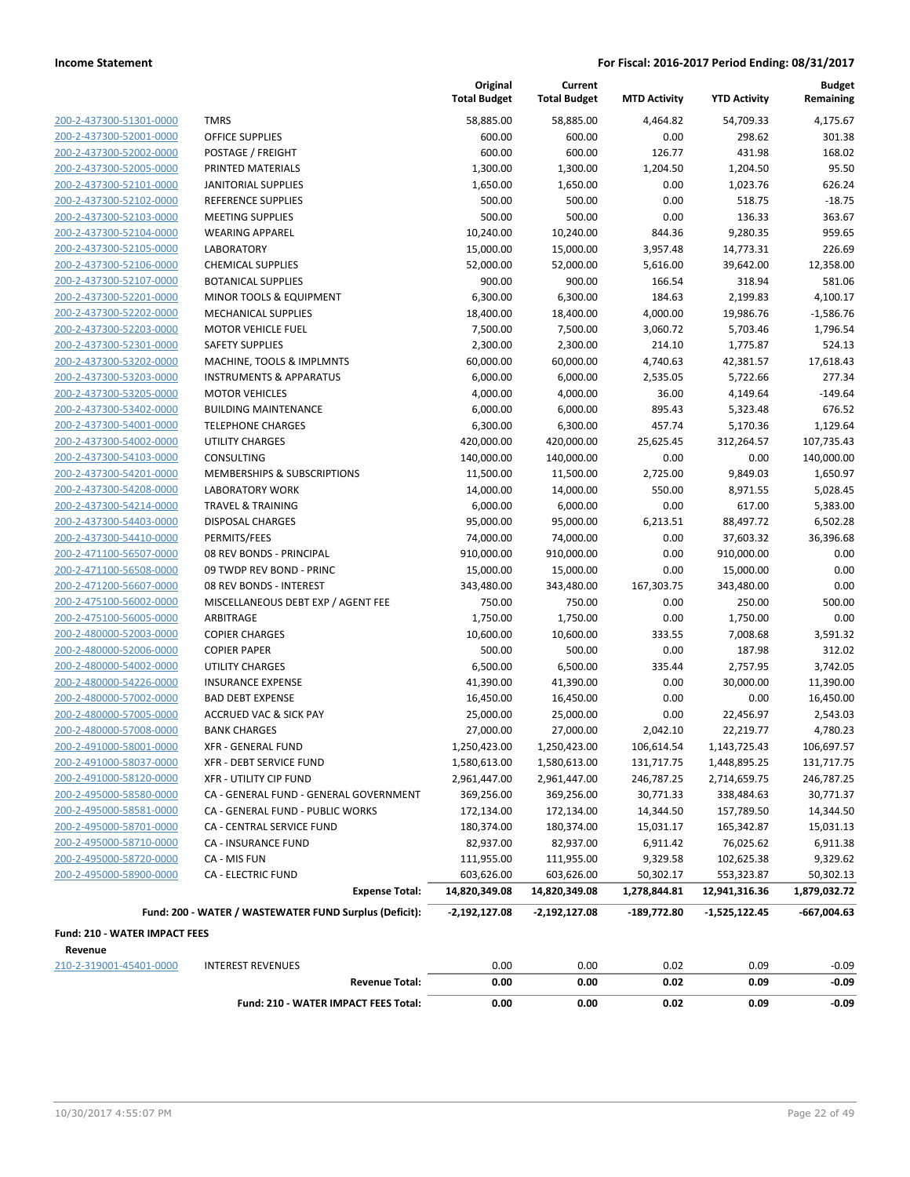| 200-2-437300-51301-0000 |
|-------------------------|
| 200-2-437300-52001-0000 |
| 200-2-437300-52002-0000 |
| 200-2-437300-52005-0000 |
| 200-2-437300-52101-0000 |
| 200-2-437300-52102-0000 |
| 200-2-437300-52103-0000 |
| 200-2-437300-52104-0000 |
| 200-2-437300-52105-0000 |
| 200-2-437300-52106-0000 |
| 200-2-437300-52107-0000 |
| 200-2-437300-52201-0000 |
| 200-2-437300-52202-0000 |
| 200-2-437300-52203-0000 |
| 200-2-437300-52301-0000 |
| 200-2-437300-53202-0000 |
| 200-2-437300-53203-0000 |
| 200-2-437300-53205-0000 |
| 200-2-437300-53402-0000 |
| 200-2-437300-54001-0000 |
| 200-2-437300-54002-0000 |
| 200-2-437300-54103-0000 |
| 200-2-437300-54201-0000 |
| 200-2-437300-54208-0000 |
| 200-2-437300-54214-0000 |
| 200-2-437300-54403-0000 |
| 200-2-437300-54410-0000 |
| 200-2-471100-56507-0000 |
| 200-2-471100-56508-0000 |
| 200-2-471200-56607-0000 |
| 200-2-475100-56002-0000 |
| 200-2-475100-56005-0000 |
| 200-2-480000-52003-0000 |
| 200-2-480000-52006-0000 |
| 200-2-480000-54002-0000 |
| 200-2-480000-54226-0000 |
| 200-2-480000-57002-0000 |
| 200-2-480000-57005-0000 |
| 200-2-480000-57008-0000 |
| 200-2-491000-58001-0000 |
| 200-2-491000-58037-0000 |
| 200-2-491000-58120-0000 |
| 200-2-495000-58580-0000 |
| 200-2-495000-58581-0000 |
| 200-2-495000-58701-0000 |
| 200-2-495000-58710-0000 |
| 200-2-495000-58720-0000 |
| 200-2-495000-58900-0000 |
|                         |

|                               |                                                        | Original<br><b>Total Budget</b> | Current<br><b>Total Budget</b> | <b>MTD Activity</b> | <b>YTD Activity</b> | <b>Budget</b><br>Remaining |
|-------------------------------|--------------------------------------------------------|---------------------------------|--------------------------------|---------------------|---------------------|----------------------------|
| 200-2-437300-51301-0000       | <b>TMRS</b>                                            | 58,885.00                       | 58,885.00                      | 4,464.82            | 54,709.33           | 4,175.67                   |
| 200-2-437300-52001-0000       | <b>OFFICE SUPPLIES</b>                                 | 600.00                          | 600.00                         | 0.00                | 298.62              | 301.38                     |
| 200-2-437300-52002-0000       | POSTAGE / FREIGHT                                      | 600.00                          | 600.00                         | 126.77              | 431.98              | 168.02                     |
| 200-2-437300-52005-0000       | PRINTED MATERIALS                                      | 1,300.00                        | 1,300.00                       | 1,204.50            | 1,204.50            | 95.50                      |
| 200-2-437300-52101-0000       | <b>JANITORIAL SUPPLIES</b>                             | 1,650.00                        | 1,650.00                       | 0.00                | 1,023.76            | 626.24                     |
| 200-2-437300-52102-0000       | REFERENCE SUPPLIES                                     | 500.00                          | 500.00                         | 0.00                | 518.75              | $-18.75$                   |
| 200-2-437300-52103-0000       | <b>MEETING SUPPLIES</b>                                | 500.00                          | 500.00                         | 0.00                | 136.33              | 363.67                     |
| 200-2-437300-52104-0000       | <b>WEARING APPAREL</b>                                 | 10,240.00                       | 10,240.00                      | 844.36              | 9,280.35            | 959.65                     |
| 200-2-437300-52105-0000       | <b>LABORATORY</b>                                      | 15,000.00                       | 15,000.00                      | 3,957.48            | 14,773.31           | 226.69                     |
| 200-2-437300-52106-0000       | <b>CHEMICAL SUPPLIES</b>                               | 52,000.00                       | 52,000.00                      | 5,616.00            | 39,642.00           | 12.358.00                  |
| 200-2-437300-52107-0000       | <b>BOTANICAL SUPPLIES</b>                              | 900.00                          | 900.00                         | 166.54              | 318.94              | 581.06                     |
| 200-2-437300-52201-0000       | MINOR TOOLS & EQUIPMENT                                | 6,300.00                        | 6,300.00                       | 184.63              | 2,199.83            | 4,100.17                   |
| 200-2-437300-52202-0000       | <b>MECHANICAL SUPPLIES</b>                             | 18,400.00                       | 18,400.00                      | 4,000.00            | 19,986.76           | $-1,586.76$                |
| 200-2-437300-52203-0000       | <b>MOTOR VEHICLE FUEL</b>                              | 7,500.00                        | 7,500.00                       | 3,060.72            | 5,703.46            | 1,796.54                   |
| 200-2-437300-52301-0000       | <b>SAFETY SUPPLIES</b>                                 | 2,300.00                        | 2,300.00                       | 214.10              | 1,775.87            | 524.13                     |
| 200-2-437300-53202-0000       | MACHINE, TOOLS & IMPLMNTS                              | 60,000.00                       | 60,000.00                      | 4,740.63            | 42,381.57           | 17,618.43                  |
| 200-2-437300-53203-0000       | <b>INSTRUMENTS &amp; APPARATUS</b>                     | 6,000.00                        | 6,000.00                       | 2,535.05            | 5,722.66            | 277.34                     |
| 200-2-437300-53205-0000       | <b>MOTOR VEHICLES</b>                                  | 4,000.00                        | 4,000.00                       | 36.00               | 4,149.64            | $-149.64$                  |
| 200-2-437300-53402-0000       | <b>BUILDING MAINTENANCE</b>                            | 6,000.00                        | 6,000.00                       | 895.43              | 5,323.48            | 676.52                     |
| 200-2-437300-54001-0000       | <b>TELEPHONE CHARGES</b>                               | 6,300.00                        | 6,300.00                       | 457.74              | 5,170.36            | 1,129.64                   |
| 200-2-437300-54002-0000       | UTILITY CHARGES                                        | 420,000.00                      | 420,000.00                     | 25,625.45           | 312,264.57          | 107,735.43                 |
| 200-2-437300-54103-0000       | CONSULTING                                             | 140,000.00                      | 140,000.00                     | 0.00                | 0.00                | 140,000.00                 |
| 200-2-437300-54201-0000       | MEMBERSHIPS & SUBSCRIPTIONS                            | 11,500.00                       | 11,500.00                      | 2,725.00            | 9,849.03            | 1,650.97                   |
| 200-2-437300-54208-0000       | <b>LABORATORY WORK</b>                                 | 14,000.00                       | 14,000.00                      | 550.00              | 8,971.55            | 5,028.45                   |
| 200-2-437300-54214-0000       | <b>TRAVEL &amp; TRAINING</b>                           | 6,000.00                        | 6,000.00                       | 0.00                | 617.00              | 5,383.00                   |
| 200-2-437300-54403-0000       | DISPOSAL CHARGES                                       | 95,000.00                       | 95,000.00                      | 6,213.51            | 88,497.72           | 6,502.28                   |
| 200-2-437300-54410-0000       | PERMITS/FEES                                           | 74,000.00                       | 74,000.00                      | 0.00                | 37,603.32           | 36,396.68                  |
| 200-2-471100-56507-0000       | 08 REV BONDS - PRINCIPAL                               | 910,000.00                      | 910,000.00                     | 0.00                | 910,000.00          | 0.00                       |
| 200-2-471100-56508-0000       | 09 TWDP REV BOND - PRINC                               | 15,000.00                       | 15,000.00                      | 0.00                | 15,000.00           | 0.00                       |
| 200-2-471200-56607-0000       | 08 REV BONDS - INTEREST                                | 343,480.00                      | 343,480.00                     | 167,303.75          | 343,480.00          | 0.00                       |
| 200-2-475100-56002-0000       | MISCELLANEOUS DEBT EXP / AGENT FEE                     | 750.00                          | 750.00                         | 0.00                | 250.00              | 500.00                     |
| 200-2-475100-56005-0000       | ARBITRAGE                                              | 1,750.00                        | 1,750.00                       | 0.00                | 1,750.00            | 0.00                       |
| 200-2-480000-52003-0000       | <b>COPIER CHARGES</b>                                  | 10,600.00                       | 10,600.00                      | 333.55              | 7,008.68            | 3,591.32                   |
| 200-2-480000-52006-0000       | <b>COPIER PAPER</b>                                    | 500.00                          | 500.00                         | 0.00                | 187.98              | 312.02                     |
| 200-2-480000-54002-0000       | <b>UTILITY CHARGES</b>                                 | 6,500.00                        | 6,500.00                       | 335.44              | 2,757.95            | 3,742.05                   |
| 200-2-480000-54226-0000       | <b>INSURANCE EXPENSE</b>                               | 41,390.00                       | 41,390.00                      | 0.00                | 30,000.00           | 11,390.00                  |
| 200-2-480000-57002-0000       | <b>BAD DEBT EXPENSE</b>                                | 16,450.00                       | 16,450.00                      | 0.00                | 0.00                | 16,450.00                  |
| 200-2-480000-57005-0000       | <b>ACCRUED VAC &amp; SICK PAY</b>                      | 25,000.00                       | 25,000.00                      | 0.00                | 22,456.97           | 2,543.03                   |
| 200-2-480000-57008-0000       | <b>BANK CHARGES</b>                                    | 27,000.00                       | 27,000.00                      | 2,042.10            | 22,219.77           | 4,780.23                   |
| 200-2-491000-58001-0000       | XFR - GENERAL FUND                                     | 1,250,423.00                    | 1,250,423.00                   | 106,614.54          | 1,143,725.43        | 106,697.57                 |
| 200-2-491000-58037-0000       | <b>XFR - DEBT SERVICE FUND</b>                         | 1,580,613.00                    | 1,580,613.00                   | 131,717.75          | 1,448,895.25        | 131,717.75                 |
| 200-2-491000-58120-0000       | XFR - UTILITY CIP FUND                                 | 2,961,447.00                    | 2,961,447.00                   | 246,787.25          | 2,714,659.75        | 246,787.25                 |
| 200-2-495000-58580-0000       | CA - GENERAL FUND - GENERAL GOVERNMENT                 | 369,256.00                      | 369,256.00                     | 30,771.33           | 338,484.63          | 30,771.37                  |
| 200-2-495000-58581-0000       | CA - GENERAL FUND - PUBLIC WORKS                       | 172,134.00                      | 172,134.00                     | 14,344.50           | 157,789.50          | 14,344.50                  |
| 200-2-495000-58701-0000       | CA - CENTRAL SERVICE FUND                              | 180,374.00                      | 180,374.00                     | 15,031.17           | 165,342.87          | 15,031.13                  |
| 200-2-495000-58710-0000       | <b>CA - INSURANCE FUND</b>                             | 82,937.00                       | 82,937.00                      | 6,911.42            | 76,025.62           | 6,911.38                   |
| 200-2-495000-58720-0000       | CA - MIS FUN                                           | 111,955.00                      | 111,955.00                     | 9,329.58            | 102,625.38          | 9,329.62                   |
| 200-2-495000-58900-0000       | <b>CA - ELECTRIC FUND</b>                              | 603,626.00                      | 603,626.00                     | 50,302.17           | 553,323.87          | 50,302.13                  |
|                               | <b>Expense Total:</b>                                  | 14,820,349.08                   | 14,820,349.08                  | 1,278,844.81        | 12,941,316.36       | 1,879,032.72               |
|                               | Fund: 200 - WATER / WASTEWATER FUND Surplus (Deficit): | $-2,192,127.08$                 | $-2,192,127.08$                | -189,772.80         | $-1,525,122.45$     | $-667,004.63$              |
| Fund: 210 - WATER IMPACT FEES |                                                        |                                 |                                |                     |                     |                            |
| Revenue                       |                                                        |                                 |                                |                     |                     |                            |
| 210-2-319001-45401-0000       | <b>INTEREST REVENUES</b>                               | 0.00                            | 0.00                           | 0.02                | 0.09                | $-0.09$                    |
|                               | <b>Revenue Total:</b>                                  | 0.00                            | 0.00                           | 0.02                | 0.09                | $-0.09$                    |

**Fund: 210 - WATER IMPACT FEES Total: 0.00 0.00 0.02 0.09 -0.09**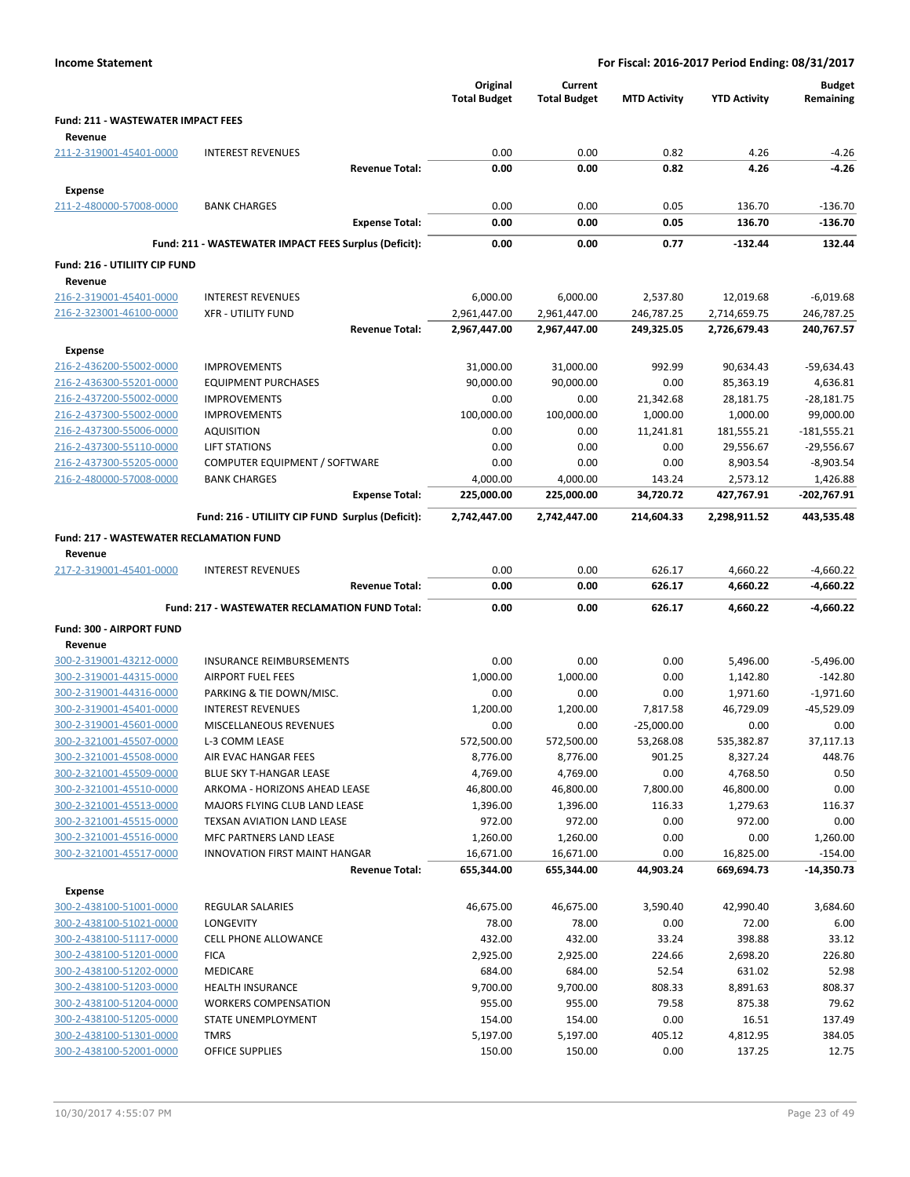| <b>Income Statement</b>                            |                                                       | For Fiscal: 2016-2017 Period Ending: 08/31/2017 |                                |                     |                        |                             |
|----------------------------------------------------|-------------------------------------------------------|-------------------------------------------------|--------------------------------|---------------------|------------------------|-----------------------------|
|                                                    |                                                       | Original<br><b>Total Budget</b>                 | Current<br><b>Total Budget</b> | <b>MTD Activity</b> | <b>YTD Activity</b>    | <b>Budget</b><br>Remaining  |
| <b>Fund: 211 - WASTEWATER IMPACT FEES</b>          |                                                       |                                                 |                                |                     |                        |                             |
| Revenue                                            |                                                       |                                                 |                                |                     |                        |                             |
| 211-2-319001-45401-0000                            | <b>INTEREST REVENUES</b>                              | 0.00                                            | 0.00                           | 0.82                | 4.26                   | $-4.26$                     |
|                                                    | <b>Revenue Total:</b>                                 | 0.00                                            | 0.00                           | 0.82                | 4.26                   | $-4.26$                     |
| <b>Expense</b>                                     |                                                       |                                                 |                                |                     |                        |                             |
| 211-2-480000-57008-0000                            | <b>BANK CHARGES</b>                                   | 0.00                                            | 0.00                           | 0.05                | 136.70                 | $-136.70$                   |
|                                                    | <b>Expense Total:</b>                                 | 0.00                                            | 0.00                           | 0.05                | 136.70                 | -136.70                     |
|                                                    | Fund: 211 - WASTEWATER IMPACT FEES Surplus (Deficit): | 0.00                                            | 0.00                           | 0.77                | $-132.44$              | 132.44                      |
| Fund: 216 - UTILIITY CIP FUND                      |                                                       |                                                 |                                |                     |                        |                             |
| Revenue                                            |                                                       |                                                 |                                |                     |                        |                             |
| 216-2-319001-45401-0000                            | <b>INTEREST REVENUES</b>                              | 6,000.00                                        | 6,000.00                       | 2,537.80            | 12,019.68              | $-6,019.68$                 |
| 216-2-323001-46100-0000                            | <b>XFR - UTILITY FUND</b>                             | 2,961,447.00                                    | 2,961,447.00                   | 246,787.25          | 2,714,659.75           | 246,787.25                  |
|                                                    | <b>Revenue Total:</b>                                 | 2,967,447.00                                    | 2,967,447.00                   | 249,325.05          | 2,726,679.43           | 240,767.57                  |
| <b>Expense</b>                                     |                                                       |                                                 |                                |                     |                        |                             |
| 216-2-436200-55002-0000                            | <b>IMPROVEMENTS</b>                                   | 31,000.00                                       | 31,000.00                      | 992.99              | 90,634.43              | $-59,634.43$                |
| 216-2-436300-55201-0000                            | <b>EQUIPMENT PURCHASES</b>                            | 90,000.00                                       | 90,000.00                      | 0.00                | 85,363.19              | 4,636.81                    |
| 216-2-437200-55002-0000                            | <b>IMPROVEMENTS</b>                                   | 0.00                                            | 0.00                           | 21,342.68           | 28,181.75              | $-28,181.75$                |
| 216-2-437300-55002-0000                            | <b>IMPROVEMENTS</b>                                   | 100,000.00                                      | 100,000.00                     | 1,000.00            | 1,000.00               | 99,000.00                   |
| 216-2-437300-55006-0000                            | <b>AQUISITION</b>                                     | 0.00                                            | 0.00                           | 11,241.81           | 181,555.21             | $-181,555.21$               |
| 216-2-437300-55110-0000                            | <b>LIFT STATIONS</b>                                  | 0.00                                            | 0.00                           | 0.00                | 29,556.67              | $-29,556.67$                |
| 216-2-437300-55205-0000                            | COMPUTER EQUIPMENT / SOFTWARE                         | 0.00                                            | 0.00                           | 0.00                | 8,903.54               | $-8,903.54$                 |
| 216-2-480000-57008-0000                            | <b>BANK CHARGES</b>                                   | 4,000.00<br>225,000.00                          | 4,000.00<br>225,000.00         | 143.24<br>34,720.72 | 2,573.12<br>427,767.91 | 1,426.88                    |
|                                                    | <b>Expense Total:</b>                                 |                                                 |                                |                     |                        | -202,767.91                 |
|                                                    | Fund: 216 - UTILIITY CIP FUND Surplus (Deficit):      | 2,742,447.00                                    | 2,742,447.00                   | 214,604.33          | 2,298,911.52           | 443,535.48                  |
| <b>Fund: 217 - WASTEWATER RECLAMATION FUND</b>     |                                                       |                                                 |                                |                     |                        |                             |
| Revenue                                            |                                                       |                                                 |                                |                     |                        |                             |
| 217-2-319001-45401-0000                            | <b>INTEREST REVENUES</b><br><b>Revenue Total:</b>     | 0.00<br>0.00                                    | 0.00<br>0.00                   | 626.17<br>626.17    | 4,660.22<br>4,660.22   | $-4,660.22$<br>-4,660.22    |
|                                                    |                                                       |                                                 |                                |                     |                        |                             |
|                                                    | Fund: 217 - WASTEWATER RECLAMATION FUND Total:        | 0.00                                            | 0.00                           | 626.17              | 4,660.22               | $-4,660.22$                 |
| Fund: 300 - AIRPORT FUND                           |                                                       |                                                 |                                |                     |                        |                             |
| Revenue                                            |                                                       |                                                 |                                |                     |                        |                             |
| 300-2-319001-43212-0000                            | INSURANCE REIMBURSEMENTS                              | 0.00                                            | 0.00                           | 0.00                | 5,496.00               | $-5,496.00$                 |
| 300-2-319001-44315-0000                            | <b>AIRPORT FUEL FEES</b>                              | 1,000.00                                        | 1,000.00                       | 0.00                | 1,142.80               | $-142.80$                   |
| 300-2-319001-44316-0000<br>300-2-319001-45401-0000 | PARKING & TIE DOWN/MISC.<br><b>INTEREST REVENUES</b>  | 0.00<br>1,200.00                                | 0.00<br>1,200.00               | 0.00<br>7,817.58    | 1,971.60<br>46,729.09  | $-1,971.60$<br>$-45,529.09$ |
| 300-2-319001-45601-0000                            | MISCELLANEOUS REVENUES                                | 0.00                                            | 0.00                           | $-25,000.00$        | 0.00                   | 0.00                        |
| 300-2-321001-45507-0000                            | L-3 COMM LEASE                                        | 572,500.00                                      | 572,500.00                     | 53,268.08           | 535,382.87             | 37,117.13                   |
| 300-2-321001-45508-0000                            | AIR EVAC HANGAR FEES                                  | 8,776.00                                        | 8,776.00                       | 901.25              | 8,327.24               | 448.76                      |
| 300-2-321001-45509-0000                            | BLUE SKY T-HANGAR LEASE                               | 4,769.00                                        | 4,769.00                       | 0.00                | 4,768.50               | 0.50                        |
| 300-2-321001-45510-0000                            | ARKOMA - HORIZONS AHEAD LEASE                         | 46,800.00                                       | 46,800.00                      | 7,800.00            | 46,800.00              | 0.00                        |
| 300-2-321001-45513-0000                            | MAJORS FLYING CLUB LAND LEASE                         | 1,396.00                                        | 1,396.00                       | 116.33              | 1,279.63               | 116.37                      |
| 300-2-321001-45515-0000                            | TEXSAN AVIATION LAND LEASE                            | 972.00                                          | 972.00                         | 0.00                | 972.00                 | 0.00                        |
| 300-2-321001-45516-0000                            | MFC PARTNERS LAND LEASE                               | 1,260.00                                        | 1,260.00                       | 0.00                | 0.00                   | 1,260.00                    |
| 300-2-321001-45517-0000                            | <b>INNOVATION FIRST MAINT HANGAR</b>                  | 16,671.00                                       | 16,671.00                      | 0.00                | 16,825.00              | $-154.00$                   |
|                                                    | <b>Revenue Total:</b>                                 | 655,344.00                                      | 655,344.00                     | 44,903.24           | 669,694.73             | -14,350.73                  |
| <b>Expense</b>                                     |                                                       |                                                 |                                |                     |                        |                             |
| 300-2-438100-51001-0000                            | <b>REGULAR SALARIES</b>                               | 46,675.00                                       | 46,675.00                      | 3,590.40            | 42,990.40              | 3,684.60                    |
| 300-2-438100-51021-0000                            | LONGEVITY                                             | 78.00                                           | 78.00                          | 0.00                | 72.00                  | 6.00                        |
| 300-2-438100-51117-0000                            | <b>CELL PHONE ALLOWANCE</b>                           | 432.00                                          | 432.00                         | 33.24               | 398.88                 | 33.12                       |
| 300-2-438100-51201-0000                            | <b>FICA</b>                                           | 2,925.00                                        | 2,925.00                       | 224.66              | 2,698.20               | 226.80                      |
| 300-2-438100-51202-0000<br>300-2-438100-51203-0000 | MEDICARE<br>HEALTH INSURANCE                          | 684.00<br>9,700.00                              | 684.00<br>9,700.00             | 52.54<br>808.33     | 631.02<br>8,891.63     | 52.98<br>808.37             |
| 300-2-438100-51204-0000                            | <b>WORKERS COMPENSATION</b>                           | 955.00                                          | 955.00                         | 79.58               | 875.38                 | 79.62                       |
| 300-2-438100-51205-0000                            | STATE UNEMPLOYMENT                                    | 154.00                                          | 154.00                         | 0.00                | 16.51                  | 137.49                      |
| 300-2-438100-51301-0000                            | <b>TMRS</b>                                           | 5,197.00                                        | 5,197.00                       | 405.12              | 4,812.95               | 384.05                      |
| 300-2-438100-52001-0000                            | OFFICE SUPPLIES                                       | 150.00                                          | 150.00                         | 0.00                | 137.25                 | 12.75                       |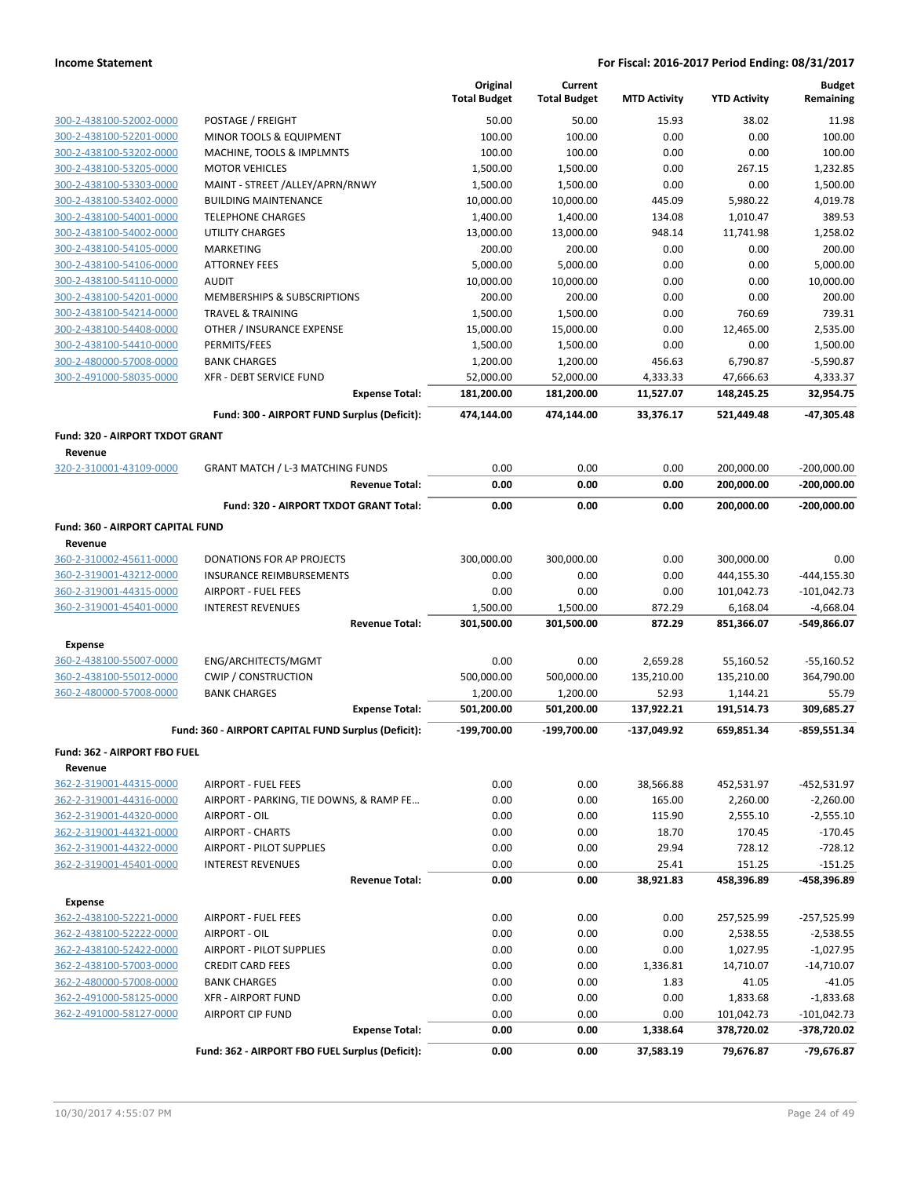|                                             |                                                     | Original<br><b>Total Budget</b> | Current<br><b>Total Budget</b> | <b>MTD Activity</b> | <b>YTD Activity</b> | <b>Budget</b><br>Remaining |
|---------------------------------------------|-----------------------------------------------------|---------------------------------|--------------------------------|---------------------|---------------------|----------------------------|
| 300-2-438100-52002-0000                     | POSTAGE / FREIGHT                                   | 50.00                           | 50.00                          | 15.93               | 38.02               | 11.98                      |
| 300-2-438100-52201-0000                     | MINOR TOOLS & EQUIPMENT                             | 100.00                          | 100.00                         | 0.00                | 0.00                | 100.00                     |
| 300-2-438100-53202-0000                     | MACHINE, TOOLS & IMPLMNTS                           | 100.00                          | 100.00                         | 0.00                | 0.00                | 100.00                     |
| 300-2-438100-53205-0000                     | <b>MOTOR VEHICLES</b>                               | 1,500.00                        | 1,500.00                       | 0.00                | 267.15              | 1,232.85                   |
| 300-2-438100-53303-0000                     | MAINT - STREET / ALLEY/APRN/RNWY                    | 1,500.00                        | 1,500.00                       | 0.00                | 0.00                | 1,500.00                   |
| 300-2-438100-53402-0000                     | <b>BUILDING MAINTENANCE</b>                         | 10,000.00                       | 10,000.00                      | 445.09              | 5,980.22            | 4,019.78                   |
| 300-2-438100-54001-0000                     | <b>TELEPHONE CHARGES</b>                            | 1,400.00                        | 1,400.00                       | 134.08              | 1,010.47            | 389.53                     |
| 300-2-438100-54002-0000                     | <b>UTILITY CHARGES</b>                              | 13,000.00                       | 13,000.00                      | 948.14              | 11,741.98           | 1,258.02                   |
| 300-2-438100-54105-0000                     | <b>MARKETING</b>                                    | 200.00                          | 200.00                         | 0.00                | 0.00                | 200.00                     |
| 300-2-438100-54106-0000                     | <b>ATTORNEY FEES</b>                                | 5,000.00                        | 5,000.00                       | 0.00                | 0.00                | 5,000.00                   |
| 300-2-438100-54110-0000                     | <b>AUDIT</b>                                        | 10,000.00                       | 10,000.00                      | 0.00                | 0.00                | 10,000.00                  |
| 300-2-438100-54201-0000                     | MEMBERSHIPS & SUBSCRIPTIONS                         | 200.00                          | 200.00                         | 0.00                | 0.00                | 200.00                     |
| 300-2-438100-54214-0000                     | <b>TRAVEL &amp; TRAINING</b>                        | 1,500.00                        | 1,500.00                       | 0.00                | 760.69              | 739.31                     |
| 300-2-438100-54408-0000                     | OTHER / INSURANCE EXPENSE                           | 15,000.00                       | 15,000.00                      | 0.00                | 12,465.00           | 2,535.00                   |
| 300-2-438100-54410-0000                     | PERMITS/FEES                                        | 1,500.00                        | 1,500.00                       | 0.00                | 0.00                | 1,500.00                   |
| 300-2-480000-57008-0000                     | <b>BANK CHARGES</b>                                 | 1,200.00                        | 1,200.00                       | 456.63              | 6,790.87            | $-5,590.87$                |
| 300-2-491000-58035-0000                     | <b>XFR - DEBT SERVICE FUND</b>                      | 52,000.00                       | 52,000.00                      | 4,333.33            | 47,666.63           | 4,333.37                   |
|                                             | <b>Expense Total:</b>                               | 181,200.00                      | 181,200.00                     | 11,527.07           | 148,245.25          | 32,954.75                  |
|                                             | Fund: 300 - AIRPORT FUND Surplus (Deficit):         | 474,144.00                      | 474,144.00                     | 33,376.17           | 521,449.48          | -47,305.48                 |
| Fund: 320 - AIRPORT TXDOT GRANT<br>Revenue  |                                                     |                                 |                                |                     |                     |                            |
| 320-2-310001-43109-0000                     | <b>GRANT MATCH / L-3 MATCHING FUNDS</b>             | 0.00                            | 0.00                           | 0.00                | 200,000.00          | $-200,000.00$              |
|                                             | <b>Revenue Total:</b>                               | 0.00                            | 0.00                           | 0.00                | 200,000.00          | $-200,000.00$              |
|                                             | Fund: 320 - AIRPORT TXDOT GRANT Total:              | 0.00                            | 0.00                           | 0.00                | 200,000.00          | $-200,000.00$              |
| Fund: 360 - AIRPORT CAPITAL FUND<br>Revenue |                                                     |                                 |                                |                     |                     |                            |
| 360-2-310002-45611-0000                     | DONATIONS FOR AP PROJECTS                           | 300,000.00                      | 300,000.00                     | 0.00                | 300,000.00          | 0.00                       |
| 360-2-319001-43212-0000                     | INSURANCE REIMBURSEMENTS                            | 0.00                            | 0.00                           | 0.00                | 444,155.30          | $-444, 155.30$             |
| 360-2-319001-44315-0000                     | <b>AIRPORT - FUEL FEES</b>                          | 0.00                            | 0.00                           | 0.00                | 101,042.73          | $-101,042.73$              |
| 360-2-319001-45401-0000                     | <b>INTEREST REVENUES</b>                            | 1,500.00                        | 1,500.00                       | 872.29              | 6,168.04            | $-4,668.04$                |
|                                             | <b>Revenue Total:</b>                               | 301,500.00                      | 301,500.00                     | 872.29              | 851,366.07          | -549,866.07                |
| Expense                                     |                                                     |                                 |                                |                     |                     |                            |
| 360-2-438100-55007-0000                     | ENG/ARCHITECTS/MGMT                                 | 0.00                            | 0.00                           | 2,659.28            | 55,160.52           | $-55,160.52$               |
| 360-2-438100-55012-0000                     | <b>CWIP / CONSTRUCTION</b>                          | 500,000.00                      | 500,000.00                     | 135,210.00          | 135,210.00          | 364,790.00                 |
| 360-2-480000-57008-0000                     | <b>BANK CHARGES</b>                                 | 1,200.00                        | 1,200.00                       | 52.93               | 1,144.21            | 55.79                      |
|                                             | <b>Expense Total:</b>                               | 501,200.00                      | 501,200.00                     | 137,922.21          | 191,514.73          | 309,685.27                 |
|                                             | Fund: 360 - AIRPORT CAPITAL FUND Surplus (Deficit): | -199,700.00                     | -199,700.00                    | -137,049.92         | 659,851.34          | $-859,551.34$              |
| Fund: 362 - AIRPORT FBO FUEL                |                                                     |                                 |                                |                     |                     |                            |
| Revenue<br>362-2-319001-44315-0000          | <b>AIRPORT - FUEL FEES</b>                          | 0.00                            | 0.00                           | 38,566.88           | 452,531.97          | -452,531.97                |
| 362-2-319001-44316-0000                     | AIRPORT - PARKING, TIE DOWNS, & RAMP FE             | 0.00                            | 0.00                           | 165.00              | 2,260.00            | $-2,260.00$                |
| 362-2-319001-44320-0000                     | AIRPORT - OIL                                       | 0.00                            | 0.00                           | 115.90              | 2,555.10            | $-2,555.10$                |
| 362-2-319001-44321-0000                     | <b>AIRPORT - CHARTS</b>                             | 0.00                            | 0.00                           | 18.70               | 170.45              | $-170.45$                  |
| 362-2-319001-44322-0000                     | AIRPORT - PILOT SUPPLIES                            | 0.00                            | 0.00                           | 29.94               | 728.12              | $-728.12$                  |
| 362-2-319001-45401-0000                     | <b>INTEREST REVENUES</b>                            | 0.00                            | 0.00                           | 25.41               | 151.25              | $-151.25$                  |
|                                             | <b>Revenue Total:</b>                               | 0.00                            | 0.00                           | 38,921.83           | 458,396.89          | -458,396.89                |
| <b>Expense</b>                              |                                                     |                                 |                                |                     |                     |                            |
| 362-2-438100-52221-0000                     | <b>AIRPORT - FUEL FEES</b>                          | 0.00                            | 0.00                           | 0.00                | 257,525.99          | $-257,525.99$              |
| 362-2-438100-52222-0000                     | AIRPORT - OIL                                       | 0.00                            | 0.00                           | 0.00                | 2,538.55            | $-2,538.55$                |
| 362-2-438100-52422-0000                     | AIRPORT - PILOT SUPPLIES                            | 0.00                            | 0.00                           | 0.00                | 1,027.95            | $-1,027.95$                |
| 362-2-438100-57003-0000                     | <b>CREDIT CARD FEES</b>                             | 0.00                            | 0.00                           | 1,336.81            | 14,710.07           | $-14,710.07$               |
| 362-2-480000-57008-0000                     | <b>BANK CHARGES</b>                                 | 0.00                            | 0.00                           | 1.83                | 41.05               | $-41.05$                   |
| 362-2-491000-58125-0000                     | <b>XFR - AIRPORT FUND</b>                           | 0.00                            | 0.00                           | 0.00                | 1,833.68            | $-1,833.68$                |
| 362-2-491000-58127-0000                     | <b>AIRPORT CIP FUND</b>                             | 0.00                            | 0.00                           | 0.00                | 101,042.73          | $-101,042.73$              |
|                                             | <b>Expense Total:</b>                               | 0.00                            | 0.00                           | 1,338.64            | 378,720.02          | -378,720.02                |
|                                             | Fund: 362 - AIRPORT FBO FUEL Surplus (Deficit):     | 0.00                            | 0.00                           | 37,583.19           | 79,676.87           | -79,676.87                 |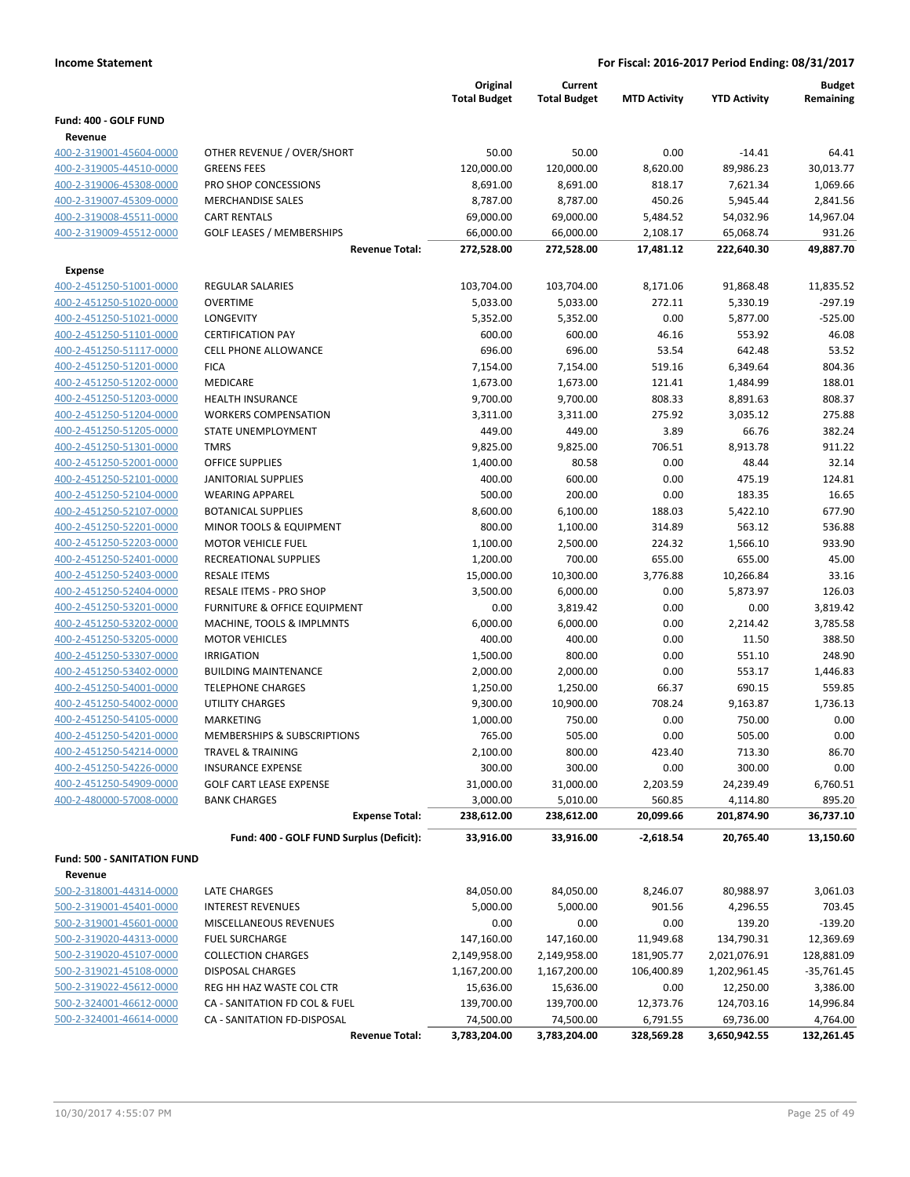|                                                    |                                                                 | Original            | Current              |                     |                     | <b>Budget</b>    |
|----------------------------------------------------|-----------------------------------------------------------------|---------------------|----------------------|---------------------|---------------------|------------------|
|                                                    |                                                                 | <b>Total Budget</b> | <b>Total Budget</b>  | <b>MTD Activity</b> | <b>YTD Activity</b> | Remaining        |
| Fund: 400 - GOLF FUND                              |                                                                 |                     |                      |                     |                     |                  |
| Revenue                                            |                                                                 |                     |                      |                     |                     |                  |
| 400-2-319001-45604-0000                            | OTHER REVENUE / OVER/SHORT                                      | 50.00               | 50.00                | 0.00                | $-14.41$            | 64.41            |
| 400-2-319005-44510-0000                            | <b>GREENS FEES</b>                                              | 120,000.00          | 120,000.00           | 8,620.00            | 89,986.23           | 30,013.77        |
| 400-2-319006-45308-0000                            | PRO SHOP CONCESSIONS                                            | 8,691.00            | 8,691.00             | 818.17              | 7,621.34            | 1,069.66         |
| 400-2-319007-45309-0000                            | <b>MERCHANDISE SALES</b>                                        | 8,787.00            | 8,787.00             | 450.26              | 5,945.44            | 2,841.56         |
| 400-2-319008-45511-0000                            | <b>CART RENTALS</b>                                             | 69,000.00           | 69,000.00            | 5,484.52            | 54,032.96           | 14,967.04        |
| 400-2-319009-45512-0000                            | <b>GOLF LEASES / MEMBERSHIPS</b>                                | 66,000.00           | 66,000.00            | 2,108.17            | 65,068.74           | 931.26           |
|                                                    | <b>Revenue Total:</b>                                           | 272,528.00          | 272,528.00           | 17,481.12           | 222,640.30          | 49,887.70        |
| Expense                                            |                                                                 |                     |                      |                     |                     |                  |
| 400-2-451250-51001-0000                            | <b>REGULAR SALARIES</b>                                         | 103,704.00          | 103,704.00           | 8,171.06            | 91,868.48           | 11,835.52        |
| 400-2-451250-51020-0000                            | <b>OVERTIME</b>                                                 | 5,033.00            | 5,033.00             | 272.11              | 5,330.19            | $-297.19$        |
| 400-2-451250-51021-0000                            | <b>LONGEVITY</b>                                                | 5,352.00            | 5,352.00             | 0.00                | 5,877.00            | $-525.00$        |
| 400-2-451250-51101-0000                            | <b>CERTIFICATION PAY</b>                                        | 600.00              | 600.00               | 46.16               | 553.92              | 46.08            |
| 400-2-451250-51117-0000                            | <b>CELL PHONE ALLOWANCE</b>                                     | 696.00              | 696.00               | 53.54               | 642.48              | 53.52            |
| 400-2-451250-51201-0000                            | <b>FICA</b>                                                     | 7,154.00            | 7,154.00             | 519.16              | 6,349.64            | 804.36           |
| 400-2-451250-51202-0000                            | MEDICARE                                                        | 1,673.00            | 1,673.00             | 121.41              | 1,484.99            | 188.01           |
| 400-2-451250-51203-0000                            | <b>HEALTH INSURANCE</b>                                         | 9,700.00            | 9,700.00             | 808.33              | 8,891.63            | 808.37           |
| 400-2-451250-51204-0000                            | <b>WORKERS COMPENSATION</b>                                     | 3,311.00            | 3,311.00             | 275.92              | 3,035.12            | 275.88           |
| 400-2-451250-51205-0000                            | STATE UNEMPLOYMENT                                              | 449.00              | 449.00               | 3.89                | 66.76               | 382.24           |
| 400-2-451250-51301-0000                            | <b>TMRS</b>                                                     | 9,825.00            | 9,825.00             | 706.51              | 8,913.78            | 911.22           |
| 400-2-451250-52001-0000                            | <b>OFFICE SUPPLIES</b>                                          | 1,400.00            | 80.58                | 0.00                | 48.44               | 32.14            |
| 400-2-451250-52101-0000                            | <b>JANITORIAL SUPPLIES</b>                                      | 400.00              | 600.00               | 0.00                | 475.19              | 124.81           |
| 400-2-451250-52104-0000                            | <b>WEARING APPAREL</b>                                          | 500.00              | 200.00               | 0.00                | 183.35              | 16.65            |
| 400-2-451250-52107-0000                            | <b>BOTANICAL SUPPLIES</b>                                       | 8,600.00            | 6,100.00             | 188.03              | 5,422.10            | 677.90<br>536.88 |
| 400-2-451250-52201-0000<br>400-2-451250-52203-0000 | <b>MINOR TOOLS &amp; EQUIPMENT</b><br><b>MOTOR VEHICLE FUEL</b> | 800.00<br>1,100.00  | 1,100.00<br>2,500.00 | 314.89<br>224.32    | 563.12<br>1,566.10  | 933.90           |
| 400-2-451250-52401-0000                            | RECREATIONAL SUPPLIES                                           | 1,200.00            | 700.00               | 655.00              | 655.00              | 45.00            |
| 400-2-451250-52403-0000                            | <b>RESALE ITEMS</b>                                             | 15,000.00           | 10,300.00            | 3,776.88            | 10,266.84           | 33.16            |
| 400-2-451250-52404-0000                            | RESALE ITEMS - PRO SHOP                                         | 3,500.00            | 6,000.00             | 0.00                | 5,873.97            | 126.03           |
| 400-2-451250-53201-0000                            | <b>FURNITURE &amp; OFFICE EQUIPMENT</b>                         | 0.00                | 3,819.42             | 0.00                | 0.00                | 3,819.42         |
| 400-2-451250-53202-0000                            | MACHINE, TOOLS & IMPLMNTS                                       | 6,000.00            | 6,000.00             | 0.00                | 2,214.42            | 3,785.58         |
| 400-2-451250-53205-0000                            | <b>MOTOR VEHICLES</b>                                           | 400.00              | 400.00               | 0.00                | 11.50               | 388.50           |
| 400-2-451250-53307-0000                            | <b>IRRIGATION</b>                                               | 1,500.00            | 800.00               | 0.00                | 551.10              | 248.90           |
| 400-2-451250-53402-0000                            | <b>BUILDING MAINTENANCE</b>                                     | 2,000.00            | 2,000.00             | 0.00                | 553.17              | 1,446.83         |
| 400-2-451250-54001-0000                            | <b>TELEPHONE CHARGES</b>                                        | 1,250.00            | 1,250.00             | 66.37               | 690.15              | 559.85           |
| 400-2-451250-54002-0000                            | <b>UTILITY CHARGES</b>                                          | 9,300.00            | 10,900.00            | 708.24              | 9,163.87            | 1,736.13         |
| 400-2-451250-54105-0000                            | <b>MARKETING</b>                                                | 1,000.00            | 750.00               | 0.00                | 750.00              | 0.00             |
| 400-2-451250-54201-0000                            | MEMBERSHIPS & SUBSCRIPTIONS                                     | 765.00              | 505.00               | 0.00                | 505.00              | 0.00             |
| 400-2-451250-54214-0000                            | <b>TRAVEL &amp; TRAINING</b>                                    | 2,100.00            | 800.00               | 423.40              | 713.30              | 86.70            |
| 400-2-451250-54226-0000                            | <b>INSURANCE EXPENSE</b>                                        | 300.00              | 300.00               | 0.00                | 300.00              | 0.00             |
| 400-2-451250-54909-0000                            | <b>GOLF CART LEASE EXPENSE</b>                                  | 31,000.00           | 31,000.00            | 2,203.59            | 24,239.49           | 6,760.51         |
| 400-2-480000-57008-0000                            | <b>BANK CHARGES</b>                                             | 3,000.00            | 5,010.00             | 560.85              | 4,114.80            | 895.20           |
|                                                    | <b>Expense Total:</b>                                           | 238,612.00          | 238,612.00           | 20,099.66           | 201,874.90          | 36,737.10        |
|                                                    | Fund: 400 - GOLF FUND Surplus (Deficit):                        | 33,916.00           | 33,916.00            | $-2,618.54$         | 20,765.40           | 13,150.60        |
| <b>Fund: 500 - SANITATION FUND</b>                 |                                                                 |                     |                      |                     |                     |                  |
| Revenue                                            |                                                                 |                     |                      |                     |                     |                  |
| 500-2-318001-44314-0000                            | LATE CHARGES                                                    | 84,050.00           | 84,050.00            | 8,246.07            | 80,988.97           | 3,061.03         |
| 500-2-319001-45401-0000                            | <b>INTEREST REVENUES</b>                                        | 5,000.00            | 5,000.00             | 901.56              | 4,296.55            | 703.45           |
| 500-2-319001-45601-0000                            | MISCELLANEOUS REVENUES                                          | 0.00                | 0.00                 | 0.00                | 139.20              | $-139.20$        |
| 500-2-319020-44313-0000                            | <b>FUEL SURCHARGE</b>                                           | 147,160.00          | 147,160.00           | 11,949.68           | 134,790.31          | 12,369.69        |
| 500-2-319020-45107-0000                            | <b>COLLECTION CHARGES</b>                                       | 2,149,958.00        | 2,149,958.00         | 181,905.77          | 2,021,076.91        | 128,881.09       |
| 500-2-319021-45108-0000                            | DISPOSAL CHARGES                                                | 1,167,200.00        | 1,167,200.00         | 106,400.89          | 1,202,961.45        | $-35,761.45$     |
| 500-2-319022-45612-0000                            | REG HH HAZ WASTE COL CTR                                        | 15,636.00           | 15,636.00            | 0.00                | 12,250.00           | 3,386.00         |
| 500-2-324001-46612-0000                            | CA - SANITATION FD COL & FUEL                                   | 139,700.00          | 139,700.00           | 12,373.76           | 124,703.16          | 14,996.84        |
| 500-2-324001-46614-0000                            | CA - SANITATION FD-DISPOSAL                                     | 74,500.00           | 74,500.00            | 6,791.55            | 69,736.00           | 4,764.00         |
|                                                    | <b>Revenue Total:</b>                                           | 3,783,204.00        | 3,783,204.00         | 328,569.28          | 3,650,942.55        | 132,261.45       |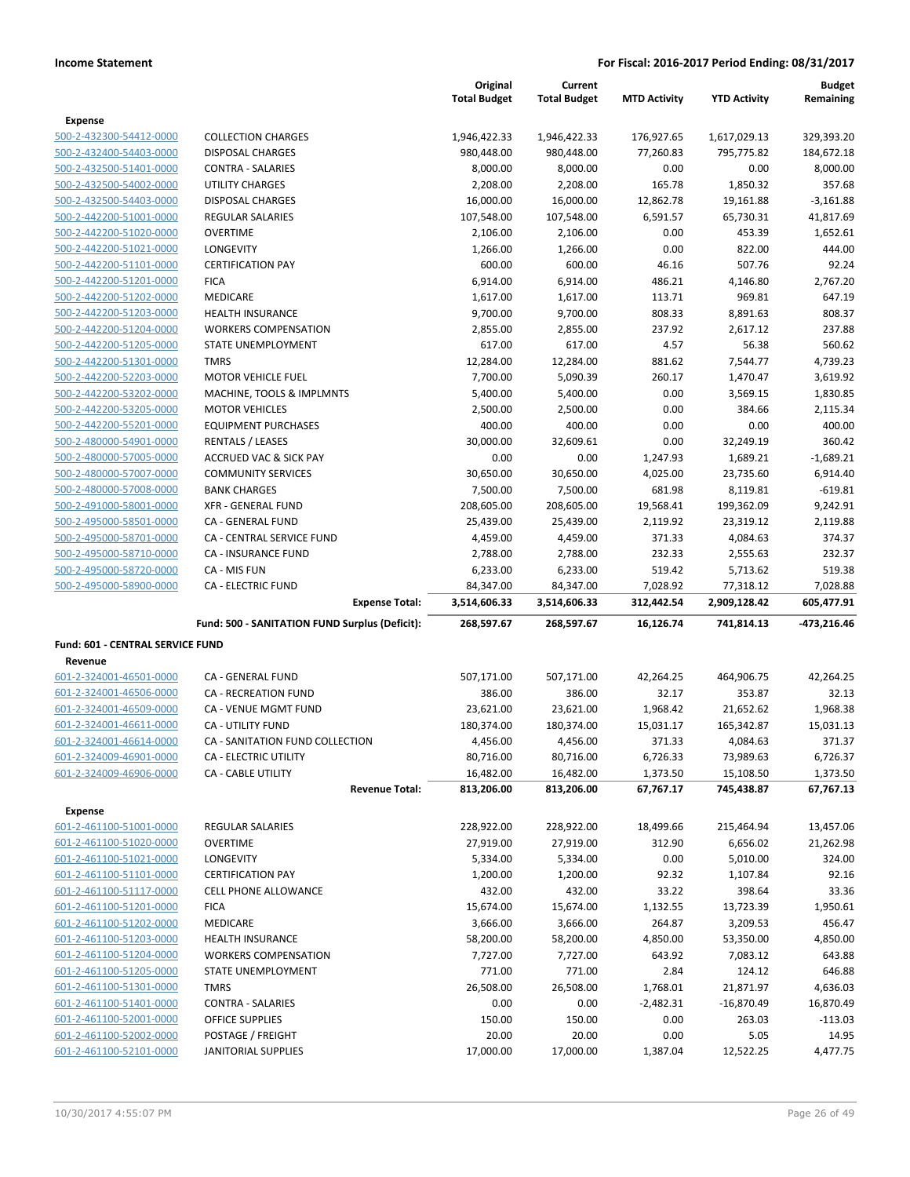|                                           |                                                | Original            | Current             |                     |                     | <b>Budget</b> |
|-------------------------------------------|------------------------------------------------|---------------------|---------------------|---------------------|---------------------|---------------|
|                                           |                                                | <b>Total Budget</b> | <b>Total Budget</b> | <b>MTD Activity</b> | <b>YTD Activity</b> | Remaining     |
| Expense                                   |                                                |                     |                     |                     |                     |               |
| 500-2-432300-54412-0000                   | <b>COLLECTION CHARGES</b>                      | 1,946,422.33        | 1,946,422.33        | 176,927.65          | 1,617,029.13        | 329,393.20    |
| 500-2-432400-54403-0000                   | DISPOSAL CHARGES                               | 980,448.00          | 980,448.00          | 77,260.83           | 795,775.82          | 184,672.18    |
| 500-2-432500-51401-0000                   | <b>CONTRA - SALARIES</b>                       | 8,000.00            | 8,000.00            | 0.00                | 0.00                | 8,000.00      |
| 500-2-432500-54002-0000                   | <b>UTILITY CHARGES</b>                         | 2,208.00            | 2,208.00            | 165.78              | 1,850.32            | 357.68        |
| 500-2-432500-54403-0000                   | DISPOSAL CHARGES                               | 16,000.00           | 16,000.00           | 12,862.78           | 19,161.88           | $-3,161.88$   |
| 500-2-442200-51001-0000                   | <b>REGULAR SALARIES</b>                        | 107,548.00          | 107,548.00          | 6,591.57            | 65,730.31           | 41,817.69     |
| 500-2-442200-51020-0000                   | <b>OVERTIME</b>                                | 2,106.00            | 2,106.00            | 0.00                | 453.39              | 1,652.61      |
| 500-2-442200-51021-0000                   | LONGEVITY                                      | 1,266.00            | 1,266.00            | 0.00                | 822.00              | 444.00        |
| 500-2-442200-51101-0000                   | <b>CERTIFICATION PAY</b>                       | 600.00              | 600.00              | 46.16               | 507.76              | 92.24         |
| 500-2-442200-51201-0000                   | <b>FICA</b>                                    | 6,914.00            | 6,914.00            | 486.21              | 4,146.80            | 2,767.20      |
| 500-2-442200-51202-0000                   | MEDICARE                                       | 1,617.00            | 1,617.00            | 113.71              | 969.81              | 647.19        |
| 500-2-442200-51203-0000                   | <b>HEALTH INSURANCE</b>                        | 9,700.00            | 9,700.00            | 808.33              | 8,891.63            | 808.37        |
| 500-2-442200-51204-0000                   | <b>WORKERS COMPENSATION</b>                    | 2,855.00            | 2,855.00            | 237.92              | 2,617.12            | 237.88        |
| 500-2-442200-51205-0000                   | STATE UNEMPLOYMENT                             | 617.00              | 617.00              | 4.57                | 56.38               | 560.62        |
| 500-2-442200-51301-0000                   | <b>TMRS</b>                                    | 12,284.00           | 12,284.00           | 881.62              | 7,544.77            | 4,739.23      |
| 500-2-442200-52203-0000                   | <b>MOTOR VEHICLE FUEL</b>                      | 7,700.00            | 5,090.39            | 260.17              | 1,470.47            | 3,619.92      |
| 500-2-442200-53202-0000                   | MACHINE, TOOLS & IMPLMNTS                      | 5,400.00            | 5,400.00            | 0.00                | 3,569.15            | 1,830.85      |
| 500-2-442200-53205-0000                   | <b>MOTOR VEHICLES</b>                          | 2,500.00            | 2,500.00            | 0.00                | 384.66              | 2,115.34      |
| 500-2-442200-55201-0000                   | <b>EQUIPMENT PURCHASES</b>                     | 400.00              | 400.00              | 0.00                | 0.00                | 400.00        |
| 500-2-480000-54901-0000                   | <b>RENTALS / LEASES</b>                        | 30,000.00           | 32,609.61           | 0.00                | 32,249.19           | 360.42        |
| 500-2-480000-57005-0000                   | <b>ACCRUED VAC &amp; SICK PAY</b>              | 0.00                | 0.00                | 1,247.93            | 1,689.21            | $-1,689.21$   |
| 500-2-480000-57007-0000                   | <b>COMMUNITY SERVICES</b>                      | 30,650.00           | 30,650.00           | 4,025.00            | 23,735.60           | 6,914.40      |
| 500-2-480000-57008-0000                   | <b>BANK CHARGES</b>                            | 7,500.00            | 7,500.00            | 681.98              | 8,119.81            | $-619.81$     |
| 500-2-491000-58001-0000                   | <b>XFR - GENERAL FUND</b>                      | 208,605.00          | 208,605.00          | 19,568.41           | 199,362.09          | 9,242.91      |
| 500-2-495000-58501-0000                   | CA - GENERAL FUND                              | 25,439.00           | 25,439.00           | 2,119.92            | 23,319.12           | 2,119.88      |
| 500-2-495000-58701-0000                   | CA - CENTRAL SERVICE FUND                      | 4,459.00            | 4,459.00            | 371.33              | 4,084.63            | 374.37        |
| 500-2-495000-58710-0000                   | CA - INSURANCE FUND                            | 2,788.00            | 2,788.00            | 232.33              | 2,555.63            | 232.37        |
| 500-2-495000-58720-0000                   | CA - MIS FUN                                   | 6,233.00            | 6,233.00            | 519.42              | 5,713.62            | 519.38        |
| 500-2-495000-58900-0000                   | <b>CA - ELECTRIC FUND</b>                      | 84,347.00           | 84,347.00           | 7,028.92            | 77,318.12           | 7,028.88      |
|                                           | <b>Expense Total:</b>                          | 3,514,606.33        | 3,514,606.33        | 312,442.54          | 2,909,128.42        | 605,477.91    |
|                                           | Fund: 500 - SANITATION FUND Surplus (Deficit): | 268,597.67          | 268,597.67          | 16,126.74           | 741,814.13          | -473,216.46   |
| Fund: 601 - CENTRAL SERVICE FUND          |                                                |                     |                     |                     |                     |               |
| Revenue                                   |                                                |                     |                     |                     |                     |               |
| 601-2-324001-46501-0000                   | CA - GENERAL FUND                              | 507,171.00          | 507,171.00          | 42,264.25           | 464,906.75          | 42,264.25     |
| 601-2-324001-46506-0000                   | <b>CA - RECREATION FUND</b>                    | 386.00              | 386.00              | 32.17               | 353.87              | 32.13         |
| 601-2-324001-46509-0000                   | CA - VENUE MGMT FUND                           | 23,621.00           | 23,621.00           | 1,968.42            | 21,652.62           | 1,968.38      |
| 601-2-324001-46611-0000                   | <b>CA - UTILITY FUND</b>                       | 180,374.00          | 180,374.00          | 15,031.17           | 165,342.87          | 15,031.13     |
| 601-2-324001-46614-0000                   | CA - SANITATION FUND COLLECTION                | 4,456.00            | 4,456.00            | 371.33              | 4,084.63            | 371.37        |
| 601-2-324009-46901-0000                   | CA - ELECTRIC UTILITY                          | 80,716.00           | 80,716.00           | 6,726.33            | 73,989.63           | 6,726.37      |
| 601-2-324009-46906-0000                   | CA - CABLE UTILITY                             | 16,482.00           | 16,482.00           | 1,373.50            | 15,108.50           | 1,373.50      |
|                                           | <b>Revenue Total:</b>                          | 813,206.00          | 813,206.00          | 67,767.17           | 745,438.87          | 67,767.13     |
|                                           |                                                |                     |                     |                     |                     |               |
| <b>Expense</b><br>601-2-461100-51001-0000 | <b>REGULAR SALARIES</b>                        | 228,922.00          | 228,922.00          | 18,499.66           | 215,464.94          | 13,457.06     |
| 601-2-461100-51020-0000                   | <b>OVERTIME</b>                                | 27,919.00           | 27,919.00           | 312.90              | 6,656.02            | 21,262.98     |
| 601-2-461100-51021-0000                   | LONGEVITY                                      | 5,334.00            | 5,334.00            | 0.00                | 5,010.00            | 324.00        |
| 601-2-461100-51101-0000                   | <b>CERTIFICATION PAY</b>                       | 1,200.00            | 1,200.00            | 92.32               |                     | 92.16         |
| 601-2-461100-51117-0000                   |                                                |                     |                     |                     | 1,107.84            |               |
|                                           | CELL PHONE ALLOWANCE                           | 432.00              | 432.00              | 33.22               | 398.64              | 33.36         |
| 601-2-461100-51201-0000                   | <b>FICA</b>                                    | 15,674.00           | 15,674.00           | 1,132.55            | 13,723.39           | 1,950.61      |
| 601-2-461100-51202-0000                   | MEDICARE                                       | 3,666.00            | 3,666.00            | 264.87              | 3,209.53            | 456.47        |
| 601-2-461100-51203-0000                   | HEALTH INSURANCE                               | 58,200.00           | 58,200.00           | 4,850.00            | 53,350.00           | 4,850.00      |
| 601-2-461100-51204-0000                   | <b>WORKERS COMPENSATION</b>                    | 7,727.00            | 7,727.00            | 643.92              | 7,083.12            | 643.88        |
| 601-2-461100-51205-0000                   | STATE UNEMPLOYMENT                             | 771.00              | 771.00              | 2.84                | 124.12              | 646.88        |
| 601-2-461100-51301-0000                   | <b>TMRS</b>                                    | 26,508.00           | 26,508.00           | 1,768.01            | 21,871.97           | 4,636.03      |
| 601-2-461100-51401-0000                   | <b>CONTRA - SALARIES</b>                       | 0.00                | 0.00                | $-2,482.31$         | $-16,870.49$        | 16,870.49     |
| 601-2-461100-52001-0000                   | OFFICE SUPPLIES                                | 150.00              | 150.00              | 0.00                | 263.03              | $-113.03$     |
| 601-2-461100-52002-0000                   | POSTAGE / FREIGHT                              | 20.00               | 20.00               | 0.00                | 5.05                | 14.95         |
| 601-2-461100-52101-0000                   | <b>JANITORIAL SUPPLIES</b>                     | 17,000.00           | 17,000.00           | 1,387.04            | 12,522.25           | 4,477.75      |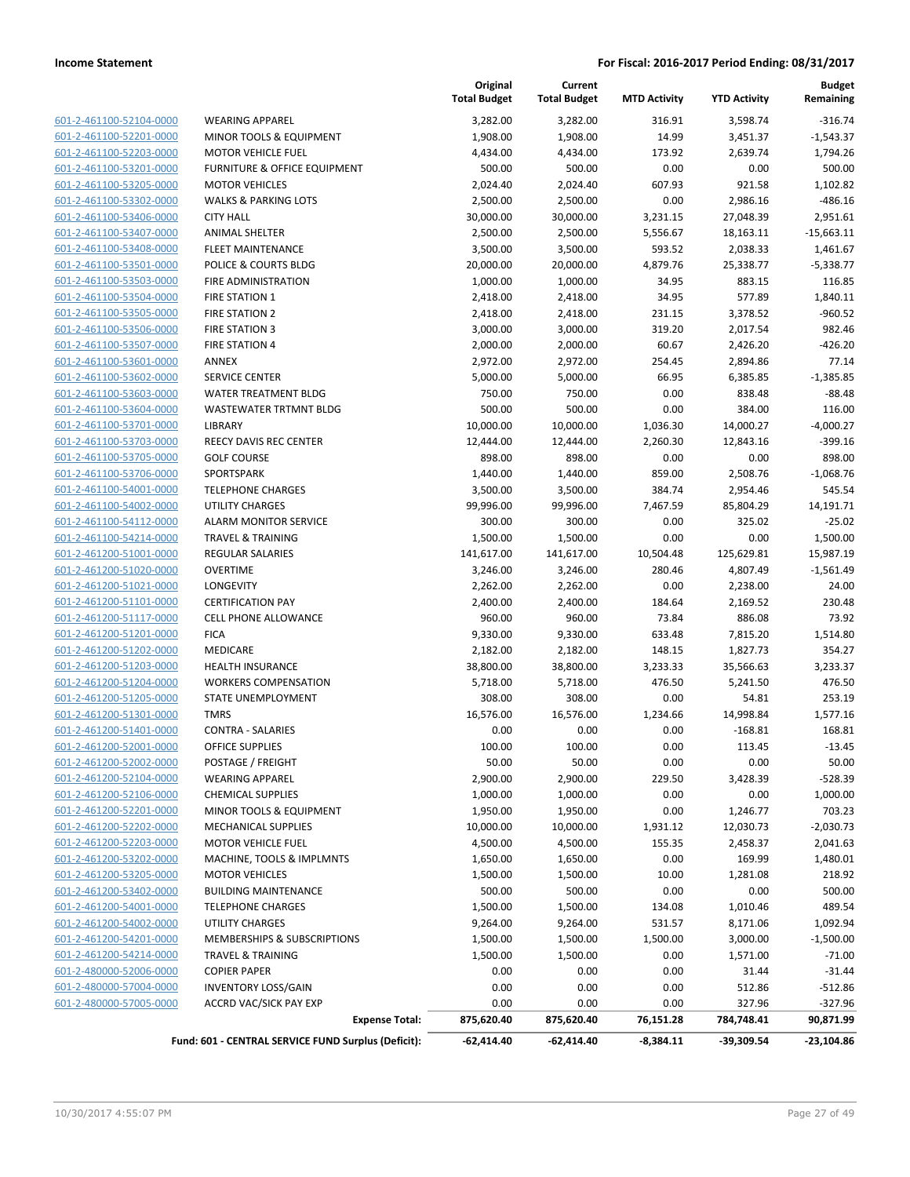| 601-2-461100-52104-0000        | WE         |
|--------------------------------|------------|
| 601-2-461100-52201-0000        | MII        |
| 601-2-461100-52203-0000        | MC         |
| 601-2-461100-53201-0000        | FUI        |
| 601-2-461100-53205-0000        | MC         |
| 601-2-461100-53302-0000        | WA         |
| 601-2-461100-53406-0000        | CIT        |
| 601-2-461100-53407-0000        | AN         |
| 601-2-461100-53408-0000        | FLE        |
| 601-2-461100-53501-0000        | PO         |
| 601-2-461100-53503-0000        | FIR        |
| 601-2-461100-53504-0000        | FIR        |
| 601-2-461100-53505-0000        | <b>FIR</b> |
| 601-2-461100-53506-0000        | <b>FIR</b> |
| 601-2-461100-53507-0000        | <b>FIR</b> |
| 601-2-461100-53601-0000        | AN         |
| 601-2-461100-53602-0000        | SEF        |
| 601-2-461100-53603-0000        | W۵         |
| <u>601-2-461100-53604-0000</u> | W۵         |
| 601-2-461100-53701-0000        | LІB        |
| 601-2-461100-53703-0000        | REE        |
| 601-2-461100-53705-0000        | GO         |
| 601-2-461100-53706-0000        | SPC        |
| 601-2-461100-54001-0000        | TEL        |
| 601-2-461100-54002-0000        | UTI        |
| 601-2-461100-54112-0000        | AL/        |
| 601-2-461100-54214-0000        | TR/        |
| 601-2-461200-51001-0000        | RE         |
| <u>601-2-461200-51020-0000</u> | ov         |
| 601-2-461200-51021-0000        | LOI        |
| 601-2-461200-51101-0000        | <b>CEF</b> |
| 601-2-461200-51117-0000        | CEL        |
| 601-2-461200-51201-0000        | FIC        |
| 601-2-461200-51202-0000        | ME         |
| 601-2-461200-51203-0000        | HE,        |
| 601-2-461200-51204-0000        | wc         |
| 601-2-461200-51205-0000        | ST/        |
| 601-2-461200-51301-0000        | TM         |
| 601-2-461200-51401-0000        | CO         |
| 601-2-461200-52001-0000        | OFI        |
| 601-2-461200-52002-0000        | PO:        |
| 601-2-461200-52104-0000        | WE         |
| 601-2-461200-52106-0000        | CHI        |
| <u>601-2-461200-52201-0000</u> | MII        |
| 601-2-461200-52202-0000        | ME         |
| 601-2-461200-52203-0000        | MC         |
| 601-2-461200-53202-0000        | MΑ         |
| 601-2-461200-53205-0000        | MC         |
| <u>601-2-461200-53402-0000</u> | BUI        |
| 601-2-461200-54001-0000        | TEL        |
| 601-2-461200-54002-0000        | UTI        |
| 601-2-461200-54201-0000        | ME         |
| 601-2-461200-54214-0000        | TR/        |
| <u>601-2-480000-52006-0000</u> | CO         |
| 601-2-480000-57004-0000        | IN۱        |
| 601-2-480000-57005-0000        | AC         |
|                                |            |

|                         |                                                                              | Original<br><b>Total Budget</b> | Current<br><b>Total Budget</b> | <b>MTD Activity</b>      | <b>YTD Activity</b>        | <b>Budget</b><br>Remaining |
|-------------------------|------------------------------------------------------------------------------|---------------------------------|--------------------------------|--------------------------|----------------------------|----------------------------|
| 601-2-461100-52104-0000 | <b>WEARING APPAREL</b>                                                       | 3,282.00                        | 3,282.00                       | 316.91                   | 3,598.74                   | $-316.74$                  |
| 601-2-461100-52201-0000 | MINOR TOOLS & EQUIPMENT                                                      | 1,908.00                        | 1,908.00                       | 14.99                    | 3,451.37                   | $-1,543.37$                |
| 601-2-461100-52203-0000 | <b>MOTOR VEHICLE FUEL</b>                                                    | 4,434.00                        | 4,434.00                       | 173.92                   | 2,639.74                   | 1,794.26                   |
| 601-2-461100-53201-0000 | FURNITURE & OFFICE EQUIPMENT                                                 | 500.00                          | 500.00                         | 0.00                     | 0.00                       | 500.00                     |
| 601-2-461100-53205-0000 | <b>MOTOR VEHICLES</b>                                                        | 2,024.40                        | 2,024.40                       | 607.93                   | 921.58                     | 1,102.82                   |
| 601-2-461100-53302-0000 | <b>WALKS &amp; PARKING LOTS</b>                                              | 2,500.00                        | 2,500.00                       | 0.00                     | 2,986.16                   | $-486.16$                  |
| 601-2-461100-53406-0000 | <b>CITY HALL</b>                                                             | 30,000.00                       | 30,000.00                      | 3,231.15                 | 27,048.39                  | 2,951.61                   |
| 601-2-461100-53407-0000 | <b>ANIMAL SHELTER</b>                                                        | 2,500.00                        | 2,500.00                       | 5,556.67                 | 18,163.11                  | $-15,663.11$               |
| 601-2-461100-53408-0000 | <b>FLEET MAINTENANCE</b>                                                     | 3,500.00                        | 3,500.00                       | 593.52                   | 2,038.33                   | 1,461.67                   |
| 601-2-461100-53501-0000 | POLICE & COURTS BLDG                                                         | 20,000.00                       | 20,000.00                      | 4,879.76                 | 25,338.77                  | $-5,338.77$                |
| 601-2-461100-53503-0000 | FIRE ADMINISTRATION                                                          | 1,000.00                        | 1,000.00                       | 34.95                    | 883.15                     | 116.85                     |
| 601-2-461100-53504-0000 | FIRE STATION 1                                                               | 2,418.00                        | 2,418.00                       | 34.95                    | 577.89                     | 1,840.11                   |
| 601-2-461100-53505-0000 | <b>FIRE STATION 2</b>                                                        | 2,418.00                        | 2,418.00                       | 231.15                   | 3,378.52                   | $-960.52$                  |
| 601-2-461100-53506-0000 | <b>FIRE STATION 3</b>                                                        | 3,000.00                        | 3,000.00                       | 319.20                   | 2,017.54                   | 982.46                     |
| 601-2-461100-53507-0000 | <b>FIRE STATION 4</b>                                                        | 2,000.00                        | 2,000.00                       | 60.67                    | 2,426.20                   | $-426.20$                  |
| 601-2-461100-53601-0000 | ANNEX                                                                        | 2,972.00                        | 2,972.00                       | 254.45                   | 2,894.86                   | 77.14                      |
| 601-2-461100-53602-0000 | SERVICE CENTER                                                               | 5,000.00                        | 5,000.00                       | 66.95                    | 6,385.85                   | $-1,385.85$                |
| 601-2-461100-53603-0000 | WATER TREATMENT BLDG                                                         | 750.00                          | 750.00                         | 0.00                     | 838.48                     | $-88.48$                   |
| 601-2-461100-53604-0000 | WASTEWATER TRTMNT BLDG                                                       | 500.00                          | 500.00                         | 0.00                     | 384.00                     | 116.00                     |
| 601-2-461100-53701-0000 | <b>LIBRARY</b>                                                               | 10,000.00                       | 10,000.00                      | 1,036.30                 | 14,000.27                  | $-4,000.27$                |
| 601-2-461100-53703-0000 | REECY DAVIS REC CENTER                                                       | 12,444.00                       | 12,444.00                      | 2,260.30                 | 12,843.16                  | $-399.16$                  |
| 601-2-461100-53705-0000 | <b>GOLF COURSE</b>                                                           | 898.00                          | 898.00                         | 0.00                     | 0.00                       | 898.00                     |
| 601-2-461100-53706-0000 | SPORTSPARK                                                                   | 1,440.00                        | 1,440.00                       | 859.00                   | 2,508.76                   | $-1,068.76$                |
| 601-2-461100-54001-0000 | <b>TELEPHONE CHARGES</b>                                                     | 3,500.00                        | 3,500.00                       | 384.74                   | 2,954.46                   | 545.54                     |
| 601-2-461100-54002-0000 | <b>UTILITY CHARGES</b>                                                       | 99,996.00                       | 99,996.00                      | 7,467.59                 | 85,804.29                  | 14,191.71                  |
| 601-2-461100-54112-0000 | <b>ALARM MONITOR SERVICE</b>                                                 | 300.00                          | 300.00                         | 0.00                     | 325.02                     | $-25.02$                   |
| 601-2-461100-54214-0000 | <b>TRAVEL &amp; TRAINING</b>                                                 | 1,500.00                        | 1,500.00                       | 0.00                     | 0.00                       | 1,500.00                   |
| 601-2-461200-51001-0000 | <b>REGULAR SALARIES</b>                                                      | 141,617.00                      | 141,617.00                     | 10,504.48                | 125,629.81                 | 15,987.19                  |
| 601-2-461200-51020-0000 | <b>OVERTIME</b>                                                              | 3,246.00                        | 3,246.00                       | 280.46                   | 4,807.49                   | $-1,561.49$                |
| 601-2-461200-51021-0000 | <b>LONGEVITY</b>                                                             | 2,262.00                        | 2,262.00                       | 0.00                     | 2,238.00                   | 24.00                      |
| 601-2-461200-51101-0000 | <b>CERTIFICATION PAY</b>                                                     | 2,400.00                        | 2,400.00                       | 184.64                   | 2,169.52                   | 230.48                     |
| 601-2-461200-51117-0000 | CELL PHONE ALLOWANCE                                                         | 960.00                          | 960.00                         | 73.84                    | 886.08                     | 73.92                      |
| 601-2-461200-51201-0000 | <b>FICA</b>                                                                  | 9,330.00                        | 9,330.00                       | 633.48                   | 7,815.20                   | 1,514.80                   |
| 601-2-461200-51202-0000 | MEDICARE                                                                     | 2,182.00                        | 2,182.00                       | 148.15                   | 1,827.73                   | 354.27                     |
| 601-2-461200-51203-0000 | <b>HEALTH INSURANCE</b>                                                      | 38,800.00                       | 38,800.00                      | 3,233.33                 | 35,566.63                  | 3,233.37                   |
| 601-2-461200-51204-0000 | <b>WORKERS COMPENSATION</b>                                                  | 5,718.00                        | 5,718.00                       | 476.50                   | 5,241.50                   | 476.50                     |
| 601-2-461200-51205-0000 | STATE UNEMPLOYMENT                                                           | 308.00                          | 308.00                         | 0.00                     | 54.81                      | 253.19                     |
| 601-2-461200-51301-0000 | <b>TMRS</b>                                                                  | 16,576.00                       | 16,576.00                      | 1,234.66                 | 14,998.84                  | 1,577.16                   |
| 601-2-461200-51401-0000 | <b>CONTRA - SALARIES</b>                                                     | 0.00                            | 0.00                           | 0.00                     | $-168.81$                  | 168.81                     |
| 601-2-461200-52001-0000 | <b>OFFICE SUPPLIES</b>                                                       | 100.00                          | 100.00                         | 0.00                     | 113.45                     | $-13.45$                   |
| 601-2-461200-52002-0000 | POSTAGE / FREIGHT                                                            | 50.00                           | 50.00                          | 0.00                     | 0.00                       | 50.00                      |
| 601-2-461200-52104-0000 | <b>WEARING APPAREL</b>                                                       | 2,900.00                        | 2,900.00                       | 229.50                   | 3,428.39                   | $-528.39$                  |
| 601-2-461200-52106-0000 | <b>CHEMICAL SUPPLIES</b>                                                     | 1,000.00                        | 1,000.00                       | 0.00                     | 0.00                       | 1,000.00                   |
| 601-2-461200-52201-0000 | MINOR TOOLS & EQUIPMENT                                                      | 1,950.00                        | 1,950.00                       | 0.00                     | 1,246.77                   | 703.23                     |
| 601-2-461200-52202-0000 | <b>MECHANICAL SUPPLIES</b>                                                   | 10,000.00                       | 10,000.00                      | 1,931.12                 | 12,030.73                  | -2,030.73                  |
| 601-2-461200-52203-0000 | MOTOR VEHICLE FUEL                                                           | 4,500.00                        | 4,500.00                       | 155.35                   | 2,458.37                   | 2,041.63                   |
| 601-2-461200-53202-0000 | MACHINE, TOOLS & IMPLMNTS                                                    | 1,650.00                        | 1,650.00                       | 0.00                     | 169.99                     | 1,480.01                   |
| 601-2-461200-53205-0000 | <b>MOTOR VEHICLES</b>                                                        | 1,500.00                        | 1,500.00                       | 10.00                    | 1,281.08                   | 218.92                     |
| 601-2-461200-53402-0000 | <b>BUILDING MAINTENANCE</b>                                                  | 500.00                          | 500.00                         | 0.00                     | 0.00                       | 500.00                     |
| 601-2-461200-54001-0000 | <b>TELEPHONE CHARGES</b>                                                     | 1,500.00                        | 1,500.00                       | 134.08                   | 1,010.46                   | 489.54                     |
| 601-2-461200-54002-0000 | UTILITY CHARGES                                                              | 9,264.00                        | 9,264.00                       | 531.57                   | 8,171.06                   | 1,092.94                   |
| 601-2-461200-54201-0000 | MEMBERSHIPS & SUBSCRIPTIONS                                                  | 1,500.00                        | 1,500.00                       | 1,500.00                 | 3,000.00                   | $-1,500.00$                |
| 601-2-461200-54214-0000 | <b>TRAVEL &amp; TRAINING</b>                                                 | 1,500.00                        | 1,500.00                       | 0.00                     | 1,571.00                   | $-71.00$                   |
| 601-2-480000-52006-0000 | <b>COPIER PAPER</b>                                                          | 0.00                            | 0.00                           | 0.00                     | 31.44                      | $-31.44$                   |
| 601-2-480000-57004-0000 | <b>INVENTORY LOSS/GAIN</b>                                                   | 0.00                            | 0.00                           | 0.00                     | 512.86                     | $-512.86$                  |
| 601-2-480000-57005-0000 | ACCRD VAC/SICK PAY EXP                                                       | 0.00                            | 0.00                           | 0.00                     | 327.96                     | $-327.96$                  |
|                         | <b>Expense Total:</b><br>Fund: 601 - CENTRAL SERVICE FUND Surplus (Deficit): | 875,620.40<br>-62,414.40        | 875,620.40<br>$-62,414.40$     | 76,151.28<br>$-8,384.11$ | 784,748.41<br>$-39,309.54$ | 90,871.99<br>$-23,104.86$  |
|                         |                                                                              |                                 |                                |                          |                            |                            |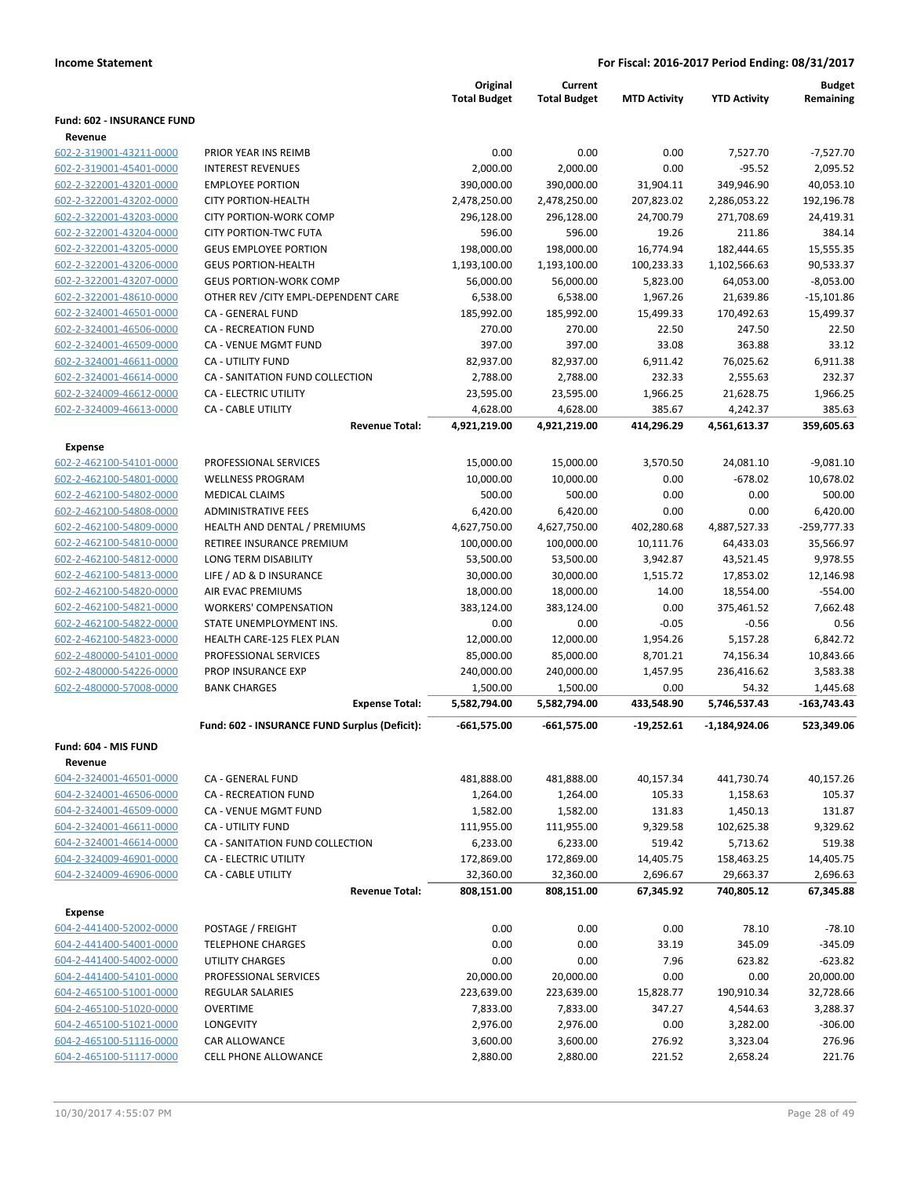|                                   |                                               | Original<br><b>Total Budget</b> | Current<br><b>Total Budget</b> | <b>MTD Activity</b> | <b>YTD Activity</b> | <b>Budget</b><br>Remaining |
|-----------------------------------|-----------------------------------------------|---------------------------------|--------------------------------|---------------------|---------------------|----------------------------|
| <b>Fund: 602 - INSURANCE FUND</b> |                                               |                                 |                                |                     |                     |                            |
| Revenue                           |                                               |                                 |                                |                     |                     |                            |
| 602-2-319001-43211-0000           | PRIOR YEAR INS REIMB                          | 0.00                            | 0.00                           | 0.00                | 7,527.70            | $-7,527.70$                |
| 602-2-319001-45401-0000           | <b>INTEREST REVENUES</b>                      | 2,000.00                        | 2,000.00                       | 0.00                | $-95.52$            | 2,095.52                   |
| 602-2-322001-43201-0000           | <b>EMPLOYEE PORTION</b>                       | 390,000.00                      | 390,000.00                     | 31,904.11           | 349,946.90          | 40,053.10                  |
| 602-2-322001-43202-0000           | <b>CITY PORTION-HEALTH</b>                    | 2,478,250.00                    | 2,478,250.00                   | 207,823.02          | 2,286,053.22        | 192,196.78                 |
| 602-2-322001-43203-0000           | <b>CITY PORTION-WORK COMP</b>                 | 296,128.00                      | 296,128.00                     | 24,700.79           | 271,708.69          | 24,419.31                  |
| 602-2-322001-43204-0000           | <b>CITY PORTION-TWC FUTA</b>                  | 596.00                          | 596.00                         | 19.26               | 211.86              | 384.14                     |
| 602-2-322001-43205-0000           | <b>GEUS EMPLOYEE PORTION</b>                  | 198,000.00                      | 198,000.00                     | 16,774.94           | 182,444.65          | 15,555.35                  |
| 602-2-322001-43206-0000           | <b>GEUS PORTION-HEALTH</b>                    | 1,193,100.00                    | 1,193,100.00                   | 100,233.33          | 1,102,566.63        | 90,533.37                  |
| 602-2-322001-43207-0000           | <b>GEUS PORTION-WORK COMP</b>                 | 56,000.00                       | 56,000.00                      | 5,823.00            | 64,053.00           | $-8,053.00$                |
| 602-2-322001-48610-0000           | OTHER REV / CITY EMPL-DEPENDENT CARE          | 6,538.00                        | 6,538.00                       | 1,967.26            | 21,639.86           | $-15,101.86$               |
| 602-2-324001-46501-0000           | CA - GENERAL FUND                             | 185,992.00                      | 185,992.00                     | 15,499.33           | 170,492.63          | 15,499.37                  |
| 602-2-324001-46506-0000           | <b>CA - RECREATION FUND</b>                   | 270.00                          | 270.00                         | 22.50               | 247.50              | 22.50                      |
| 602-2-324001-46509-0000           | CA - VENUE MGMT FUND                          | 397.00                          | 397.00                         | 33.08               | 363.88              | 33.12                      |
| 602-2-324001-46611-0000           | <b>CA - UTILITY FUND</b>                      | 82,937.00                       | 82,937.00                      | 6,911.42            | 76,025.62           | 6,911.38                   |
| 602-2-324001-46614-0000           | CA - SANITATION FUND COLLECTION               | 2,788.00                        | 2,788.00                       | 232.33              | 2,555.63            | 232.37                     |
| 602-2-324009-46612-0000           | <b>CA - ELECTRIC UTILITY</b>                  | 23,595.00                       | 23,595.00                      | 1,966.25            | 21,628.75           | 1,966.25                   |
| 602-2-324009-46613-0000           | <b>CA - CABLE UTILITY</b>                     | 4,628.00                        | 4,628.00                       | 385.67              | 4,242.37            | 385.63                     |
|                                   | <b>Revenue Total:</b>                         | 4,921,219.00                    | 4,921,219.00                   | 414,296.29          | 4,561,613.37        | 359,605.63                 |
| <b>Expense</b>                    |                                               |                                 |                                |                     |                     |                            |
| 602-2-462100-54101-0000           | PROFESSIONAL SERVICES                         | 15,000.00                       | 15,000.00                      | 3,570.50            | 24,081.10           | $-9,081.10$                |
| 602-2-462100-54801-0000           | <b>WELLNESS PROGRAM</b>                       | 10,000.00                       | 10,000.00                      | 0.00                | $-678.02$           | 10,678.02                  |
| 602-2-462100-54802-0000           | <b>MEDICAL CLAIMS</b>                         | 500.00                          | 500.00                         | 0.00                | 0.00                | 500.00                     |
| 602-2-462100-54808-0000           | <b>ADMINISTRATIVE FEES</b>                    | 6,420.00                        | 6,420.00                       | 0.00                | 0.00                | 6,420.00                   |
| 602-2-462100-54809-0000           | HEALTH AND DENTAL / PREMIUMS                  | 4,627,750.00                    | 4,627,750.00                   | 402,280.68          | 4,887,527.33        | $-259,777.33$              |
| 602-2-462100-54810-0000           | RETIREE INSURANCE PREMIUM                     | 100,000.00                      | 100,000.00                     | 10,111.76           | 64,433.03           | 35,566.97                  |
| 602-2-462100-54812-0000           | LONG TERM DISABILITY                          | 53,500.00                       | 53,500.00                      | 3,942.87            | 43,521.45           | 9,978.55                   |
| 602-2-462100-54813-0000           | LIFE / AD & D INSURANCE                       | 30,000.00                       | 30,000.00                      | 1,515.72            | 17,853.02           | 12,146.98                  |
| 602-2-462100-54820-0000           | AIR EVAC PREMIUMS                             | 18,000.00                       | 18,000.00                      | 14.00               | 18,554.00           | $-554.00$                  |
| 602-2-462100-54821-0000           | <b>WORKERS' COMPENSATION</b>                  | 383,124.00                      | 383,124.00                     | 0.00                | 375,461.52          | 7,662.48                   |
| 602-2-462100-54822-0000           | STATE UNEMPLOYMENT INS.                       | 0.00                            | 0.00                           | $-0.05$             | $-0.56$             | 0.56                       |
| 602-2-462100-54823-0000           | HEALTH CARE-125 FLEX PLAN                     | 12,000.00                       | 12,000.00                      | 1,954.26            | 5,157.28            | 6,842.72                   |
| 602-2-480000-54101-0000           | PROFESSIONAL SERVICES                         | 85,000.00                       | 85,000.00                      | 8,701.21            | 74,156.34           | 10,843.66                  |
| 602-2-480000-54226-0000           | PROP INSURANCE EXP                            | 240,000.00                      | 240,000.00                     | 1,457.95            | 236,416.62          | 3,583.38                   |
| 602-2-480000-57008-0000           | <b>BANK CHARGES</b>                           | 1,500.00                        | 1,500.00                       | 0.00                | 54.32               | 1,445.68                   |
|                                   | <b>Expense Total:</b>                         | 5,582,794.00                    | 5,582,794.00                   | 433,548.90          | 5,746,537.43        | $-163,743.43$              |
|                                   | Fund: 602 - INSURANCE FUND Surplus (Deficit): | $-661,575.00$                   | $-661,575.00$                  | $-19,252.61$        | -1,184,924.06       | 523,349.06                 |
| Fund: 604 - MIS FUND              |                                               |                                 |                                |                     |                     |                            |
| Revenue                           |                                               |                                 |                                |                     |                     |                            |
| 604-2-324001-46501-0000           | CA - GENERAL FUND                             | 481,888.00                      | 481,888.00                     | 40,157.34           | 441,730.74          | 40,157.26                  |
| 604-2-324001-46506-0000           | CA - RECREATION FUND                          | 1,264.00                        | 1,264.00                       | 105.33              | 1,158.63            | 105.37                     |
| 604-2-324001-46509-0000           | CA - VENUE MGMT FUND                          | 1,582.00                        | 1,582.00                       | 131.83              | 1,450.13            | 131.87                     |
| 604-2-324001-46611-0000           | <b>CA - UTILITY FUND</b>                      | 111,955.00                      | 111,955.00                     | 9,329.58            | 102,625.38          | 9,329.62                   |
| 604-2-324001-46614-0000           | CA - SANITATION FUND COLLECTION               | 6,233.00                        | 6,233.00                       | 519.42              | 5,713.62            | 519.38                     |
| 604-2-324009-46901-0000           | <b>CA - ELECTRIC UTILITY</b>                  | 172,869.00                      | 172,869.00                     | 14,405.75           | 158,463.25          | 14,405.75                  |
| 604-2-324009-46906-0000           | CA - CABLE UTILITY                            | 32,360.00                       | 32,360.00                      | 2,696.67            | 29,663.37           | 2,696.63                   |
|                                   | <b>Revenue Total:</b>                         | 808,151.00                      | 808,151.00                     | 67,345.92           | 740,805.12          | 67,345.88                  |
| <b>Expense</b>                    |                                               |                                 |                                |                     |                     |                            |
| 604-2-441400-52002-0000           | POSTAGE / FREIGHT                             | 0.00                            | 0.00                           | 0.00                | 78.10               | $-78.10$                   |
| 604-2-441400-54001-0000           | <b>TELEPHONE CHARGES</b>                      | 0.00                            | 0.00                           | 33.19               | 345.09              | $-345.09$                  |
| 604-2-441400-54002-0000           | UTILITY CHARGES                               | 0.00                            | 0.00                           | 7.96                | 623.82              | $-623.82$                  |
| 604-2-441400-54101-0000           | PROFESSIONAL SERVICES                         | 20,000.00                       | 20,000.00                      | 0.00                | 0.00                | 20,000.00                  |
| 604-2-465100-51001-0000           | <b>REGULAR SALARIES</b>                       | 223,639.00                      | 223,639.00                     | 15,828.77           | 190,910.34          | 32,728.66                  |
| 604-2-465100-51020-0000           | <b>OVERTIME</b>                               | 7,833.00                        | 7,833.00                       | 347.27              | 4,544.63            | 3,288.37                   |
| 604-2-465100-51021-0000           | LONGEVITY                                     | 2,976.00                        | 2,976.00                       | 0.00                | 3,282.00            | $-306.00$                  |
| 604-2-465100-51116-0000           | CAR ALLOWANCE                                 | 3,600.00                        | 3,600.00                       | 276.92              | 3,323.04            | 276.96                     |
| 604-2-465100-51117-0000           | CELL PHONE ALLOWANCE                          | 2,880.00                        | 2,880.00                       | 221.52              | 2,658.24            | 221.76                     |
|                                   |                                               |                                 |                                |                     |                     |                            |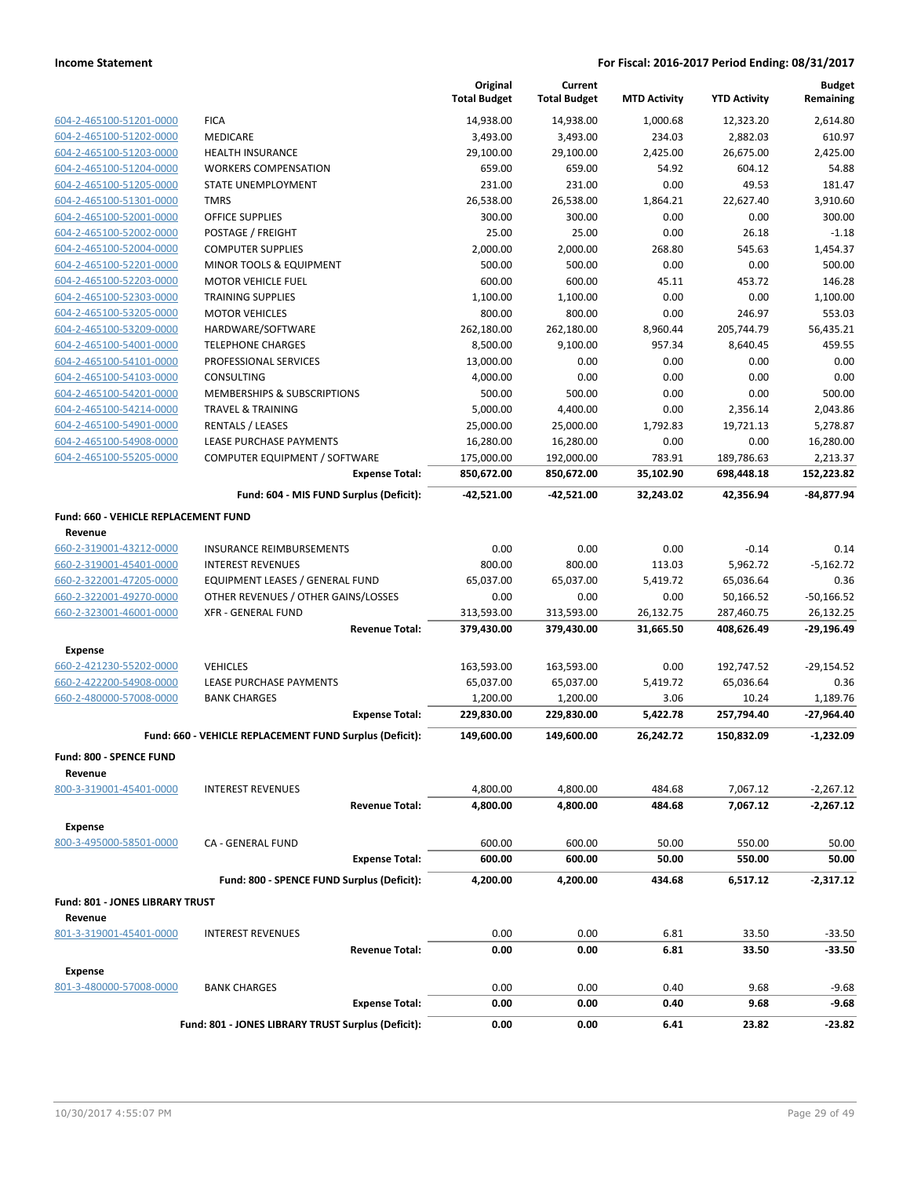|                                      |                                                         | Original<br><b>Total Budget</b> | Current<br><b>Total Budget</b> | <b>MTD Activity</b> | <b>YTD Activity</b> | <b>Budget</b><br>Remaining |
|--------------------------------------|---------------------------------------------------------|---------------------------------|--------------------------------|---------------------|---------------------|----------------------------|
| 604-2-465100-51201-0000              | <b>FICA</b>                                             | 14,938.00                       | 14,938.00                      | 1,000.68            | 12,323.20           | 2,614.80                   |
| 604-2-465100-51202-0000              | MEDICARE                                                | 3,493.00                        | 3,493.00                       | 234.03              | 2,882.03            | 610.97                     |
| 604-2-465100-51203-0000              | <b>HEALTH INSURANCE</b>                                 | 29,100.00                       | 29,100.00                      | 2,425.00            | 26,675.00           | 2,425.00                   |
| 604-2-465100-51204-0000              | <b>WORKERS COMPENSATION</b>                             | 659.00                          | 659.00                         | 54.92               | 604.12              | 54.88                      |
| 604-2-465100-51205-0000              | <b>STATE UNEMPLOYMENT</b>                               | 231.00                          | 231.00                         | 0.00                | 49.53               | 181.47                     |
| 604-2-465100-51301-0000              | <b>TMRS</b>                                             | 26,538.00                       | 26,538.00                      | 1,864.21            | 22,627.40           | 3,910.60                   |
| 604-2-465100-52001-0000              | <b>OFFICE SUPPLIES</b>                                  | 300.00                          | 300.00                         | 0.00                | 0.00                | 300.00                     |
| 604-2-465100-52002-0000              | POSTAGE / FREIGHT                                       | 25.00                           | 25.00                          | 0.00                | 26.18               | $-1.18$                    |
| 604-2-465100-52004-0000              | <b>COMPUTER SUPPLIES</b>                                | 2,000.00                        | 2,000.00                       | 268.80              | 545.63              | 1.454.37                   |
| 604-2-465100-52201-0000              | MINOR TOOLS & EQUIPMENT                                 | 500.00                          | 500.00                         | 0.00                | 0.00                | 500.00                     |
| 604-2-465100-52203-0000              | <b>MOTOR VEHICLE FUEL</b>                               | 600.00                          | 600.00                         | 45.11               | 453.72              | 146.28                     |
| 604-2-465100-52303-0000              | <b>TRAINING SUPPLIES</b>                                | 1,100.00                        | 1,100.00                       | 0.00                | 0.00                | 1,100.00                   |
| 604-2-465100-53205-0000              | <b>MOTOR VEHICLES</b>                                   | 800.00                          | 800.00                         | 0.00                | 246.97              | 553.03                     |
| 604-2-465100-53209-0000              | HARDWARE/SOFTWARE                                       | 262,180.00                      | 262,180.00                     | 8,960.44            | 205,744.79          | 56,435.21                  |
| 604-2-465100-54001-0000              | <b>TELEPHONE CHARGES</b>                                | 8,500.00                        | 9,100.00                       | 957.34              | 8,640.45            | 459.55                     |
| 604-2-465100-54101-0000              | PROFESSIONAL SERVICES                                   | 13,000.00                       | 0.00                           | 0.00                | 0.00                | 0.00                       |
| 604-2-465100-54103-0000              | <b>CONSULTING</b>                                       | 4,000.00                        | 0.00                           | 0.00                | 0.00                | 0.00                       |
| 604-2-465100-54201-0000              | <b>MEMBERSHIPS &amp; SUBSCRIPTIONS</b>                  | 500.00                          | 500.00                         | 0.00                | 0.00                | 500.00                     |
| 604-2-465100-54214-0000              | <b>TRAVEL &amp; TRAINING</b>                            | 5,000.00                        | 4,400.00                       | 0.00                | 2,356.14            | 2,043.86                   |
| 604-2-465100-54901-0000              | <b>RENTALS / LEASES</b>                                 | 25,000.00                       | 25,000.00                      | 1,792.83            | 19,721.13           | 5,278.87                   |
| 604-2-465100-54908-0000              | LEASE PURCHASE PAYMENTS                                 | 16,280.00                       | 16,280.00                      | 0.00                | 0.00                | 16,280.00                  |
| 604-2-465100-55205-0000              | COMPUTER EQUIPMENT / SOFTWARE                           | 175,000.00                      | 192,000.00                     | 783.91              | 189,786.63          | 2,213.37                   |
|                                      | <b>Expense Total:</b>                                   | 850,672.00                      | 850,672.00                     | 35,102.90           | 698,448.18          | 152,223.82                 |
|                                      | Fund: 604 - MIS FUND Surplus (Deficit):                 | -42,521.00                      | -42,521.00                     | 32,243.02           | 42.356.94           | $-84,877.94$               |
| Fund: 660 - VEHICLE REPLACEMENT FUND |                                                         |                                 |                                |                     |                     |                            |
| Revenue                              |                                                         |                                 |                                |                     |                     |                            |
| 660-2-319001-43212-0000              | <b>INSURANCE REIMBURSEMENTS</b>                         | 0.00                            | 0.00                           | 0.00                | $-0.14$             | 0.14                       |
| 660-2-319001-45401-0000              | <b>INTEREST REVENUES</b>                                | 800.00                          | 800.00                         | 113.03              | 5,962.72            | $-5,162.72$                |
| 660-2-322001-47205-0000              | EQUIPMENT LEASES / GENERAL FUND                         | 65,037.00                       | 65,037.00                      | 5,419.72            | 65,036.64           | 0.36                       |
| 660-2-322001-49270-0000              | OTHER REVENUES / OTHER GAINS/LOSSES                     | 0.00                            | 0.00                           | 0.00                | 50,166.52           | $-50,166.52$               |
| 660-2-323001-46001-0000              | <b>XFR - GENERAL FUND</b>                               | 313,593.00                      | 313,593.00                     | 26,132.75           | 287,460.75          | 26,132.25                  |
|                                      | <b>Revenue Total:</b>                                   | 379,430.00                      | 379,430.00                     | 31,665.50           | 408,626.49          | -29,196.49                 |
| <b>Expense</b>                       |                                                         |                                 |                                |                     |                     |                            |
| 660-2-421230-55202-0000              | <b>VEHICLES</b>                                         | 163,593.00                      | 163,593.00                     | 0.00                | 192,747.52          | $-29,154.52$               |
| 660-2-422200-54908-0000              | <b>LEASE PURCHASE PAYMENTS</b>                          | 65,037.00                       | 65,037.00                      | 5,419.72            | 65,036.64           | 0.36                       |
| 660-2-480000-57008-0000              | <b>BANK CHARGES</b>                                     | 1,200.00                        | 1,200.00                       | 3.06                | 10.24               | 1,189.76                   |
|                                      | <b>Expense Total:</b>                                   | 229,830.00                      | 229,830.00                     | 5,422.78            | 257,794.40          | $-27,964.40$               |
|                                      | Fund: 660 - VEHICLE REPLACEMENT FUND Surplus (Deficit): | 149,600.00                      | 149,600.00                     | 26,242.72           | 150,832.09          | $-1,232.09$                |
| Fund: 800 - SPENCE FUND              |                                                         |                                 |                                |                     |                     |                            |
| Revenue                              |                                                         |                                 |                                |                     |                     |                            |
| 800-3-319001-45401-0000              | <b>INTEREST REVENUES</b>                                | 4,800.00                        | 4,800.00                       | 484.68              | 7,067.12            | $-2,267.12$                |
|                                      | <b>Revenue Total:</b>                                   | 4,800.00                        | 4,800.00                       | 484.68              | 7,067.12            | -2,267.12                  |
| <b>Expense</b>                       |                                                         |                                 |                                |                     |                     |                            |
| 800-3-495000-58501-0000              | <b>CA - GENERAL FUND</b>                                | 600.00                          | 600.00                         | 50.00               | 550.00              | 50.00                      |
|                                      | <b>Expense Total:</b>                                   | 600.00                          | 600.00                         | 50.00               | 550.00              | 50.00                      |
|                                      | Fund: 800 - SPENCE FUND Surplus (Deficit):              | 4,200.00                        | 4,200.00                       | 434.68              | 6,517.12            | $-2,317.12$                |
| Fund: 801 - JONES LIBRARY TRUST      |                                                         |                                 |                                |                     |                     |                            |
| Revenue                              |                                                         |                                 |                                |                     |                     |                            |
| 801-3-319001-45401-0000              | <b>INTEREST REVENUES</b>                                | 0.00                            | 0.00                           | 6.81                | 33.50               | $-33.50$                   |
|                                      | <b>Revenue Total:</b>                                   | 0.00                            | 0.00                           | 6.81                | 33.50               | $-33.50$                   |
|                                      |                                                         |                                 |                                |                     |                     |                            |
| <b>Expense</b>                       |                                                         |                                 |                                |                     |                     |                            |
| 801-3-480000-57008-0000              | <b>BANK CHARGES</b>                                     | 0.00                            | 0.00                           | 0.40                | 9.68<br>9.68        | $-9.68$                    |
|                                      | <b>Expense Total:</b>                                   | 0.00                            | 0.00                           | 0.40                |                     | $-9.68$                    |
|                                      | Fund: 801 - JONES LIBRARY TRUST Surplus (Deficit):      | 0.00                            | 0.00                           | 6.41                | 23.82               | $-23.82$                   |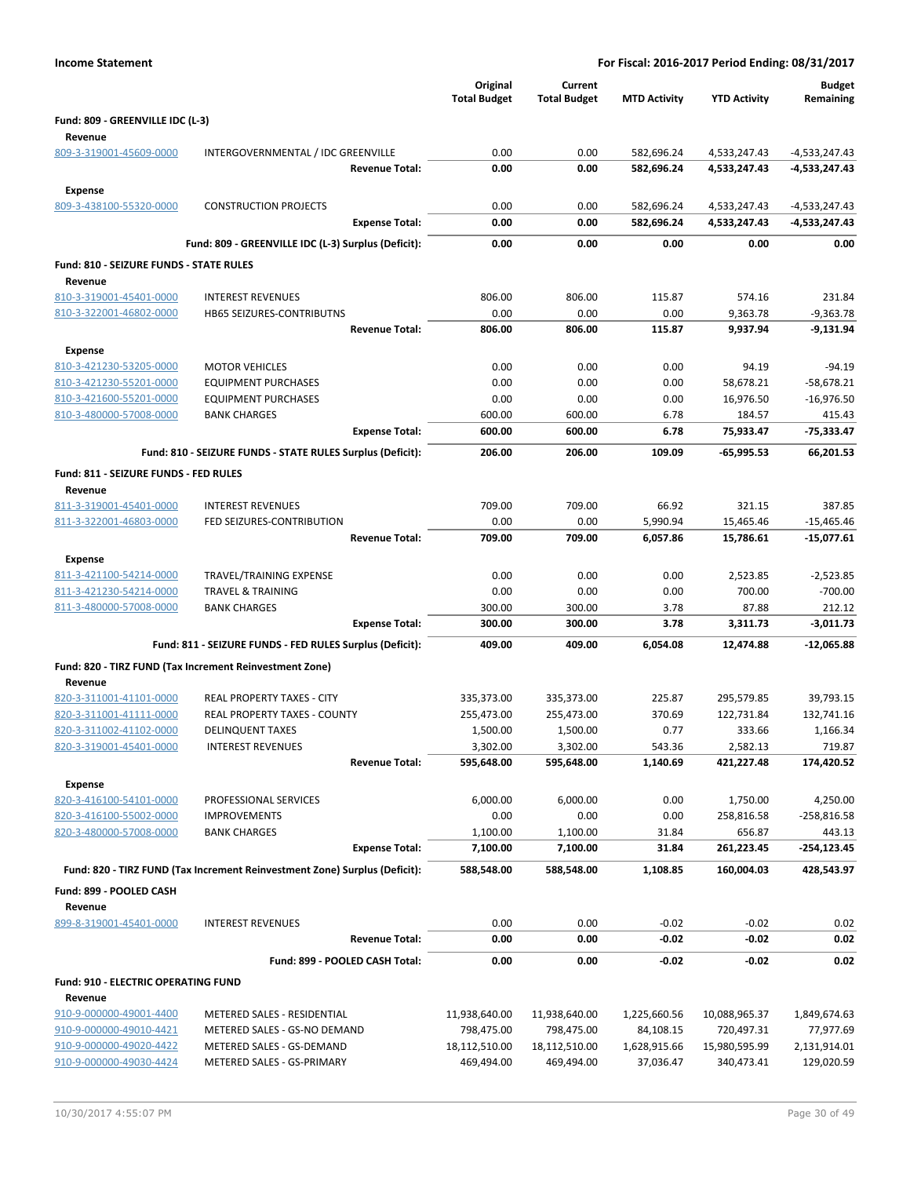| <b>Income Statement</b>                            |                                                                            |                                 | For Fiscal: 2016-2017 Period Ending: 08/31/2017 |                           |                             |                            |
|----------------------------------------------------|----------------------------------------------------------------------------|---------------------------------|-------------------------------------------------|---------------------------|-----------------------------|----------------------------|
|                                                    |                                                                            | Original<br><b>Total Budget</b> | Current<br><b>Total Budget</b>                  | <b>MTD Activity</b>       | <b>YTD Activity</b>         | <b>Budget</b><br>Remaining |
| Fund: 809 - GREENVILLE IDC (L-3)<br>Revenue        |                                                                            |                                 |                                                 |                           |                             |                            |
| 809-3-319001-45609-0000                            | INTERGOVERNMENTAL / IDC GREENVILLE                                         | 0.00                            | 0.00                                            | 582,696.24                | 4,533,247.43                | $-4,533,247.43$            |
|                                                    | <b>Revenue Total:</b>                                                      | 0.00                            | 0.00                                            | 582,696.24                | 4,533,247.43                | -4,533,247.43              |
| Expense                                            |                                                                            |                                 |                                                 |                           |                             |                            |
| 809-3-438100-55320-0000                            | <b>CONSTRUCTION PROJECTS</b>                                               | 0.00                            | 0.00                                            | 582,696.24                | 4,533,247.43                | -4,533,247.43              |
|                                                    | <b>Expense Total:</b>                                                      | 0.00                            | 0.00                                            | 582,696.24                | 4,533,247.43                | -4,533,247.43              |
|                                                    | Fund: 809 - GREENVILLE IDC (L-3) Surplus (Deficit):                        | 0.00                            | 0.00                                            | 0.00                      | 0.00                        | 0.00                       |
| Fund: 810 - SEIZURE FUNDS - STATE RULES            |                                                                            |                                 |                                                 |                           |                             |                            |
| Revenue<br>810-3-319001-45401-0000                 | <b>INTEREST REVENUES</b>                                                   | 806.00                          | 806.00                                          | 115.87                    | 574.16                      | 231.84                     |
| 810-3-322001-46802-0000                            | <b>HB65 SEIZURES-CONTRIBUTNS</b>                                           | 0.00                            | 0.00                                            | 0.00                      | 9,363.78                    | $-9,363.78$                |
|                                                    | <b>Revenue Total:</b>                                                      | 806.00                          | 806.00                                          | 115.87                    | 9,937.94                    | $-9,131.94$                |
| <b>Expense</b>                                     |                                                                            |                                 |                                                 |                           |                             |                            |
| 810-3-421230-53205-0000                            | <b>MOTOR VEHICLES</b>                                                      | 0.00                            | 0.00                                            | 0.00                      | 94.19                       | $-94.19$                   |
| 810-3-421230-55201-0000                            | <b>EQUIPMENT PURCHASES</b>                                                 | 0.00                            | 0.00                                            | 0.00                      | 58,678.21                   | $-58,678.21$               |
| 810-3-421600-55201-0000                            | <b>EQUIPMENT PURCHASES</b>                                                 | 0.00                            | 0.00                                            | 0.00                      | 16,976.50                   | $-16,976.50$               |
| 810-3-480000-57008-0000                            | <b>BANK CHARGES</b><br><b>Expense Total:</b>                               | 600.00<br>600.00                | 600.00<br>600.00                                | 6.78<br>6.78              | 184.57<br>75,933.47         | 415.43<br>-75,333.47       |
|                                                    | Fund: 810 - SEIZURE FUNDS - STATE RULES Surplus (Deficit):                 | 206.00                          | 206.00                                          | 109.09                    | -65,995.53                  | 66,201.53                  |
|                                                    |                                                                            |                                 |                                                 |                           |                             |                            |
| Fund: 811 - SEIZURE FUNDS - FED RULES<br>Revenue   |                                                                            |                                 |                                                 |                           |                             |                            |
| 811-3-319001-45401-0000                            | <b>INTEREST REVENUES</b>                                                   | 709.00                          | 709.00                                          | 66.92                     | 321.15                      | 387.85                     |
| 811-3-322001-46803-0000                            | FED SEIZURES-CONTRIBUTION                                                  | 0.00                            | 0.00                                            | 5,990.94                  | 15,465.46                   | $-15,465.46$               |
|                                                    | <b>Revenue Total:</b>                                                      | 709.00                          | 709.00                                          | 6,057.86                  | 15,786.61                   | $-15,077.61$               |
| <b>Expense</b>                                     |                                                                            |                                 |                                                 |                           |                             |                            |
| 811-3-421100-54214-0000                            | TRAVEL/TRAINING EXPENSE                                                    | 0.00                            | 0.00                                            | 0.00                      | 2,523.85                    | $-2,523.85$                |
| 811-3-421230-54214-0000                            | <b>TRAVEL &amp; TRAINING</b>                                               | 0.00                            | 0.00                                            | 0.00                      | 700.00                      | $-700.00$                  |
| 811-3-480000-57008-0000                            | <b>BANK CHARGES</b><br><b>Expense Total:</b>                               | 300.00<br>300.00                | 300.00<br>300.00                                | 3.78<br>3.78              | 87.88<br>3,311.73           | 212.12<br>$-3,011.73$      |
|                                                    |                                                                            | 409.00                          |                                                 | 6,054.08                  |                             | $-12.065.88$               |
|                                                    | Fund: 811 - SEIZURE FUNDS - FED RULES Surplus (Deficit):                   |                                 | 409.00                                          |                           | 12,474.88                   |                            |
| Revenue                                            | Fund: 820 - TIRZ FUND (Tax Increment Reinvestment Zone)                    |                                 |                                                 |                           |                             |                            |
| 820-3-311001-41101-0000                            | <b>REAL PROPERTY TAXES - CITY</b>                                          | 335,373.00                      | 335,373.00                                      | 225.87                    | 295,579.85                  | 39,793.15                  |
| 820-3-311001-41111-0000                            | REAL PROPERTY TAXES - COUNTY                                               | 255,473.00                      | 255,473.00                                      | 370.69                    | 122,731.84                  | 132,741.16                 |
| 820-3-311002-41102-0000                            | <b>DELINQUENT TAXES</b>                                                    | 1,500.00                        | 1,500.00                                        | 0.77                      | 333.66                      | 1,166.34                   |
| 820-3-319001-45401-0000                            | <b>INTEREST REVENUES</b>                                                   | 3,302.00                        | 3,302.00                                        | 543.36                    | 2,582.13                    | 719.87                     |
|                                                    | <b>Revenue Total:</b>                                                      | 595,648.00                      | 595,648.00                                      | 1,140.69                  | 421,227.48                  | 174,420.52                 |
| <b>Expense</b>                                     | PROFESSIONAL SERVICES                                                      |                                 |                                                 |                           |                             |                            |
| 820-3-416100-54101-0000<br>820-3-416100-55002-0000 | <b>IMPROVEMENTS</b>                                                        | 6,000.00<br>0.00                | 6,000.00<br>0.00                                | 0.00<br>0.00              | 1,750.00<br>258,816.58      | 4,250.00<br>-258,816.58    |
| 820-3-480000-57008-0000                            | <b>BANK CHARGES</b>                                                        | 1,100.00                        | 1,100.00                                        | 31.84                     | 656.87                      | 443.13                     |
|                                                    | <b>Expense Total:</b>                                                      | 7,100.00                        | 7,100.00                                        | 31.84                     | 261,223.45                  | -254,123.45                |
|                                                    | Fund: 820 - TIRZ FUND (Tax Increment Reinvestment Zone) Surplus (Deficit): | 588,548.00                      | 588,548.00                                      | 1,108.85                  | 160,004.03                  | 428,543.97                 |
| Fund: 899 - POOLED CASH<br>Revenue                 |                                                                            |                                 |                                                 |                           |                             |                            |
| 899-8-319001-45401-0000                            | <b>INTEREST REVENUES</b>                                                   | 0.00                            | 0.00                                            | $-0.02$                   | $-0.02$                     | 0.02                       |
|                                                    | <b>Revenue Total:</b>                                                      | 0.00                            | 0.00                                            | $-0.02$                   | $-0.02$                     | 0.02                       |
|                                                    | Fund: 899 - POOLED CASH Total:                                             | 0.00                            | 0.00                                            | $-0.02$                   | $-0.02$                     | 0.02                       |
| Fund: 910 - ELECTRIC OPERATING FUND                |                                                                            |                                 |                                                 |                           |                             |                            |
| Revenue                                            |                                                                            |                                 |                                                 |                           |                             |                            |
| 910-9-000000-49001-4400                            | METERED SALES - RESIDENTIAL                                                | 11,938,640.00                   | 11,938,640.00                                   | 1,225,660.56              | 10,088,965.37               | 1,849,674.63               |
| 910-9-000000-49010-4421                            | METERED SALES - GS-NO DEMAND                                               | 798,475.00                      | 798,475.00                                      | 84,108.15                 | 720,497.31                  | 77,977.69                  |
| 910-9-000000-49020-4422<br>910-9-000000-49030-4424 | METERED SALES - GS-DEMAND<br>METERED SALES - GS-PRIMARY                    | 18,112,510.00<br>469,494.00     | 18,112,510.00<br>469,494.00                     | 1,628,915.66<br>37,036.47 | 15,980,595.99<br>340,473.41 | 2,131,914.01<br>129,020.59 |
|                                                    |                                                                            |                                 |                                                 |                           |                             |                            |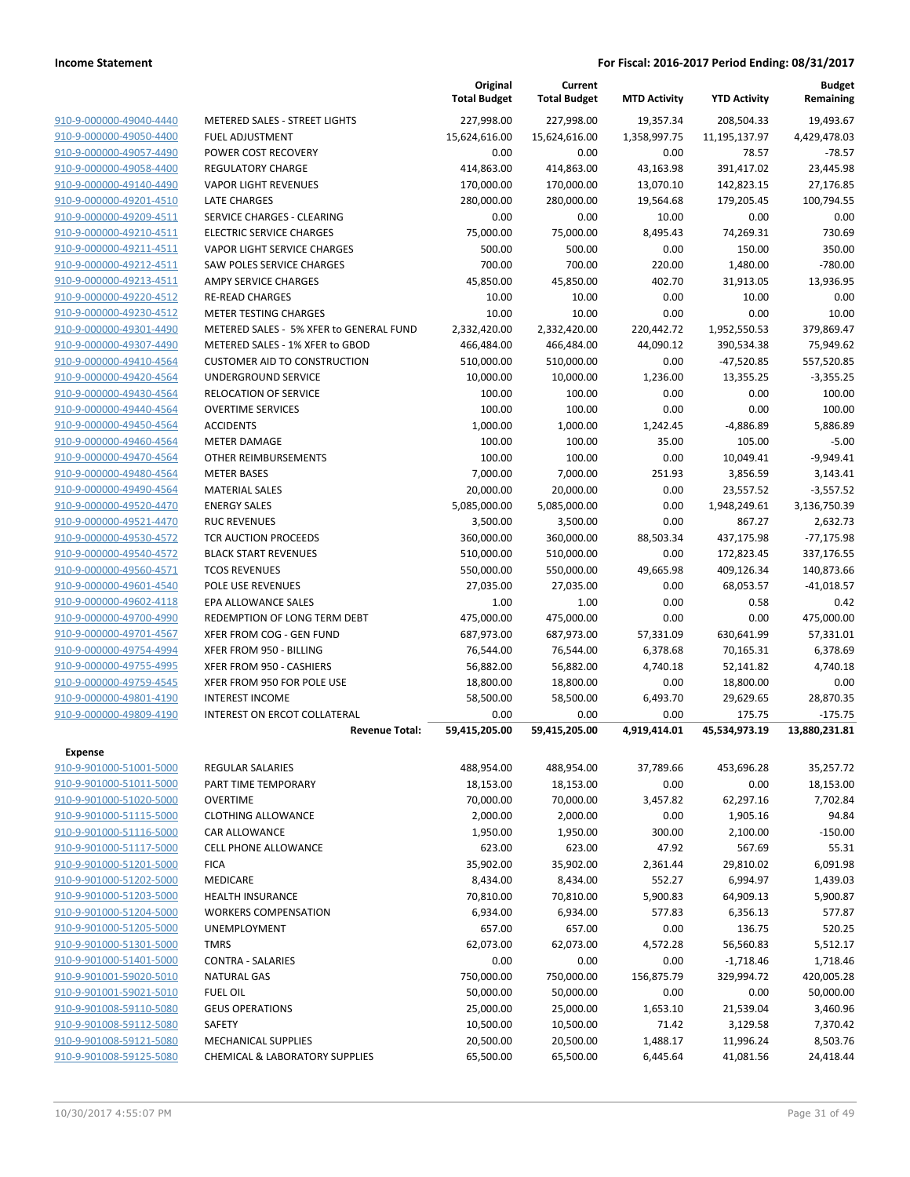|                                                    |                                              | Original<br><b>Total Budget</b> | Current<br><b>Total Budget</b> | <b>MTD Activity</b> | <b>YTD Activity</b>   | <b>Budget</b><br>Remaining |
|----------------------------------------------------|----------------------------------------------|---------------------------------|--------------------------------|---------------------|-----------------------|----------------------------|
| 910-9-000000-49040-4440                            | <b>METERED SALES - STREET LIGHTS</b>         | 227,998.00                      | 227,998.00                     | 19,357.34           | 208,504.33            | 19,493.67                  |
| 910-9-000000-49050-4400                            | <b>FUEL ADJUSTMENT</b>                       | 15,624,616.00                   | 15,624,616.00                  | 1,358,997.75        | 11,195,137.97         | 4,429,478.03               |
| 910-9-000000-49057-4490                            | POWER COST RECOVERY                          | 0.00                            | 0.00                           | 0.00                | 78.57                 | $-78.57$                   |
| 910-9-000000-49058-4400                            | <b>REGULATORY CHARGE</b>                     | 414,863.00                      | 414,863.00                     | 43,163.98           | 391,417.02            | 23,445.98                  |
| 910-9-000000-49140-4490                            | <b>VAPOR LIGHT REVENUES</b>                  | 170,000.00                      | 170,000.00                     | 13,070.10           | 142,823.15            | 27,176.85                  |
| 910-9-000000-49201-4510                            | <b>LATE CHARGES</b>                          | 280,000.00                      | 280,000.00                     | 19,564.68           | 179,205.45            | 100,794.55                 |
| 910-9-000000-49209-4511                            | SERVICE CHARGES - CLEARING                   | 0.00                            | 0.00                           | 10.00               | 0.00                  | 0.00                       |
| 910-9-000000-49210-4511                            | <b>ELECTRIC SERVICE CHARGES</b>              | 75,000.00                       | 75,000.00                      | 8,495.43            | 74,269.31             | 730.69                     |
| 910-9-000000-49211-4511                            | VAPOR LIGHT SERVICE CHARGES                  | 500.00                          | 500.00                         | 0.00                | 150.00                | 350.00                     |
| 910-9-000000-49212-4511                            | <b>SAW POLES SERVICE CHARGES</b>             | 700.00                          | 700.00                         | 220.00              | 1,480.00              | $-780.00$                  |
| 910-9-000000-49213-4511                            | <b>AMPY SERVICE CHARGES</b>                  | 45,850.00                       | 45,850.00                      | 402.70              | 31,913.05             | 13,936.95                  |
| 910-9-000000-49220-4512                            | <b>RE-READ CHARGES</b>                       | 10.00                           | 10.00                          | 0.00                | 10.00                 | 0.00                       |
| 910-9-000000-49230-4512                            | <b>METER TESTING CHARGES</b>                 | 10.00                           | 10.00                          | 0.00                | 0.00                  | 10.00                      |
| 910-9-000000-49301-4490                            | METERED SALES - 5% XFER to GENERAL FUND      | 2,332,420.00                    | 2,332,420.00                   | 220,442.72          | 1,952,550.53          | 379,869.47                 |
| 910-9-000000-49307-4490                            | METERED SALES - 1% XFER to GBOD              | 466,484.00                      | 466,484.00                     | 44,090.12           | 390,534.38            | 75,949.62                  |
| 910-9-000000-49410-4564                            | <b>CUSTOMER AID TO CONSTRUCTION</b>          | 510,000.00                      | 510,000.00                     | 0.00                | $-47,520.85$          | 557,520.85                 |
| 910-9-000000-49420-4564                            | UNDERGROUND SERVICE                          | 10,000.00                       | 10,000.00                      | 1,236.00            | 13,355.25             | $-3,355.25$                |
| 910-9-000000-49430-4564<br>910-9-000000-49440-4564 | <b>RELOCATION OF SERVICE</b>                 | 100.00                          | 100.00                         | 0.00                | 0.00                  | 100.00                     |
| 910-9-000000-49450-4564                            | <b>OVERTIME SERVICES</b><br><b>ACCIDENTS</b> | 100.00<br>1,000.00              | 100.00<br>1,000.00             | 0.00<br>1,242.45    | 0.00<br>$-4,886.89$   | 100.00<br>5,886.89         |
| 910-9-000000-49460-4564                            | <b>METER DAMAGE</b>                          | 100.00                          | 100.00                         | 35.00               | 105.00                | $-5.00$                    |
| 910-9-000000-49470-4564                            | OTHER REIMBURSEMENTS                         | 100.00                          | 100.00                         | 0.00                | 10,049.41             | $-9,949.41$                |
| 910-9-000000-49480-4564                            | <b>METER BASES</b>                           |                                 |                                |                     |                       | 3,143.41                   |
| 910-9-000000-49490-4564                            | <b>MATERIAL SALES</b>                        | 7,000.00<br>20,000.00           | 7,000.00<br>20,000.00          | 251.93<br>0.00      | 3,856.59<br>23,557.52 | $-3,557.52$                |
| 910-9-000000-49520-4470                            | <b>ENERGY SALES</b>                          | 5,085,000.00                    | 5,085,000.00                   | 0.00                | 1,948,249.61          | 3,136,750.39               |
| 910-9-000000-49521-4470                            | <b>RUC REVENUES</b>                          | 3,500.00                        | 3,500.00                       | 0.00                | 867.27                | 2,632.73                   |
| 910-9-000000-49530-4572                            | TCR AUCTION PROCEEDS                         | 360,000.00                      | 360,000.00                     | 88,503.34           | 437,175.98            | $-77,175.98$               |
| 910-9-000000-49540-4572                            | <b>BLACK START REVENUES</b>                  | 510,000.00                      | 510,000.00                     | 0.00                | 172,823.45            | 337,176.55                 |
| 910-9-000000-49560-4571                            | <b>TCOS REVENUES</b>                         | 550,000.00                      | 550,000.00                     | 49,665.98           | 409,126.34            | 140,873.66                 |
| 910-9-000000-49601-4540                            | POLE USE REVENUES                            | 27,035.00                       | 27,035.00                      | 0.00                | 68,053.57             | $-41,018.57$               |
| 910-9-000000-49602-4118                            | EPA ALLOWANCE SALES                          | 1.00                            | 1.00                           | 0.00                | 0.58                  | 0.42                       |
| 910-9-000000-49700-4990                            | REDEMPTION OF LONG TERM DEBT                 | 475,000.00                      | 475,000.00                     | 0.00                | 0.00                  | 475,000.00                 |
| 910-9-000000-49701-4567                            | XFER FROM COG - GEN FUND                     | 687,973.00                      | 687,973.00                     | 57,331.09           | 630,641.99            | 57,331.01                  |
| 910-9-000000-49754-4994                            | XFER FROM 950 - BILLING                      | 76,544.00                       | 76,544.00                      | 6,378.68            | 70,165.31             | 6,378.69                   |
| 910-9-000000-49755-4995                            | XFER FROM 950 - CASHIERS                     | 56,882.00                       | 56,882.00                      | 4,740.18            | 52,141.82             | 4,740.18                   |
| 910-9-000000-49759-4545                            | XFER FROM 950 FOR POLE USE                   | 18,800.00                       | 18,800.00                      | 0.00                | 18,800.00             | 0.00                       |
| 910-9-000000-49801-4190                            | <b>INTEREST INCOME</b>                       | 58,500.00                       | 58,500.00                      | 6,493.70            | 29,629.65             | 28,870.35                  |
| 910-9-000000-49809-4190                            | INTEREST ON ERCOT COLLATERAL                 | 0.00                            | 0.00                           | 0.00                | 175.75                | $-175.75$                  |
|                                                    | <b>Revenue Total:</b>                        | 59,415,205.00                   | 59,415,205.00                  | 4,919,414.01        | 45,534,973.19         | 13,880,231.81              |
| <b>Expense</b>                                     |                                              |                                 |                                |                     |                       |                            |
| 910-9-901000-51001-5000                            | <b>REGULAR SALARIES</b>                      | 488,954.00                      | 488,954.00                     | 37,789.66           | 453,696.28            | 35,257.72                  |
| 910-9-901000-51011-5000                            | PART TIME TEMPORARY                          | 18,153.00                       | 18,153.00                      | 0.00                | 0.00                  | 18,153.00                  |
| 910-9-901000-51020-5000                            | <b>OVERTIME</b>                              | 70,000.00                       | 70,000.00                      | 3,457.82            | 62,297.16             | 7,702.84                   |
| 910-9-901000-51115-5000                            | <b>CLOTHING ALLOWANCE</b>                    | 2,000.00                        | 2,000.00                       | 0.00                | 1,905.16              | 94.84                      |
| 910-9-901000-51116-5000                            | <b>CAR ALLOWANCE</b>                         | 1,950.00                        | 1,950.00                       | 300.00              | 2,100.00              | $-150.00$                  |
| 910-9-901000-51117-5000                            | <b>CELL PHONE ALLOWANCE</b>                  | 623.00                          | 623.00                         | 47.92               | 567.69                | 55.31                      |
| 910-9-901000-51201-5000                            | <b>FICA</b>                                  | 35,902.00                       | 35,902.00                      | 2,361.44            | 29,810.02             | 6,091.98                   |
| 910-9-901000-51202-5000                            | MEDICARE                                     | 8,434.00                        | 8,434.00                       | 552.27              | 6,994.97              | 1,439.03                   |
| 910-9-901000-51203-5000                            | <b>HEALTH INSURANCE</b>                      | 70,810.00                       | 70,810.00                      | 5,900.83            | 64,909.13             | 5,900.87                   |
| 910-9-901000-51204-5000                            | <b>WORKERS COMPENSATION</b>                  | 6,934.00                        | 6,934.00                       | 577.83              | 6,356.13              | 577.87                     |
| 910-9-901000-51205-5000                            | UNEMPLOYMENT                                 | 657.00                          | 657.00                         | 0.00                | 136.75                | 520.25                     |
| 910-9-901000-51301-5000                            | <b>TMRS</b>                                  | 62,073.00                       | 62,073.00                      | 4,572.28            | 56,560.83             | 5,512.17                   |
| 910-9-901000-51401-5000                            | <b>CONTRA - SALARIES</b>                     | 0.00                            | 0.00                           | 0.00                | $-1,718.46$           | 1,718.46                   |
| 910-9-901001-59020-5010                            | <b>NATURAL GAS</b>                           | 750,000.00                      | 750,000.00                     | 156,875.79          | 329,994.72            | 420,005.28                 |
| 910-9-901001-59021-5010                            | <b>FUEL OIL</b>                              | 50,000.00                       | 50,000.00                      | 0.00                | 0.00                  | 50,000.00                  |
| 910-9-901008-59110-5080                            | <b>GEUS OPERATIONS</b>                       | 25,000.00                       | 25,000.00                      | 1,653.10            | 21,539.04             | 3,460.96                   |
| 910-9-901008-59112-5080                            | <b>SAFETY</b>                                | 10,500.00                       | 10,500.00                      | 71.42               | 3,129.58              | 7,370.42                   |
| 910-9-901008-59121-5080                            | <b>MECHANICAL SUPPLIES</b>                   | 20,500.00                       | 20,500.00                      | 1,488.17            | 11,996.24             | 8,503.76                   |
| 910-9-901008-59125-5080                            | <b>CHEMICAL &amp; LABORATORY SUPPLIES</b>    | 65,500.00                       | 65,500.00                      | 6,445.64            | 41,081.56             | 24,418.44                  |
|                                                    |                                              |                                 |                                |                     |                       |                            |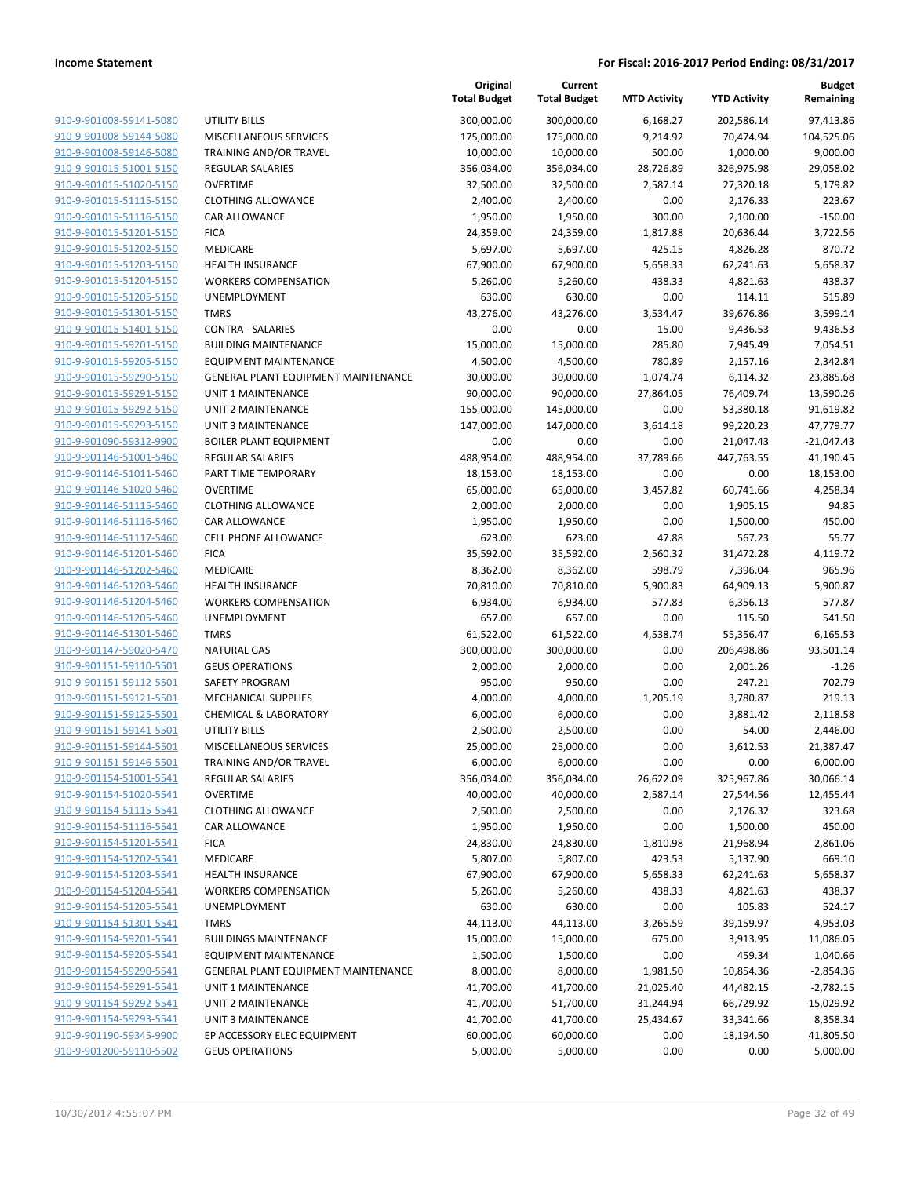|                                                    |                                                 | Original<br><b>Total Budget</b> | Current<br><b>Total Budget</b> | <b>MTD Activity</b> | <b>YTD Activity</b>    | Budget<br>Remaining    |
|----------------------------------------------------|-------------------------------------------------|---------------------------------|--------------------------------|---------------------|------------------------|------------------------|
| 910-9-901008-59141-5080                            | UTILITY BILLS                                   | 300,000.00                      | 300,000.00                     | 6,168.27            | 202,586.14             | 97,413.86              |
| 910-9-901008-59144-5080                            | MISCELLANEOUS SERVICES                          | 175,000.00                      | 175,000.00                     | 9,214.92            | 70,474.94              | 104,525.06             |
| 910-9-901008-59146-5080                            | TRAINING AND/OR TRAVEL                          | 10,000.00                       | 10,000.00                      | 500.00              | 1,000.00               | 9,000.00               |
| 910-9-901015-51001-5150                            | <b>REGULAR SALARIES</b>                         | 356,034.00                      | 356,034.00                     | 28,726.89           | 326,975.98             | 29,058.02              |
| 910-9-901015-51020-5150                            | <b>OVERTIME</b>                                 | 32,500.00                       | 32,500.00                      | 2,587.14            | 27,320.18              | 5,179.82               |
| 910-9-901015-51115-5150                            | <b>CLOTHING ALLOWANCE</b>                       | 2,400.00                        | 2,400.00                       | 0.00                | 2,176.33               | 223.67                 |
| 910-9-901015-51116-5150                            | CAR ALLOWANCE                                   | 1,950.00                        | 1,950.00                       | 300.00              | 2,100.00               | $-150.00$              |
| 910-9-901015-51201-5150                            | <b>FICA</b>                                     | 24,359.00                       | 24,359.00                      | 1,817.88            | 20,636.44              | 3,722.56               |
| 910-9-901015-51202-5150                            | MEDICARE                                        | 5,697.00                        | 5,697.00                       | 425.15              | 4,826.28               | 870.72                 |
| 910-9-901015-51203-5150                            | <b>HEALTH INSURANCE</b>                         | 67,900.00                       | 67,900.00                      | 5,658.33            | 62,241.63              | 5,658.37               |
| 910-9-901015-51204-5150                            | <b>WORKERS COMPENSATION</b>                     | 5,260.00                        | 5,260.00                       | 438.33              | 4,821.63               | 438.37                 |
| 910-9-901015-51205-5150                            | <b>UNEMPLOYMENT</b>                             | 630.00                          | 630.00                         | 0.00                | 114.11                 | 515.89                 |
| 910-9-901015-51301-5150                            | <b>TMRS</b>                                     | 43,276.00                       | 43,276.00                      | 3,534.47            | 39,676.86              | 3,599.14               |
| 910-9-901015-51401-5150                            | <b>CONTRA - SALARIES</b>                        | 0.00                            | 0.00                           | 15.00               | $-9,436.53$            | 9,436.53               |
| 910-9-901015-59201-5150                            | <b>BUILDING MAINTENANCE</b>                     | 15,000.00                       | 15,000.00                      | 285.80              | 7,945.49               | 7,054.51               |
| 910-9-901015-59205-5150                            | <b>EQUIPMENT MAINTENANCE</b>                    | 4,500.00                        | 4,500.00                       | 780.89              | 2,157.16               | 2,342.84               |
| 910-9-901015-59290-5150                            | GENERAL PLANT EQUIPMENT MAINTENANCE             | 30,000.00                       | 30,000.00                      | 1,074.74            | 6,114.32               | 23,885.68              |
| 910-9-901015-59291-5150<br>910-9-901015-59292-5150 | <b>UNIT 1 MAINTENANCE</b>                       | 90,000.00                       | 90,000.00<br>145,000.00        | 27,864.05           | 76,409.74<br>53,380.18 | 13,590.26              |
| 910-9-901015-59293-5150                            | UNIT 2 MAINTENANCE<br><b>UNIT 3 MAINTENANCE</b> | 155,000.00<br>147,000.00        | 147,000.00                     | 0.00<br>3,614.18    | 99,220.23              | 91,619.82<br>47,779.77 |
| 910-9-901090-59312-9900                            | <b>BOILER PLANT EQUIPMENT</b>                   | 0.00                            | 0.00                           | 0.00                | 21,047.43              | $-21,047.43$           |
| 910-9-901146-51001-5460                            | <b>REGULAR SALARIES</b>                         | 488,954.00                      | 488,954.00                     | 37,789.66           | 447,763.55             | 41,190.45              |
| 910-9-901146-51011-5460                            | PART TIME TEMPORARY                             | 18,153.00                       | 18,153.00                      | 0.00                | 0.00                   | 18,153.00              |
| 910-9-901146-51020-5460                            | <b>OVERTIME</b>                                 | 65,000.00                       | 65,000.00                      | 3,457.82            | 60,741.66              | 4,258.34               |
| 910-9-901146-51115-5460                            | <b>CLOTHING ALLOWANCE</b>                       | 2,000.00                        | 2,000.00                       | 0.00                | 1,905.15               | 94.85                  |
| 910-9-901146-51116-5460                            | CAR ALLOWANCE                                   | 1,950.00                        | 1,950.00                       | 0.00                | 1,500.00               | 450.00                 |
| 910-9-901146-51117-5460                            | <b>CELL PHONE ALLOWANCE</b>                     | 623.00                          | 623.00                         | 47.88               | 567.23                 | 55.77                  |
| 910-9-901146-51201-5460                            | <b>FICA</b>                                     | 35,592.00                       | 35,592.00                      | 2,560.32            | 31,472.28              | 4,119.72               |
| 910-9-901146-51202-5460                            | MEDICARE                                        | 8,362.00                        | 8,362.00                       | 598.79              | 7,396.04               | 965.96                 |
| 910-9-901146-51203-5460                            | <b>HEALTH INSURANCE</b>                         | 70,810.00                       | 70,810.00                      | 5,900.83            | 64,909.13              | 5,900.87               |
| 910-9-901146-51204-5460                            | <b>WORKERS COMPENSATION</b>                     | 6,934.00                        | 6,934.00                       | 577.83              | 6,356.13               | 577.87                 |
| 910-9-901146-51205-5460                            | UNEMPLOYMENT                                    | 657.00                          | 657.00                         | 0.00                | 115.50                 | 541.50                 |
| 910-9-901146-51301-5460                            | <b>TMRS</b>                                     | 61,522.00                       | 61,522.00                      | 4,538.74            | 55,356.47              | 6,165.53               |
| 910-9-901147-59020-5470                            | <b>NATURAL GAS</b>                              | 300,000.00                      | 300,000.00                     | 0.00                | 206,498.86             | 93,501.14              |
| 910-9-901151-59110-5501                            | <b>GEUS OPERATIONS</b>                          | 2,000.00                        | 2,000.00                       | 0.00                | 2,001.26               | $-1.26$                |
| 910-9-901151-59112-5501                            | SAFETY PROGRAM                                  | 950.00                          | 950.00                         | 0.00                | 247.21                 | 702.79                 |
| 910-9-901151-59121-5501                            | <b>MECHANICAL SUPPLIES</b>                      | 4,000.00                        | 4,000.00                       | 1,205.19            | 3,780.87               | 219.13                 |
| 910-9-901151-59125-5501<br>910-9-901151-59141-5501 | <b>CHEMICAL &amp; LABORATORY</b>                | 6,000.00<br>2,500.00            | 6,000.00                       | 0.00                | 3,881.42               | 2,118.58               |
| 910-9-901151-59144-5501                            | UTILITY BILLS<br>MISCELLANEOUS SERVICES         | 25,000.00                       | 2,500.00<br>25,000.00          | 0.00<br>0.00        | 54.00<br>3,612.53      | 2,446.00<br>21,387.47  |
| 910-9-901151-59146-5501                            | TRAINING AND/OR TRAVEL                          | 6,000.00                        | 6,000.00                       | 0.00                | 0.00                   | 6,000.00               |
| 910-9-901154-51001-5541                            | REGULAR SALARIES                                | 356,034.00                      | 356,034.00                     | 26,622.09           | 325,967.86             | 30,066.14              |
| 910-9-901154-51020-5541                            | <b>OVERTIME</b>                                 | 40,000.00                       | 40,000.00                      | 2,587.14            | 27,544.56              | 12,455.44              |
| 910-9-901154-51115-5541                            | <b>CLOTHING ALLOWANCE</b>                       | 2,500.00                        | 2,500.00                       | 0.00                | 2,176.32               | 323.68                 |
| 910-9-901154-51116-5541                            | CAR ALLOWANCE                                   | 1,950.00                        | 1,950.00                       | 0.00                | 1,500.00               | 450.00                 |
| 910-9-901154-51201-5541                            | <b>FICA</b>                                     | 24,830.00                       | 24,830.00                      | 1,810.98            | 21,968.94              | 2,861.06               |
| 910-9-901154-51202-5541                            | MEDICARE                                        | 5,807.00                        | 5,807.00                       | 423.53              | 5,137.90               | 669.10                 |
| 910-9-901154-51203-5541                            | <b>HEALTH INSURANCE</b>                         | 67,900.00                       | 67,900.00                      | 5,658.33            | 62,241.63              | 5,658.37               |
| 910-9-901154-51204-5541                            | <b>WORKERS COMPENSATION</b>                     | 5,260.00                        | 5,260.00                       | 438.33              | 4,821.63               | 438.37                 |
| 910-9-901154-51205-5541                            | <b>UNEMPLOYMENT</b>                             | 630.00                          | 630.00                         | 0.00                | 105.83                 | 524.17                 |
| 910-9-901154-51301-5541                            | <b>TMRS</b>                                     | 44,113.00                       | 44,113.00                      | 3,265.59            | 39,159.97              | 4,953.03               |
| 910-9-901154-59201-5541                            | <b>BUILDINGS MAINTENANCE</b>                    | 15,000.00                       | 15,000.00                      | 675.00              | 3,913.95               | 11,086.05              |
| 910-9-901154-59205-5541                            | <b>EQUIPMENT MAINTENANCE</b>                    | 1,500.00                        | 1,500.00                       | 0.00                | 459.34                 | 1,040.66               |
| 910-9-901154-59290-5541                            | GENERAL PLANT EQUIPMENT MAINTENANCE             | 8,000.00                        | 8,000.00                       | 1,981.50            | 10,854.36              | $-2,854.36$            |
| 910-9-901154-59291-5541                            | UNIT 1 MAINTENANCE                              | 41,700.00                       | 41,700.00                      | 21,025.40           | 44,482.15              | $-2,782.15$            |
| 910-9-901154-59292-5541                            | UNIT 2 MAINTENANCE                              | 41,700.00                       | 51,700.00                      | 31,244.94           | 66,729.92              | $-15,029.92$           |
| 910-9-901154-59293-5541                            | <b>UNIT 3 MAINTENANCE</b>                       | 41,700.00                       | 41,700.00                      | 25,434.67           | 33,341.66              | 8,358.34               |
| 910-9-901190-59345-9900                            | EP ACCESSORY ELEC EQUIPMENT                     | 60,000.00                       | 60,000.00                      | 0.00                | 18,194.50              | 41,805.50              |
| 910-9-901200-59110-5502                            | <b>GEUS OPERATIONS</b>                          | 5,000.00                        | 5,000.00                       | 0.00                | 0.00                   | 5,000.00               |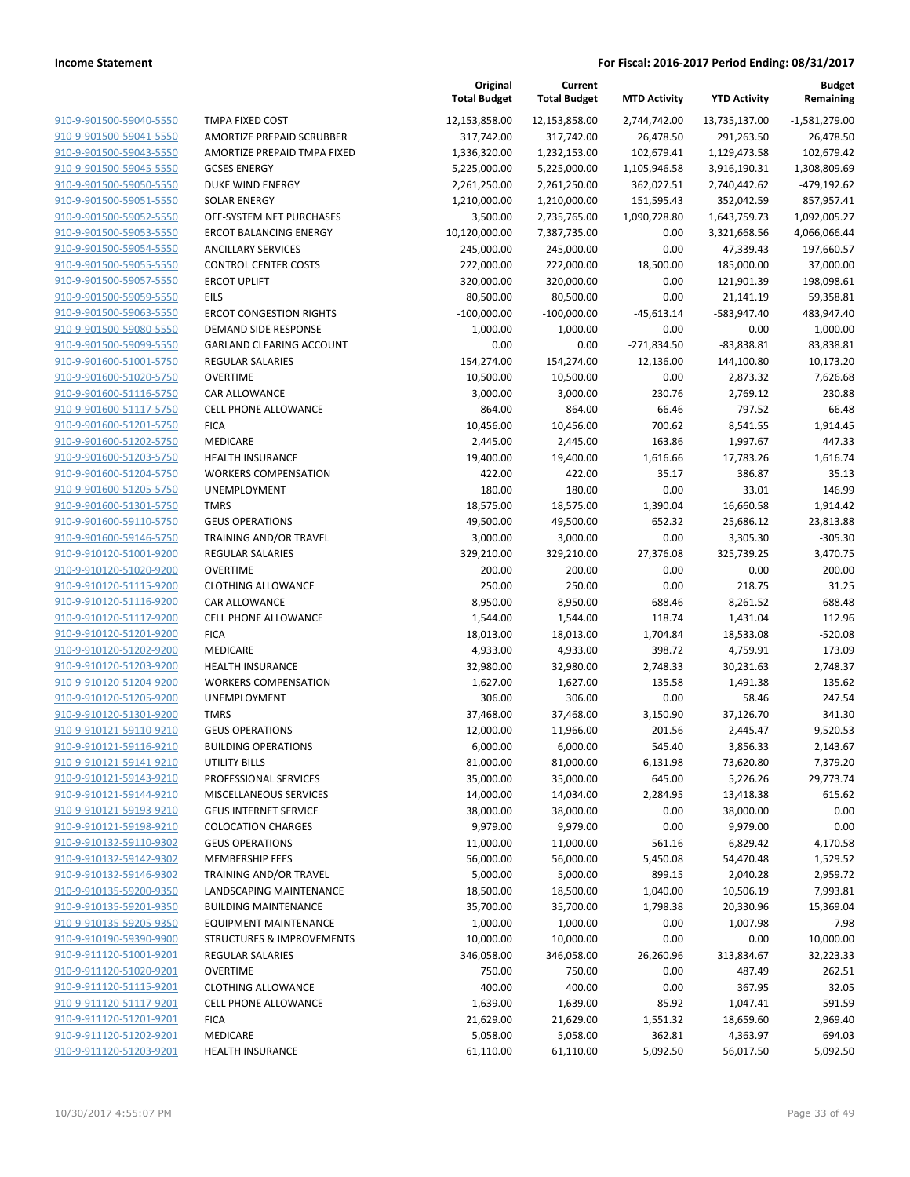|                                                    |                                                     | Original<br><b>Total Budget</b> | Current<br><b>Total Budget</b> | <b>MTD Activity</b> | <b>YTD Activity</b>   | <b>Budget</b><br>Remaining |
|----------------------------------------------------|-----------------------------------------------------|---------------------------------|--------------------------------|---------------------|-----------------------|----------------------------|
| 910-9-901500-59040-5550                            | TMPA FIXED COST                                     | 12,153,858.00                   | 12,153,858.00                  | 2,744,742.00        | 13,735,137.00         | $-1,581,279.00$            |
| 910-9-901500-59041-5550                            | AMORTIZE PREPAID SCRUBBER                           | 317,742.00                      | 317,742.00                     | 26,478.50           | 291,263.50            | 26,478.50                  |
| 910-9-901500-59043-5550                            | AMORTIZE PREPAID TMPA FIXED                         | 1,336,320.00                    | 1,232,153.00                   | 102,679.41          | 1,129,473.58          | 102,679.42                 |
| 910-9-901500-59045-5550                            | <b>GCSES ENERGY</b>                                 | 5,225,000.00                    | 5,225,000.00                   | 1,105,946.58        | 3,916,190.31          | 1,308,809.69               |
| 910-9-901500-59050-5550                            | DUKE WIND ENERGY                                    | 2,261,250.00                    | 2,261,250.00                   | 362,027.51          | 2,740,442.62          | -479,192.62                |
| 910-9-901500-59051-5550                            | <b>SOLAR ENERGY</b>                                 | 1,210,000.00                    | 1,210,000.00                   | 151,595.43          | 352,042.59            | 857,957.41                 |
| 910-9-901500-59052-5550                            | OFF-SYSTEM NET PURCHASES                            | 3,500.00                        | 2,735,765.00                   | 1,090,728.80        | 1,643,759.73          | 1,092,005.27               |
| 910-9-901500-59053-5550                            | <b>ERCOT BALANCING ENERGY</b>                       | 10,120,000.00                   | 7,387,735.00                   | 0.00                | 3,321,668.56          | 4,066,066.44               |
| 910-9-901500-59054-5550                            | <b>ANCILLARY SERVICES</b>                           | 245,000.00                      | 245,000.00                     | 0.00                | 47,339.43             | 197,660.57                 |
| 910-9-901500-59055-5550                            | <b>CONTROL CENTER COSTS</b>                         | 222,000.00                      | 222,000.00                     | 18,500.00           | 185,000.00            | 37,000.00                  |
| 910-9-901500-59057-5550                            | <b>ERCOT UPLIFT</b>                                 | 320,000.00                      | 320,000.00                     | 0.00                | 121,901.39            | 198,098.61                 |
| 910-9-901500-59059-5550                            | EILS                                                | 80,500.00                       | 80,500.00                      | 0.00                | 21,141.19             | 59,358.81                  |
| 910-9-901500-59063-5550                            | <b>ERCOT CONGESTION RIGHTS</b>                      | $-100,000.00$                   | $-100,000.00$                  | $-45,613.14$        | -583,947.40           | 483,947.40                 |
| 910-9-901500-59080-5550                            | DEMAND SIDE RESPONSE                                | 1,000.00                        | 1,000.00                       | 0.00                | 0.00                  | 1,000.00                   |
| 910-9-901500-59099-5550                            | <b>GARLAND CLEARING ACCOUNT</b>                     | 0.00                            | 0.00                           | $-271,834.50$       | $-83,838.81$          | 83,838.81                  |
| 910-9-901600-51001-5750                            | REGULAR SALARIES                                    | 154,274.00                      | 154,274.00                     | 12,136.00           | 144,100.80            | 10,173.20                  |
| 910-9-901600-51020-5750                            | <b>OVERTIME</b>                                     | 10,500.00                       | 10,500.00                      | 0.00                | 2,873.32              | 7,626.68                   |
| 910-9-901600-51116-5750                            | <b>CAR ALLOWANCE</b>                                | 3,000.00                        | 3,000.00                       | 230.76              | 2,769.12              | 230.88                     |
| 910-9-901600-51117-5750                            | <b>CELL PHONE ALLOWANCE</b>                         | 864.00                          | 864.00                         | 66.46               | 797.52                | 66.48                      |
| 910-9-901600-51201-5750                            | <b>FICA</b>                                         | 10,456.00                       | 10,456.00                      | 700.62              | 8,541.55              | 1,914.45                   |
| 910-9-901600-51202-5750                            | MEDICARE                                            | 2,445.00                        | 2,445.00                       | 163.86              | 1,997.67              | 447.33                     |
| 910-9-901600-51203-5750                            | <b>HEALTH INSURANCE</b>                             | 19,400.00                       | 19,400.00                      | 1,616.66            | 17,783.26             | 1,616.74                   |
| 910-9-901600-51204-5750                            | <b>WORKERS COMPENSATION</b>                         | 422.00                          | 422.00                         | 35.17               | 386.87                | 35.13                      |
| 910-9-901600-51205-5750                            | UNEMPLOYMENT                                        | 180.00                          | 180.00                         | 0.00                | 33.01                 | 146.99                     |
| 910-9-901600-51301-5750                            | <b>TMRS</b>                                         | 18,575.00                       | 18,575.00                      | 1,390.04            | 16,660.58             | 1,914.42                   |
| 910-9-901600-59110-5750                            | <b>GEUS OPERATIONS</b>                              | 49,500.00                       | 49,500.00                      | 652.32              | 25,686.12             | 23,813.88                  |
| 910-9-901600-59146-5750                            | TRAINING AND/OR TRAVEL                              | 3,000.00                        | 3,000.00                       | 0.00                | 3,305.30              | $-305.30$                  |
| 910-9-910120-51001-9200                            | <b>REGULAR SALARIES</b>                             | 329,210.00                      | 329,210.00                     | 27,376.08           | 325,739.25            | 3,470.75                   |
| 910-9-910120-51020-9200                            | <b>OVERTIME</b>                                     | 200.00                          | 200.00                         | 0.00                | 0.00                  | 200.00                     |
| 910-9-910120-51115-9200                            | <b>CLOTHING ALLOWANCE</b>                           | 250.00                          | 250.00                         | 0.00                | 218.75                | 31.25                      |
| 910-9-910120-51116-9200                            | CAR ALLOWANCE                                       | 8,950.00                        | 8,950.00                       | 688.46              | 8,261.52              | 688.48                     |
| 910-9-910120-51117-9200                            | <b>CELL PHONE ALLOWANCE</b>                         | 1,544.00                        | 1,544.00                       | 118.74              | 1,431.04              | 112.96                     |
| 910-9-910120-51201-9200                            | <b>FICA</b>                                         | 18,013.00                       | 18,013.00                      | 1,704.84            | 18,533.08             | $-520.08$                  |
| 910-9-910120-51202-9200                            | <b>MEDICARE</b>                                     | 4,933.00                        | 4,933.00                       | 398.72              | 4,759.91              | 173.09                     |
| 910-9-910120-51203-9200                            | <b>HEALTH INSURANCE</b>                             | 32,980.00                       | 32,980.00                      | 2,748.33            | 30,231.63             | 2,748.37                   |
| 910-9-910120-51204-9200                            | <b>WORKERS COMPENSATION</b>                         | 1,627.00                        | 1,627.00                       | 135.58              | 1,491.38              | 135.62                     |
| 910-9-910120-51205-9200                            | UNEMPLOYMENT                                        | 306.00                          | 306.00                         | 0.00                | 58.46                 | 247.54                     |
| 910-9-910120-51301-9200                            | <b>TMRS</b>                                         | 37,468.00                       | 37,468.00                      | 3,150.90            | 37,126.70             | 341.30                     |
| 910-9-910121-59110-9210                            | <b>GEUS OPERATIONS</b>                              | 12,000.00                       | 11,966.00                      | 201.56              | 2,445.47              | 9,520.53                   |
| 910-9-910121-59116-9210                            | <b>BUILDING OPERATIONS</b>                          | 6,000.00                        | 6,000.00                       | 545.40              | 3,856.33              | 2,143.67                   |
| 910-9-910121-59141-9210                            | UTILITY BILLS                                       | 81,000.00                       | 81,000.00                      | 6,131.98            | 73,620.80             | 7,379.20                   |
| 910-9-910121-59143-9210                            | PROFESSIONAL SERVICES                               | 35,000.00                       | 35,000.00                      | 645.00              | 5,226.26              | 29,773.74                  |
| 910-9-910121-59144-9210                            | MISCELLANEOUS SERVICES                              | 14,000.00                       | 14,034.00                      | 2,284.95            | 13,418.38             | 615.62                     |
| 910-9-910121-59193-9210<br>910-9-910121-59198-9210 | <b>GEUS INTERNET SERVICE</b>                        | 38,000.00                       | 38,000.00                      | 0.00                | 38,000.00<br>9,979.00 | 0.00<br>0.00               |
| 910-9-910132-59110-9302                            | <b>COLOCATION CHARGES</b><br><b>GEUS OPERATIONS</b> | 9,979.00                        | 9,979.00                       | 0.00<br>561.16      |                       |                            |
| 910-9-910132-59142-9302                            | <b>MEMBERSHIP FEES</b>                              | 11,000.00<br>56,000.00          | 11,000.00<br>56,000.00         | 5,450.08            | 6,829.42<br>54,470.48 | 4,170.58                   |
| 910-9-910132-59146-9302                            |                                                     |                                 |                                |                     |                       | 1,529.52                   |
| 910-9-910135-59200-9350                            | TRAINING AND/OR TRAVEL<br>LANDSCAPING MAINTENANCE   | 5,000.00<br>18,500.00           | 5,000.00                       | 899.15<br>1,040.00  | 2,040.28<br>10,506.19 | 2,959.72<br>7,993.81       |
| 910-9-910135-59201-9350                            | <b>BUILDING MAINTENANCE</b>                         | 35,700.00                       | 18,500.00<br>35,700.00         | 1,798.38            | 20,330.96             | 15,369.04                  |
| 910-9-910135-59205-9350                            | <b>EQUIPMENT MAINTENANCE</b>                        | 1,000.00                        | 1,000.00                       | 0.00                | 1,007.98              | $-7.98$                    |
| 910-9-910190-59390-9900                            | <b>STRUCTURES &amp; IMPROVEMENTS</b>                | 10,000.00                       | 10,000.00                      | 0.00                | 0.00                  | 10,000.00                  |
| 910-9-911120-51001-9201                            | <b>REGULAR SALARIES</b>                             | 346,058.00                      |                                | 26,260.96           | 313,834.67            | 32,223.33                  |
| 910-9-911120-51020-9201                            | <b>OVERTIME</b>                                     | 750.00                          | 346,058.00<br>750.00           | 0.00                | 487.49                | 262.51                     |
| 910-9-911120-51115-9201                            | <b>CLOTHING ALLOWANCE</b>                           | 400.00                          | 400.00                         | 0.00                | 367.95                | 32.05                      |
| 910-9-911120-51117-9201                            | <b>CELL PHONE ALLOWANCE</b>                         | 1,639.00                        | 1,639.00                       | 85.92               | 1,047.41              | 591.59                     |
| 910-9-911120-51201-9201                            | <b>FICA</b>                                         | 21,629.00                       | 21,629.00                      | 1,551.32            | 18,659.60             | 2,969.40                   |
| 910-9-911120-51202-9201                            | MEDICARE                                            | 5,058.00                        | 5,058.00                       | 362.81              | 4,363.97              | 694.03                     |
| 910-9-911120-51203-9201                            | <b>HEALTH INSURANCE</b>                             |                                 |                                | 5,092.50            |                       | 5,092.50                   |
|                                                    |                                                     | 61,110.00                       | 61,110.00                      |                     | 56,017.50             |                            |
|                                                    |                                                     |                                 |                                |                     |                       |                            |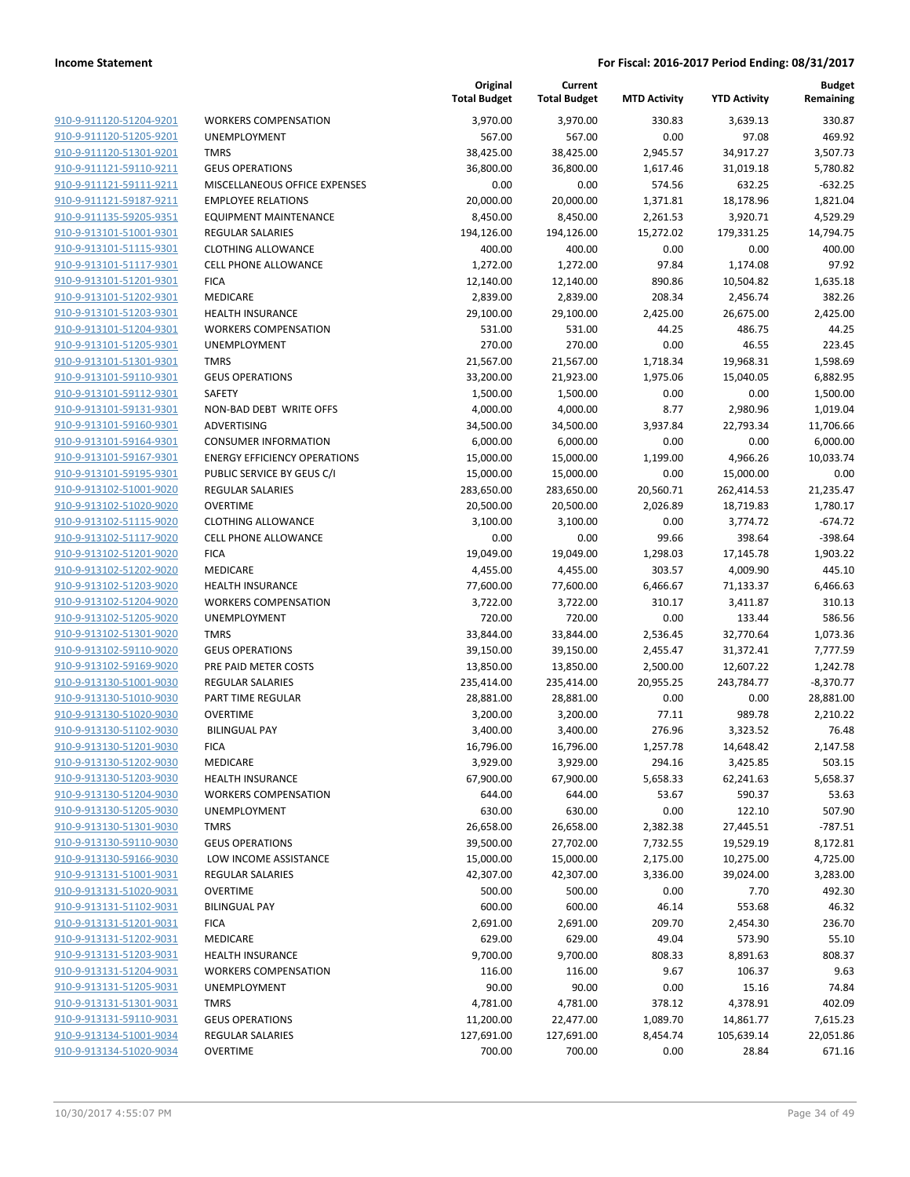|                                                    |                                      | Original<br><b>Total Budget</b> | Current<br><b>Total Budget</b> | <b>MTD Activity</b> | <b>YTD Activity</b> | Budget<br>Remaining      |
|----------------------------------------------------|--------------------------------------|---------------------------------|--------------------------------|---------------------|---------------------|--------------------------|
| 910-9-911120-51204-9201                            | <b>WORKERS COMPENSATION</b>          | 3,970.00                        | 3,970.00                       | 330.83              | 3,639.13            | 330.87                   |
| 910-9-911120-51205-9201                            | <b>UNEMPLOYMENT</b>                  | 567.00                          | 567.00                         | 0.00                | 97.08               | 469.92                   |
| 910-9-911120-51301-9201                            | <b>TMRS</b>                          | 38,425.00                       | 38,425.00                      | 2,945.57            | 34,917.27           | 3,507.73                 |
| 910-9-911121-59110-9211                            | <b>GEUS OPERATIONS</b>               | 36,800.00                       | 36,800.00                      | 1,617.46            | 31,019.18           | 5,780.82                 |
| 910-9-911121-59111-9211                            | MISCELLANEOUS OFFICE EXPENSES        | 0.00                            | 0.00                           | 574.56              | 632.25              | $-632.25$                |
| 910-9-911121-59187-9211                            | <b>EMPLOYEE RELATIONS</b>            | 20,000.00                       | 20,000.00                      | 1,371.81            | 18,178.96           | 1,821.04                 |
| 910-9-911135-59205-9351                            | <b>EQUIPMENT MAINTENANCE</b>         | 8,450.00                        | 8,450.00                       | 2,261.53            | 3,920.71            | 4,529.29                 |
| 910-9-913101-51001-9301                            | <b>REGULAR SALARIES</b>              | 194,126.00                      | 194,126.00                     | 15,272.02           | 179,331.25          | 14,794.75                |
| 910-9-913101-51115-9301                            | <b>CLOTHING ALLOWANCE</b>            | 400.00                          | 400.00                         | 0.00                | 0.00                | 400.00                   |
| 910-9-913101-51117-9301                            | <b>CELL PHONE ALLOWANCE</b>          | 1,272.00                        | 1,272.00                       | 97.84               | 1,174.08            | 97.92                    |
| 910-9-913101-51201-9301                            | <b>FICA</b>                          | 12,140.00                       | 12,140.00                      | 890.86              | 10,504.82           | 1,635.18                 |
| 910-9-913101-51202-9301                            | MEDICARE                             | 2,839.00                        | 2,839.00                       | 208.34              | 2,456.74            | 382.26                   |
| 910-9-913101-51203-9301                            | <b>HEALTH INSURANCE</b>              | 29,100.00                       | 29,100.00                      | 2,425.00            | 26,675.00           | 2,425.00                 |
| 910-9-913101-51204-9301                            | <b>WORKERS COMPENSATION</b>          | 531.00                          | 531.00                         | 44.25               | 486.75              | 44.25                    |
| 910-9-913101-51205-9301                            | <b>UNEMPLOYMENT</b>                  | 270.00                          | 270.00                         | 0.00                | 46.55               | 223.45                   |
| <u>910-9-913101-51301-9301</u>                     | <b>TMRS</b>                          | 21,567.00                       | 21,567.00                      | 1,718.34            | 19,968.31           | 1,598.69                 |
| 910-9-913101-59110-9301                            | <b>GEUS OPERATIONS</b>               | 33,200.00                       | 21,923.00                      | 1,975.06            | 15,040.05           | 6,882.95                 |
| 910-9-913101-59112-9301                            | SAFETY                               | 1,500.00                        | 1,500.00                       | 0.00                | 0.00                | 1,500.00                 |
| 910-9-913101-59131-9301                            | NON-BAD DEBT WRITE OFFS              | 4,000.00                        | 4,000.00                       | 8.77                | 2,980.96            | 1,019.04                 |
| 910-9-913101-59160-9301                            | ADVERTISING                          | 34,500.00                       | 34,500.00                      | 3,937.84            | 22,793.34           | 11,706.66                |
| 910-9-913101-59164-9301                            | <b>CONSUMER INFORMATION</b>          | 6,000.00                        | 6,000.00                       | 0.00                | 0.00                | 6,000.00                 |
| 910-9-913101-59167-9301                            | <b>ENERGY EFFICIENCY OPERATIONS</b>  | 15,000.00                       | 15,000.00                      | 1,199.00            | 4,966.26            | 10,033.74                |
| 910-9-913101-59195-9301                            | PUBLIC SERVICE BY GEUS C/I           | 15,000.00                       | 15,000.00                      | 0.00                | 15,000.00           | 0.00                     |
| 910-9-913102-51001-9020                            | <b>REGULAR SALARIES</b>              | 283,650.00                      | 283,650.00                     | 20,560.71           | 262,414.53          | 21,235.47                |
| 910-9-913102-51020-9020                            | <b>OVERTIME</b>                      | 20,500.00                       | 20,500.00                      | 2,026.89            | 18,719.83           | 1,780.17                 |
| 910-9-913102-51115-9020                            | <b>CLOTHING ALLOWANCE</b>            | 3,100.00                        | 3,100.00                       | 0.00                | 3,774.72            | $-674.72$                |
| 910-9-913102-51117-9020                            | <b>CELL PHONE ALLOWANCE</b>          | 0.00                            | 0.00                           | 99.66               | 398.64              | $-398.64$                |
| 910-9-913102-51201-9020                            | <b>FICA</b>                          | 19,049.00                       | 19,049.00                      | 1,298.03            | 17,145.78           | 1,903.22                 |
| 910-9-913102-51202-9020                            | MEDICARE                             | 4,455.00                        | 4,455.00                       | 303.57              | 4,009.90            | 445.10                   |
| 910-9-913102-51203-9020                            | <b>HEALTH INSURANCE</b>              | 77,600.00                       | 77,600.00                      | 6,466.67            | 71,133.37           | 6,466.63                 |
| 910-9-913102-51204-9020                            | <b>WORKERS COMPENSATION</b>          | 3,722.00                        | 3,722.00                       | 310.17              | 3,411.87            | 310.13                   |
| 910-9-913102-51205-9020                            | <b>UNEMPLOYMENT</b>                  | 720.00                          | 720.00                         | 0.00                | 133.44              | 586.56                   |
| 910-9-913102-51301-9020                            | <b>TMRS</b>                          | 33,844.00                       | 33,844.00                      | 2,536.45            | 32,770.64           | 1,073.36                 |
| 910-9-913102-59110-9020                            | <b>GEUS OPERATIONS</b>               | 39,150.00                       | 39,150.00                      | 2,455.47            | 31,372.41           | 7,777.59                 |
| 910-9-913102-59169-9020                            | PRE PAID METER COSTS                 | 13,850.00                       | 13,850.00                      | 2,500.00            | 12,607.22           | 1,242.78                 |
| 910-9-913130-51001-9030                            | <b>REGULAR SALARIES</b>              | 235,414.00                      | 235,414.00                     | 20,955.25           | 243,784.77          | $-8,370.77$<br>28,881.00 |
| 910-9-913130-51010-9030<br>910-9-913130-51020-9030 | PART TIME REGULAR<br><b>OVERTIME</b> | 28,881.00                       | 28,881.00                      | 0.00<br>77.11       | 0.00<br>989.78      |                          |
| 910-9-913130-51102-9030                            | <b>BILINGUAL PAY</b>                 | 3,200.00<br>3,400.00            | 3,200.00<br>3,400.00           | 276.96              | 3,323.52            | 2,210.22<br>76.48        |
| 910-9-913130-51201-9030                            | <b>FICA</b>                          | 16,796.00                       | 16,796.00                      | 1,257.78            | 14,648.42           | 2,147.58                 |
| 910-9-913130-51202-9030                            | MEDICARE                             | 3,929.00                        | 3,929.00                       | 294.16              | 3,425.85            | 503.15                   |
| 910-9-913130-51203-9030                            | HEALTH INSURANCE                     | 67,900.00                       | 67,900.00                      | 5,658.33            | 62,241.63           | 5,658.37                 |
| 910-9-913130-51204-9030                            | <b>WORKERS COMPENSATION</b>          | 644.00                          | 644.00                         | 53.67               | 590.37              | 53.63                    |
| 910-9-913130-51205-9030                            | UNEMPLOYMENT                         | 630.00                          | 630.00                         | 0.00                | 122.10              | 507.90                   |
| 910-9-913130-51301-9030                            | <b>TMRS</b>                          | 26,658.00                       | 26,658.00                      | 2,382.38            | 27,445.51           | $-787.51$                |
| 910-9-913130-59110-9030                            | <b>GEUS OPERATIONS</b>               | 39,500.00                       | 27,702.00                      | 7,732.55            | 19,529.19           | 8,172.81                 |
| 910-9-913130-59166-9030                            | LOW INCOME ASSISTANCE                | 15,000.00                       | 15,000.00                      | 2,175.00            | 10,275.00           | 4,725.00                 |
| 910-9-913131-51001-9031                            | <b>REGULAR SALARIES</b>              | 42,307.00                       | 42,307.00                      | 3,336.00            | 39,024.00           | 3,283.00                 |
| 910-9-913131-51020-9031                            | <b>OVERTIME</b>                      | 500.00                          | 500.00                         | 0.00                | 7.70                | 492.30                   |
| 910-9-913131-51102-9031                            | <b>BILINGUAL PAY</b>                 | 600.00                          | 600.00                         | 46.14               | 553.68              | 46.32                    |
| 910-9-913131-51201-9031                            | <b>FICA</b>                          | 2,691.00                        | 2,691.00                       | 209.70              | 2,454.30            | 236.70                   |
| 910-9-913131-51202-9031                            | MEDICARE                             | 629.00                          | 629.00                         | 49.04               | 573.90              | 55.10                    |
| 910-9-913131-51203-9031                            | <b>HEALTH INSURANCE</b>              | 9,700.00                        | 9,700.00                       | 808.33              | 8,891.63            | 808.37                   |
| 910-9-913131-51204-9031                            | <b>WORKERS COMPENSATION</b>          | 116.00                          | 116.00                         | 9.67                | 106.37              | 9.63                     |
| 910-9-913131-51205-9031                            | UNEMPLOYMENT                         | 90.00                           | 90.00                          | 0.00                | 15.16               | 74.84                    |
| 910-9-913131-51301-9031                            | <b>TMRS</b>                          | 4,781.00                        | 4,781.00                       | 378.12              | 4,378.91            | 402.09                   |
| 910-9-913131-59110-9031                            | <b>GEUS OPERATIONS</b>               | 11,200.00                       | 22,477.00                      | 1,089.70            | 14,861.77           | 7,615.23                 |
| 910-9-913134-51001-9034                            | REGULAR SALARIES                     | 127,691.00                      | 127,691.00                     | 8,454.74            | 105,639.14          | 22,051.86                |
| 910-9-913134-51020-9034                            | <b>OVERTIME</b>                      | 700.00                          | 700.00                         | 0.00                | 28.84               | 671.16                   |
|                                                    |                                      |                                 |                                |                     |                     |                          |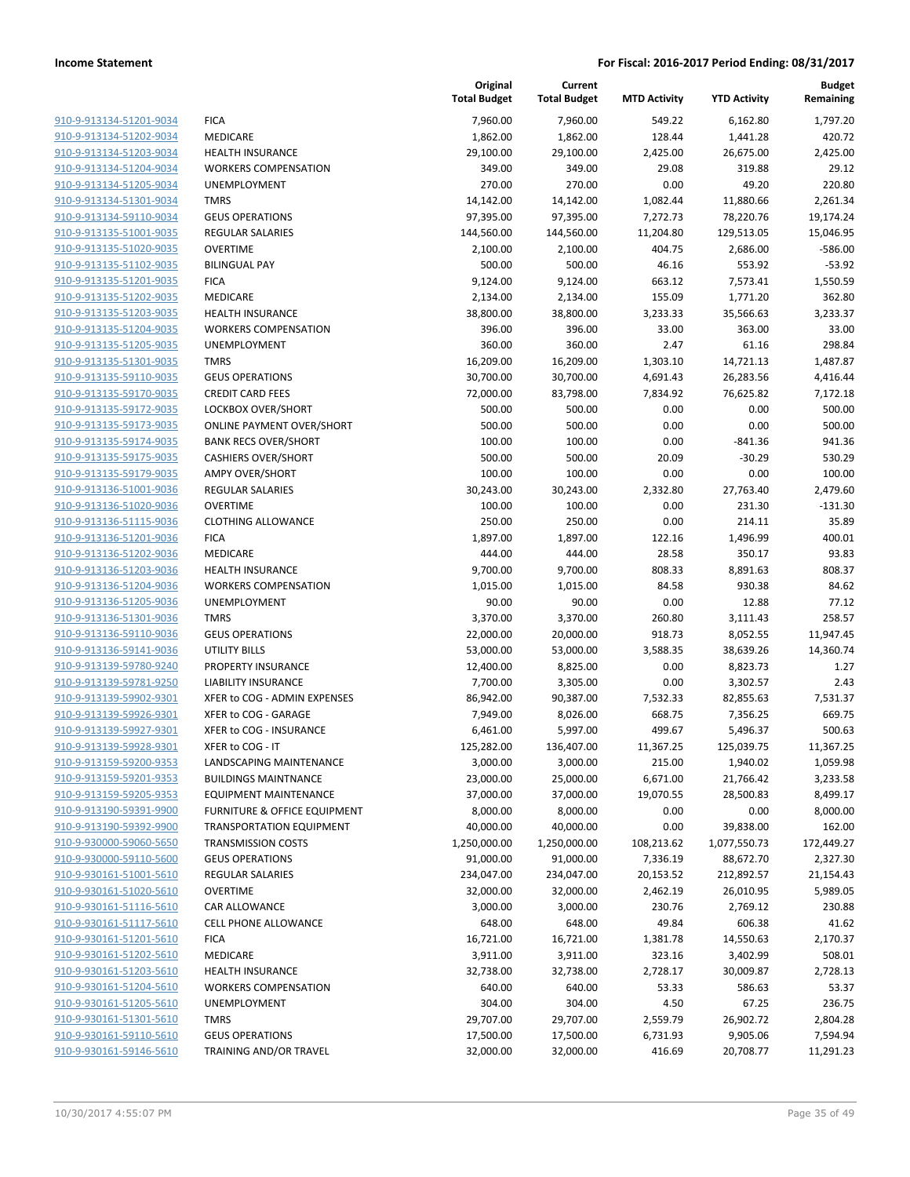|                         |                                         | Original<br><b>Total Budget</b> | Current<br><b>Total Budget</b> | <b>MTD Activity</b> | <b>YTD Activity</b> | <b>Budget</b><br>Remaining |
|-------------------------|-----------------------------------------|---------------------------------|--------------------------------|---------------------|---------------------|----------------------------|
| 910-9-913134-51201-9034 | <b>FICA</b>                             | 7,960.00                        | 7,960.00                       | 549.22              | 6,162.80            | 1,797.20                   |
| 910-9-913134-51202-9034 | MEDICARE                                | 1,862.00                        | 1,862.00                       | 128.44              | 1,441.28            | 420.72                     |
| 910-9-913134-51203-9034 | <b>HEALTH INSURANCE</b>                 | 29,100.00                       | 29,100.00                      | 2,425.00            | 26,675.00           | 2,425.00                   |
| 910-9-913134-51204-9034 | <b>WORKERS COMPENSATION</b>             | 349.00                          | 349.00                         | 29.08               | 319.88              | 29.12                      |
| 910-9-913134-51205-9034 | <b>UNEMPLOYMENT</b>                     | 270.00                          | 270.00                         | 0.00                | 49.20               | 220.80                     |
| 910-9-913134-51301-9034 | <b>TMRS</b>                             | 14,142.00                       | 14,142.00                      | 1,082.44            | 11,880.66           | 2,261.34                   |
| 910-9-913134-59110-9034 | <b>GEUS OPERATIONS</b>                  | 97,395.00                       | 97,395.00                      | 7,272.73            | 78,220.76           | 19,174.24                  |
| 910-9-913135-51001-9035 | REGULAR SALARIES                        | 144,560.00                      | 144,560.00                     | 11,204.80           | 129,513.05          | 15,046.95                  |
| 910-9-913135-51020-9035 | <b>OVERTIME</b>                         | 2,100.00                        | 2,100.00                       | 404.75              | 2,686.00            | $-586.00$                  |
| 910-9-913135-51102-9035 | <b>BILINGUAL PAY</b>                    | 500.00                          | 500.00                         | 46.16               | 553.92              | $-53.92$                   |
| 910-9-913135-51201-9035 | <b>FICA</b>                             | 9,124.00                        | 9,124.00                       | 663.12              | 7,573.41            | 1,550.59                   |
| 910-9-913135-51202-9035 | MEDICARE                                | 2,134.00                        | 2,134.00                       | 155.09              | 1,771.20            | 362.80                     |
| 910-9-913135-51203-9035 | <b>HEALTH INSURANCE</b>                 | 38,800.00                       | 38,800.00                      | 3,233.33            | 35,566.63           | 3,233.37                   |
| 910-9-913135-51204-9035 | <b>WORKERS COMPENSATION</b>             | 396.00                          | 396.00                         | 33.00               | 363.00              | 33.00                      |
| 910-9-913135-51205-9035 | <b>UNEMPLOYMENT</b>                     | 360.00                          | 360.00                         | 2.47                | 61.16               | 298.84                     |
| 910-9-913135-51301-9035 | <b>TMRS</b>                             | 16,209.00                       | 16,209.00                      | 1,303.10            | 14,721.13           | 1,487.87                   |
| 910-9-913135-59110-9035 | <b>GEUS OPERATIONS</b>                  | 30,700.00                       | 30,700.00                      | 4,691.43            | 26,283.56           | 4,416.44                   |
| 910-9-913135-59170-9035 | <b>CREDIT CARD FEES</b>                 | 72,000.00                       | 83,798.00                      | 7,834.92            | 76,625.82           | 7,172.18                   |
| 910-9-913135-59172-9035 | LOCKBOX OVER/SHORT                      | 500.00                          | 500.00                         | 0.00                | 0.00                | 500.00                     |
| 910-9-913135-59173-9035 | <b>ONLINE PAYMENT OVER/SHORT</b>        | 500.00                          | 500.00                         | 0.00                | 0.00                | 500.00                     |
| 910-9-913135-59174-9035 | <b>BANK RECS OVER/SHORT</b>             | 100.00                          | 100.00                         | 0.00                | $-841.36$           | 941.36                     |
| 910-9-913135-59175-9035 | <b>CASHIERS OVER/SHORT</b>              | 500.00                          | 500.00                         | 20.09               | $-30.29$            | 530.29                     |
| 910-9-913135-59179-9035 | <b>AMPY OVER/SHORT</b>                  | 100.00                          | 100.00                         | 0.00                | 0.00                | 100.00                     |
| 910-9-913136-51001-9036 | <b>REGULAR SALARIES</b>                 | 30,243.00                       | 30,243.00                      | 2,332.80            | 27,763.40           | 2,479.60                   |
| 910-9-913136-51020-9036 | <b>OVERTIME</b>                         | 100.00                          | 100.00                         | 0.00                | 231.30              | $-131.30$                  |
| 910-9-913136-51115-9036 | <b>CLOTHING ALLOWANCE</b>               | 250.00                          | 250.00                         | 0.00                | 214.11              | 35.89                      |
| 910-9-913136-51201-9036 | <b>FICA</b>                             | 1,897.00                        | 1,897.00                       | 122.16              | 1,496.99            | 400.01                     |
| 910-9-913136-51202-9036 | MEDICARE                                | 444.00                          | 444.00                         | 28.58               | 350.17              | 93.83                      |
| 910-9-913136-51203-9036 | <b>HEALTH INSURANCE</b>                 | 9,700.00                        | 9,700.00                       | 808.33              | 8,891.63            | 808.37                     |
| 910-9-913136-51204-9036 | <b>WORKERS COMPENSATION</b>             | 1,015.00                        | 1,015.00                       | 84.58               | 930.38              | 84.62                      |
| 910-9-913136-51205-9036 | UNEMPLOYMENT                            | 90.00                           | 90.00                          | 0.00                | 12.88               | 77.12                      |
| 910-9-913136-51301-9036 | <b>TMRS</b>                             | 3,370.00                        | 3,370.00                       | 260.80              | 3,111.43            | 258.57                     |
| 910-9-913136-59110-9036 | <b>GEUS OPERATIONS</b>                  | 22,000.00                       | 20,000.00                      | 918.73              | 8,052.55            | 11,947.45                  |
| 910-9-913136-59141-9036 | <b>UTILITY BILLS</b>                    | 53,000.00                       | 53,000.00                      | 3,588.35            | 38,639.26           | 14,360.74                  |
| 910-9-913139-59780-9240 | PROPERTY INSURANCE                      | 12,400.00                       | 8,825.00                       | 0.00                | 8,823.73            | 1.27                       |
| 910-9-913139-59781-9250 | <b>LIABILITY INSURANCE</b>              | 7,700.00                        | 3,305.00                       | 0.00                | 3,302.57            | 2.43                       |
| 910-9-913139-59902-9301 | XFER to COG - ADMIN EXPENSES            | 86,942.00                       | 90,387.00                      | 7,532.33            | 82,855.63           | 7,531.37                   |
| 910-9-913139-59926-9301 | XFER to COG - GARAGE                    | 7,949.00                        | 8,026.00                       | 668.75              | 7,356.25            | 669.75                     |
| 910-9-913139-59927-9301 | XFER to COG - INSURANCE                 | 6,461.00                        | 5,997.00                       | 499.67              | 5,496.37            | 500.63                     |
| 910-9-913139-59928-9301 | XFFR to COG - IT                        | 125,282.00                      | 136,407.00                     | 11,367.25           | 125,039.75          | 11,367.25                  |
| 910-9-913159-59200-9353 | LANDSCAPING MAINTENANCE                 | 3,000.00                        | 3,000.00                       | 215.00              | 1,940.02            | 1,059.98                   |
| 910-9-913159-59201-9353 | <b>BUILDINGS MAINTNANCE</b>             | 23,000.00                       | 25,000.00                      | 6,671.00            | 21,766.42           | 3,233.58                   |
| 910-9-913159-59205-9353 | <b>EQUIPMENT MAINTENANCE</b>            | 37,000.00                       | 37,000.00                      | 19,070.55           | 28,500.83           | 8,499.17                   |
| 910-9-913190-59391-9900 | <b>FURNITURE &amp; OFFICE EQUIPMENT</b> | 8,000.00                        | 8,000.00                       | 0.00                | 0.00                | 8,000.00                   |
| 910-9-913190-59392-9900 | <b>TRANSPORTATION EQUIPMENT</b>         | 40,000.00                       | 40,000.00                      | 0.00                | 39,838.00           | 162.00                     |
| 910-9-930000-59060-5650 | <b>TRANSMISSION COSTS</b>               | 1,250,000.00                    | 1,250,000.00                   | 108,213.62          | 1,077,550.73        | 172,449.27                 |
| 910-9-930000-59110-5600 | <b>GEUS OPERATIONS</b>                  | 91,000.00                       | 91,000.00                      | 7,336.19            | 88,672.70           | 2,327.30                   |
| 910-9-930161-51001-5610 | <b>REGULAR SALARIES</b>                 | 234,047.00                      | 234,047.00                     | 20,153.52           | 212,892.57          | 21,154.43                  |
| 910-9-930161-51020-5610 | <b>OVERTIME</b>                         | 32,000.00                       | 32,000.00                      | 2,462.19            | 26,010.95           | 5,989.05                   |
| 910-9-930161-51116-5610 | CAR ALLOWANCE                           | 3,000.00                        | 3,000.00                       | 230.76              | 2,769.12            | 230.88                     |
| 910-9-930161-51117-5610 | CELL PHONE ALLOWANCE                    | 648.00                          | 648.00                         | 49.84               | 606.38              | 41.62                      |
| 910-9-930161-51201-5610 | <b>FICA</b>                             | 16,721.00                       | 16,721.00                      | 1,381.78            | 14,550.63           | 2,170.37                   |
| 910-9-930161-51202-5610 | MEDICARE                                | 3,911.00                        | 3,911.00                       | 323.16              | 3,402.99            | 508.01                     |
| 910-9-930161-51203-5610 | <b>HEALTH INSURANCE</b>                 | 32,738.00                       | 32,738.00                      | 2,728.17            | 30,009.87           | 2,728.13                   |
| 910-9-930161-51204-5610 | <b>WORKERS COMPENSATION</b>             | 640.00                          | 640.00                         | 53.33               | 586.63              | 53.37                      |
| 910-9-930161-51205-5610 | UNEMPLOYMENT                            | 304.00                          | 304.00                         | 4.50                | 67.25               | 236.75                     |
| 910-9-930161-51301-5610 | <b>TMRS</b>                             | 29,707.00                       | 29,707.00                      | 2,559.79            | 26,902.72           | 2,804.28                   |
| 910-9-930161-59110-5610 | <b>GEUS OPERATIONS</b>                  | 17,500.00                       | 17,500.00                      | 6,731.93            | 9,905.06            | 7,594.94                   |
| 910-9-930161-59146-5610 | TRAINING AND/OR TRAVEL                  | 32,000.00                       | 32,000.00                      | 416.69              | 20,708.77           | 11,291.23                  |
|                         |                                         |                                 |                                |                     |                     |                            |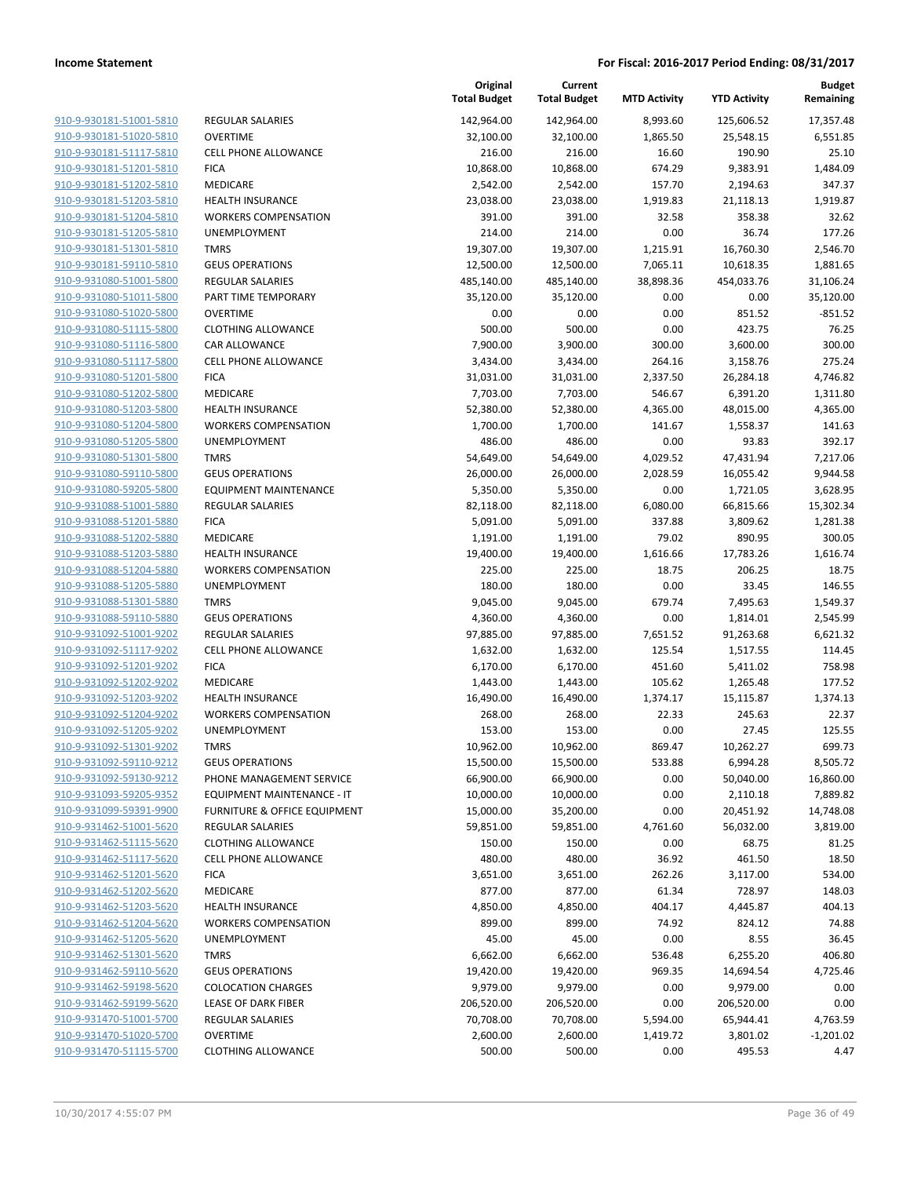|                                                    |                                            | Original<br><b>Total Budget</b> | Current<br><b>Total Budget</b> | <b>MTD Activity</b> | <b>YTD Activity</b>  | <b>Budget</b><br>Remaining |
|----------------------------------------------------|--------------------------------------------|---------------------------------|--------------------------------|---------------------|----------------------|----------------------------|
| 910-9-930181-51001-5810                            | REGULAR SALARIES                           | 142,964.00                      | 142,964.00                     | 8,993.60            | 125,606.52           | 17,357.48                  |
| 910-9-930181-51020-5810                            | <b>OVERTIME</b>                            | 32,100.00                       | 32,100.00                      | 1,865.50            | 25,548.15            | 6,551.85                   |
| 910-9-930181-51117-5810                            | <b>CELL PHONE ALLOWANCE</b>                | 216.00                          | 216.00                         | 16.60               | 190.90               | 25.10                      |
| 910-9-930181-51201-5810                            | <b>FICA</b>                                | 10,868.00                       | 10,868.00                      | 674.29              | 9,383.91             | 1,484.09                   |
| 910-9-930181-51202-5810                            | MEDICARE                                   | 2,542.00                        | 2,542.00                       | 157.70              | 2,194.63             | 347.37                     |
| 910-9-930181-51203-5810                            | <b>HEALTH INSURANCE</b>                    | 23,038.00                       | 23,038.00                      | 1,919.83            | 21,118.13            | 1,919.87                   |
| 910-9-930181-51204-5810                            | <b>WORKERS COMPENSATION</b>                | 391.00                          | 391.00                         | 32.58               | 358.38               | 32.62                      |
| 910-9-930181-51205-5810                            | UNEMPLOYMENT                               | 214.00                          | 214.00                         | 0.00                | 36.74                | 177.26                     |
| 910-9-930181-51301-5810                            | <b>TMRS</b>                                | 19,307.00                       | 19,307.00                      | 1,215.91            | 16,760.30            | 2,546.70                   |
| 910-9-930181-59110-5810                            | <b>GEUS OPERATIONS</b>                     | 12,500.00                       | 12,500.00                      | 7,065.11            | 10,618.35            | 1,881.65                   |
| 910-9-931080-51001-5800                            | <b>REGULAR SALARIES</b>                    | 485,140.00                      | 485,140.00                     | 38,898.36           | 454,033.76           | 31,106.24                  |
| 910-9-931080-51011-5800                            | PART TIME TEMPORARY                        | 35,120.00                       | 35,120.00                      | 0.00                | 0.00                 | 35,120.00                  |
| 910-9-931080-51020-5800                            | <b>OVERTIME</b>                            | 0.00                            | 0.00                           | 0.00                | 851.52               | $-851.52$                  |
| 910-9-931080-51115-5800                            | <b>CLOTHING ALLOWANCE</b>                  | 500.00                          | 500.00                         | 0.00                | 423.75               | 76.25                      |
| 910-9-931080-51116-5800                            | <b>CAR ALLOWANCE</b>                       | 7,900.00                        | 3,900.00                       | 300.00              | 3,600.00             | 300.00                     |
| 910-9-931080-51117-5800                            | <b>CELL PHONE ALLOWANCE</b>                | 3,434.00                        | 3,434.00                       | 264.16              | 3,158.76             | 275.24                     |
| 910-9-931080-51201-5800                            | <b>FICA</b>                                | 31,031.00                       | 31,031.00                      | 2,337.50            | 26,284.18            | 4,746.82                   |
| 910-9-931080-51202-5800                            | MEDICARE                                   | 7,703.00                        | 7,703.00                       | 546.67              | 6,391.20             | 1,311.80                   |
| 910-9-931080-51203-5800                            | <b>HEALTH INSURANCE</b>                    | 52,380.00                       | 52,380.00                      | 4,365.00            | 48,015.00            | 4,365.00                   |
| 910-9-931080-51204-5800                            | <b>WORKERS COMPENSATION</b>                | 1,700.00                        | 1,700.00                       | 141.67              | 1,558.37             | 141.63                     |
| 910-9-931080-51205-5800                            | UNEMPLOYMENT                               | 486.00                          | 486.00                         | 0.00                | 93.83                | 392.17                     |
| 910-9-931080-51301-5800                            | <b>TMRS</b>                                | 54,649.00                       | 54,649.00                      | 4,029.52            | 47,431.94            | 7,217.06                   |
| 910-9-931080-59110-5800                            | <b>GEUS OPERATIONS</b>                     | 26,000.00                       | 26,000.00                      | 2,028.59            | 16,055.42            | 9,944.58                   |
| 910-9-931080-59205-5800                            | <b>EQUIPMENT MAINTENANCE</b>               | 5,350.00                        | 5,350.00                       | 0.00                | 1,721.05             | 3,628.95                   |
| 910-9-931088-51001-5880                            | <b>REGULAR SALARIES</b>                    | 82,118.00                       | 82,118.00                      | 6,080.00            | 66,815.66            | 15,302.34                  |
| 910-9-931088-51201-5880                            | <b>FICA</b>                                | 5,091.00                        | 5,091.00                       | 337.88              | 3,809.62             | 1,281.38                   |
| 910-9-931088-51202-5880                            | MEDICARE                                   | 1,191.00                        | 1,191.00                       | 79.02               | 890.95               | 300.05                     |
| 910-9-931088-51203-5880                            | <b>HEALTH INSURANCE</b>                    | 19,400.00                       | 19,400.00                      | 1,616.66            | 17,783.26            | 1,616.74                   |
| 910-9-931088-51204-5880                            | <b>WORKERS COMPENSATION</b>                | 225.00                          | 225.00                         | 18.75               | 206.25               | 18.75                      |
| 910-9-931088-51205-5880                            | UNEMPLOYMENT                               | 180.00                          | 180.00                         | 0.00                | 33.45                | 146.55                     |
| 910-9-931088-51301-5880                            | <b>TMRS</b>                                | 9,045.00                        | 9,045.00                       | 679.74              | 7,495.63             | 1,549.37                   |
| 910-9-931088-59110-5880<br>910-9-931092-51001-9202 | <b>GEUS OPERATIONS</b>                     | 4,360.00                        | 4,360.00                       | 0.00                | 1,814.01             | 2,545.99                   |
| 910-9-931092-51117-9202                            | REGULAR SALARIES                           | 97,885.00                       | 97,885.00                      | 7,651.52            | 91,263.68            | 6,621.32                   |
| 910-9-931092-51201-9202                            | <b>CELL PHONE ALLOWANCE</b><br><b>FICA</b> | 1,632.00<br>6,170.00            | 1,632.00<br>6,170.00           | 125.54<br>451.60    | 1,517.55<br>5,411.02 | 114.45<br>758.98           |
| 910-9-931092-51202-9202                            | MEDICARE                                   | 1,443.00                        | 1,443.00                       | 105.62              | 1,265.48             | 177.52                     |
| 910-9-931092-51203-9202                            | <b>HEALTH INSURANCE</b>                    | 16,490.00                       | 16,490.00                      | 1,374.17            | 15,115.87            | 1,374.13                   |
| 910-9-931092-51204-9202                            | <b>WORKERS COMPENSATION</b>                | 268.00                          | 268.00                         | 22.33               | 245.63               | 22.37                      |
| 910-9-931092-51205-9202                            | UNEMPLOYMENT                               | 153.00                          | 153.00                         | 0.00                | 27.45                | 125.55                     |
| 910-9-931092-51301-9202                            | <b>TMRS</b>                                | 10,962.00                       | 10,962.00                      | 869.47              | 10,262.27            | 699.73                     |
| 910-9-931092-59110-9212                            | <b>GEUS OPERATIONS</b>                     | 15,500.00                       | 15,500.00                      | 533.88              | 6,994.28             | 8,505.72                   |
| 910-9-931092-59130-9212                            | PHONE MANAGEMENT SERVICE                   | 66,900.00                       | 66,900.00                      | 0.00                | 50,040.00            | 16,860.00                  |
| 910-9-931093-59205-9352                            | EQUIPMENT MAINTENANCE - IT                 | 10,000.00                       | 10,000.00                      | 0.00                | 2,110.18             | 7,889.82                   |
| 910-9-931099-59391-9900                            | <b>FURNITURE &amp; OFFICE EQUIPMENT</b>    | 15,000.00                       | 35,200.00                      | 0.00                | 20,451.92            | 14,748.08                  |
| 910-9-931462-51001-5620                            | REGULAR SALARIES                           | 59,851.00                       | 59,851.00                      | 4,761.60            | 56,032.00            | 3,819.00                   |
| 910-9-931462-51115-5620                            | <b>CLOTHING ALLOWANCE</b>                  | 150.00                          | 150.00                         | 0.00                | 68.75                | 81.25                      |
| 910-9-931462-51117-5620                            | <b>CELL PHONE ALLOWANCE</b>                | 480.00                          | 480.00                         | 36.92               | 461.50               | 18.50                      |
| 910-9-931462-51201-5620                            | <b>FICA</b>                                | 3,651.00                        | 3,651.00                       | 262.26              | 3,117.00             | 534.00                     |
| 910-9-931462-51202-5620                            | MEDICARE                                   | 877.00                          | 877.00                         | 61.34               | 728.97               | 148.03                     |
| 910-9-931462-51203-5620                            | <b>HEALTH INSURANCE</b>                    | 4,850.00                        | 4,850.00                       | 404.17              | 4,445.87             | 404.13                     |
| 910-9-931462-51204-5620                            | <b>WORKERS COMPENSATION</b>                | 899.00                          | 899.00                         | 74.92               | 824.12               | 74.88                      |
| 910-9-931462-51205-5620                            | <b>UNEMPLOYMENT</b>                        | 45.00                           | 45.00                          | 0.00                | 8.55                 | 36.45                      |
| 910-9-931462-51301-5620                            | <b>TMRS</b>                                | 6,662.00                        | 6,662.00                       | 536.48              | 6,255.20             | 406.80                     |
| 910-9-931462-59110-5620                            | <b>GEUS OPERATIONS</b>                     | 19,420.00                       | 19,420.00                      | 969.35              | 14,694.54            | 4,725.46                   |
| 910-9-931462-59198-5620                            | <b>COLOCATION CHARGES</b>                  | 9,979.00                        | 9,979.00                       | 0.00                | 9,979.00             | 0.00                       |
| 910-9-931462-59199-5620                            | LEASE OF DARK FIBER                        | 206,520.00                      | 206,520.00                     | 0.00                | 206,520.00           | 0.00                       |
| 910-9-931470-51001-5700                            | REGULAR SALARIES                           | 70,708.00                       | 70,708.00                      | 5,594.00            | 65,944.41            | 4,763.59                   |
| 910-9-931470-51020-5700                            | <b>OVERTIME</b>                            | 2,600.00                        | 2,600.00                       | 1,419.72            | 3,801.02             | $-1,201.02$                |
| 910-9-931470-51115-5700                            | <b>CLOTHING ALLOWANCE</b>                  | 500.00                          | 500.00                         | 0.00                | 495.53               | 4.47                       |
|                                                    |                                            |                                 |                                |                     |                      |                            |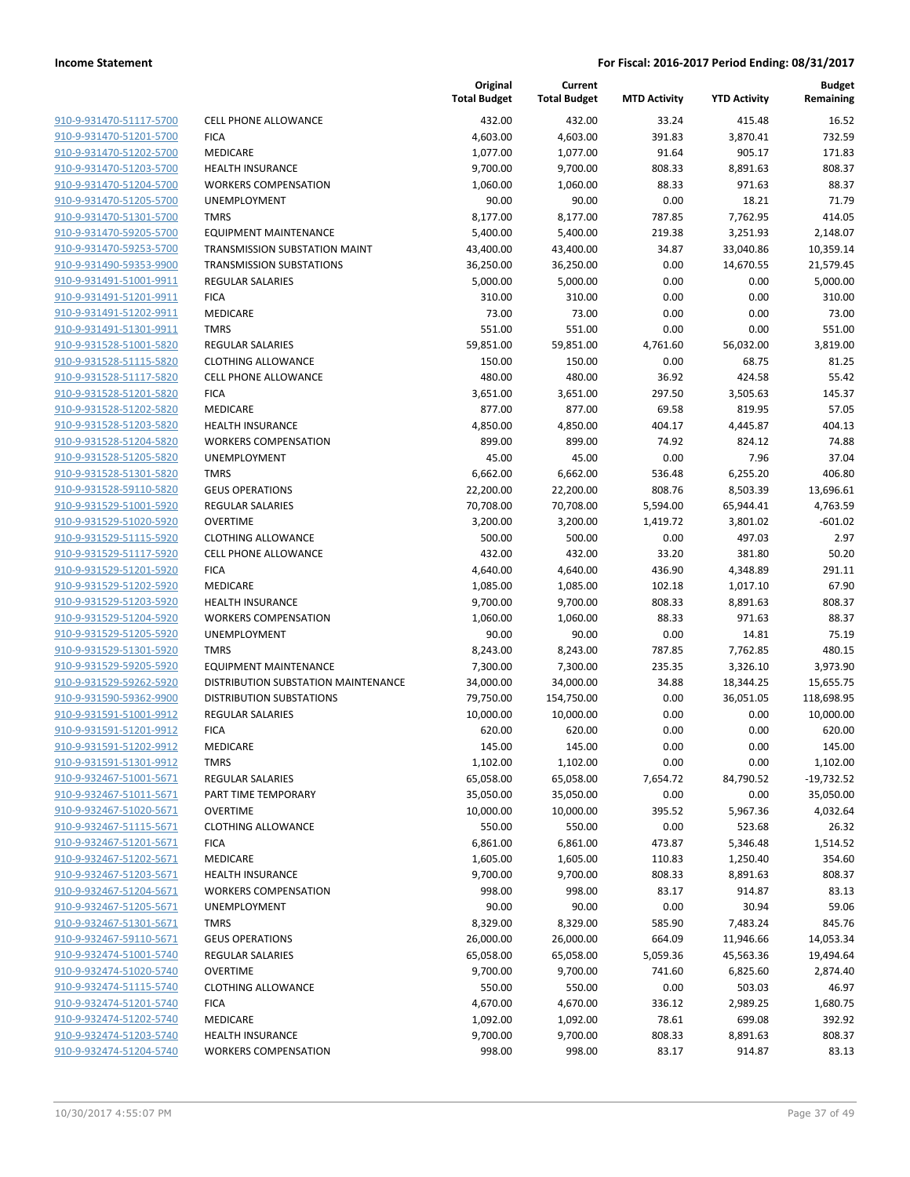| 910-9-931470-51117-5700        |
|--------------------------------|
| 910-9-931470-51201-5700        |
| 910-9-931470-51202-5700        |
| 910-9-931470-51203-5700        |
| 910-9-931470-51204-5700        |
| 910-9-931470-51205-5700        |
| 910-9-931470-51301-5700        |
| 910-9-931470-59205-5700        |
| 910-9-931470-59253-5700        |
| 910-9-931490-59353-9900        |
| <u>910-9-931491-51001-9911</u> |
| 910-9-931491-51201-9911        |
| 910-9-931491-51202-9911        |
| 910-9-931491-51301-9911        |
| 910-9-931528-51001-5820        |
| 910-9-931528-51115-5820        |
| 910-9-931528-51117-5820        |
| 910-9-931528-51201-5820        |
| 910-9-931528-51202-5820        |
| 910-9-931528-51203-5820        |
| 910-9-931528-51204-5820        |
| 910-9-931528-51205-5820        |
| 910-9-931528-51301-5820        |
| 910-9-931528-59110-5820        |
| 910-9-931529-51001-5920        |
| 910-9-931529-51020-5920        |
| 910-9-931529-51115-5920        |
| 910-9-931529-51117-5920        |
| 910-9-931529-51201-5920        |
| 910-9-931529-51202-5920        |
| 910-9-931529-51203-5920        |
| 910-9-931529-51204-5920        |
|                                |
| 910-9-931529-51205-5920        |
| 910-9-931529-51301-5920        |
| 910-9-931529-59205-5920        |
| 910-9-931529-59262-5920        |
| 910-9-931590-59362-9900        |
| 910-9-931591-51001-9912        |
| 910-9-931591-51201-9912        |
| 910-9-931591-51202-9912        |
| 910-9-931591-51301-9912        |
| <u>910-9-932467-51001-5671</u> |
| 910-9-932467-51011-5671        |
| 910-9-932467-51020-5671        |
| 910-9-932467-51115-5671        |
| 910-9-932467-51201-5671        |
| 910-9-932467-51202-5671        |
| 910-9-932467-51203-5671        |
| 910-9-932467-51204-5671        |
| 910-9-932467-51205-5671        |
| 910-9-932467-51301-5671        |
| 910-9-932467-59110-5671        |
| 910-9-932474-51001-5740        |
| 910-9-932474-51020-5740        |
| 910-9-932474-51115-5740        |
| 910-9-932474-51201-5740        |
| 910-9-932474-51202-5740        |
| 910-9-932474-51203-5740        |
| 910-9-932474-51204-5740        |
|                                |

|                                                    |                                             | Original<br><b>Total Budget</b> | Current<br><b>Total Budget</b> | <b>MTD Activity</b> | <b>YTD Activity</b>   | <b>Budget</b><br>Remaining |
|----------------------------------------------------|---------------------------------------------|---------------------------------|--------------------------------|---------------------|-----------------------|----------------------------|
| 910-9-931470-51117-5700                            | <b>CELL PHONE ALLOWANCE</b>                 | 432.00                          | 432.00                         | 33.24               | 415.48                | 16.52                      |
| 910-9-931470-51201-5700                            | <b>FICA</b>                                 | 4,603.00                        | 4,603.00                       | 391.83              | 3,870.41              | 732.59                     |
| 910-9-931470-51202-5700                            | MEDICARE                                    | 1,077.00                        | 1,077.00                       | 91.64               | 905.17                | 171.83                     |
| 910-9-931470-51203-5700                            | <b>HEALTH INSURANCE</b>                     | 9,700.00                        | 9,700.00                       | 808.33              | 8,891.63              | 808.37                     |
| 910-9-931470-51204-5700                            | <b>WORKERS COMPENSATION</b>                 | 1,060.00                        | 1,060.00                       | 88.33               | 971.63                | 88.37                      |
| 910-9-931470-51205-5700                            | UNEMPLOYMENT                                | 90.00                           | 90.00                          | 0.00                | 18.21                 | 71.79                      |
| 910-9-931470-51301-5700                            | <b>TMRS</b>                                 | 8,177.00                        | 8,177.00                       | 787.85              | 7,762.95              | 414.05                     |
| 910-9-931470-59205-5700                            | EQUIPMENT MAINTENANCE                       | 5,400.00                        | 5,400.00                       | 219.38              | 3,251.93              | 2,148.07                   |
| 910-9-931470-59253-5700                            | TRANSMISSION SUBSTATION MAINT               | 43,400.00                       | 43,400.00                      | 34.87               | 33,040.86             | 10,359.14                  |
| 910-9-931490-59353-9900                            | <b>TRANSMISSION SUBSTATIONS</b>             | 36,250.00                       | 36,250.00                      | 0.00                | 14,670.55             | 21,579.45                  |
| 910-9-931491-51001-9911                            | <b>REGULAR SALARIES</b>                     | 5,000.00                        | 5,000.00                       | 0.00                | 0.00                  | 5,000.00                   |
| 910-9-931491-51201-9911                            | <b>FICA</b>                                 | 310.00                          | 310.00                         | 0.00                | 0.00                  | 310.00                     |
| 910-9-931491-51202-9911                            | <b>MEDICARE</b>                             | 73.00                           | 73.00                          | 0.00                | 0.00                  | 73.00                      |
| 910-9-931491-51301-9911                            | <b>TMRS</b>                                 | 551.00                          | 551.00                         | 0.00                | 0.00                  | 551.00                     |
| 910-9-931528-51001-5820                            | <b>REGULAR SALARIES</b>                     | 59,851.00                       | 59,851.00                      | 4,761.60            | 56,032.00             | 3,819.00                   |
| 910-9-931528-51115-5820                            | <b>CLOTHING ALLOWANCE</b>                   | 150.00                          | 150.00                         | 0.00                | 68.75                 | 81.25                      |
| 910-9-931528-51117-5820                            | <b>CELL PHONE ALLOWANCE</b>                 | 480.00                          | 480.00                         | 36.92               | 424.58                | 55.42                      |
| 910-9-931528-51201-5820                            | <b>FICA</b>                                 | 3,651.00                        | 3,651.00                       | 297.50              | 3,505.63              | 145.37                     |
| 910-9-931528-51202-5820                            | <b>MEDICARE</b>                             | 877.00                          | 877.00                         | 69.58               | 819.95                | 57.05                      |
| 910-9-931528-51203-5820                            | <b>HEALTH INSURANCE</b>                     | 4,850.00                        | 4,850.00                       | 404.17              | 4,445.87              | 404.13                     |
| 910-9-931528-51204-5820                            | <b>WORKERS COMPENSATION</b>                 | 899.00                          | 899.00                         | 74.92               | 824.12                | 74.88                      |
| 910-9-931528-51205-5820                            | UNEMPLOYMENT                                | 45.00                           | 45.00                          | 0.00                | 7.96                  | 37.04                      |
| 910-9-931528-51301-5820                            | <b>TMRS</b>                                 | 6,662.00                        | 6,662.00                       | 536.48              | 6,255.20              | 406.80                     |
| 910-9-931528-59110-5820                            | <b>GEUS OPERATIONS</b>                      | 22,200.00                       | 22,200.00                      | 808.76              | 8,503.39              | 13,696.61                  |
| 910-9-931529-51001-5920                            | <b>REGULAR SALARIES</b>                     | 70,708.00                       | 70,708.00                      | 5,594.00            | 65,944.41             | 4,763.59                   |
| 910-9-931529-51020-5920                            | <b>OVERTIME</b>                             | 3,200.00                        | 3,200.00                       | 1,419.72            | 3,801.02              | $-601.02$                  |
| 910-9-931529-51115-5920                            | <b>CLOTHING ALLOWANCE</b>                   | 500.00                          | 500.00                         | 0.00                | 497.03                | 2.97                       |
| 910-9-931529-51117-5920                            | <b>CELL PHONE ALLOWANCE</b>                 | 432.00                          | 432.00                         | 33.20               | 381.80                | 50.20                      |
| 910-9-931529-51201-5920                            | <b>FICA</b>                                 | 4,640.00                        | 4,640.00                       | 436.90              | 4,348.89              | 291.11                     |
| 910-9-931529-51202-5920                            | MEDICARE                                    | 1,085.00                        | 1,085.00                       | 102.18              | 1,017.10              | 67.90                      |
| 910-9-931529-51203-5920                            | <b>HEALTH INSURANCE</b>                     | 9,700.00                        | 9,700.00                       | 808.33              | 8,891.63              | 808.37                     |
| 910-9-931529-51204-5920                            | <b>WORKERS COMPENSATION</b>                 | 1,060.00                        | 1,060.00                       | 88.33               | 971.63                | 88.37                      |
| 910-9-931529-51205-5920<br>910-9-931529-51301-5920 | UNEMPLOYMENT                                | 90.00                           | 90.00                          | 0.00                | 14.81                 | 75.19                      |
| 910-9-931529-59205-5920                            | <b>TMRS</b><br><b>EQUIPMENT MAINTENANCE</b> | 8,243.00<br>7,300.00            | 8,243.00                       | 787.85<br>235.35    | 7,762.85              | 480.15<br>3,973.90         |
| 910-9-931529-59262-5920                            | DISTRIBUTION SUBSTATION MAINTENANCE         | 34,000.00                       | 7,300.00<br>34,000.00          | 34.88               | 3,326.10<br>18,344.25 | 15,655.75                  |
| 910-9-931590-59362-9900                            | <b>DISTRIBUTION SUBSTATIONS</b>             | 79,750.00                       | 154,750.00                     | 0.00                | 36,051.05             | 118,698.95                 |
| 910-9-931591-51001-9912                            | <b>REGULAR SALARIES</b>                     | 10,000.00                       | 10,000.00                      | 0.00                | 0.00                  | 10,000.00                  |
| 910-9-931591-51201-9912                            | <b>FICA</b>                                 | 620.00                          | 620.00                         | 0.00                | 0.00                  | 620.00                     |
| 910-9-931591-51202-9912                            | <b>MEDICARE</b>                             | 145.00                          | 145.00                         | 0.00                | 0.00                  | 145.00                     |
| 910-9-931591-51301-9912                            | <b>TMRS</b>                                 | 1,102.00                        | 1,102.00                       | 0.00                | 0.00                  | 1,102.00                   |
| 910-9-932467-51001-5671                            | <b>REGULAR SALARIES</b>                     | 65,058.00                       | 65,058.00                      | 7,654.72            | 84,790.52             | $-19,732.52$               |
| 910-9-932467-51011-5671                            | PART TIME TEMPORARY                         | 35,050.00                       | 35,050.00                      | 0.00                | 0.00                  | 35,050.00                  |
| 910-9-932467-51020-5671                            | <b>OVERTIME</b>                             | 10,000.00                       | 10,000.00                      | 395.52              | 5,967.36              | 4,032.64                   |
| 910-9-932467-51115-5671                            | <b>CLOTHING ALLOWANCE</b>                   | 550.00                          | 550.00                         | 0.00                | 523.68                | 26.32                      |
| 910-9-932467-51201-5671                            | <b>FICA</b>                                 | 6,861.00                        | 6,861.00                       | 473.87              | 5,346.48              | 1,514.52                   |
| 910-9-932467-51202-5671                            | <b>MEDICARE</b>                             | 1,605.00                        | 1,605.00                       | 110.83              | 1,250.40              | 354.60                     |
| 910-9-932467-51203-5671                            | <b>HEALTH INSURANCE</b>                     | 9,700.00                        | 9,700.00                       | 808.33              | 8,891.63              | 808.37                     |
| 910-9-932467-51204-5671                            | <b>WORKERS COMPENSATION</b>                 | 998.00                          | 998.00                         | 83.17               | 914.87                | 83.13                      |
| 910-9-932467-51205-5671                            | <b>UNEMPLOYMENT</b>                         | 90.00                           | 90.00                          | 0.00                | 30.94                 | 59.06                      |
| 910-9-932467-51301-5671                            | <b>TMRS</b>                                 | 8,329.00                        | 8,329.00                       | 585.90              | 7,483.24              | 845.76                     |
| 910-9-932467-59110-5671                            | <b>GEUS OPERATIONS</b>                      | 26,000.00                       | 26,000.00                      | 664.09              | 11,946.66             | 14,053.34                  |
| 910-9-932474-51001-5740                            | <b>REGULAR SALARIES</b>                     | 65,058.00                       | 65,058.00                      | 5,059.36            | 45,563.36             | 19,494.64                  |
| 910-9-932474-51020-5740                            | <b>OVERTIME</b>                             | 9,700.00                        | 9,700.00                       | 741.60              | 6,825.60              | 2,874.40                   |
| 910-9-932474-51115-5740                            | <b>CLOTHING ALLOWANCE</b>                   | 550.00                          | 550.00                         | 0.00                | 503.03                | 46.97                      |
| 910-9-932474-51201-5740                            | <b>FICA</b>                                 | 4,670.00                        | 4,670.00                       | 336.12              | 2,989.25              | 1,680.75                   |
| 910-9-932474-51202-5740                            | MEDICARE                                    | 1,092.00                        | 1,092.00                       | 78.61               | 699.08                | 392.92                     |
| 910-9-932474-51203-5740                            | <b>HEALTH INSURANCE</b>                     | 9,700.00                        | 9,700.00                       | 808.33              | 8,891.63              | 808.37                     |
| 910-9-932474-51204-5740                            | <b>WORKERS COMPENSATION</b>                 | 998.00                          | 998.00                         | 83.17               | 914.87                | 83.13                      |
|                                                    |                                             |                                 |                                |                     |                       |                            |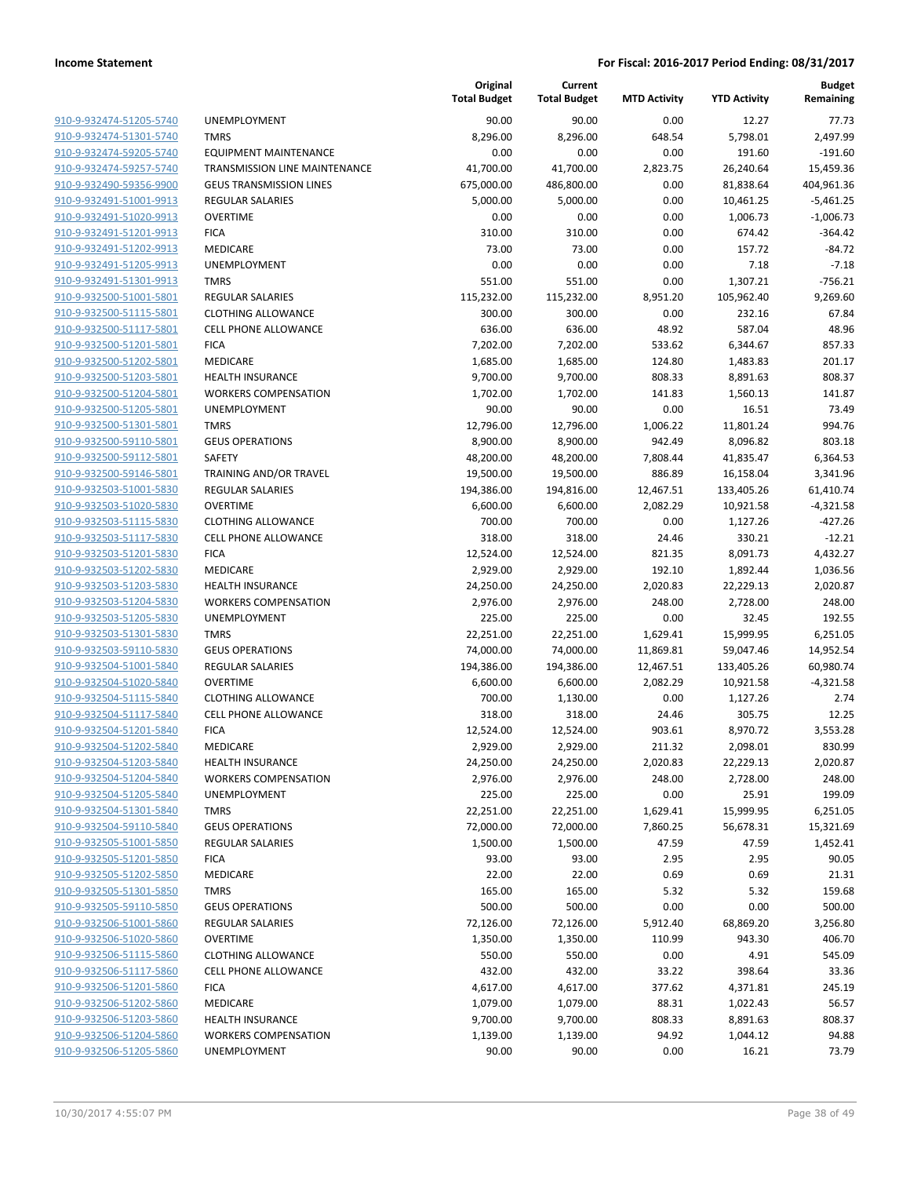| 910-9-932474-51205-5740 | <b>UNE</b>       |
|-------------------------|------------------|
| 910-9-932474-51301-5740 | TMR              |
| 910-9-932474-59205-5740 | EQU              |
| 910-9-932474-59257-5740 | <b>TRAI</b>      |
| 910-9-932490-59356-9900 | GEU              |
| 910-9-932491-51001-9913 | <b>REG</b>       |
| 910-9-932491-51020-9913 | <b>OVE</b>       |
| 910-9-932491-51201-9913 | <b>FICA</b>      |
| 910-9-932491-51202-9913 | <b>MED</b>       |
| 910-9-932491-51205-9913 | <b>UNE</b>       |
| 910-9-932491-51301-9913 | TMR              |
| 910-9-932500-51001-5801 | <b>REG</b>       |
| 910-9-932500-51115-5801 | CLO <sup>-</sup> |
| 910-9-932500-51117-5801 | CELL             |
|                         | <b>FICA</b>      |
| 910-9-932500-51201-5801 |                  |
| 910-9-932500-51202-5801 | MED              |
| 910-9-932500-51203-5801 | <b>HEA</b>       |
| 910-9-932500-51204-5801 | <b>WOI</b>       |
| 910-9-932500-51205-5801 | <b>UNE</b>       |
| 910-9-932500-51301-5801 | <b>TMR</b>       |
| 910-9-932500-59110-5801 | GEU              |
| 910-9-932500-59112-5801 | SAFE             |
| 910-9-932500-59146-5801 | TRAI             |
| 910-9-932503-51001-5830 | <b>REG</b>       |
| 910-9-932503-51020-5830 | OVE              |
| 910-9-932503-51115-5830 | CLO <sup>-</sup> |
| 910-9-932503-51117-5830 | CELL             |
| 910-9-932503-51201-5830 | <b>FICA</b>      |
| 910-9-932503-51202-5830 | MED              |
| 910-9-932503-51203-5830 | HEA              |
| 910-9-932503-51204-5830 | WOI              |
| 910-9-932503-51205-5830 | <b>UNE</b>       |
| 910-9-932503-51301-5830 | <b>TMR</b>       |
| 910-9-932503-59110-5830 | GEU              |
| 910-9-932504-51001-5840 | <b>REG</b>       |
| 910-9-932504-51020-5840 | <b>OVE</b>       |
| 910-9-932504-51115-5840 | CLO <sup>-</sup> |
| 910-9-932504-51117-5840 | <b>CELL</b>      |
| 910-9-932504-51201-5840 | <b>FICA</b>      |
| 910-9-932504-51202-5840 | MED              |
| 910-9-932504-51203-5840 | HEA              |
| 910-9-932504-51204-5840 | wor              |
| 910-9-932504-51205-5840 | UNE              |
| 910-9-932504-51301-5840 | <b>TMR</b>       |
| 910-9-932504-59110-5840 | GEU              |
| 910-9-932505-51001-5850 | <b>REG</b>       |
| 910-9-932505-51201-5850 | <b>FICA</b>      |
| 910-9-932505-51202-5850 | MED              |
| 910-9-932505-51301-5850 | <b>TMR</b>       |
| 910-9-932505-59110-5850 | GEU              |
| 910-9-932506-51001-5860 | <b>REG</b>       |
| 910-9-932506-51020-5860 | OVE              |
| 910-9-932506-51115-5860 | CLO <sup>-</sup> |
| 910-9-932506-51117-5860 | CELL             |
| 910-9-932506-51201-5860 | <b>FICA</b>      |
| 910-9-932506-51202-5860 | MED              |
| 910-9-932506-51203-5860 | HEA              |
| 910-9-932506-51204-5860 | wor              |
| 910-9-932506-51205-5860 | UNE              |
|                         |                  |

|                                                    |                                                    | Original<br><b>Total Budget</b> | Current<br><b>Total Budget</b> | <b>MTD Activity</b> | <b>YTD Activity</b> | <b>Budget</b><br>Remaining |
|----------------------------------------------------|----------------------------------------------------|---------------------------------|--------------------------------|---------------------|---------------------|----------------------------|
| 910-9-932474-51205-5740                            | <b>UNEMPLOYMENT</b>                                | 90.00                           | 90.00                          | 0.00                | 12.27               | 77.73                      |
| 910-9-932474-51301-5740                            | <b>TMRS</b>                                        | 8,296.00                        | 8,296.00                       | 648.54              | 5,798.01            | 2,497.99                   |
| 910-9-932474-59205-5740                            | <b>EQUIPMENT MAINTENANCE</b>                       | 0.00                            | 0.00                           | 0.00                | 191.60              | $-191.60$                  |
| 910-9-932474-59257-5740                            | TRANSMISSION LINE MAINTENANCE                      | 41,700.00                       | 41,700.00                      | 2,823.75            | 26,240.64           | 15,459.36                  |
| 910-9-932490-59356-9900                            | <b>GEUS TRANSMISSION LINES</b>                     | 675,000.00                      | 486,800.00                     | 0.00                | 81,838.64           | 404,961.36                 |
| 910-9-932491-51001-9913                            | <b>REGULAR SALARIES</b>                            | 5,000.00                        | 5,000.00                       | 0.00                | 10,461.25           | $-5,461.25$                |
| 910-9-932491-51020-9913                            | <b>OVERTIME</b>                                    | 0.00                            | 0.00                           | 0.00                | 1,006.73            | $-1,006.73$                |
| 910-9-932491-51201-9913                            | <b>FICA</b>                                        | 310.00                          | 310.00                         | 0.00                | 674.42              | $-364.42$                  |
| 910-9-932491-51202-9913                            | MEDICARE                                           | 73.00                           | 73.00                          | 0.00                | 157.72              | $-84.72$                   |
| 910-9-932491-51205-9913                            | UNEMPLOYMENT                                       | 0.00                            | 0.00                           | 0.00                | 7.18                | $-7.18$                    |
| 910-9-932491-51301-9913                            | <b>TMRS</b>                                        | 551.00                          | 551.00                         | 0.00                | 1,307.21            | $-756.21$                  |
| 910-9-932500-51001-5801                            | <b>REGULAR SALARIES</b>                            | 115,232.00                      | 115,232.00                     | 8,951.20            | 105,962.40          | 9,269.60                   |
| 910-9-932500-51115-5801                            | <b>CLOTHING ALLOWANCE</b>                          | 300.00                          | 300.00                         | 0.00                | 232.16              | 67.84                      |
| 910-9-932500-51117-5801                            | <b>CELL PHONE ALLOWANCE</b>                        | 636.00                          | 636.00                         | 48.92               | 587.04              | 48.96                      |
| 910-9-932500-51201-5801                            | <b>FICA</b>                                        | 7,202.00                        | 7,202.00                       | 533.62              | 6,344.67            | 857.33                     |
| 910-9-932500-51202-5801                            | MEDICARE                                           | 1,685.00                        | 1,685.00                       | 124.80              | 1,483.83            | 201.17                     |
| 910-9-932500-51203-5801                            | <b>HEALTH INSURANCE</b>                            | 9,700.00                        | 9,700.00                       | 808.33              | 8,891.63            | 808.37                     |
| 910-9-932500-51204-5801<br>910-9-932500-51205-5801 | <b>WORKERS COMPENSATION</b><br><b>UNEMPLOYMENT</b> | 1,702.00                        | 1,702.00                       | 141.83              | 1,560.13            | 141.87                     |
| 910-9-932500-51301-5801                            | <b>TMRS</b>                                        | 90.00<br>12,796.00              | 90.00<br>12,796.00             | 0.00<br>1,006.22    | 16.51<br>11,801.24  | 73.49<br>994.76            |
| 910-9-932500-59110-5801                            | <b>GEUS OPERATIONS</b>                             | 8,900.00                        | 8,900.00                       | 942.49              | 8,096.82            | 803.18                     |
| 910-9-932500-59112-5801                            | SAFETY                                             | 48,200.00                       | 48,200.00                      | 7,808.44            | 41,835.47           | 6,364.53                   |
| 910-9-932500-59146-5801                            | TRAINING AND/OR TRAVEL                             | 19,500.00                       | 19,500.00                      | 886.89              | 16,158.04           | 3,341.96                   |
| 910-9-932503-51001-5830                            | REGULAR SALARIES                                   | 194,386.00                      | 194,816.00                     | 12,467.51           | 133,405.26          | 61,410.74                  |
| 910-9-932503-51020-5830                            | <b>OVERTIME</b>                                    | 6,600.00                        | 6,600.00                       | 2,082.29            | 10,921.58           | $-4,321.58$                |
| 910-9-932503-51115-5830                            | <b>CLOTHING ALLOWANCE</b>                          | 700.00                          | 700.00                         | 0.00                | 1,127.26            | $-427.26$                  |
| 910-9-932503-51117-5830                            | <b>CELL PHONE ALLOWANCE</b>                        | 318.00                          | 318.00                         | 24.46               | 330.21              | $-12.21$                   |
| 910-9-932503-51201-5830                            | <b>FICA</b>                                        | 12,524.00                       | 12,524.00                      | 821.35              | 8,091.73            | 4,432.27                   |
| 910-9-932503-51202-5830                            | MEDICARE                                           | 2,929.00                        | 2,929.00                       | 192.10              | 1,892.44            | 1,036.56                   |
| 910-9-932503-51203-5830                            | <b>HEALTH INSURANCE</b>                            | 24,250.00                       | 24,250.00                      | 2,020.83            | 22,229.13           | 2,020.87                   |
| 910-9-932503-51204-5830                            | <b>WORKERS COMPENSATION</b>                        | 2,976.00                        | 2,976.00                       | 248.00              | 2,728.00            | 248.00                     |
| 910-9-932503-51205-5830                            | UNEMPLOYMENT                                       | 225.00                          | 225.00                         | 0.00                | 32.45               | 192.55                     |
| 910-9-932503-51301-5830                            | <b>TMRS</b>                                        | 22,251.00                       | 22,251.00                      | 1,629.41            | 15,999.95           | 6,251.05                   |
| 910-9-932503-59110-5830                            | <b>GEUS OPERATIONS</b>                             | 74,000.00                       | 74,000.00                      | 11,869.81           | 59,047.46           | 14,952.54                  |
| 910-9-932504-51001-5840                            | REGULAR SALARIES                                   | 194,386.00                      | 194,386.00                     | 12,467.51           | 133,405.26          | 60,980.74                  |
| 910-9-932504-51020-5840                            | <b>OVERTIME</b>                                    | 6,600.00                        | 6,600.00                       | 2,082.29            | 10,921.58           | $-4,321.58$                |
| 910-9-932504-51115-5840                            | <b>CLOTHING ALLOWANCE</b>                          | 700.00                          | 1,130.00                       | 0.00                | 1,127.26            | 2.74                       |
| 910-9-932504-51117-5840                            | <b>CELL PHONE ALLOWANCE</b>                        | 318.00                          | 318.00                         | 24.46               | 305.75              | 12.25                      |
| 910-9-932504-51201-5840                            | <b>FICA</b>                                        | 12,524.00                       | 12,524.00                      | 903.61              | 8,970.72            | 3,553.28                   |
| 910-9-932504-51202-5840                            | MEDICARE                                           | 2,929.00                        | 2,929.00                       | 211.32              | 2,098.01            | 830.99                     |
| 910-9-932504-51203-5840                            | <b>HEALTH INSURANCE</b>                            | 24,250.00                       | 24,250.00                      | 2,020.83            | 22,229.13           | 2,020.87                   |
| 910-9-932504-51204-5840                            | <b>WORKERS COMPENSATION</b>                        | 2,976.00                        | 2,976.00                       | 248.00              | 2,728.00            | 248.00                     |
| 910-9-932504-51205-5840                            | UNEMPLOYMENT                                       | 225.00                          | 225.00                         | 0.00                | 25.91               | 199.09                     |
| 910-9-932504-51301-5840                            | <b>TMRS</b>                                        | 22,251.00                       | 22,251.00                      | 1,629.41            | 15,999.95           | 6,251.05                   |
| 910-9-932504-59110-5840                            | <b>GEUS OPERATIONS</b>                             | 72,000.00                       | 72,000.00                      | 7,860.25            | 56,678.31           | 15,321.69                  |
| 910-9-932505-51001-5850                            | <b>REGULAR SALARIES</b>                            | 1,500.00                        | 1,500.00                       | 47.59               | 47.59               | 1,452.41                   |
| 910-9-932505-51201-5850                            | <b>FICA</b>                                        | 93.00                           | 93.00                          | 2.95                | 2.95                | 90.05                      |
| 910-9-932505-51202-5850                            | MEDICARE                                           | 22.00                           | 22.00                          | 0.69                | 0.69                | 21.31                      |
| 910-9-932505-51301-5850                            | <b>TMRS</b>                                        | 165.00                          | 165.00                         | 5.32                | 5.32                | 159.68                     |
| 910-9-932505-59110-5850                            | <b>GEUS OPERATIONS</b>                             | 500.00                          | 500.00                         | 0.00                | 0.00                | 500.00                     |
| 910-9-932506-51001-5860                            | <b>REGULAR SALARIES</b>                            | 72,126.00                       | 72,126.00                      | 5,912.40            | 68,869.20           | 3,256.80                   |
| 910-9-932506-51020-5860                            | <b>OVERTIME</b>                                    | 1,350.00                        | 1,350.00                       | 110.99              | 943.30              | 406.70                     |
| 910-9-932506-51115-5860                            | <b>CLOTHING ALLOWANCE</b>                          | 550.00                          | 550.00                         | 0.00                | 4.91                | 545.09                     |
| 910-9-932506-51117-5860                            | <b>CELL PHONE ALLOWANCE</b>                        | 432.00                          | 432.00                         | 33.22               | 398.64              | 33.36                      |
| 910-9-932506-51201-5860                            | <b>FICA</b>                                        | 4,617.00                        | 4,617.00                       | 377.62              | 4,371.81            | 245.19                     |
| 910-9-932506-51202-5860                            | MEDICARE                                           | 1,079.00                        | 1,079.00                       | 88.31               | 1,022.43            | 56.57                      |
| 910-9-932506-51203-5860                            | <b>HEALTH INSURANCE</b>                            | 9,700.00                        | 9,700.00                       | 808.33              | 8,891.63            | 808.37                     |
| 910-9-932506-51204-5860<br>910-9-932506-51205-5860 | <b>WORKERS COMPENSATION</b>                        | 1,139.00                        | 1,139.00                       | 94.92               | 1,044.12            | 94.88                      |
|                                                    | UNEMPLOYMENT                                       | 90.00                           | 90.00                          | 0.00                | 16.21               | 73.79                      |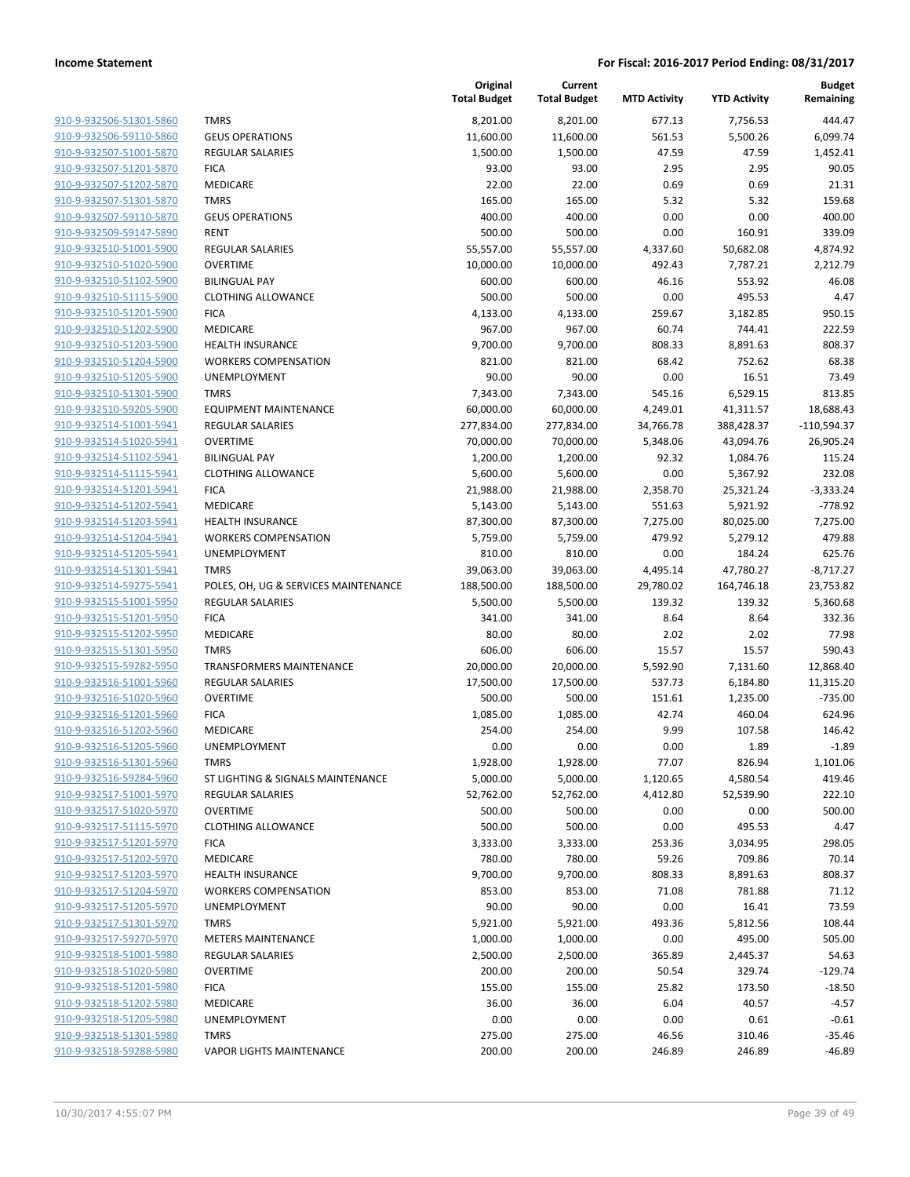| 910-9-932506-51301-5860        |
|--------------------------------|
| 910-9-932506-59110-5860        |
| 910-9-932507-51001-5870        |
| 910-9-932507-51201-5870        |
| 910-9-932507-51202-5870        |
| 910-9-932507-51301-5870        |
| 910-9-932507-59110-5870        |
| 910-9-932509-59147-5890        |
| 910-9-932510-51001-5900        |
| 910-9-932510-51020-5900        |
| 910-9-932510-51102-5900        |
| 910-9-932510-51115-5900        |
| 910-9-932510-51201-5900        |
| 910-9-932510-51202-5900        |
| 910-9-932510-51203-5900        |
| 910-9-932510-51204-5900        |
| 910-9-932510-51205-5900        |
| 910-9-932510-51301-5900        |
| 910-9-932510-59205-5900        |
| 910-9-932514-51001-5941        |
| 910-9-932514-51020-5941        |
| 910-9-932514-51102-5941        |
| 910-9-932514-51115-5941        |
| 910-9-932514-51201-5941        |
| 910-9-932514-51202-5941        |
| 910-9-932514-51203-5941        |
| <u>910-9-932514-51204-5941</u> |
| 910-9-932514-51205-5941        |
| 910-9-932514-51301-5941        |
| 910-9-932514-59275-5941        |
| 910-9-932515-51001-5950        |
| 910-9-932515-51201-5950        |
| 910-9-932515-51202-5950        |
| 910-9-932515-51301-5950        |
| 910-9-932515-59282-5950        |
| 910-9-932516-51001-5960        |
| 910-9-932516-51020-5960        |
| 910-9-932516-51201-5960        |
| 910-9-932516-51202-5960        |
| 910-9-932516-51205-5960        |
| 910-9-932516-51301-5960        |
| 910-9-932516-59284-5960        |
| 910-9-932517-51001-5970        |
| 910-9-932517-51020-5970        |
| 910-9-932517-51115-5970        |
| 910-9-932517-51201-5970        |
| 910-9-932517-51202-5970        |
| 910-9-932517-51203-5970        |
| 910-9-932517-51204-5970        |
| 910-9-932517-51205-5970        |
| 910-9-932517-51301-5970        |
| 910-9-932517-59270-5970        |
| 910-9-932518-51001-5980        |
| 910-9-932518-51020-5980        |
| 910-9-932518-51201-5980        |
| 910-9-932518-51202-5980        |
| 910-9-932518-51205-5980        |
| 910-9-932518-51301-5980        |
| 910-9-932518-59288-5980        |
|                                |

|                                                    |                                                | Original<br><b>Total Budget</b> | Current<br><b>Total Budget</b> | <b>MTD Activity</b> | <b>YTD Activity</b> | <b>Budget</b><br>Remaining |
|----------------------------------------------------|------------------------------------------------|---------------------------------|--------------------------------|---------------------|---------------------|----------------------------|
| 910-9-932506-51301-5860                            | <b>TMRS</b>                                    | 8,201.00                        | 8,201.00                       | 677.13              | 7,756.53            | 444.47                     |
| 910-9-932506-59110-5860                            | <b>GEUS OPERATIONS</b>                         | 11,600.00                       | 11,600.00                      | 561.53              | 5,500.26            | 6,099.74                   |
| 910-9-932507-51001-5870                            | <b>REGULAR SALARIES</b>                        | 1,500.00                        | 1,500.00                       | 47.59               | 47.59               | 1,452.41                   |
| 910-9-932507-51201-5870                            | <b>FICA</b>                                    | 93.00                           | 93.00                          | 2.95                | 2.95                | 90.05                      |
| 910-9-932507-51202-5870                            | MEDICARE                                       | 22.00                           | 22.00                          | 0.69                | 0.69                | 21.31                      |
| 910-9-932507-51301-5870                            | <b>TMRS</b>                                    | 165.00                          | 165.00                         | 5.32                | 5.32                | 159.68                     |
| 910-9-932507-59110-5870                            | <b>GEUS OPERATIONS</b>                         | 400.00                          | 400.00                         | 0.00                | 0.00                | 400.00                     |
| 910-9-932509-59147-5890                            | <b>RENT</b>                                    | 500.00                          | 500.00                         | 0.00                | 160.91              | 339.09                     |
| 910-9-932510-51001-5900                            | <b>REGULAR SALARIES</b>                        | 55,557.00                       | 55,557.00                      | 4,337.60            | 50,682.08           | 4,874.92                   |
| 910-9-932510-51020-5900                            | <b>OVERTIME</b>                                | 10,000.00                       | 10,000.00                      | 492.43              | 7,787.21            | 2,212.79                   |
| 910-9-932510-51102-5900                            | <b>BILINGUAL PAY</b>                           | 600.00                          | 600.00                         | 46.16               | 553.92              | 46.08                      |
| 910-9-932510-51115-5900                            | <b>CLOTHING ALLOWANCE</b>                      | 500.00                          | 500.00                         | 0.00                | 495.53              | 4.47                       |
| 910-9-932510-51201-5900                            | <b>FICA</b>                                    | 4,133.00                        | 4,133.00                       | 259.67              | 3,182.85            | 950.15                     |
| 910-9-932510-51202-5900                            | MEDICARE                                       | 967.00                          | 967.00                         | 60.74               | 744.41              | 222.59                     |
| 910-9-932510-51203-5900                            | <b>HEALTH INSURANCE</b>                        | 9,700.00                        | 9,700.00                       | 808.33              | 8,891.63            | 808.37                     |
| 910-9-932510-51204-5900                            | <b>WORKERS COMPENSATION</b>                    | 821.00                          | 821.00                         | 68.42               | 752.62              | 68.38                      |
| 910-9-932510-51205-5900                            | <b>UNEMPLOYMENT</b>                            | 90.00                           | 90.00                          | 0.00                | 16.51               | 73.49                      |
| 910-9-932510-51301-5900                            | <b>TMRS</b>                                    | 7,343.00                        | 7,343.00                       | 545.16              | 6,529.15            | 813.85                     |
| 910-9-932510-59205-5900                            | <b>EQUIPMENT MAINTENANCE</b>                   | 60,000.00                       | 60,000.00                      | 4,249.01            | 41,311.57           | 18,688.43                  |
| 910-9-932514-51001-5941                            | <b>REGULAR SALARIES</b>                        | 277,834.00                      | 277,834.00                     | 34,766.78           | 388,428.37          | $-110,594.37$              |
| 910-9-932514-51020-5941                            | <b>OVERTIME</b>                                | 70,000.00                       | 70,000.00                      | 5,348.06            | 43,094.76           | 26,905.24                  |
| 910-9-932514-51102-5941                            | <b>BILINGUAL PAY</b>                           | 1,200.00                        | 1,200.00                       | 92.32               | 1,084.76            | 115.24                     |
| 910-9-932514-51115-5941                            | <b>CLOTHING ALLOWANCE</b>                      | 5,600.00                        | 5,600.00                       | 0.00                | 5,367.92            | 232.08                     |
| 910-9-932514-51201-5941                            | <b>FICA</b>                                    | 21,988.00                       | 21,988.00                      | 2,358.70            | 25,321.24           | $-3,333.24$                |
| 910-9-932514-51202-5941                            | MEDICARE                                       | 5,143.00                        | 5,143.00                       | 551.63              | 5,921.92            | $-778.92$                  |
| 910-9-932514-51203-5941                            | <b>HEALTH INSURANCE</b>                        | 87,300.00                       | 87,300.00                      | 7,275.00            | 80,025.00           | 7,275.00                   |
| 910-9-932514-51204-5941                            | <b>WORKERS COMPENSATION</b>                    | 5,759.00                        | 5,759.00                       | 479.92              | 5,279.12            | 479.88                     |
| 910-9-932514-51205-5941                            | UNEMPLOYMENT                                   | 810.00                          | 810.00                         | 0.00                | 184.24              | 625.76                     |
| 910-9-932514-51301-5941                            | <b>TMRS</b>                                    | 39,063.00                       | 39,063.00                      | 4,495.14            | 47,780.27           | $-8,717.27$                |
| 910-9-932514-59275-5941                            | POLES, OH, UG & SERVICES MAINTENANCE           | 188,500.00                      | 188,500.00                     | 29,780.02           | 164,746.18          | 23,753.82                  |
| 910-9-932515-51001-5950                            | <b>REGULAR SALARIES</b>                        | 5,500.00                        | 5,500.00                       | 139.32              | 139.32              | 5,360.68                   |
| 910-9-932515-51201-5950                            | <b>FICA</b>                                    | 341.00                          | 341.00                         | 8.64                | 8.64                | 332.36                     |
| 910-9-932515-51202-5950<br>910-9-932515-51301-5950 | <b>MEDICARE</b>                                | 80.00                           | 80.00<br>606.00                | 2.02                | 2.02                | 77.98<br>590.43            |
| 910-9-932515-59282-5950                            | <b>TMRS</b><br><b>TRANSFORMERS MAINTENANCE</b> | 606.00<br>20,000.00             | 20,000.00                      | 15.57<br>5,592.90   | 15.57<br>7,131.60   | 12,868.40                  |
| 910-9-932516-51001-5960                            | <b>REGULAR SALARIES</b>                        | 17,500.00                       | 17,500.00                      | 537.73              | 6,184.80            | 11,315.20                  |
| 910-9-932516-51020-5960                            | <b>OVERTIME</b>                                | 500.00                          | 500.00                         | 151.61              | 1,235.00            | $-735.00$                  |
| 910-9-932516-51201-5960                            | <b>FICA</b>                                    | 1,085.00                        | 1,085.00                       | 42.74               | 460.04              | 624.96                     |
| 910-9-932516-51202-5960                            | MEDICARE                                       | 254.00                          | 254.00                         | 9.99                | 107.58              | 146.42                     |
| 910-9-932516-51205-5960                            | UNEMPLOYMENT                                   | 0.00                            | 0.00                           | 0.00                | 1.89                | $-1.89$                    |
| 910-9-932516-51301-5960                            | <b>TMRS</b>                                    | 1,928.00                        | 1,928.00                       | 77.07               | 826.94              | 1,101.06                   |
| 910-9-932516-59284-5960                            | ST LIGHTING & SIGNALS MAINTENANCE              | 5,000.00                        | 5,000.00                       | 1,120.65            | 4,580.54            | 419.46                     |
| 910-9-932517-51001-5970                            | <b>REGULAR SALARIES</b>                        | 52,762.00                       | 52,762.00                      | 4,412.80            | 52,539.90           | 222.10                     |
| 910-9-932517-51020-5970                            | <b>OVERTIME</b>                                | 500.00                          | 500.00                         | 0.00                | 0.00                | 500.00                     |
| 910-9-932517-51115-5970                            | <b>CLOTHING ALLOWANCE</b>                      | 500.00                          | 500.00                         | 0.00                | 495.53              | 4.47                       |
| 910-9-932517-51201-5970                            | <b>FICA</b>                                    | 3,333.00                        | 3,333.00                       | 253.36              | 3,034.95            | 298.05                     |
| 910-9-932517-51202-5970                            | MEDICARE                                       | 780.00                          | 780.00                         | 59.26               | 709.86              | 70.14                      |
| 910-9-932517-51203-5970                            | <b>HEALTH INSURANCE</b>                        | 9,700.00                        | 9,700.00                       | 808.33              | 8,891.63            | 808.37                     |
| 910-9-932517-51204-5970                            | <b>WORKERS COMPENSATION</b>                    | 853.00                          | 853.00                         | 71.08               | 781.88              | 71.12                      |
| 910-9-932517-51205-5970                            | <b>UNEMPLOYMENT</b>                            | 90.00                           | 90.00                          | 0.00                | 16.41               | 73.59                      |
| 910-9-932517-51301-5970                            | <b>TMRS</b>                                    | 5,921.00                        | 5,921.00                       | 493.36              | 5,812.56            | 108.44                     |
| 910-9-932517-59270-5970                            | <b>METERS MAINTENANCE</b>                      | 1,000.00                        | 1,000.00                       | 0.00                | 495.00              | 505.00                     |
| 910-9-932518-51001-5980                            | <b>REGULAR SALARIES</b>                        | 2,500.00                        | 2,500.00                       | 365.89              | 2,445.37            | 54.63                      |
| 910-9-932518-51020-5980                            | <b>OVERTIME</b>                                | 200.00                          | 200.00                         | 50.54               | 329.74              | $-129.74$                  |
| 910-9-932518-51201-5980                            | <b>FICA</b>                                    | 155.00                          | 155.00                         | 25.82               | 173.50              | $-18.50$                   |
| 910-9-932518-51202-5980                            | MEDICARE                                       | 36.00                           | 36.00                          | 6.04                | 40.57               | $-4.57$                    |
| 910-9-932518-51205-5980                            | UNEMPLOYMENT                                   | 0.00                            | 0.00                           | 0.00                | 0.61                | $-0.61$                    |
| 910-9-932518-51301-5980                            | <b>TMRS</b>                                    | 275.00                          | 275.00                         | 46.56               | 310.46              | $-35.46$                   |
| 910-9-932518-59288-5980                            | <b>VAPOR LIGHTS MAINTENANCE</b>                | 200.00                          | 200.00                         | 246.89              | 246.89              | $-46.89$                   |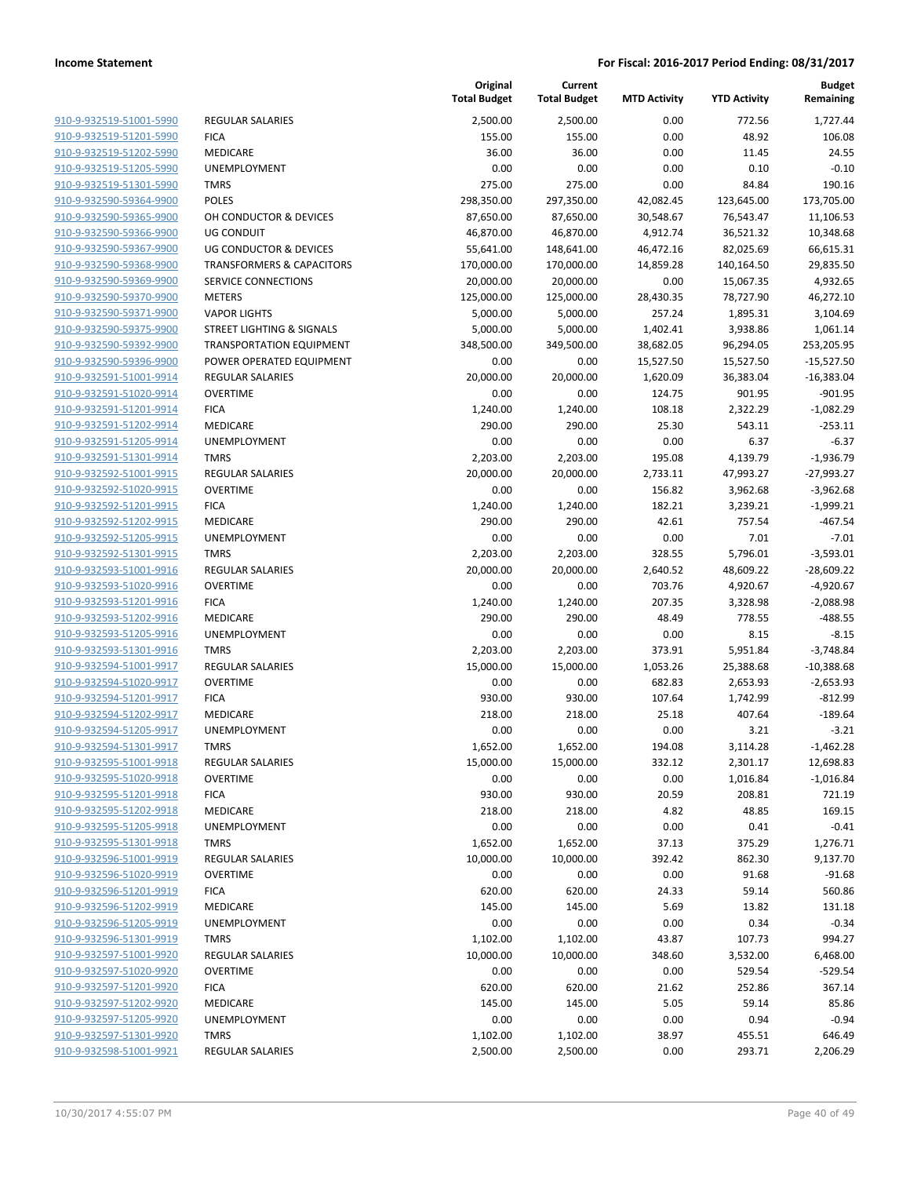|                         |                                      | Original<br><b>Total Budget</b> | Current<br><b>Total Budget</b> | <b>MTD Activity</b> | <b>YTD Activity</b> | <b>Budget</b><br>Remaining |
|-------------------------|--------------------------------------|---------------------------------|--------------------------------|---------------------|---------------------|----------------------------|
| 910-9-932519-51001-5990 | <b>REGULAR SALARIES</b>              | 2,500.00                        | 2,500.00                       | 0.00                | 772.56              | 1,727.44                   |
| 910-9-932519-51201-5990 | <b>FICA</b>                          | 155.00                          | 155.00                         | 0.00                | 48.92               | 106.08                     |
| 910-9-932519-51202-5990 | MEDICARE                             | 36.00                           | 36.00                          | 0.00                | 11.45               | 24.55                      |
| 910-9-932519-51205-5990 | <b>UNEMPLOYMENT</b>                  | 0.00                            | 0.00                           | 0.00                | 0.10                | $-0.10$                    |
| 910-9-932519-51301-5990 | <b>TMRS</b>                          | 275.00                          | 275.00                         | 0.00                | 84.84               | 190.16                     |
| 910-9-932590-59364-9900 | <b>POLES</b>                         | 298,350.00                      | 297,350.00                     | 42,082.45           | 123,645.00          | 173,705.00                 |
| 910-9-932590-59365-9900 | OH CONDUCTOR & DEVICES               | 87,650.00                       | 87,650.00                      | 30,548.67           | 76,543.47           | 11,106.53                  |
| 910-9-932590-59366-9900 | <b>UG CONDUIT</b>                    | 46,870.00                       | 46,870.00                      | 4,912.74            | 36,521.32           | 10,348.68                  |
| 910-9-932590-59367-9900 | <b>UG CONDUCTOR &amp; DEVICES</b>    | 55,641.00                       | 148,641.00                     | 46,472.16           | 82,025.69           | 66,615.31                  |
| 910-9-932590-59368-9900 | <b>TRANSFORMERS &amp; CAPACITORS</b> | 170,000.00                      | 170,000.00                     | 14,859.28           | 140,164.50          | 29,835.50                  |
| 910-9-932590-59369-9900 | SERVICE CONNECTIONS                  | 20,000.00                       | 20,000.00                      | 0.00                | 15,067.35           | 4,932.65                   |
| 910-9-932590-59370-9900 | <b>METERS</b>                        | 125,000.00                      | 125,000.00                     | 28,430.35           | 78,727.90           | 46,272.10                  |
| 910-9-932590-59371-9900 | <b>VAPOR LIGHTS</b>                  | 5,000.00                        | 5,000.00                       | 257.24              | 1,895.31            | 3,104.69                   |
| 910-9-932590-59375-9900 | <b>STREET LIGHTING &amp; SIGNALS</b> | 5,000.00                        | 5,000.00                       | 1,402.41            | 3,938.86            | 1,061.14                   |
| 910-9-932590-59392-9900 | <b>TRANSPORTATION EQUIPMENT</b>      | 348,500.00                      | 349,500.00                     | 38,682.05           | 96,294.05           | 253,205.95                 |
| 910-9-932590-59396-9900 | POWER OPERATED EQUIPMENT             | 0.00                            | 0.00                           | 15,527.50           | 15,527.50           | $-15,527.50$               |
| 910-9-932591-51001-9914 | <b>REGULAR SALARIES</b>              | 20,000.00                       | 20,000.00                      | 1,620.09            | 36,383.04           | $-16,383.04$               |
| 910-9-932591-51020-9914 | <b>OVERTIME</b>                      | 0.00                            | 0.00                           | 124.75              | 901.95              | $-901.95$                  |
| 910-9-932591-51201-9914 | <b>FICA</b>                          | 1,240.00                        | 1,240.00                       | 108.18              | 2,322.29            | $-1,082.29$                |
| 910-9-932591-51202-9914 | MEDICARE                             | 290.00                          | 290.00                         | 25.30               | 543.11              | $-253.11$                  |
| 910-9-932591-51205-9914 | UNEMPLOYMENT                         | 0.00                            | 0.00                           | 0.00                | 6.37                | $-6.37$                    |
| 910-9-932591-51301-9914 | <b>TMRS</b>                          | 2,203.00                        | 2,203.00                       | 195.08              | 4,139.79            | $-1,936.79$                |
| 910-9-932592-51001-9915 | <b>REGULAR SALARIES</b>              | 20,000.00                       | 20,000.00                      | 2,733.11            | 47,993.27           | $-27,993.27$               |
| 910-9-932592-51020-9915 | <b>OVERTIME</b>                      | 0.00                            | 0.00                           | 156.82              | 3,962.68            | $-3,962.68$                |
| 910-9-932592-51201-9915 | <b>FICA</b>                          | 1,240.00                        | 1,240.00                       | 182.21              | 3,239.21            | $-1,999.21$                |
| 910-9-932592-51202-9915 | MEDICARE                             | 290.00                          | 290.00                         | 42.61               | 757.54              | $-467.54$                  |
| 910-9-932592-51205-9915 | UNEMPLOYMENT                         | 0.00                            | 0.00                           | 0.00                | 7.01                | $-7.01$                    |
| 910-9-932592-51301-9915 | <b>TMRS</b>                          | 2,203.00                        | 2,203.00                       | 328.55              | 5,796.01            | $-3,593.01$                |
| 910-9-932593-51001-9916 | <b>REGULAR SALARIES</b>              | 20,000.00                       | 20,000.00                      | 2,640.52            | 48,609.22           | $-28,609.22$               |
| 910-9-932593-51020-9916 | <b>OVERTIME</b>                      | 0.00                            | 0.00                           | 703.76              | 4,920.67            | $-4,920.67$                |
| 910-9-932593-51201-9916 | <b>FICA</b>                          | 1,240.00                        | 1,240.00                       | 207.35              | 3,328.98            | $-2,088.98$                |
| 910-9-932593-51202-9916 | MEDICARE                             | 290.00                          | 290.00                         | 48.49               | 778.55              | $-488.55$                  |
| 910-9-932593-51205-9916 | UNEMPLOYMENT                         | 0.00                            | 0.00                           | 0.00                | 8.15                | $-8.15$                    |
| 910-9-932593-51301-9916 | <b>TMRS</b>                          | 2,203.00                        | 2,203.00                       | 373.91              | 5,951.84            | $-3,748.84$                |
| 910-9-932594-51001-9917 | <b>REGULAR SALARIES</b>              | 15,000.00                       | 15,000.00                      | 1,053.26            | 25,388.68           | $-10,388.68$               |
| 910-9-932594-51020-9917 | <b>OVERTIME</b>                      | 0.00                            | 0.00                           | 682.83              | 2,653.93            | $-2,653.93$                |
| 910-9-932594-51201-9917 | <b>FICA</b>                          | 930.00                          | 930.00                         | 107.64              | 1,742.99            | $-812.99$                  |
| 910-9-932594-51202-9917 | MEDICARE                             | 218.00                          | 218.00                         | 25.18               | 407.64              | $-189.64$                  |
| 910-9-932594-51205-9917 | UNEMPLOYMENT                         | 0.00                            | 0.00                           | 0.00                | 3.21                | $-3.21$                    |
| 910-9-932594-51301-9917 | <b>TMRS</b>                          | 1,652.00                        | 1,652.00                       | 194.08              | 3,114.28            | $-1,462.28$                |
| 910-9-932595-51001-9918 | <b>REGULAR SALARIES</b>              | 15,000.00                       | 15,000.00                      | 332.12              | 2,301.17            | 12,698.83                  |
| 910-9-932595-51020-9918 | <b>OVERTIME</b>                      | 0.00                            | 0.00                           | 0.00                | 1,016.84            | $-1,016.84$                |
| 910-9-932595-51201-9918 | <b>FICA</b>                          | 930.00                          | 930.00                         | 20.59               | 208.81              | 721.19                     |
| 910-9-932595-51202-9918 | MEDICARE                             | 218.00                          | 218.00                         | 4.82                | 48.85               | 169.15                     |
| 910-9-932595-51205-9918 | UNEMPLOYMENT                         | 0.00                            | 0.00                           | 0.00                | 0.41                | $-0.41$                    |
| 910-9-932595-51301-9918 | <b>TMRS</b>                          | 1,652.00                        | 1,652.00                       | 37.13               | 375.29              | 1,276.71                   |
| 910-9-932596-51001-9919 | <b>REGULAR SALARIES</b>              | 10,000.00                       | 10,000.00                      | 392.42              | 862.30              | 9,137.70                   |
| 910-9-932596-51020-9919 | <b>OVERTIME</b>                      | 0.00                            | 0.00                           | 0.00                | 91.68               | $-91.68$                   |
| 910-9-932596-51201-9919 | <b>FICA</b>                          | 620.00                          | 620.00                         | 24.33               | 59.14               | 560.86                     |
| 910-9-932596-51202-9919 | MEDICARE                             | 145.00                          | 145.00                         | 5.69                | 13.82               | 131.18                     |
| 910-9-932596-51205-9919 | UNEMPLOYMENT                         | 0.00                            | 0.00                           | 0.00                | 0.34                | $-0.34$                    |
| 910-9-932596-51301-9919 | <b>TMRS</b>                          | 1,102.00                        | 1,102.00                       | 43.87               | 107.73              | 994.27                     |
| 910-9-932597-51001-9920 | REGULAR SALARIES                     | 10,000.00                       | 10,000.00                      | 348.60              | 3,532.00            | 6,468.00                   |
| 910-9-932597-51020-9920 | <b>OVERTIME</b>                      | 0.00                            | 0.00                           | 0.00                | 529.54              | $-529.54$                  |
| 910-9-932597-51201-9920 | <b>FICA</b>                          | 620.00                          | 620.00                         | 21.62               | 252.86              | 367.14                     |
| 910-9-932597-51202-9920 | MEDICARE                             | 145.00                          | 145.00                         | 5.05                | 59.14               | 85.86                      |
| 910-9-932597-51205-9920 | UNEMPLOYMENT                         | 0.00                            | 0.00                           | 0.00                | 0.94                | $-0.94$                    |
| 910-9-932597-51301-9920 | <b>TMRS</b>                          | 1,102.00                        | 1,102.00                       | 38.97               | 455.51              | 646.49                     |
| 910-9-932598-51001-9921 | <b>REGULAR SALARIES</b>              | 2,500.00                        | 2,500.00                       | 0.00                | 293.71              | 2,206.29                   |
|                         |                                      |                                 |                                |                     |                     |                            |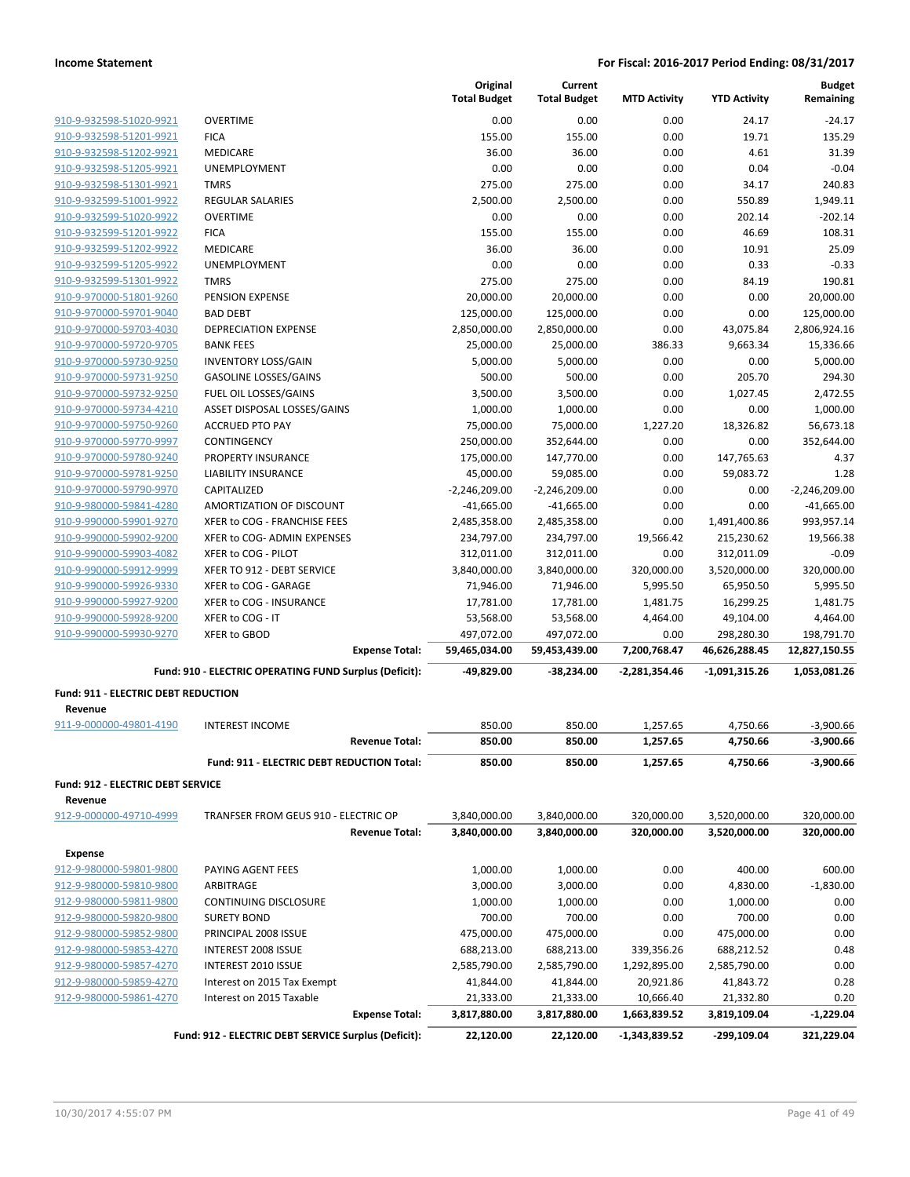|                                                |                                                        | Original<br><b>Total Budget</b> | Current<br><b>Total Budget</b> | <b>MTD Activity</b> | <b>YTD Activity</b> | <b>Budget</b><br>Remaining |
|------------------------------------------------|--------------------------------------------------------|---------------------------------|--------------------------------|---------------------|---------------------|----------------------------|
| 910-9-932598-51020-9921                        | <b>OVERTIME</b>                                        | 0.00                            | 0.00                           | 0.00                | 24.17               | $-24.17$                   |
| 910-9-932598-51201-9921                        | <b>FICA</b>                                            | 155.00                          | 155.00                         | 0.00                | 19.71               | 135.29                     |
| 910-9-932598-51202-9921                        | <b>MEDICARE</b>                                        | 36.00                           | 36.00                          | 0.00                | 4.61                | 31.39                      |
| 910-9-932598-51205-9921                        | UNEMPLOYMENT                                           | 0.00                            | 0.00                           | 0.00                | 0.04                | $-0.04$                    |
| 910-9-932598-51301-9921                        | <b>TMRS</b>                                            | 275.00                          | 275.00                         | 0.00                | 34.17               | 240.83                     |
| 910-9-932599-51001-9922                        | <b>REGULAR SALARIES</b>                                | 2,500.00                        | 2,500.00                       | 0.00                | 550.89              | 1,949.11                   |
| 910-9-932599-51020-9922                        | <b>OVERTIME</b>                                        | 0.00                            | 0.00                           | 0.00                | 202.14              | $-202.14$                  |
| 910-9-932599-51201-9922                        | <b>FICA</b>                                            | 155.00                          | 155.00                         | 0.00                | 46.69               | 108.31                     |
| 910-9-932599-51202-9922                        | <b>MEDICARE</b>                                        | 36.00                           | 36.00                          | 0.00                | 10.91               | 25.09                      |
| 910-9-932599-51205-9922                        | <b>UNEMPLOYMENT</b>                                    | 0.00                            | 0.00                           | 0.00                | 0.33                | $-0.33$                    |
| 910-9-932599-51301-9922                        | <b>TMRS</b>                                            | 275.00                          | 275.00                         | 0.00                | 84.19               | 190.81                     |
| 910-9-970000-51801-9260                        | PENSION EXPENSE                                        | 20,000.00                       | 20,000.00                      | 0.00                | 0.00                | 20,000.00                  |
| 910-9-970000-59701-9040                        | <b>BAD DEBT</b>                                        | 125,000.00                      | 125,000.00                     | 0.00                | 0.00                | 125,000.00                 |
| 910-9-970000-59703-4030                        | <b>DEPRECIATION EXPENSE</b>                            | 2,850,000.00                    | 2,850,000.00                   | 0.00                | 43,075.84           | 2,806,924.16               |
| 910-9-970000-59720-9705                        | <b>BANK FEES</b>                                       | 25,000.00                       | 25,000.00                      | 386.33              | 9,663.34            | 15,336.66                  |
| 910-9-970000-59730-9250                        | <b>INVENTORY LOSS/GAIN</b>                             | 5,000.00                        | 5,000.00                       | 0.00                | 0.00                | 5,000.00                   |
| 910-9-970000-59731-9250                        | <b>GASOLINE LOSSES/GAINS</b>                           | 500.00                          | 500.00                         | 0.00                | 205.70              | 294.30                     |
| 910-9-970000-59732-9250                        | FUEL OIL LOSSES/GAINS                                  | 3,500.00                        | 3,500.00                       | 0.00                | 1,027.45            | 2,472.55                   |
| 910-9-970000-59734-4210                        | ASSET DISPOSAL LOSSES/GAINS                            | 1,000.00                        | 1,000.00                       | 0.00                | 0.00                | 1,000.00                   |
| 910-9-970000-59750-9260                        | <b>ACCRUED PTO PAY</b>                                 | 75,000.00                       | 75,000.00                      | 1,227.20            | 18,326.82           | 56,673.18                  |
| 910-9-970000-59770-9997                        | CONTINGENCY                                            | 250,000.00                      | 352,644.00                     | 0.00                | 0.00                | 352,644.00                 |
| 910-9-970000-59780-9240                        | PROPERTY INSURANCE                                     | 175,000.00                      | 147,770.00                     | 0.00                | 147,765.63          | 4.37                       |
| 910-9-970000-59781-9250                        | <b>LIABILITY INSURANCE</b>                             | 45,000.00                       | 59,085.00                      | 0.00                | 59,083.72           | 1.28                       |
| 910-9-970000-59790-9970                        | CAPITALIZED                                            | $-2,246,209.00$                 | $-2,246,209.00$                | 0.00                | 0.00                | $-2,246,209.00$            |
| 910-9-980000-59841-4280                        | AMORTIZATION OF DISCOUNT                               | $-41,665.00$                    | $-41,665.00$                   | 0.00                | 0.00                | $-41,665.00$               |
| 910-9-990000-59901-9270                        | XFER to COG - FRANCHISE FEES                           | 2,485,358.00                    | 2,485,358.00                   | 0.00                | 1,491,400.86        | 993,957.14                 |
| 910-9-990000-59902-9200                        | XFER to COG- ADMIN EXPENSES                            | 234,797.00                      | 234,797.00                     | 19,566.42           | 215,230.62          | 19,566.38                  |
| 910-9-990000-59903-4082                        | XFER to COG - PILOT                                    | 312,011.00                      | 312,011.00                     | 0.00                | 312,011.09          | $-0.09$                    |
| 910-9-990000-59912-9999                        | XFER TO 912 - DEBT SERVICE                             | 3,840,000.00                    | 3,840,000.00                   | 320,000.00          | 3,520,000.00        | 320,000.00                 |
| 910-9-990000-59926-9330                        | XFER to COG - GARAGE                                   | 71,946.00                       | 71,946.00                      | 5,995.50            | 65,950.50           | 5,995.50                   |
| 910-9-990000-59927-9200                        | XFER to COG - INSURANCE                                | 17,781.00                       | 17,781.00                      | 1,481.75            | 16,299.25           | 1,481.75                   |
| 910-9-990000-59928-9200                        | XFER to COG - IT                                       | 53,568.00                       | 53,568.00                      | 4,464.00            | 49,104.00           | 4,464.00                   |
| 910-9-990000-59930-9270                        | XFER to GBOD                                           | 497,072.00                      | 497,072.00                     | 0.00                | 298,280.30          | 198,791.70                 |
|                                                | <b>Expense Total:</b>                                  | 59,465,034.00                   | 59,453,439.00                  | 7,200,768.47        | 46,626,288.45       | 12,827,150.55              |
|                                                | Fund: 910 - ELECTRIC OPERATING FUND Surplus (Deficit): | -49,829.00                      | $-38,234.00$                   | -2,281,354.46       | $-1,091,315.26$     | 1,053,081.26               |
| Fund: 911 - ELECTRIC DEBT REDUCTION<br>Revenue |                                                        |                                 |                                |                     |                     |                            |
| 911-9-000000-49801-4190                        | <b>INTEREST INCOME</b>                                 | 850.00                          | 850.00                         | 1,257.65            | 4,750.66            | $-3,900.66$                |
|                                                | <b>Revenue Total:</b>                                  | 850.00                          | 850.00                         | 1,257.65            | 4,750.66            | $-3,900.66$                |
|                                                | Fund: 911 - ELECTRIC DEBT REDUCTION Total:             | 850.00                          | 850.00                         | 1,257.65            |                     | -3,900.66                  |
|                                                |                                                        |                                 |                                |                     | 4,750.66            |                            |
| Fund: 912 - ELECTRIC DEBT SERVICE<br>Revenue   |                                                        |                                 |                                |                     |                     |                            |
| 912-9-000000-49710-4999                        | TRANFSER FROM GEUS 910 - ELECTRIC OP                   | 3,840,000.00                    | 3,840,000.00                   | 320,000.00          | 3,520,000.00        | 320,000.00                 |
|                                                | <b>Revenue Total:</b>                                  | 3,840,000.00                    | 3,840,000.00                   | 320,000.00          | 3,520,000.00        | 320,000.00                 |
| Expense                                        |                                                        |                                 |                                |                     |                     |                            |
| 912-9-980000-59801-9800                        | PAYING AGENT FEES                                      | 1,000.00                        | 1,000.00                       | 0.00                | 400.00              | 600.00                     |
| 912-9-980000-59810-9800                        | ARBITRAGE                                              | 3,000.00                        | 3,000.00                       | 0.00                | 4,830.00            | $-1,830.00$                |
| 912-9-980000-59811-9800                        | CONTINUING DISCLOSURE                                  | 1,000.00                        | 1,000.00                       | 0.00                | 1,000.00            | 0.00                       |
| 912-9-980000-59820-9800                        | <b>SURETY BOND</b>                                     | 700.00                          | 700.00                         | 0.00                | 700.00              | 0.00                       |
| 912-9-980000-59852-9800                        | PRINCIPAL 2008 ISSUE                                   | 475,000.00                      | 475,000.00                     | 0.00                | 475,000.00          | 0.00                       |
| 912-9-980000-59853-4270                        | INTEREST 2008 ISSUE                                    | 688,213.00                      | 688,213.00                     | 339,356.26          | 688,212.52          | 0.48                       |
| 912-9-980000-59857-4270                        | INTEREST 2010 ISSUE                                    | 2,585,790.00                    | 2,585,790.00                   | 1,292,895.00        | 2,585,790.00        | 0.00                       |
| 912-9-980000-59859-4270                        | Interest on 2015 Tax Exempt                            | 41,844.00                       | 41,844.00                      | 20,921.86           | 41,843.72           | 0.28                       |
| 912-9-980000-59861-4270                        | Interest on 2015 Taxable                               | 21,333.00                       | 21,333.00                      | 10,666.40           | 21,332.80           | 0.20                       |
|                                                | <b>Expense Total:</b>                                  | 3,817,880.00                    | 3,817,880.00                   | 1,663,839.52        | 3,819,109.04        | $-1,229.04$                |
|                                                | Fund: 912 - ELECTRIC DEBT SERVICE Surplus (Deficit):   | 22,120.00                       | 22,120.00                      | $-1,343,839.52$     | -299,109.04         | 321,229.04                 |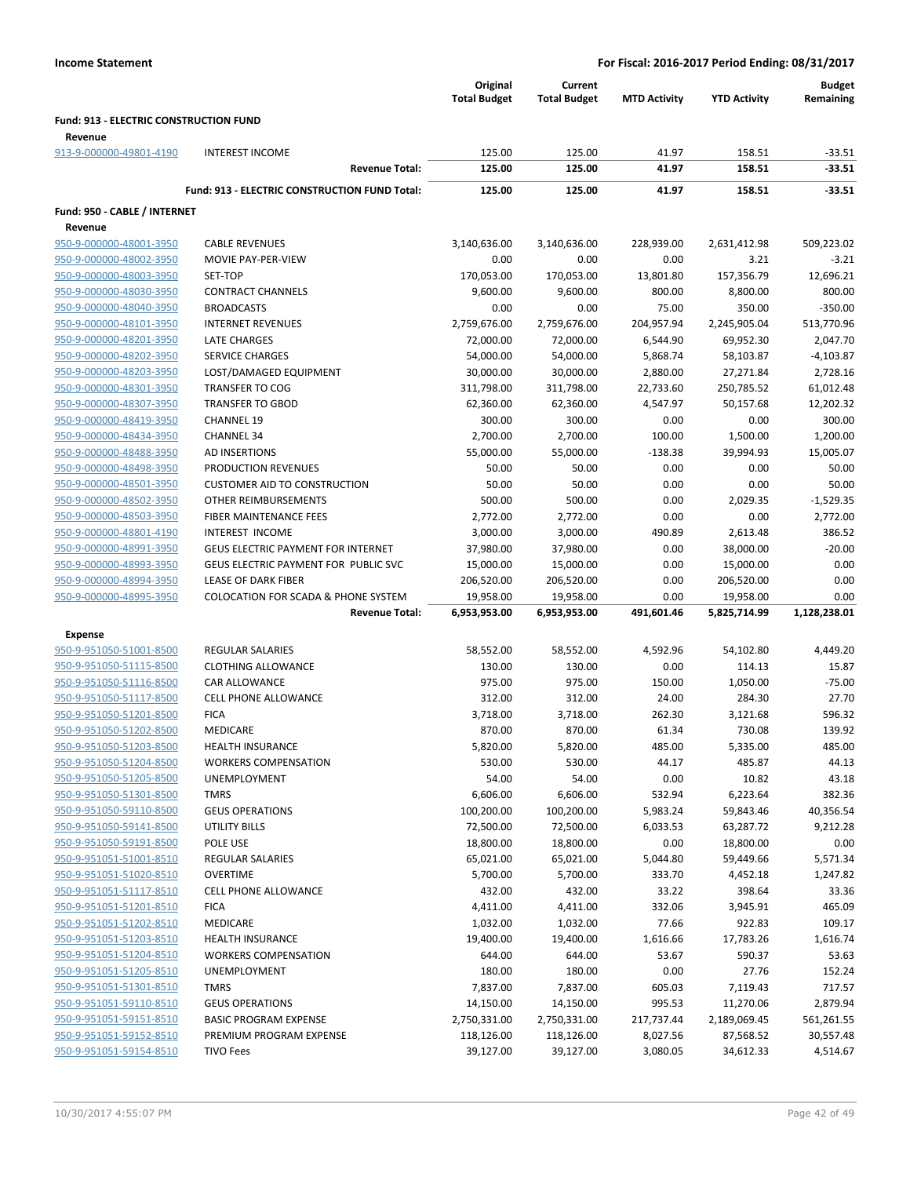|                                                    |                                                  | Original<br><b>Total Budget</b> | Current<br><b>Total Budget</b> | <b>MTD Activity</b> | <b>YTD Activity</b>   | <b>Budget</b><br>Remaining |
|----------------------------------------------------|--------------------------------------------------|---------------------------------|--------------------------------|---------------------|-----------------------|----------------------------|
| Fund: 913 - ELECTRIC CONSTRUCTION FUND             |                                                  |                                 |                                |                     |                       |                            |
| Revenue                                            |                                                  |                                 |                                |                     |                       |                            |
| 913-9-000000-49801-4190                            | <b>INTEREST INCOME</b>                           | 125.00                          | 125.00                         | 41.97               | 158.51                | $-33.51$                   |
|                                                    | <b>Revenue Total:</b>                            | 125.00                          | 125.00                         | 41.97               | 158.51                | $-33.51$                   |
|                                                    | Fund: 913 - ELECTRIC CONSTRUCTION FUND Total:    | 125.00                          | 125.00                         | 41.97               | 158.51                | $-33.51$                   |
| Fund: 950 - CABLE / INTERNET                       |                                                  |                                 |                                |                     |                       |                            |
| Revenue                                            |                                                  |                                 |                                |                     |                       |                            |
| 950-9-000000-48001-3950                            | <b>CABLE REVENUES</b>                            | 3,140,636.00                    | 3,140,636.00                   | 228,939.00          | 2,631,412.98          | 509,223.02                 |
| 950-9-000000-48002-3950                            | MOVIE PAY-PER-VIEW                               | 0.00                            | 0.00                           | 0.00                | 3.21                  | $-3.21$                    |
| 950-9-000000-48003-3950                            | SET-TOP                                          | 170,053.00                      | 170,053.00                     | 13,801.80           | 157,356.79            | 12,696.21                  |
| 950-9-000000-48030-3950                            | <b>CONTRACT CHANNELS</b>                         | 9,600.00                        | 9,600.00                       | 800.00              | 8,800.00              | 800.00                     |
| 950-9-000000-48040-3950                            | <b>BROADCASTS</b>                                | 0.00                            | 0.00                           | 75.00               | 350.00                | $-350.00$                  |
| 950-9-000000-48101-3950                            | <b>INTERNET REVENUES</b>                         | 2,759,676.00                    | 2,759,676.00                   | 204,957.94          | 2,245,905.04          | 513,770.96                 |
| 950-9-000000-48201-3950                            | <b>LATE CHARGES</b>                              | 72,000.00                       | 72,000.00                      | 6,544.90            | 69,952.30             | 2,047.70                   |
| 950-9-000000-48202-3950                            | <b>SERVICE CHARGES</b>                           | 54,000.00                       | 54,000.00                      | 5,868.74            | 58,103.87             | $-4,103.87$                |
| 950-9-000000-48203-3950                            | LOST/DAMAGED EQUIPMENT                           | 30,000.00                       | 30,000.00                      | 2,880.00            | 27,271.84             | 2,728.16                   |
| 950-9-000000-48301-3950                            | <b>TRANSFER TO COG</b>                           | 311,798.00                      | 311,798.00                     | 22,733.60           | 250,785.52            | 61,012.48                  |
| 950-9-000000-48307-3950                            | <b>TRANSFER TO GBOD</b>                          | 62,360.00                       | 62,360.00                      | 4,547.97            | 50,157.68             | 12,202.32                  |
| 950-9-000000-48419-3950                            | <b>CHANNEL 19</b>                                | 300.00                          | 300.00                         | 0.00                | 0.00                  | 300.00                     |
| 950-9-000000-48434-3950                            | <b>CHANNEL 34</b>                                | 2,700.00                        | 2,700.00                       | 100.00              | 1,500.00              | 1,200.00                   |
| 950-9-000000-48488-3950                            | AD INSERTIONS                                    | 55,000.00                       | 55,000.00                      | $-138.38$           | 39,994.93             | 15,005.07                  |
| 950-9-000000-48498-3950                            | PRODUCTION REVENUES                              | 50.00                           | 50.00                          | 0.00                | 0.00                  | 50.00                      |
| 950-9-000000-48501-3950                            | <b>CUSTOMER AID TO CONSTRUCTION</b>              | 50.00                           | 50.00                          | 0.00                | 0.00                  | 50.00                      |
| 950-9-000000-48502-3950                            | OTHER REIMBURSEMENTS                             | 500.00                          | 500.00                         | 0.00                | 2,029.35              | $-1,529.35$                |
| 950-9-000000-48503-3950                            | FIBER MAINTENANCE FEES<br><b>INTEREST INCOME</b> | 2,772.00                        | 2,772.00                       | 0.00                | 0.00                  | 2,772.00                   |
| 950-9-000000-48801-4190<br>950-9-000000-48991-3950 | <b>GEUS ELECTRIC PAYMENT FOR INTERNET</b>        | 3,000.00<br>37,980.00           | 3,000.00                       | 490.89<br>0.00      | 2,613.48<br>38,000.00 | 386.52<br>$-20.00$         |
| 950-9-000000-48993-3950                            | GEUS ELECTRIC PAYMENT FOR PUBLIC SVC             | 15,000.00                       | 37,980.00<br>15,000.00         | 0.00                | 15,000.00             | 0.00                       |
| 950-9-000000-48994-3950                            | <b>LEASE OF DARK FIBER</b>                       | 206,520.00                      | 206,520.00                     | 0.00                | 206,520.00            | 0.00                       |
| 950-9-000000-48995-3950                            | <b>COLOCATION FOR SCADA &amp; PHONE SYSTEM</b>   | 19,958.00                       | 19,958.00                      | 0.00                | 19,958.00             | 0.00                       |
|                                                    | <b>Revenue Total:</b>                            | 6,953,953.00                    | 6,953,953.00                   | 491,601.46          | 5,825,714.99          | 1,128,238.01               |
|                                                    |                                                  |                                 |                                |                     |                       |                            |
| Expense                                            |                                                  |                                 |                                |                     |                       |                            |
| 950-9-951050-51001-8500                            | <b>REGULAR SALARIES</b>                          | 58,552.00                       | 58,552.00                      | 4,592.96            | 54,102.80             | 4,449.20                   |
| 950-9-951050-51115-8500                            | <b>CLOTHING ALLOWANCE</b>                        | 130.00                          | 130.00                         | 0.00                | 114.13                | 15.87                      |
| 950-9-951050-51116-8500                            | <b>CAR ALLOWANCE</b>                             | 975.00                          | 975.00                         | 150.00              | 1,050.00              | $-75.00$                   |
| 950-9-951050-51117-8500                            | <b>CELL PHONE ALLOWANCE</b>                      | 312.00                          | 312.00                         | 24.00               | 284.30                | 27.70                      |
| 950-9-951050-51201-8500<br>950-9-951050-51202-8500 | <b>FICA</b>                                      | 3,718.00                        | 3,718.00                       | 262.30              | 3,121.68              | 596.32                     |
|                                                    | <b>MEDICARE</b><br><b>HEALTH INSURANCE</b>       | 870.00                          | 870.00                         | 61.34               | 730.08                | 139.92                     |
| 950-9-951050-51203-8500<br>950-9-951050-51204-8500 | <b>WORKERS COMPENSATION</b>                      | 5,820.00<br>530.00              | 5,820.00<br>530.00             | 485.00<br>44.17     | 5,335.00<br>485.87    | 485.00<br>44.13            |
| 950-9-951050-51205-8500                            | UNEMPLOYMENT                                     | 54.00                           | 54.00                          | 0.00                | 10.82                 | 43.18                      |
| 950-9-951050-51301-8500                            | <b>TMRS</b>                                      | 6,606.00                        | 6,606.00                       | 532.94              | 6,223.64              | 382.36                     |
| 950-9-951050-59110-8500                            | <b>GEUS OPERATIONS</b>                           | 100,200.00                      | 100,200.00                     | 5,983.24            | 59,843.46             | 40,356.54                  |
| 950-9-951050-59141-8500                            | UTILITY BILLS                                    | 72,500.00                       | 72,500.00                      | 6,033.53            | 63,287.72             | 9,212.28                   |
| 950-9-951050-59191-8500                            | POLE USE                                         | 18,800.00                       | 18,800.00                      | 0.00                | 18,800.00             | 0.00                       |
| 950-9-951051-51001-8510                            | <b>REGULAR SALARIES</b>                          | 65,021.00                       | 65,021.00                      | 5,044.80            | 59,449.66             | 5,571.34                   |
| 950-9-951051-51020-8510                            | <b>OVERTIME</b>                                  | 5,700.00                        | 5,700.00                       | 333.70              | 4,452.18              | 1,247.82                   |
| 950-9-951051-51117-8510                            | <b>CELL PHONE ALLOWANCE</b>                      | 432.00                          | 432.00                         | 33.22               | 398.64                | 33.36                      |
| 950-9-951051-51201-8510                            | <b>FICA</b>                                      | 4,411.00                        | 4,411.00                       | 332.06              | 3,945.91              | 465.09                     |
| 950-9-951051-51202-8510                            | MEDICARE                                         | 1,032.00                        | 1,032.00                       | 77.66               | 922.83                | 109.17                     |
| 950-9-951051-51203-8510                            | HEALTH INSURANCE                                 | 19,400.00                       | 19,400.00                      | 1,616.66            | 17,783.26             | 1,616.74                   |
| 950-9-951051-51204-8510                            | <b>WORKERS COMPENSATION</b>                      | 644.00                          | 644.00                         | 53.67               | 590.37                | 53.63                      |
| 950-9-951051-51205-8510                            | UNEMPLOYMENT                                     | 180.00                          | 180.00                         | 0.00                | 27.76                 | 152.24                     |
| 950-9-951051-51301-8510                            | <b>TMRS</b>                                      | 7,837.00                        | 7,837.00                       | 605.03              | 7,119.43              | 717.57                     |
| 950-9-951051-59110-8510                            | <b>GEUS OPERATIONS</b>                           | 14,150.00                       | 14,150.00                      | 995.53              | 11,270.06             | 2,879.94                   |
| 950-9-951051-59151-8510                            | <b>BASIC PROGRAM EXPENSE</b>                     | 2,750,331.00                    | 2,750,331.00                   | 217,737.44          | 2,189,069.45          | 561,261.55                 |
| 950-9-951051-59152-8510                            | PREMIUM PROGRAM EXPENSE                          | 118,126.00                      | 118,126.00                     | 8,027.56            | 87,568.52             | 30,557.48                  |
| 950-9-951051-59154-8510                            | <b>TIVO Fees</b>                                 | 39,127.00                       | 39,127.00                      | 3,080.05            | 34,612.33             | 4,514.67                   |
|                                                    |                                                  |                                 |                                |                     |                       |                            |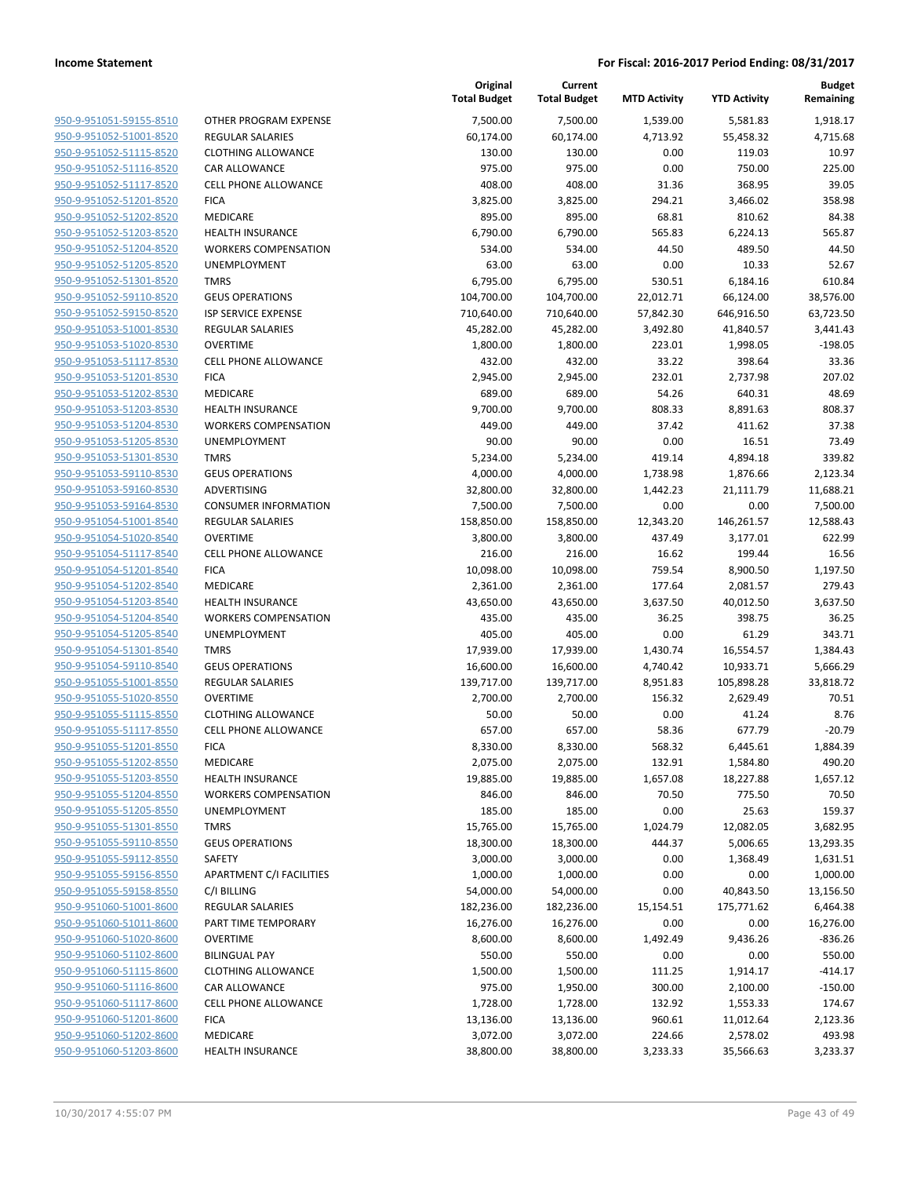| 950-9-951051-59155-8510        | OTH               |
|--------------------------------|-------------------|
| 950-9-951052-51001-8520        | <b>REGI</b>       |
| 950-9-951052-51115-8520        | CLO <sub>1</sub>  |
| 950-9-951052-51116-8520        | CAR               |
| 950-9-951052-51117-8520        | <b>CELL</b>       |
| 950-9-951052-51201-8520        | <b>FICA</b>       |
| 950-9-951052-51202-8520        | MED               |
| 950-9-951052-51203-8520        | HEA               |
| 950-9-951052-51204-8520        | <b>WOF</b>        |
| 950-9-951052-51205-8520        | <b>UNE</b>        |
| 950-9-951052-51301-8520        | TMR               |
| 950-9-951052-59110-8520        | GEU.              |
| 950-9-951052-59150-8520        | <b>ISP S</b>      |
| 950-9-951053-51001-8530        | <b>REGI</b>       |
| 950-9-951053-51020-8530        | <b>OVE</b>        |
| 950-9-951053-51117-8530        | CELL              |
| 950-9-951053-51201-8530        | <b>FICA</b>       |
| 950-9-951053-51202-8530        | MED               |
| 950-9-951053-51203-8530        |                   |
|                                | HEA               |
| 950-9-951053-51204-8530        | WOF<br><b>UNE</b> |
| 950-9-951053-51205-8530        |                   |
| 950-9-951053-51301-8530        | TMR               |
| 950-9-951053-59110-8530        | GEU.              |
| 950-9-951053-59160-8530        | ADV               |
| 950-9-951053-59164-8530        | CON               |
| 950-9-951054-51001-8540        | <b>REGI</b>       |
| 950-9-951054-51020-8540        | <b>OVE</b>        |
| 950-9-951054-51117-8540        | <b>CELL</b>       |
| 950-9-951054-51201-8540        | <b>FICA</b>       |
| 950-9-951054-51202-8540        | MED               |
| 950-9-951054-51203-8540        | HEA               |
| 950-9-951054-51204-8540        | WOF               |
| 950-9-951054-51205-8540        | <b>UNE</b>        |
| 950-9-951054-51301-8540        | <b>TMR</b>        |
| 950-9-951054-59110-8540        | GEU.              |
| 950-9-951055-51001-8550        | <b>REGI</b>       |
| 950-9-951055-51020-8550        | <b>OVE</b>        |
| 950-9-951055-51115-8550        | CLO <sub>1</sub>  |
| 950-9-951055-51117-8550        | CELL              |
| 950-9-951055-51201-8550        | <b>FICA</b>       |
| 950-9-951055-51202-8550        | MED               |
| 950-9-951055-51203-8550        | HEAI              |
| 950-9-951055-51204-8550        | <b>WOF</b>        |
| 950-9-951055-51205-8550        | UNE               |
| 950-9-951055-51301-8550        | TMR               |
| 950-9-951055-59110-8550        | GEU.              |
| 950-9-951055-59112-8550        | SAFE              |
| 950-9-951055-59156-8550        | <b>APA</b>        |
| 950-9-951055-59158-8550        | C/IB              |
| 950-9-951060-51001-8600        | REGI              |
| 950-9-951060-51011-8600        | PAR <sup>-</sup>  |
| 950-9-951060-51020-8600        | <b>OVE</b>        |
| 950-9-951060-51102-8600        | BILIN             |
| 950-9-951060-51115-8600        | CLO1              |
| 950-9-951060-51116-8600        | CAR               |
| 950-9-951060-51117-8600        | CELL              |
| 950-9-951060-51201-8600        | FICA              |
| 950-9-951060-51202-8600        | MED               |
| <u>950-9-951060-51203-8600</u> | HEA               |
|                                |                   |

|                         |                                 | Original<br><b>Total Budget</b> | Current<br><b>Total Budget</b> | <b>MTD Activity</b> | <b>YTD Activity</b> | <b>Budget</b><br>Remaining |
|-------------------------|---------------------------------|---------------------------------|--------------------------------|---------------------|---------------------|----------------------------|
| 950-9-951051-59155-8510 | OTHER PROGRAM EXPENSE           | 7,500.00                        | 7,500.00                       | 1,539.00            | 5,581.83            | 1,918.17                   |
| 950-9-951052-51001-8520 | <b>REGULAR SALARIES</b>         | 60,174.00                       | 60,174.00                      | 4,713.92            | 55,458.32           | 4,715.68                   |
| 950-9-951052-51115-8520 | <b>CLOTHING ALLOWANCE</b>       | 130.00                          | 130.00                         | 0.00                | 119.03              | 10.97                      |
| 950-9-951052-51116-8520 | CAR ALLOWANCE                   | 975.00                          | 975.00                         | 0.00                | 750.00              | 225.00                     |
| 950-9-951052-51117-8520 | CELL PHONE ALLOWANCE            | 408.00                          | 408.00                         | 31.36               | 368.95              | 39.05                      |
| 950-9-951052-51201-8520 | <b>FICA</b>                     | 3,825.00                        | 3,825.00                       | 294.21              | 3,466.02            | 358.98                     |
| 950-9-951052-51202-8520 | MEDICARE                        | 895.00                          | 895.00                         | 68.81               | 810.62              | 84.38                      |
| 950-9-951052-51203-8520 | <b>HEALTH INSURANCE</b>         | 6,790.00                        | 6,790.00                       | 565.83              | 6,224.13            | 565.87                     |
| 950-9-951052-51204-8520 | <b>WORKERS COMPENSATION</b>     | 534.00                          | 534.00                         | 44.50               | 489.50              | 44.50                      |
| 950-9-951052-51205-8520 | UNEMPLOYMENT                    | 63.00                           | 63.00                          | 0.00                | 10.33               | 52.67                      |
| 950-9-951052-51301-8520 | <b>TMRS</b>                     | 6,795.00                        | 6,795.00                       | 530.51              | 6,184.16            | 610.84                     |
| 950-9-951052-59110-8520 | <b>GEUS OPERATIONS</b>          | 104,700.00                      | 104,700.00                     | 22,012.71           | 66,124.00           | 38,576.00                  |
| 950-9-951052-59150-8520 | ISP SERVICE EXPENSE             | 710,640.00                      | 710,640.00                     | 57,842.30           | 646,916.50          | 63,723.50                  |
| 950-9-951053-51001-8530 | <b>REGULAR SALARIES</b>         | 45,282.00                       | 45,282.00                      | 3,492.80            | 41,840.57           | 3,441.43                   |
| 950-9-951053-51020-8530 | <b>OVERTIME</b>                 | 1,800.00                        | 1,800.00                       | 223.01              | 1,998.05            | $-198.05$                  |
| 950-9-951053-51117-8530 | <b>CELL PHONE ALLOWANCE</b>     | 432.00                          | 432.00                         | 33.22               | 398.64              | 33.36                      |
| 950-9-951053-51201-8530 | <b>FICA</b>                     | 2,945.00                        | 2,945.00                       | 232.01              | 2,737.98            | 207.02                     |
| 950-9-951053-51202-8530 | MEDICARE                        | 689.00                          | 689.00                         | 54.26               | 640.31              | 48.69                      |
| 950-9-951053-51203-8530 | <b>HEALTH INSURANCE</b>         | 9,700.00                        | 9,700.00                       | 808.33              | 8,891.63            | 808.37                     |
| 950-9-951053-51204-8530 | <b>WORKERS COMPENSATION</b>     | 449.00                          | 449.00                         | 37.42               | 411.62              | 37.38                      |
| 950-9-951053-51205-8530 | <b>UNEMPLOYMENT</b>             | 90.00                           | 90.00                          | 0.00                | 16.51               | 73.49                      |
| 950-9-951053-51301-8530 | <b>TMRS</b>                     | 5,234.00                        | 5,234.00                       | 419.14              | 4,894.18            | 339.82                     |
| 950-9-951053-59110-8530 | <b>GEUS OPERATIONS</b>          | 4,000.00                        | 4,000.00                       | 1,738.98            | 1,876.66            | 2,123.34                   |
| 950-9-951053-59160-8530 | ADVERTISING                     | 32,800.00                       | 32,800.00                      | 1,442.23            | 21,111.79           | 11,688.21                  |
| 950-9-951053-59164-8530 | <b>CONSUMER INFORMATION</b>     | 7,500.00                        | 7,500.00                       | 0.00                | 0.00                | 7,500.00                   |
| 950-9-951054-51001-8540 | <b>REGULAR SALARIES</b>         | 158,850.00                      | 158,850.00                     | 12,343.20           | 146,261.57          | 12,588.43                  |
| 950-9-951054-51020-8540 | <b>OVERTIME</b>                 | 3,800.00                        | 3,800.00                       | 437.49              | 3,177.01            | 622.99                     |
| 950-9-951054-51117-8540 | <b>CELL PHONE ALLOWANCE</b>     | 216.00                          | 216.00                         | 16.62               | 199.44              | 16.56                      |
| 950-9-951054-51201-8540 | <b>FICA</b>                     | 10,098.00                       | 10,098.00                      | 759.54              | 8,900.50            | 1,197.50                   |
| 950-9-951054-51202-8540 | MEDICARE                        | 2,361.00                        | 2,361.00                       | 177.64              | 2,081.57            | 279.43                     |
| 950-9-951054-51203-8540 | <b>HEALTH INSURANCE</b>         | 43,650.00                       | 43,650.00                      | 3,637.50            | 40,012.50           | 3,637.50                   |
| 950-9-951054-51204-8540 | <b>WORKERS COMPENSATION</b>     | 435.00                          | 435.00                         | 36.25               | 398.75              | 36.25                      |
| 950-9-951054-51205-8540 | UNEMPLOYMENT                    | 405.00                          | 405.00                         | 0.00                | 61.29               | 343.71                     |
| 950-9-951054-51301-8540 | <b>TMRS</b>                     | 17,939.00                       | 17,939.00                      | 1,430.74            | 16,554.57           | 1,384.43                   |
| 950-9-951054-59110-8540 | <b>GEUS OPERATIONS</b>          | 16,600.00                       | 16,600.00                      | 4,740.42            | 10,933.71           | 5,666.29                   |
| 950-9-951055-51001-8550 | <b>REGULAR SALARIES</b>         | 139,717.00                      | 139,717.00                     | 8,951.83            | 105,898.28          | 33,818.72                  |
| 950-9-951055-51020-8550 | <b>OVERTIME</b>                 | 2,700.00                        | 2,700.00                       | 156.32              | 2,629.49            | 70.51                      |
| 950-9-951055-51115-8550 | <b>CLOTHING ALLOWANCE</b>       | 50.00                           | 50.00                          | 0.00                | 41.24               | 8.76                       |
| 950-9-951055-51117-8550 | <b>CELL PHONE ALLOWANCE</b>     | 657.00                          | 657.00                         | 58.36               | 677.79              | $-20.79$                   |
| 950-9-951055-51201-8550 | <b>FICA</b>                     | 8,330.00                        | 8,330.00                       | 568.32              | 6,445.61            | 1,884.39                   |
| 950-9-951055-51202-8550 | MEDICARE                        | 2,075.00                        | 2,075.00                       | 132.91              | 1,584.80            | 490.20                     |
| 950-9-951055-51203-8550 | HEALTH INSURANCE                | 19,885.00                       | 19,885.00                      | 1,657.08            | 18,227.88           | 1,657.12                   |
| 950-9-951055-51204-8550 | <b>WORKERS COMPENSATION</b>     | 846.00                          | 846.00                         | 70.50               | 775.50              | 70.50                      |
| 950-9-951055-51205-8550 | UNEMPLOYMENT                    | 185.00                          | 185.00                         | 0.00                | 25.63               | 159.37                     |
| 950-9-951055-51301-8550 | <b>TMRS</b>                     | 15,765.00                       | 15,765.00                      | 1,024.79            | 12,082.05           | 3,682.95                   |
| 950-9-951055-59110-8550 | <b>GEUS OPERATIONS</b>          | 18,300.00                       | 18,300.00                      | 444.37              | 5,006.65            | 13,293.35                  |
| 950-9-951055-59112-8550 | SAFETY                          | 3,000.00                        | 3,000.00                       | 0.00                | 1,368.49            | 1,631.51                   |
| 950-9-951055-59156-8550 | <b>APARTMENT C/I FACILITIES</b> | 1,000.00                        | 1,000.00                       | 0.00                | 0.00                | 1,000.00                   |
| 950-9-951055-59158-8550 | C/I BILLING                     | 54,000.00                       | 54,000.00                      | 0.00                | 40,843.50           | 13,156.50                  |
| 950-9-951060-51001-8600 | REGULAR SALARIES                | 182,236.00                      | 182,236.00                     | 15,154.51           | 175,771.62          | 6,464.38                   |
| 950-9-951060-51011-8600 | PART TIME TEMPORARY             | 16,276.00                       | 16,276.00                      | 0.00                | 0.00                | 16,276.00                  |
| 950-9-951060-51020-8600 | <b>OVERTIME</b>                 | 8,600.00                        | 8,600.00                       | 1,492.49            | 9,436.26            | $-836.26$                  |
| 950-9-951060-51102-8600 | <b>BILINGUAL PAY</b>            | 550.00                          | 550.00                         | 0.00                | 0.00                | 550.00                     |
| 950-9-951060-51115-8600 | <b>CLOTHING ALLOWANCE</b>       | 1,500.00                        | 1,500.00                       | 111.25              | 1,914.17            | $-414.17$                  |
| 950-9-951060-51116-8600 | CAR ALLOWANCE                   | 975.00                          | 1,950.00                       | 300.00              | 2,100.00            | $-150.00$                  |
| 950-9-951060-51117-8600 | <b>CELL PHONE ALLOWANCE</b>     | 1,728.00                        | 1,728.00                       | 132.92              | 1,553.33            | 174.67                     |
| 950-9-951060-51201-8600 | <b>FICA</b>                     | 13,136.00                       | 13,136.00                      | 960.61              | 11,012.64           | 2,123.36                   |
| 950-9-951060-51202-8600 | MEDICARE                        | 3,072.00                        | 3,072.00                       | 224.66              | 2,578.02            | 493.98                     |
| 950-9-951060-51203-8600 | HEALTH INSURANCE                | 38,800.00                       | 38,800.00                      | 3,233.33            | 35,566.63           | 3,233.37                   |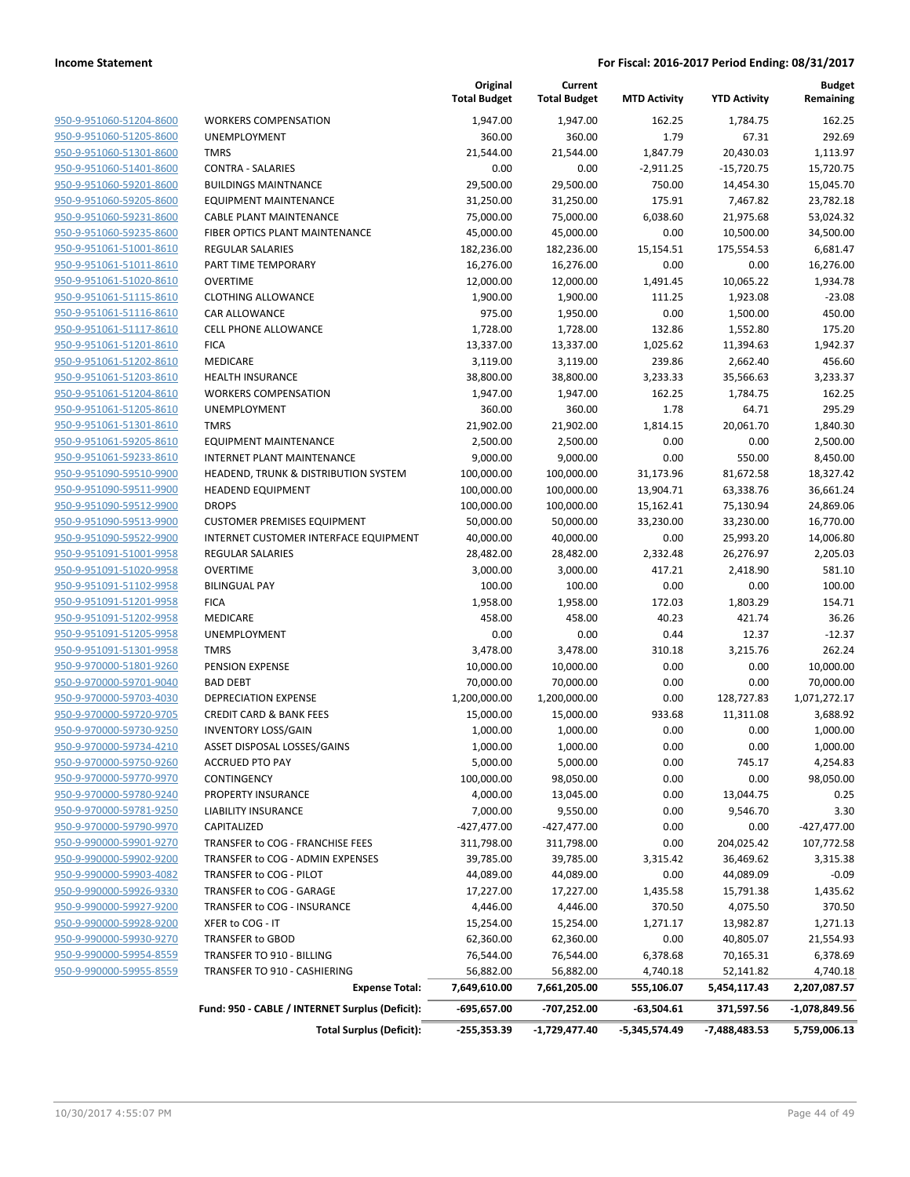|                         |                                                 | Original<br><b>Total Budget</b> | Current<br><b>Total Budget</b> | <b>MTD Activity</b> | <b>YTD Activity</b> | Budget<br>Remaining |
|-------------------------|-------------------------------------------------|---------------------------------|--------------------------------|---------------------|---------------------|---------------------|
| 950-9-951060-51204-8600 | <b>WORKERS COMPENSATION</b>                     | 1,947.00                        | 1,947.00                       | 162.25              | 1,784.75            | 162.25              |
| 950-9-951060-51205-8600 | UNEMPLOYMENT                                    | 360.00                          | 360.00                         | 1.79                | 67.31               | 292.69              |
| 950-9-951060-51301-8600 | <b>TMRS</b>                                     | 21,544.00                       | 21,544.00                      | 1,847.79            | 20,430.03           | 1,113.97            |
| 950-9-951060-51401-8600 | <b>CONTRA - SALARIES</b>                        | 0.00                            | 0.00                           | $-2,911.25$         | $-15,720.75$        | 15,720.75           |
| 950-9-951060-59201-8600 | <b>BUILDINGS MAINTNANCE</b>                     | 29,500.00                       | 29,500.00                      | 750.00              | 14,454.30           | 15,045.70           |
| 950-9-951060-59205-8600 | EQUIPMENT MAINTENANCE                           | 31,250.00                       | 31,250.00                      | 175.91              | 7,467.82            | 23,782.18           |
| 950-9-951060-59231-8600 | <b>CABLE PLANT MAINTENANCE</b>                  | 75,000.00                       | 75,000.00                      | 6,038.60            | 21,975.68           | 53,024.32           |
| 950-9-951060-59235-8600 | FIBER OPTICS PLANT MAINTENANCE                  | 45,000.00                       | 45,000.00                      | 0.00                | 10,500.00           | 34,500.00           |
| 950-9-951061-51001-8610 | REGULAR SALARIES                                | 182,236.00                      | 182,236.00                     | 15,154.51           | 175,554.53          | 6,681.47            |
| 950-9-951061-51011-8610 | PART TIME TEMPORARY                             | 16,276.00                       | 16,276.00                      | 0.00                | 0.00                | 16,276.00           |
| 950-9-951061-51020-8610 | <b>OVERTIME</b>                                 | 12,000.00                       | 12,000.00                      | 1,491.45            | 10,065.22           | 1,934.78            |
| 950-9-951061-51115-8610 | <b>CLOTHING ALLOWANCE</b>                       | 1,900.00                        | 1,900.00                       | 111.25              | 1,923.08            | $-23.08$            |
| 950-9-951061-51116-8610 | CAR ALLOWANCE                                   | 975.00                          | 1,950.00                       | 0.00                | 1,500.00            | 450.00              |
| 950-9-951061-51117-8610 | <b>CELL PHONE ALLOWANCE</b>                     | 1,728.00                        | 1,728.00                       | 132.86              | 1,552.80            | 175.20              |
| 950-9-951061-51201-8610 | <b>FICA</b>                                     | 13,337.00                       | 13,337.00                      | 1,025.62            | 11,394.63           | 1,942.37            |
| 950-9-951061-51202-8610 | MEDICARE                                        | 3,119.00                        | 3,119.00                       | 239.86              | 2,662.40            | 456.60              |
| 950-9-951061-51203-8610 | <b>HEALTH INSURANCE</b>                         | 38,800.00                       | 38,800.00                      | 3,233.33            | 35,566.63           | 3,233.37            |
| 950-9-951061-51204-8610 | <b>WORKERS COMPENSATION</b>                     | 1,947.00                        | 1,947.00                       | 162.25              | 1,784.75            | 162.25              |
| 950-9-951061-51205-8610 | UNEMPLOYMENT                                    | 360.00                          | 360.00                         | 1.78                | 64.71               | 295.29              |
| 950-9-951061-51301-8610 | <b>TMRS</b>                                     | 21,902.00                       | 21,902.00                      | 1,814.15            | 20,061.70           | 1,840.30            |
| 950-9-951061-59205-8610 | <b>EQUIPMENT MAINTENANCE</b>                    | 2,500.00                        | 2,500.00                       | 0.00                | 0.00                | 2,500.00            |
| 950-9-951061-59233-8610 | <b>INTERNET PLANT MAINTENANCE</b>               | 9,000.00                        | 9,000.00                       | 0.00                | 550.00              | 8,450.00            |
| 950-9-951090-59510-9900 | HEADEND, TRUNK & DISTRIBUTION SYSTEM            | 100,000.00                      | 100,000.00                     | 31,173.96           | 81,672.58           | 18,327.42           |
| 950-9-951090-59511-9900 | <b>HEADEND EQUIPMENT</b>                        | 100,000.00                      | 100,000.00                     | 13,904.71           | 63,338.76           | 36,661.24           |
| 950-9-951090-59512-9900 | <b>DROPS</b>                                    | 100,000.00                      | 100,000.00                     | 15,162.41           | 75,130.94           | 24,869.06           |
| 950-9-951090-59513-9900 | <b>CUSTOMER PREMISES EQUIPMENT</b>              | 50,000.00                       | 50,000.00                      | 33,230.00           | 33,230.00           | 16,770.00           |
| 950-9-951090-59522-9900 | INTERNET CUSTOMER INTERFACE EQUIPMENT           | 40,000.00                       | 40,000.00                      | 0.00                | 25,993.20           | 14,006.80           |
| 950-9-951091-51001-9958 | <b>REGULAR SALARIES</b>                         | 28,482.00                       | 28,482.00                      | 2,332.48            | 26,276.97           | 2,205.03            |
| 950-9-951091-51020-9958 | <b>OVERTIME</b>                                 | 3,000.00                        | 3,000.00                       | 417.21              | 2,418.90            | 581.10              |
| 950-9-951091-51102-9958 | <b>BILINGUAL PAY</b>                            | 100.00                          | 100.00                         | 0.00                | 0.00                | 100.00              |
| 950-9-951091-51201-9958 | <b>FICA</b>                                     | 1,958.00                        | 1,958.00                       | 172.03              | 1,803.29            | 154.71              |
| 950-9-951091-51202-9958 | MEDICARE                                        | 458.00                          | 458.00                         | 40.23               | 421.74              | 36.26               |
| 950-9-951091-51205-9958 | UNEMPLOYMENT                                    | 0.00                            | 0.00                           | 0.44                | 12.37               | $-12.37$            |
| 950-9-951091-51301-9958 | <b>TMRS</b>                                     | 3,478.00                        | 3,478.00                       | 310.18              | 3,215.76            | 262.24              |
| 950-9-970000-51801-9260 | PENSION EXPENSE                                 | 10,000.00                       | 10,000.00                      | 0.00                | 0.00                | 10,000.00           |
| 950-9-970000-59701-9040 | <b>BAD DEBT</b>                                 | 70,000.00                       | 70,000.00                      | 0.00                | 0.00                | 70,000.00           |
| 950-9-970000-59703-4030 | <b>DEPRECIATION EXPENSE</b>                     | 1,200,000.00                    | 1,200,000.00                   | 0.00                | 128,727.83          | 1,071,272.17        |
| 950-9-970000-59720-9705 | <b>CREDIT CARD &amp; BANK FEES</b>              | 15,000.00                       | 15,000.00                      | 933.68              | 11,311.08           | 3,688.92            |
| 950-9-970000-59730-9250 | <b>INVENTORY LOSS/GAIN</b>                      | 1,000.00                        | 1,000.00                       | 0.00                | 0.00                | 1,000.00            |
| 950-9-970000-59734-4210 | ASSET DISPOSAL LOSSES/GAINS                     | 1,000.00                        | 1,000.00                       | 0.00                | 0.00                | 1,000.00            |
| 950-9-970000-59750-9260 | <b>ACCRUED PTO PAY</b>                          | 5,000.00                        | 5,000.00                       | 0.00                | 745.17              | 4,254.83            |
| 950-9-970000-59770-9970 | CONTINGENCY                                     | 100,000.00                      | 98,050.00                      | 0.00                | 0.00                | 98,050.00           |
| 950-9-970000-59780-9240 | PROPERTY INSURANCE                              | 4,000.00                        | 13,045.00                      | 0.00                |                     |                     |
| 950-9-970000-59781-9250 | <b>LIABILITY INSURANCE</b>                      |                                 |                                |                     | 13,044.75           | 0.25                |
|                         | CAPITALIZED                                     | 7,000.00                        | 9,550.00                       | 0.00                | 9,546.70            | 3.30                |
| 950-9-970000-59790-9970 |                                                 | $-427,477.00$                   | $-427,477.00$                  | 0.00                | 0.00                | $-427,477.00$       |
| 950-9-990000-59901-9270 | TRANSFER to COG - FRANCHISE FEES                | 311,798.00                      | 311,798.00                     | 0.00                | 204,025.42          | 107,772.58          |
| 950-9-990000-59902-9200 | TRANSFER to COG - ADMIN EXPENSES                | 39,785.00                       | 39,785.00                      | 3,315.42            | 36,469.62           | 3,315.38            |
| 950-9-990000-59903-4082 | TRANSFER to COG - PILOT                         | 44,089.00                       | 44,089.00                      | 0.00                | 44,089.09           | $-0.09$             |
| 950-9-990000-59926-9330 | TRANSFER to COG - GARAGE                        | 17,227.00                       | 17,227.00                      | 1,435.58            | 15,791.38           | 1,435.62            |
| 950-9-990000-59927-9200 | TRANSFER to COG - INSURANCE                     | 4,446.00                        | 4,446.00                       | 370.50              | 4,075.50            | 370.50              |
| 950-9-990000-59928-9200 | XFER to COG - IT                                | 15,254.00                       | 15,254.00                      | 1,271.17            | 13,982.87           | 1,271.13            |
| 950-9-990000-59930-9270 | TRANSFER to GBOD                                | 62,360.00                       | 62,360.00                      | 0.00                | 40,805.07           | 21,554.93           |
| 950-9-990000-59954-8559 | TRANSFER TO 910 - BILLING                       | 76,544.00                       | 76,544.00                      | 6,378.68            | 70,165.31           | 6,378.69            |
| 950-9-990000-59955-8559 | TRANSFER TO 910 - CASHIERING                    | 56,882.00                       | 56,882.00                      | 4,740.18            | 52,141.82           | 4,740.18            |
|                         | <b>Expense Total:</b>                           | 7,649,610.00                    | 7,661,205.00                   | 555,106.07          | 5,454,117.43        | 2,207,087.57        |
|                         | Fund: 950 - CABLE / INTERNET Surplus (Deficit): | $-695,657.00$                   | -707,252.00                    | $-63,504.61$        | 371,597.56          | -1,078,849.56       |
|                         | <b>Total Surplus (Deficit):</b>                 | -255,353.39                     | -1,729,477.40                  | -5,345,574.49       | $-7,488,483.53$     | 5,759,006.13        |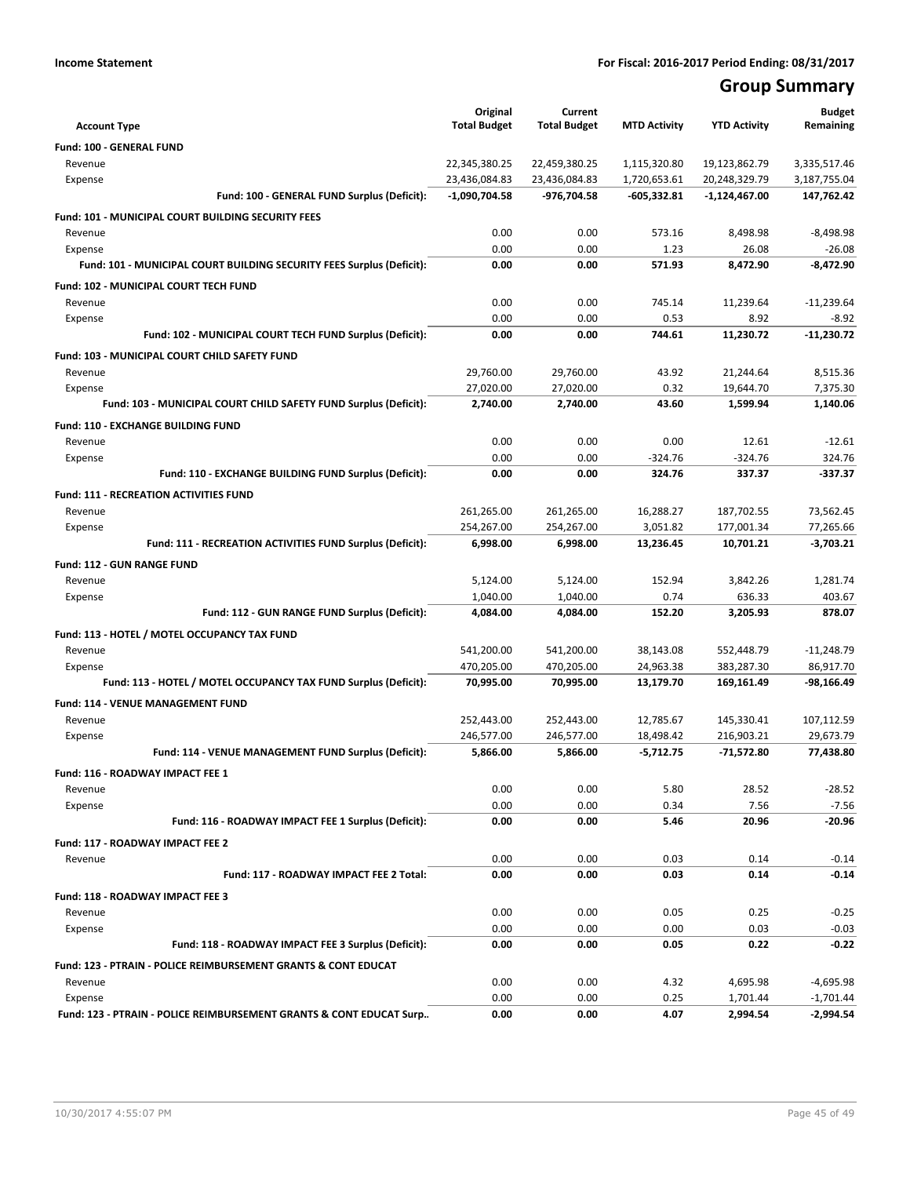# **Group Summary**

| <b>Account Type</b>                                                       | Original<br><b>Total Budget</b> | Current<br><b>Total Budget</b> | <b>MTD Activity</b>          | <b>YTD Activity</b>            | <b>Budget</b><br>Remaining   |
|---------------------------------------------------------------------------|---------------------------------|--------------------------------|------------------------------|--------------------------------|------------------------------|
|                                                                           |                                 |                                |                              |                                |                              |
| Fund: 100 - GENERAL FUND                                                  |                                 |                                |                              |                                |                              |
| Revenue<br>Expense                                                        | 22,345,380.25<br>23,436,084.83  | 22,459,380.25<br>23,436,084.83 | 1,115,320.80<br>1,720,653.61 | 19,123,862.79<br>20,248,329.79 | 3,335,517.46<br>3,187,755.04 |
| Fund: 100 - GENERAL FUND Surplus (Deficit):                               | $-1,090,704.58$                 | -976,704.58                    | $-605,332.81$                | -1,124,467.00                  | 147,762.42                   |
|                                                                           |                                 |                                |                              |                                |                              |
| Fund: 101 - MUNICIPAL COURT BUILDING SECURITY FEES                        |                                 |                                |                              |                                |                              |
| Revenue<br>Expense                                                        | 0.00<br>0.00                    | 0.00<br>0.00                   | 573.16<br>1.23               | 8,498.98<br>26.08              | $-8,498.98$<br>$-26.08$      |
| Fund: 101 - MUNICIPAL COURT BUILDING SECURITY FEES Surplus (Deficit):     | 0.00                            | 0.00                           | 571.93                       | 8,472.90                       | $-8,472.90$                  |
|                                                                           |                                 |                                |                              |                                |                              |
| Fund: 102 - MUNICIPAL COURT TECH FUND<br>Revenue                          | 0.00                            | 0.00                           | 745.14                       | 11.239.64                      | $-11,239.64$                 |
| Expense                                                                   | 0.00                            | 0.00                           | 0.53                         | 8.92                           | $-8.92$                      |
| Fund: 102 - MUNICIPAL COURT TECH FUND Surplus (Deficit):                  | 0.00                            | 0.00                           | 744.61                       | 11,230.72                      | $-11,230.72$                 |
|                                                                           |                                 |                                |                              |                                |                              |
| Fund: 103 - MUNICIPAL COURT CHILD SAFETY FUND<br>Revenue                  | 29,760.00                       | 29,760.00                      | 43.92                        | 21,244.64                      | 8,515.36                     |
| Expense                                                                   | 27,020.00                       | 27,020.00                      | 0.32                         | 19,644.70                      | 7,375.30                     |
| Fund: 103 - MUNICIPAL COURT CHILD SAFETY FUND Surplus (Deficit):          | 2,740.00                        | 2,740.00                       | 43.60                        | 1,599.94                       | 1,140.06                     |
| Fund: 110 - EXCHANGE BUILDING FUND                                        |                                 |                                |                              |                                |                              |
| Revenue                                                                   | 0.00                            | 0.00                           | 0.00                         | 12.61                          | $-12.61$                     |
| Expense                                                                   | 0.00                            | 0.00                           | $-324.76$                    | $-324.76$                      | 324.76                       |
| Fund: 110 - EXCHANGE BUILDING FUND Surplus (Deficit):                     | 0.00                            | 0.00                           | 324.76                       | 337.37                         | $-337.37$                    |
| <b>Fund: 111 - RECREATION ACTIVITIES FUND</b>                             |                                 |                                |                              |                                |                              |
| Revenue                                                                   | 261,265.00                      | 261,265.00                     | 16,288.27                    | 187,702.55                     | 73,562.45                    |
| Expense                                                                   | 254,267.00                      | 254,267.00                     | 3,051.82                     | 177,001.34                     | 77,265.66                    |
| Fund: 111 - RECREATION ACTIVITIES FUND Surplus (Deficit):                 | 6,998.00                        | 6,998.00                       | 13,236.45                    | 10,701.21                      | $-3,703.21$                  |
| <b>Fund: 112 - GUN RANGE FUND</b>                                         |                                 |                                |                              |                                |                              |
| Revenue                                                                   | 5,124.00                        | 5,124.00                       | 152.94                       | 3,842.26                       | 1,281.74                     |
| Expense                                                                   | 1,040.00                        | 1,040.00                       | 0.74                         | 636.33                         | 403.67                       |
| Fund: 112 - GUN RANGE FUND Surplus (Deficit):                             | 4,084.00                        | 4,084.00                       | 152.20                       | 3,205.93                       | 878.07                       |
| Fund: 113 - HOTEL / MOTEL OCCUPANCY TAX FUND                              |                                 |                                |                              |                                |                              |
| Revenue                                                                   | 541,200.00                      | 541,200.00                     | 38,143.08                    | 552,448.79                     | $-11,248.79$                 |
| Expense                                                                   | 470,205.00                      | 470,205.00                     | 24,963.38                    | 383,287.30                     | 86,917.70                    |
| Fund: 113 - HOTEL / MOTEL OCCUPANCY TAX FUND Surplus (Deficit):           | 70,995.00                       | 70,995.00                      | 13,179.70                    | 169,161.49                     | -98,166.49                   |
| Fund: 114 - VENUE MANAGEMENT FUND                                         |                                 |                                |                              |                                |                              |
| Revenue                                                                   | 252,443.00                      | 252,443.00                     | 12,785.67                    | 145,330.41                     | 107,112.59                   |
| Expense                                                                   | 246,577.00                      | 246,577.00                     | 18,498.42                    | 216,903.21                     | 29,673.79                    |
| Fund: 114 - VENUE MANAGEMENT FUND Surplus (Deficit):                      | 5,866.00                        | 5,866.00                       | $-5,712.75$                  | $-71,572.80$                   | 77,438.80                    |
| Fund: 116 - ROADWAY IMPACT FEE 1                                          |                                 |                                |                              |                                |                              |
| Revenue                                                                   | 0.00                            | 0.00                           | 5.80                         | 28.52                          | $-28.52$                     |
| Expense                                                                   | 0.00                            | 0.00                           | 0.34                         | 7.56                           | $-7.56$                      |
| Fund: 116 - ROADWAY IMPACT FEE 1 Surplus (Deficit):                       | 0.00                            | 0.00                           | 5.46                         | 20.96                          | $-20.96$                     |
| Fund: 117 - ROADWAY IMPACT FEE 2                                          |                                 |                                |                              |                                |                              |
| Revenue                                                                   | 0.00                            | 0.00                           | 0.03                         | 0.14                           | $-0.14$                      |
| Fund: 117 - ROADWAY IMPACT FEE 2 Total:                                   | 0.00                            | 0.00                           | 0.03                         | 0.14                           | -0.14                        |
| Fund: 118 - ROADWAY IMPACT FEE 3                                          |                                 |                                |                              |                                |                              |
| Revenue                                                                   | 0.00                            | 0.00                           | 0.05                         | 0.25                           | $-0.25$                      |
| Expense                                                                   | 0.00                            | 0.00                           | 0.00                         | 0.03                           | $-0.03$                      |
| Fund: 118 - ROADWAY IMPACT FEE 3 Surplus (Deficit):                       | 0.00                            | 0.00                           | 0.05                         | 0.22                           | -0.22                        |
| <b>Fund: 123 - PTRAIN - POLICE REIMBURSEMENT GRANTS &amp; CONT EDUCAT</b> |                                 |                                |                              |                                |                              |
| Revenue                                                                   | 0.00                            | 0.00                           | 4.32                         | 4,695.98                       | $-4,695.98$                  |
| Expense                                                                   | 0.00                            | 0.00                           | 0.25                         | 1,701.44                       | $-1,701.44$                  |
| Fund: 123 - PTRAIN - POLICE REIMBURSEMENT GRANTS & CONT EDUCAT Surp       | 0.00                            | 0.00                           | 4.07                         | 2,994.54                       | $-2,994.54$                  |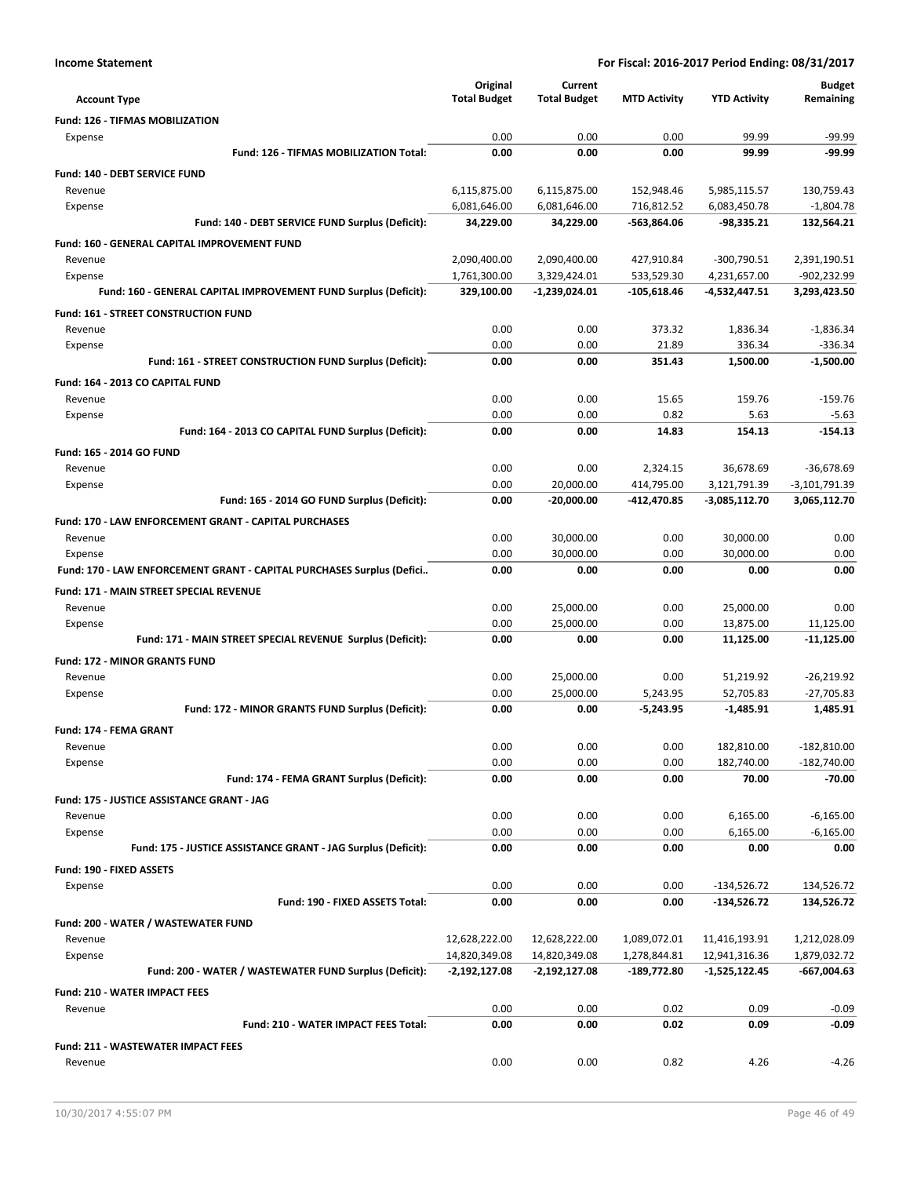|                                                                            | Original                   | Current                       |                             |                               | <b>Budget</b>               |
|----------------------------------------------------------------------------|----------------------------|-------------------------------|-----------------------------|-------------------------------|-----------------------------|
| <b>Account Type</b>                                                        | <b>Total Budget</b>        | <b>Total Budget</b>           | <b>MTD Activity</b>         | <b>YTD Activity</b>           | Remaining                   |
| <b>Fund: 126 - TIFMAS MOBILIZATION</b>                                     |                            |                               |                             |                               |                             |
| Expense                                                                    | 0.00                       | 0.00                          | 0.00                        | 99.99                         | -99.99                      |
| Fund: 126 - TIFMAS MOBILIZATION Total:                                     | 0.00                       | 0.00                          | 0.00                        | 99.99                         | $-99.99$                    |
| <b>Fund: 140 - DEBT SERVICE FUND</b>                                       |                            |                               |                             |                               |                             |
| Revenue                                                                    | 6,115,875.00               | 6,115,875.00                  | 152,948.46                  | 5,985,115.57                  | 130,759.43                  |
| Expense                                                                    | 6,081,646.00               | 6,081,646.00                  | 716,812.52                  | 6,083,450.78                  | $-1,804.78$                 |
| Fund: 140 - DEBT SERVICE FUND Surplus (Deficit):                           | 34,229.00                  | 34,229.00                     | -563,864.06                 | $-98,335.21$                  | 132,564.21                  |
| Fund: 160 - GENERAL CAPITAL IMPROVEMENT FUND                               |                            |                               |                             |                               |                             |
| Revenue                                                                    | 2,090,400.00               | 2,090,400.00                  | 427,910.84                  | $-300,790.51$                 | 2,391,190.51                |
| Expense<br>Fund: 160 - GENERAL CAPITAL IMPROVEMENT FUND Surplus (Deficit): | 1,761,300.00<br>329,100.00 | 3,329,424.01<br>-1,239,024.01 | 533,529.30<br>$-105,618.46$ | 4,231,657.00<br>-4,532,447.51 | -902,232.99<br>3,293,423.50 |
|                                                                            |                            |                               |                             |                               |                             |
| Fund: 161 - STREET CONSTRUCTION FUND                                       |                            |                               |                             |                               |                             |
| Revenue<br>Expense                                                         | 0.00<br>0.00               | 0.00<br>0.00                  | 373.32<br>21.89             | 1,836.34<br>336.34            | $-1,836.34$<br>$-336.34$    |
| Fund: 161 - STREET CONSTRUCTION FUND Surplus (Deficit):                    | 0.00                       | 0.00                          | 351.43                      | 1,500.00                      | $-1,500.00$                 |
|                                                                            |                            |                               |                             |                               |                             |
| Fund: 164 - 2013 CO CAPITAL FUND<br>Revenue                                | 0.00                       | 0.00                          | 15.65                       | 159.76                        | $-159.76$                   |
| Expense                                                                    | 0.00                       | 0.00                          | 0.82                        | 5.63                          | $-5.63$                     |
| Fund: 164 - 2013 CO CAPITAL FUND Surplus (Deficit):                        | 0.00                       | 0.00                          | 14.83                       | 154.13                        | $-154.13$                   |
| Fund: 165 - 2014 GO FUND                                                   |                            |                               |                             |                               |                             |
| Revenue                                                                    | 0.00                       | 0.00                          | 2,324.15                    | 36,678.69                     | -36,678.69                  |
| Expense                                                                    | 0.00                       | 20,000.00                     | 414,795.00                  | 3,121,791.39                  | -3,101,791.39               |
| Fund: 165 - 2014 GO FUND Surplus (Deficit):                                | 0.00                       | $-20,000.00$                  | -412,470.85                 | $-3,085,112.70$               | 3,065,112.70                |
| <b>Fund: 170 - LAW ENFORCEMENT GRANT - CAPITAL PURCHASES</b>               |                            |                               |                             |                               |                             |
| Revenue                                                                    | 0.00                       | 30,000.00                     | 0.00                        | 30,000.00                     | 0.00                        |
| Expense                                                                    | 0.00                       | 30,000.00                     | 0.00                        | 30,000.00                     | 0.00                        |
| Fund: 170 - LAW ENFORCEMENT GRANT - CAPITAL PURCHASES Surplus (Defici      | 0.00                       | 0.00                          | 0.00                        | 0.00                          | 0.00                        |
| <b>Fund: 171 - MAIN STREET SPECIAL REVENUE</b>                             |                            |                               |                             |                               |                             |
| Revenue                                                                    | 0.00                       | 25,000.00                     | 0.00                        | 25,000.00                     | 0.00                        |
| Expense                                                                    | 0.00                       | 25,000.00                     | 0.00                        | 13,875.00                     | 11,125.00                   |
| Fund: 171 - MAIN STREET SPECIAL REVENUE Surplus (Deficit):                 | 0.00                       | 0.00                          | 0.00                        | 11,125.00                     | $-11,125.00$                |
| <b>Fund: 172 - MINOR GRANTS FUND</b>                                       |                            |                               |                             |                               |                             |
| Revenue                                                                    | 0.00                       | 25,000.00                     | 0.00                        | 51,219.92                     | $-26,219.92$                |
| Expense                                                                    | 0.00                       | 25,000.00                     | 5,243.95                    | 52,705.83                     | $-27,705.83$                |
| Fund: 172 - MINOR GRANTS FUND Surplus (Deficit):                           | 0.00                       | 0.00                          | $-5,243.95$                 | $-1,485.91$                   | 1,485.91                    |
| Fund: 174 - FEMA GRANT                                                     |                            |                               |                             |                               |                             |
| Revenue                                                                    | 0.00                       | 0.00                          | 0.00                        | 182,810.00                    | $-182,810.00$               |
| Expense                                                                    | 0.00                       | 0.00                          | 0.00                        | 182,740.00                    | $-182,740.00$               |
| Fund: 174 - FEMA GRANT Surplus (Deficit):                                  | 0.00                       | 0.00                          | 0.00                        | 70.00                         | $-70.00$                    |
| Fund: 175 - JUSTICE ASSISTANCE GRANT - JAG                                 |                            |                               |                             |                               |                             |
| Revenue                                                                    | 0.00                       | 0.00                          | 0.00                        | 6,165.00                      | $-6,165.00$                 |
| Expense                                                                    | 0.00                       | 0.00                          | 0.00                        | 6,165.00                      | $-6,165.00$                 |
| Fund: 175 - JUSTICE ASSISTANCE GRANT - JAG Surplus (Deficit):              | 0.00                       | 0.00                          | 0.00                        | 0.00                          | 0.00                        |
| Fund: 190 - FIXED ASSETS                                                   |                            |                               |                             |                               |                             |
| Expense                                                                    | 0.00                       | 0.00                          | 0.00                        | $-134,526.72$                 | 134,526.72                  |
| Fund: 190 - FIXED ASSETS Total:                                            | 0.00                       | 0.00                          | 0.00                        | $-134,526.72$                 | 134,526.72                  |
| Fund: 200 - WATER / WASTEWATER FUND                                        |                            |                               |                             |                               |                             |
| Revenue                                                                    | 12,628,222.00              | 12,628,222.00                 | 1,089,072.01                | 11,416,193.91                 | 1,212,028.09                |
| Expense                                                                    | 14,820,349.08              | 14,820,349.08                 | 1,278,844.81                | 12,941,316.36                 | 1,879,032.72                |
| Fund: 200 - WATER / WASTEWATER FUND Surplus (Deficit):                     | $-2,192,127.08$            | $-2,192,127.08$               | -189,772.80                 | $-1,525,122.45$               | -667,004.63                 |
| <b>Fund: 210 - WATER IMPACT FEES</b>                                       |                            |                               |                             |                               |                             |
| Revenue                                                                    | 0.00                       | 0.00                          | 0.02                        | 0.09                          | $-0.09$                     |
| Fund: 210 - WATER IMPACT FEES Total:                                       | 0.00                       | 0.00                          | 0.02                        | 0.09                          | $-0.09$                     |
| <b>Fund: 211 - WASTEWATER IMPACT FEES</b>                                  |                            |                               |                             |                               |                             |
| Revenue                                                                    | 0.00                       | 0.00                          | 0.82                        | 4.26                          | $-4.26$                     |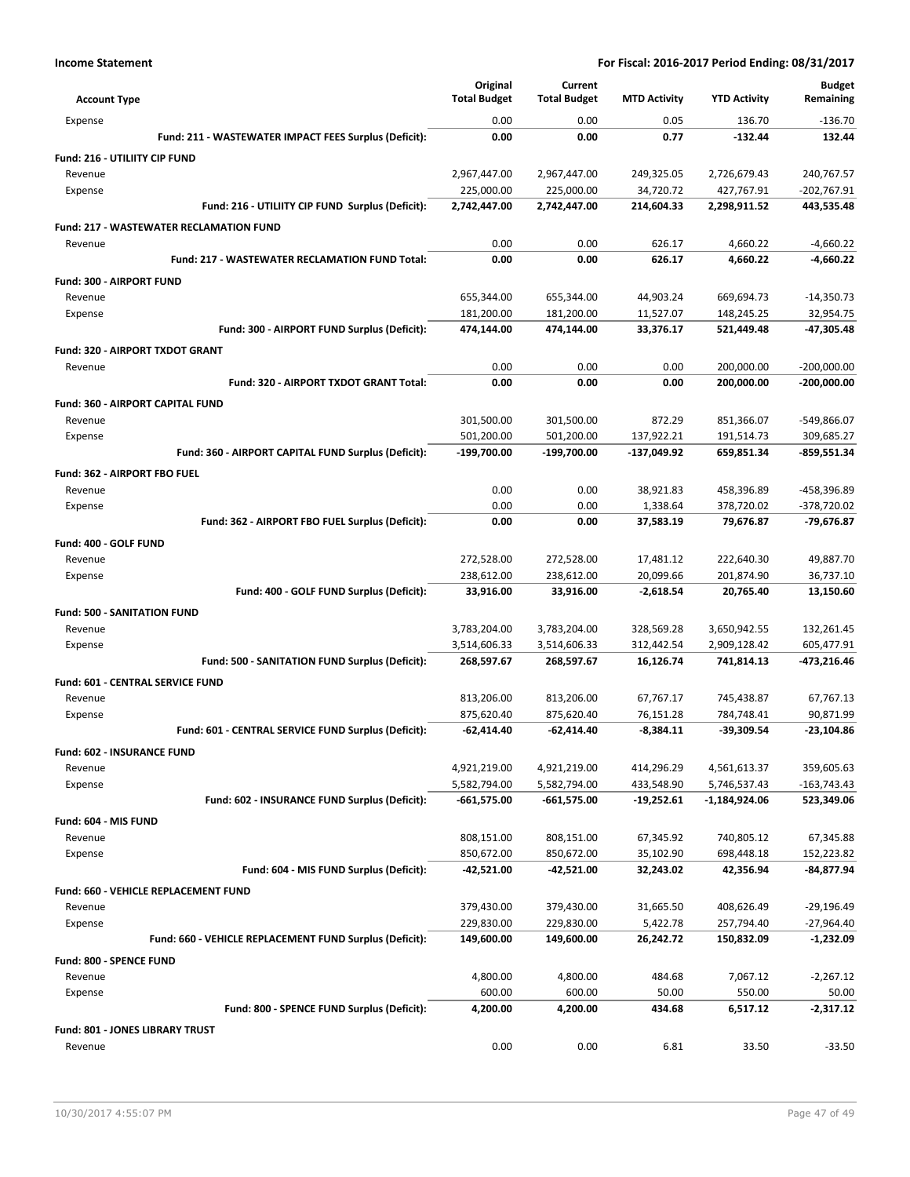|                                                         | Original            | Current             |                     |                     | <b>Budget</b> |
|---------------------------------------------------------|---------------------|---------------------|---------------------|---------------------|---------------|
| <b>Account Type</b>                                     | <b>Total Budget</b> | <b>Total Budget</b> | <b>MTD Activity</b> | <b>YTD Activity</b> | Remaining     |
| Expense                                                 | 0.00                | 0.00                | 0.05                | 136.70              | $-136.70$     |
| Fund: 211 - WASTEWATER IMPACT FEES Surplus (Deficit):   | 0.00                | 0.00                | 0.77                | $-132.44$           | 132.44        |
| Fund: 216 - UTILIITY CIP FUND                           |                     |                     |                     |                     |               |
| Revenue                                                 | 2,967,447.00        | 2,967,447.00        | 249,325.05          | 2,726,679.43        | 240,767.57    |
| Expense                                                 | 225,000.00          | 225,000.00          | 34,720.72           | 427,767.91          | -202,767.91   |
| Fund: 216 - UTILIITY CIP FUND Surplus (Deficit):        | 2,742,447.00        | 2,742,447.00        | 214,604.33          | 2,298,911.52        | 443,535.48    |
| <b>Fund: 217 - WASTEWATER RECLAMATION FUND</b>          |                     |                     |                     |                     |               |
| Revenue                                                 | 0.00                | 0.00                | 626.17              | 4,660.22            | $-4,660.22$   |
| Fund: 217 - WASTEWATER RECLAMATION FUND Total:          | 0.00                | 0.00                | 626.17              | 4,660.22            | -4,660.22     |
| Fund: 300 - AIRPORT FUND                                |                     |                     |                     |                     |               |
| Revenue                                                 | 655,344.00          | 655,344.00          | 44,903.24           | 669,694.73          | $-14,350.73$  |
| Expense                                                 | 181,200.00          | 181,200.00          | 11,527.07           | 148,245.25          | 32,954.75     |
| Fund: 300 - AIRPORT FUND Surplus (Deficit):             | 474,144.00          | 474,144.00          | 33,376.17           | 521,449.48          | -47,305.48    |
| Fund: 320 - AIRPORT TXDOT GRANT                         |                     |                     |                     |                     |               |
| Revenue                                                 | 0.00                | 0.00                | 0.00                | 200,000.00          | $-200,000.00$ |
| Fund: 320 - AIRPORT TXDOT GRANT Total:                  | 0.00                | 0.00                | 0.00                | 200,000.00          | -200,000.00   |
| Fund: 360 - AIRPORT CAPITAL FUND                        |                     |                     |                     |                     |               |
| Revenue                                                 | 301,500.00          | 301,500.00          | 872.29              | 851,366.07          | -549,866.07   |
| Expense                                                 | 501,200.00          | 501,200.00          | 137,922.21          | 191,514.73          | 309,685.27    |
| Fund: 360 - AIRPORT CAPITAL FUND Surplus (Deficit):     | -199,700.00         | -199,700.00         | -137,049.92         | 659,851.34          | $-859,551.34$ |
| <b>Fund: 362 - AIRPORT FBO FUEL</b>                     |                     |                     |                     |                     |               |
| Revenue                                                 | 0.00                | 0.00                | 38,921.83           | 458,396.89          | -458,396.89   |
| Expense                                                 | 0.00                | 0.00                | 1,338.64            | 378,720.02          | -378,720.02   |
| Fund: 362 - AIRPORT FBO FUEL Surplus (Deficit):         | 0.00                | 0.00                | 37,583.19           | 79,676.87           | -79,676.87    |
| Fund: 400 - GOLF FUND                                   |                     |                     |                     |                     |               |
| Revenue                                                 | 272,528.00          | 272,528.00          | 17,481.12           | 222,640.30          | 49,887.70     |
| Expense                                                 | 238,612.00          | 238,612.00          | 20,099.66           | 201,874.90          | 36,737.10     |
| Fund: 400 - GOLF FUND Surplus (Deficit):                | 33,916.00           | 33,916.00           | $-2,618.54$         | 20,765.40           | 13,150.60     |
| <b>Fund: 500 - SANITATION FUND</b>                      |                     |                     |                     |                     |               |
| Revenue                                                 | 3,783,204.00        | 3,783,204.00        | 328,569.28          | 3,650,942.55        | 132,261.45    |
| Expense                                                 | 3,514,606.33        | 3,514,606.33        | 312,442.54          | 2,909,128.42        | 605,477.91    |
| Fund: 500 - SANITATION FUND Surplus (Deficit):          | 268,597.67          | 268,597.67          | 16,126.74           | 741,814.13          | -473,216.46   |
| Fund: 601 - CENTRAL SERVICE FUND                        |                     |                     |                     |                     |               |
| Revenue                                                 | 813,206.00          | 813,206.00          | 67,767.17           | 745,438.87          | 67,767.13     |
| Expense                                                 | 875,620.40          | 875,620.40          | 76,151.28           | 784,748.41          | 90,871.99     |
| Fund: 601 - CENTRAL SERVICE FUND Surplus (Deficit):     | $-62,414.40$        | $-62,414.40$        | $-8,384.11$         | -39,309.54          | $-23,104.86$  |
| Fund: 602 - INSURANCE FUND                              |                     |                     |                     |                     |               |
| Revenue                                                 | 4,921,219.00        | 4,921,219.00        | 414,296.29          | 4,561,613.37        | 359,605.63    |
| Expense                                                 | 5,582,794.00        | 5,582,794.00        | 433,548.90          | 5,746,537.43        | $-163,743.43$ |
| Fund: 602 - INSURANCE FUND Surplus (Deficit):           | $-661,575.00$       | $-661,575.00$       | $-19,252.61$        | -1,184,924.06       | 523,349.06    |
| Fund: 604 - MIS FUND                                    |                     |                     |                     |                     |               |
| Revenue                                                 | 808,151.00          | 808,151.00          | 67,345.92           | 740,805.12          | 67,345.88     |
| Expense                                                 | 850,672.00          | 850,672.00          | 35,102.90           | 698,448.18          | 152,223.82    |
| Fund: 604 - MIS FUND Surplus (Deficit):                 | -42,521.00          | -42,521.00          | 32,243.02           | 42,356.94           | -84,877.94    |
| <b>Fund: 660 - VEHICLE REPLACEMENT FUND</b>             |                     |                     |                     |                     |               |
| Revenue                                                 | 379,430.00          | 379,430.00          | 31,665.50           | 408,626.49          | $-29,196.49$  |
| Expense                                                 | 229,830.00          | 229,830.00          | 5,422.78            | 257,794.40          | $-27,964.40$  |
| Fund: 660 - VEHICLE REPLACEMENT FUND Surplus (Deficit): | 149,600.00          | 149,600.00          | 26,242.72           | 150,832.09          | -1,232.09     |
| Fund: 800 - SPENCE FUND                                 |                     |                     |                     |                     |               |
| Revenue                                                 | 4,800.00            | 4,800.00            | 484.68              | 7,067.12            | $-2,267.12$   |
| Expense                                                 | 600.00              | 600.00              | 50.00               | 550.00              | 50.00         |
| Fund: 800 - SPENCE FUND Surplus (Deficit):              | 4,200.00            | 4,200.00            | 434.68              | 6,517.12            | -2,317.12     |
| Fund: 801 - JONES LIBRARY TRUST                         |                     |                     |                     |                     |               |
| Revenue                                                 | 0.00                | 0.00                | 6.81                | 33.50               | $-33.50$      |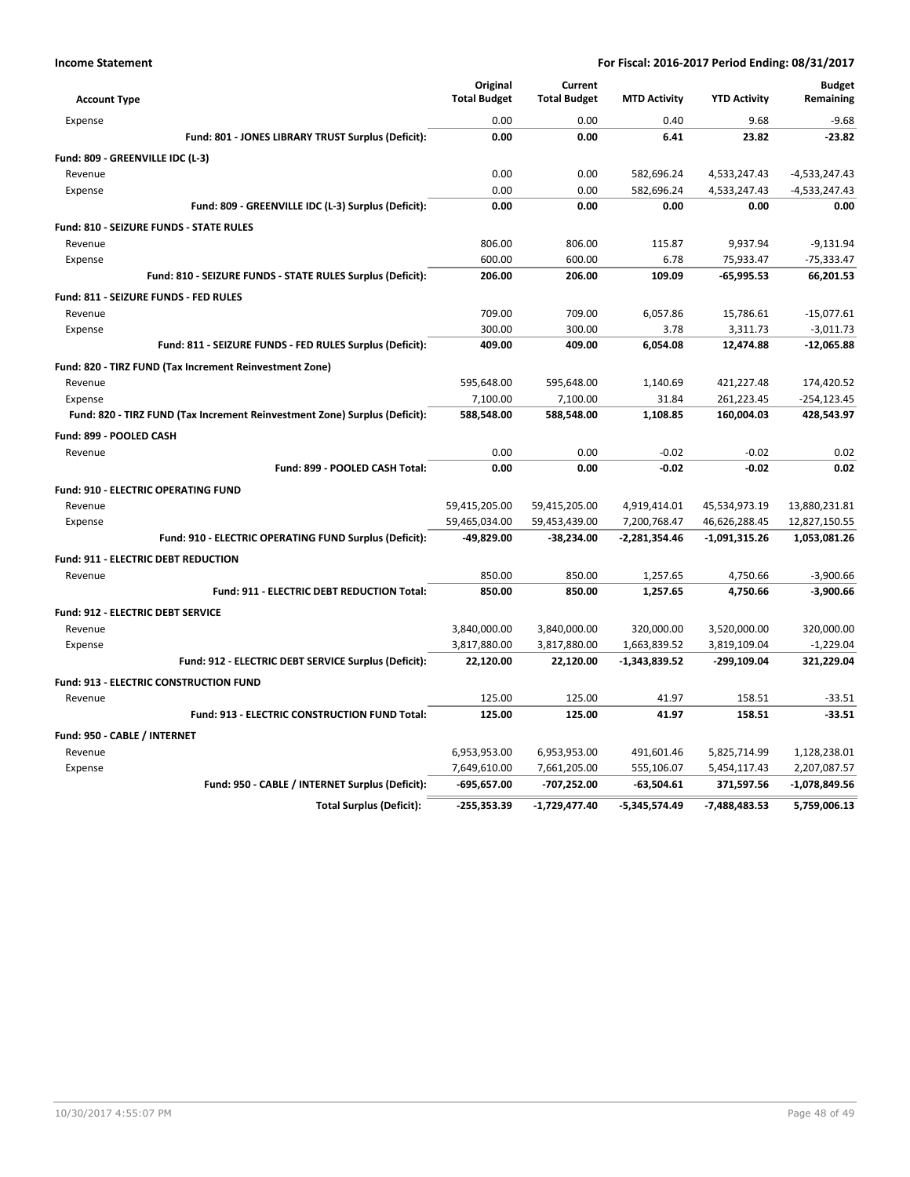|                                                                            | Original            | Current             |                     |                     | <b>Budget</b>   |
|----------------------------------------------------------------------------|---------------------|---------------------|---------------------|---------------------|-----------------|
| <b>Account Type</b>                                                        | <b>Total Budget</b> | <b>Total Budget</b> | <b>MTD Activity</b> | <b>YTD Activity</b> | Remaining       |
| Expense                                                                    | 0.00                | 0.00                | 0.40                | 9.68                | $-9.68$         |
| Fund: 801 - JONES LIBRARY TRUST Surplus (Deficit):                         | 0.00                | 0.00                | 6.41                | 23.82               | $-23.82$        |
| Fund: 809 - GREENVILLE IDC (L-3)                                           |                     |                     |                     |                     |                 |
| Revenue                                                                    | 0.00                | 0.00                | 582,696.24          | 4,533,247.43        | $-4,533,247.43$ |
| Expense                                                                    | 0.00                | 0.00                | 582,696.24          | 4,533,247.43        | $-4,533,247.43$ |
| Fund: 809 - GREENVILLE IDC (L-3) Surplus (Deficit):                        | 0.00                | 0.00                | 0.00                | 0.00                | 0.00            |
| <b>Fund: 810 - SEIZURE FUNDS - STATE RULES</b>                             |                     |                     |                     |                     |                 |
| Revenue                                                                    | 806.00              | 806.00              | 115.87              | 9,937.94            | $-9,131.94$     |
| Expense                                                                    | 600.00              | 600.00              | 6.78                | 75,933.47           | $-75,333.47$    |
| Fund: 810 - SEIZURE FUNDS - STATE RULES Surplus (Deficit):                 | 206.00              | 206.00              | 109.09              | $-65,995.53$        | 66,201.53       |
| Fund: 811 - SEIZURE FUNDS - FED RULES                                      |                     |                     |                     |                     |                 |
| Revenue                                                                    | 709.00              | 709.00              | 6,057.86            | 15,786.61           | $-15,077.61$    |
| Expense                                                                    | 300.00              | 300.00              | 3.78                | 3,311.73            | $-3,011.73$     |
| Fund: 811 - SEIZURE FUNDS - FED RULES Surplus (Deficit):                   | 409.00              | 409.00              | 6,054.08            | 12,474.88           | $-12,065.88$    |
| Fund: 820 - TIRZ FUND (Tax Increment Reinvestment Zone)                    |                     |                     |                     |                     |                 |
| Revenue                                                                    | 595,648.00          | 595,648.00          | 1,140.69            | 421,227.48          | 174,420.52      |
| Expense                                                                    | 7,100.00            | 7,100.00            | 31.84               | 261,223.45          | $-254, 123.45$  |
| Fund: 820 - TIRZ FUND (Tax Increment Reinvestment Zone) Surplus (Deficit): | 588,548.00          | 588,548.00          | 1,108.85            | 160,004.03          | 428,543.97      |
| Fund: 899 - POOLED CASH                                                    |                     |                     |                     |                     |                 |
| Revenue                                                                    | 0.00                | 0.00                | $-0.02$             | $-0.02$             | 0.02            |
| Fund: 899 - POOLED CASH Total:                                             | 0.00                | 0.00                | $-0.02$             | $-0.02$             | 0.02            |
|                                                                            |                     |                     |                     |                     |                 |
| Fund: 910 - ELECTRIC OPERATING FUND<br>Revenue                             | 59,415,205.00       | 59,415,205.00       | 4,919,414.01        | 45,534,973.19       | 13,880,231.81   |
| Expense                                                                    | 59,465,034.00       | 59,453,439.00       | 7,200,768.47        | 46,626,288.45       | 12,827,150.55   |
| Fund: 910 - ELECTRIC OPERATING FUND Surplus (Deficit):                     | -49,829.00          | $-38,234.00$        | $-2,281,354.46$     | $-1,091,315.26$     | 1,053,081.26    |
|                                                                            |                     |                     |                     |                     |                 |
| <b>Fund: 911 - ELECTRIC DEBT REDUCTION</b>                                 |                     |                     |                     |                     |                 |
| Revenue<br>Fund: 911 - ELECTRIC DEBT REDUCTION Total:                      | 850.00              | 850.00              | 1,257.65            | 4,750.66            | $-3,900.66$     |
|                                                                            | 850.00              | 850.00              | 1,257.65            | 4,750.66            | $-3,900.66$     |
| Fund: 912 - ELECTRIC DEBT SERVICE                                          |                     |                     |                     |                     |                 |
| Revenue                                                                    | 3,840,000.00        | 3,840,000.00        | 320,000.00          | 3,520,000.00        | 320,000.00      |
| Expense                                                                    | 3,817,880.00        | 3,817,880.00        | 1,663,839.52        | 3,819,109.04        | $-1,229.04$     |
| Fund: 912 - ELECTRIC DEBT SERVICE Surplus (Deficit):                       | 22,120.00           | 22,120.00           | $-1,343,839.52$     | -299,109.04         | 321,229.04      |
| <b>Fund: 913 - ELECTRIC CONSTRUCTION FUND</b>                              |                     |                     |                     |                     |                 |
| Revenue                                                                    | 125.00              | 125.00              | 41.97               | 158.51              | $-33.51$        |
| Fund: 913 - ELECTRIC CONSTRUCTION FUND Total:                              | 125.00              | 125.00              | 41.97               | 158.51              | $-33.51$        |
| Fund: 950 - CABLE / INTERNET                                               |                     |                     |                     |                     |                 |
| Revenue                                                                    | 6,953,953.00        | 6,953,953.00        | 491,601.46          | 5,825,714.99        | 1,128,238.01    |
| Expense                                                                    | 7,649,610.00        | 7,661,205.00        | 555,106.07          | 5,454,117.43        | 2,207,087.57    |
| Fund: 950 - CABLE / INTERNET Surplus (Deficit):                            | $-695,657.00$       | -707,252.00         | $-63,504.61$        | 371,597.56          | $-1,078,849.56$ |
| <b>Total Surplus (Deficit):</b>                                            | $-255,353.39$       | $-1,729,477.40$     | -5,345,574.49       | $-7,488,483.53$     | 5,759,006.13    |